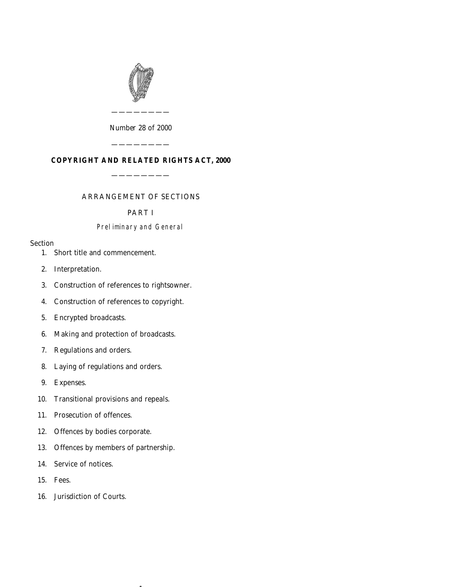

*Number* 28 *of* 2000

————————

# **COPYRIGHT AND RELATED RIGHTS ACT, 2000**

————————

————————

## ARRANGEMENT OF SECTIONS

## PART I

## Preliminary and General

## Section

- [1. Short title and commencement.](#page-22-0)
- [2. Interpretation.](#page-23-0)
- [3. Construction of references to rightsowner.](#page-29-0)
- [4. Construction of references to copyright.](#page-29-0)
- [5. Encrypted broadcasts.](#page-29-0)
- [6. Making and protection of broadcasts.](#page-29-0)
- [7. Regulations and orders.](#page-30-0)
- [8. Laying of regulations and orders.](#page-31-0)
- [9. Expenses.](#page-31-0)
- [10. Transitional provisions and repeals.](#page-31-0)
- [11. Prosecution of offences.](#page-31-0)
- [12. Offences by bodies corporate.](#page-31-0)
- [13. Offences by members of partnership.](#page-31-0)

 $\overline{1}$ 

- [14. Service of notices.](#page-32-0)
- [15. Fees.](#page-32-0)
- [16. Jurisdiction of Courts.](#page-32-0)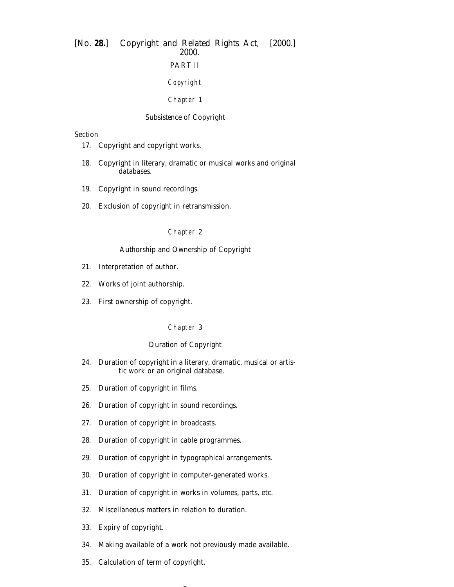# [*No.* **28.**] *Copyright and Related Rights Act,* [2000.] 2000. PART II Copyright

## Chapter 1

## *Subsistence of Copyright*

## Section

- [17. Copyright and copyright works.](#page-33-0)
- [18. Copyright in literary, dramatic or musical works and original](#page-33-0) databases.
- [19. Copyright in sound recordings.](#page-33-0)
- [20. Exclusion of copyright in retransmission.](#page-33-0)

## Chapter 2

## *Authorship and Ownership of Copyright*

- [21. Interpretation of author.](#page-34-0)
- [22. Works of joint authorship.](#page-34-0)
- [23. First ownership of copyright.](#page-34-0)

#### Chapter 3

## *Duration of Copyright*

- [24. Duration of copyright in a literary, dramatic, musical or artis](#page-35-0)tic work or an original database.
- [25. Duration of copyright in films.](#page-35-0)
- [26. Duration of copyright in sound recordings.](#page-36-0)
- [27. Duration of copyright in broadcasts.](#page-36-0)
- [28. Duration of copyright in cable programmes.](#page-36-0)
- [29. Duration of copyright in typographical arrangements.](#page-36-0)
- [30. Duration of copyright in computer-generated works.](#page-36-0)
- [31. Duration of copyright in works in volumes, parts, etc.](#page-36-0)
- [32. Miscellaneous matters in relation to duration.](#page-36-0)
- [33. Expiry of copyright.](#page-37-0)
- [34. Making available of a work not previously made available.](#page-37-0)
- [35. Calculation of term of copyright.](#page-37-0)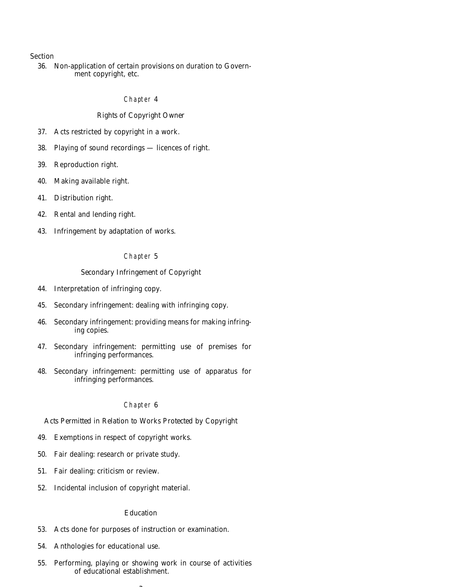## Section

[36. Non-application of certain provisions on duration to Govern](#page-37-0)ment copyright, etc.

#### Chapter 4

#### *Rights of Copyright Owner*

- [37. Acts restricted by copyright in a work.](#page-37-0)
- [38. Playing of sound recordings licences of right.](#page-38-0)
- [39. Reproduction right.](#page-40-0)
- [40. Making available right.](#page-41-0)
- [41. Distribution right.](#page-42-0)
- [42. Rental and lending right.](#page-43-0)
- [43. Infringement by adaptation of works.](#page-44-0)

# Chapter 5

## *Secondary Infringement of Copyright*

- [44. Interpretation of infringing copy.](#page-44-0)
- [45. Secondary infringement: dealing with infringing copy.](#page-45-0)
- [46. Secondary infringement: providing means for making infring](#page-45-0)ing copies.
- [47. Secondary infringement: permitting use of premises for](#page-46-0) infringing performances.
- [48. Secondary infringement: permitting use of apparatus for](#page-46-0) infringing performances.

#### Chapter 6

#### *Acts Permitted in Relation to Works Protected by Copyright*

- [49. Exemptions in respect of copyright works.](#page-46-0)
- [50. Fair dealing: research or private study.](#page-47-0)
- [51. Fair dealing: criticism or review.](#page-47-0)
- [52. Incidental inclusion of copyright material.](#page-48-0)

#### *Education*

- [53. Acts done for purposes of instruction or examination.](#page-48-0)
- [54. Anthologies for educational use.](#page-49-0)
- [55. Performing, playing or showing work in course of activities](#page-49-0) of educational establishment.

 $\sim$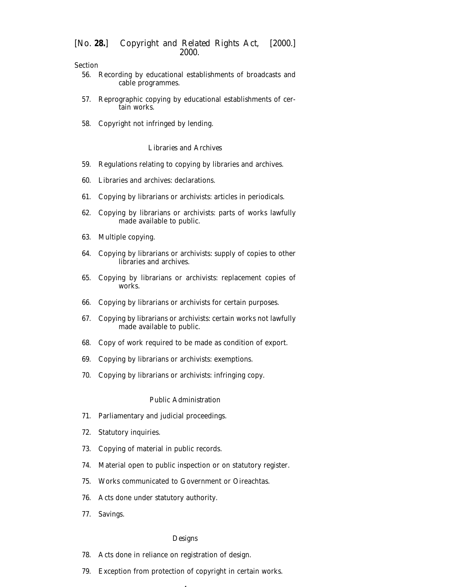Section

- [56. Recording by educational establishments of broadcasts and](#page-50-0) cable programmes.
- [57. Reprographic copying by educational establishments of cer](#page-50-0)tain works.
- [58. Copyright not infringed by lending.](#page-50-0)

## *Libraries and Archives*

- [59. Regulations relating to copying by libraries and archives.](#page-51-0)
- [60. Libraries and archives: declarations.](#page-51-0)
- [61. Copying by librarians or archivists: articles in periodicals.](#page-52-0)
- [62. Copying by librarians or archivists: parts of works lawfully](#page-52-0) made available to public.
- [63. Multiple copying.](#page-52-0)
- [64. Copying by librarians or archivists: supply of copies to other](#page-53-0) libraries and archives.
- [65. Copying by librarians or archivists: replacement copies of](#page-53-0) works.
- [66. Copying by librarians or archivists for certain purposes.](#page-53-0)
- [67. Copying by librarians or archivists: certain works not lawfully](#page-54-0) made available to public.
- [68. Copy of work required to be made as condition of export.](#page-54-0)
- [69. Copying by librarians or archivists: exemptions.](#page-54-0)
- [70. Copying by librarians or archivists: infringing copy.](#page-54-0)

## *Public Administration*

- [71. Parliamentary and judicial proceedings.](#page-54-0)
- [72. Statutory inquiries.](#page-55-0)
- [73. Copying of material in public records.](#page-55-0)
- [74. Material open to public inspection or on statutory register.](#page-55-0)
- [75. Works communicated to Government or Oireachtas.](#page-56-0)
- [76. Acts done under statutory authority.](#page-56-0)
- [77. Savings.](#page-56-0)

#### *Designs*

- [78. Acts done in reliance on registration of design.](#page-57-0)
- [79. Exception from protection of copyright in certain works.](#page-57-0)

4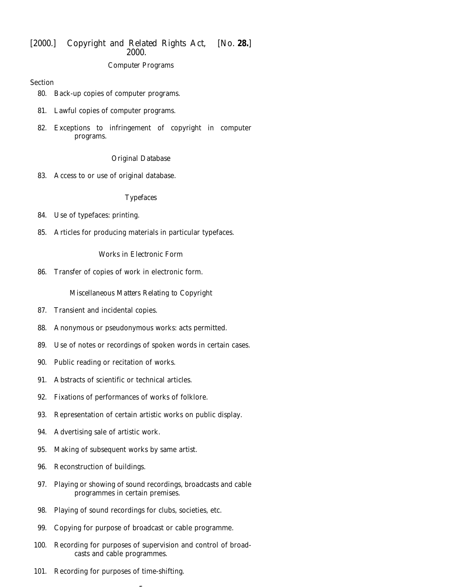## *Computer Programs*

## Section

- [80. Back-up copies of computer programs.](#page-57-0)
- [81. Lawful copies of computer programs.](#page-58-0)
- [82. Exceptions to infringement of copyright in computer](#page-58-0) programs.

# *Original Database*

[83. Access to or use of original database.](#page-59-0)

# *Typefaces*

- [84. Use of typefaces: printing.](#page-59-0)
- [85. Articles for producing materials in particular typefaces.](#page-59-0)

# *Works in Electronic Form*

[86. Transfer of copies of work in electronic form.](#page-60-0)

# *Miscellaneous Matters Relating to Copyright*

- [87. Transient and incidental copies.](#page-60-0)
- [88. Anonymous or pseudonymous works: acts permitted.](#page-60-0)
- [89. Use of notes or recordings of spoken words in certain cases.](#page-61-0)
- [90. Public reading or recitation of works.](#page-61-0)
- [91. Abstracts of scientific or technical articles.](#page-61-0)
- [92. Fixations of performances of works of folklore.](#page-61-0)
- [93. Representation of certain artistic works on public display.](#page-62-0)
- [94. Advertising sale of artistic work.](#page-62-0)
- [95. Making of subsequent works by same artist.](#page-63-0)
- [96. Reconstruction of buildings.](#page-63-0)
- [97. Playing or showing of sound recordings, broadcasts and cable](#page-63-0) programmes in certain premises.
- [98. Playing of sound recordings for clubs, societies, etc.](#page-63-0)
- [99. Copying for purpose of broadcast or cable programme.](#page-63-0)
- [100. Recording for purposes of supervision and control of broad](#page-64-0)casts and cable programmes.

5

[101. Recording for purposes of time-shifting.](#page-64-0)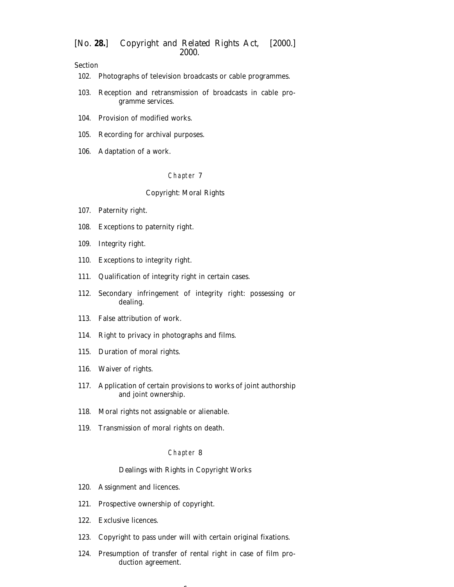Section

- [102. Photographs of television broadcasts or cable programmes.](#page-64-0)
- [103. Reception and retransmission of broadcasts in cable pro](#page-64-0)gramme services.
- [104. Provision of modified works.](#page-65-0)
- [105. Recording for archival purposes.](#page-65-0)
- [106. Adaptation of a work.](#page-65-0)

#### Chapter 7

#### *Copyright: Moral Rights*

- [107. Paternity right.](#page-66-0)
- [108. Exceptions to paternity right.](#page-66-0)
- [109. Integrity right.](#page-66-0)
- [110. Exceptions to integrity right.](#page-67-0)
- [111. Qualification of integrity right in certain cases.](#page-67-0)
- [112. Secondary infringement of integrity right: possessing or](#page-68-0) dealing.
- [113. False attribution of work.](#page-68-0)
- [114. Right to privacy in photographs and films.](#page-69-0)
- [115. Duration of moral rights.](#page-69-0)
- [116. Waiver of rights.](#page-69-0)
- [117. Application of certain provisions to works of joint authorship](#page-70-0) and joint ownership.
- [118. Moral rights not assignable or alienable.](#page-70-0)
- [119. Transmission of moral rights on death.](#page-70-0)

#### Chapter 8

#### *Dealings with Rights in Copyright Works*

- [120. Assignment and licences.](#page-71-0)
- [121. Prospective ownership of copyright.](#page-72-0)
- [122. Exclusive licences.](#page-72-0)
- [123. Copyright to pass under will with certain original fixations.](#page-72-0)
- [124. Presumption of transfer of rental right in case of film pro](#page-73-0)duction agreement.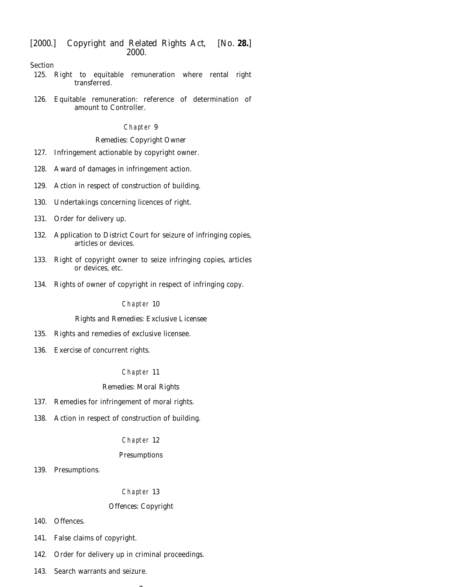Section

- [125. Right to equitable remuneration where rental right](#page-73-0) transferred.
- [126. Equitable remuneration: reference of determination of](#page-73-0) amount to Controller.

## Chapter 9

## *Remedies: Copyright Owner*

- [127. Infringement actionable by copyright owner.](#page-74-0)
- [128. Award of damages in infringement action.](#page-74-0)
- [129. Action in respect of construction of building.](#page-75-0)
- [130. Undertakings concerning licences of right.](#page-75-0)
- [131. Order for delivery up.](#page-75-0)
- [132. Application to District Court for seizure of infringing copies,](#page-76-0) articles or devices.
- [133. Right of copyright owner to seize infringing copies, articles](#page-77-0) or devices, etc.
- [134. Rights of owner of copyright in respect of infringing copy.](#page-78-0)

## Chapter 10

## *Rights and Remedies: Exclusive Licensee*

- [135. Rights and remedies of exclusive licensee.](#page-79-0)
- [136. Exercise of concurrent rights.](#page-79-0)

# Chapter 11

# *Remedies: Moral Rights*

- [137. Remedies for infringement of moral rights.](#page-80-0)
- [138. Action in respect of construction of building.](#page-80-0)

# Chapter 12

## *Presumptions*

[139. Presumptions.](#page-80-0)

# Chapter 13

# *Offences: Copyright*

-

- [140. Offences.](#page-82-0)
- [141. False claims of copyright.](#page-84-0)
- [142. Order for delivery up in criminal proceedings.](#page-84-0)
- [143. Search warrants and seizure.](#page-84-0)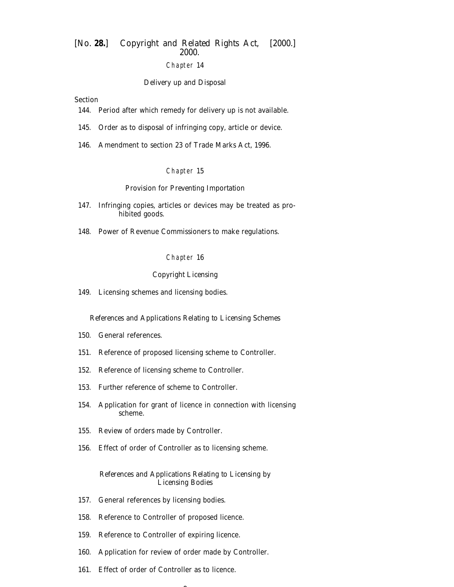# Chapter 14

#### *Delivery up and Disposal*

## Section

- [144. Period after which remedy for delivery up is not available.](#page-85-0)
- [145. Order as to disposal of infringing copy, article or device.](#page-86-0)
- [146. Amendment to section 23 of Trade Marks Act, 1996.](#page-87-0)

#### Chapter 15

### *Provision for Preventing Importation*

- [147. Infringing copies, articles or devices may be treated as pro](#page-87-0)hibited goods.
- [148. Power of Revenue Commissioners to make regulations.](#page-88-0)

#### Chapter 16

#### *Copyright Licensing*

[149. Licensing schemes and licensing bodies.](#page-88-0)

#### *References and Applications Relating to Licensing Schemes*

- [150. General references.](#page-89-0)
- [151. Reference of proposed licensing scheme to Controller.](#page-89-0)
- [152. Reference of licensing scheme to Controller.](#page-89-0)
- [153. Further reference of scheme to Controller.](#page-90-0)
- [154. Application for grant of licence in connection with licensing](#page-90-0) scheme.
- [155. Review of orders made by Controller.](#page-91-0)
- [156. Effect of order of Controller as to licensing scheme.](#page-92-0)

## *References and Applications Relating to Licensing by Licensing Bodies*

- [157. General references by licensing bodies.](#page-93-0)
- [158. Reference to Controller of proposed licence.](#page-93-0)
- [159. Reference to Controller of expiring licence.](#page-93-0)
- [160. Application for review of order made by Controller.](#page-93-0)

 $\overline{\phantom{a}}$ 

[161. Effect of order of Controller as to licence.](#page-94-0)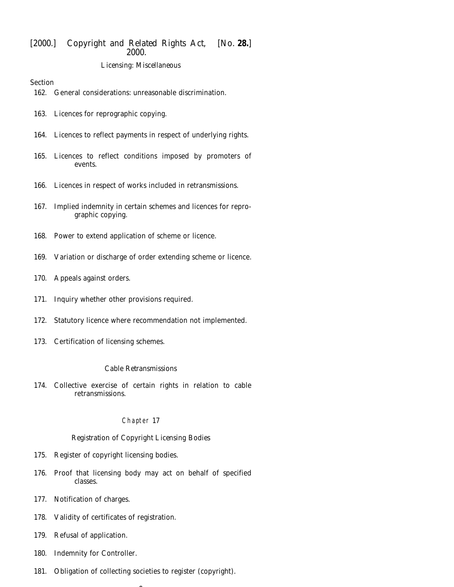## *Licensing: Miscellaneous*

#### Section

- [162. General considerations: unreasonable discrimination.](#page-94-0)
- [163. Licences for reprographic copying.](#page-95-0)
- [164. Licences to reflect payments in respect of underlying rights.](#page-95-0)
- [165. Licences to reflect conditions imposed by promoters of](#page-95-0) events.
- [166. Licences in respect of works included in retransmissions.](#page-95-0)
- [167. Implied indemnity in certain schemes and licences for repro](#page-96-0)graphic copying.
- [168. Power to extend application of scheme or licence.](#page-96-0)
- [169. Variation or discharge of order extending scheme or licence.](#page-97-0)
- [170. Appeals against orders.](#page-98-0)
- [171. Inquiry whether other provisions required.](#page-98-0)
- [172. Statutory licence where recommendation not implemented.](#page-99-0)
- [173. Certification of licensing schemes.](#page-100-0)

#### *Cable Retransmissions*

[174. Collective exercise of certain rights in relation to cable](#page-101-0) retransmissions.

#### Chapter 17

#### *Registration of Copyright Licensing Bodies*

- [175. Register of copyright licensing bodies.](#page-102-0)
- [176. Proof that licensing body may act on behalf of specified](#page-103-0) classes.
- [177. Notification of charges.](#page-103-0)
- [178. Validity of certificates of registration.](#page-103-0)
- [179. Refusal of application.](#page-103-0)
- [180. Indemnity for Controller.](#page-104-0)
- [181. Obligation of collecting societies to register \(copyright\).](#page-104-0)

 $\overline{\phantom{a}}$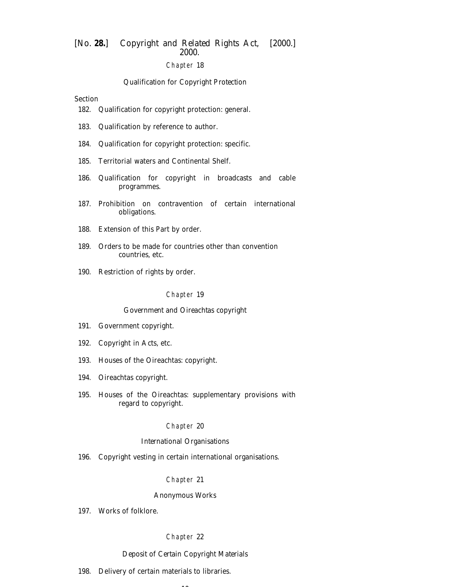## Chapter 18

#### *Qualification for Copyright Protection*

## Section

- [182. Qualification for copyright protection: general.](#page-104-0)
- [183. Qualification by reference to author.](#page-105-0)
- [184. Qualification for copyright protection: specific.](#page-106-0)
- [185. Territorial waters and Continental Shelf.](#page-106-0)
- [186. Qualification for copyright in broadcasts and cable](#page-107-0) programmes.
- [187. Prohibition on contravention of certain international](#page-107-0) obligations.
- [188. Extension of this Part by order.](#page-107-0)
- [189. Orders to be made for countries other than convention](#page-108-0) countries, etc.
- [190. Restriction of rights by order.](#page-108-0)

#### Chapter 19

#### *Government and Oireachtas copyright*

- [191. Government copyright.](#page-109-0)
- [192. Copyright in Acts, etc.](#page-110-0)
- [193. Houses of the Oireachtas: copyright.](#page-110-0)
- [194. Oireachtas copyright.](#page-110-0)
- [195. Houses of the Oireachtas: supplementary provisions with](#page-111-0) regard to copyright.

#### Chapter 20

#### *International Organisations*

[196. Copyright vesting in certain international organisations.](#page-111-0)

#### Chapter 21

#### *Anonymous Works*

[197. Works of folklore.](#page-111-0)

#### Chapter 22

# *Deposit of Certain Copyright Materials*

 $\sim$ 

[198. Delivery of certain materials to libraries.](#page-112-0)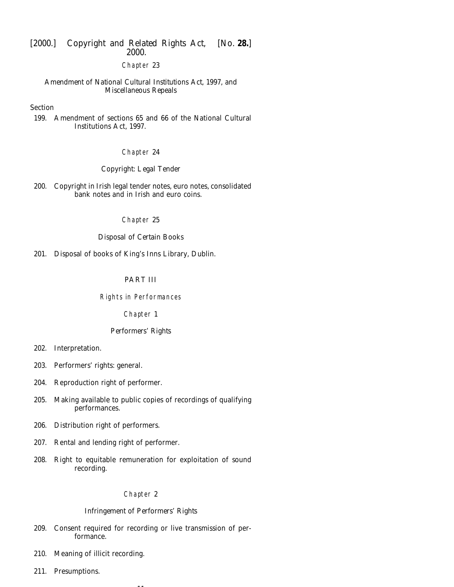#### Chapter 23

*Amendment of National Cultural Institutions Act, 1997, and Miscellaneous Repeals*

#### Section

[199. Amendment of sections 65 and 66 of the National Cultural](#page-114-0) Institutions Act, 1997.

#### Chapter 24

## *Copyright: Legal Tender*

[200. Copyright in Irish legal tender notes, euro notes, consolidated](#page-115-0) bank notes and in Irish and euro coins.

### Chapter 25

## *Disposal of Certain Books*

[201. Disposal of books of King's Inns Library, Dublin.](#page-116-0)

## PART III

#### Rights in Performances

Chapter 1

## *Performers' Rights*

- [202. Interpretation.](#page-116-0)
- [203. Performers' rights: general.](#page-117-0)
- [204. Reproduction right of performer.](#page-118-0)
- [205. Making available to public copies of recordings of qualifying](#page-118-0) performances.
- [206. Distribution right of performers.](#page-119-0)
- [207. Rental and lending right of performer.](#page-120-0)
- [208. Right to equitable remuneration for exploitation of sound](#page-121-0) recording.

#### Chapter 2

## *Infringement of Performers' Rights*

[209. Consent required for recording or live transmission of per](#page-122-0)formance.

11

- [210. Meaning of illicit recording.](#page-122-0)
- [211. Presumptions.](#page-123-0)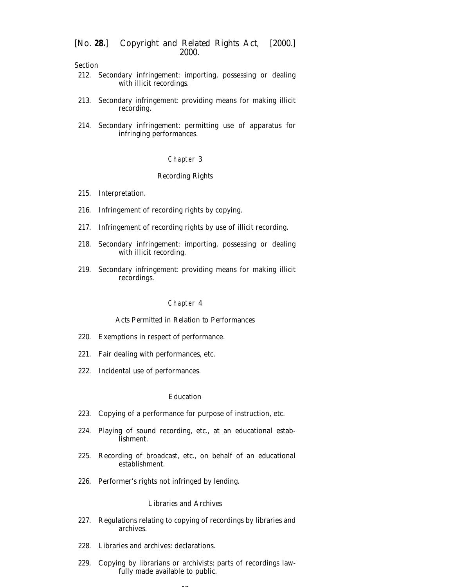Section

- [212. Secondary infringement: importing, possessing or dealing](#page-123-0) with illicit recordings.
- [213. Secondary infringement: providing means for making illicit](#page-123-0) recording.
- [214. Secondary infringement: permitting use of apparatus for](#page-124-0) infringing performances.

## Chapter 3

#### *Recording Rights*

- [215. Interpretation.](#page-124-0)
- [216. Infringement of recording rights by copying.](#page-125-0)
- [217. Infringement of recording rights by use of illicit recording.](#page-125-0)
- [218. Secondary infringement: importing, possessing or dealing](#page-126-0) with illicit recording.
- [219. Secondary infringement: providing means for making illicit](#page-126-0) recordings.

#### Chapter 4

#### *Acts Permitted in Relation to Performances*

- [220. Exemptions in respect of performance.](#page-126-0)
- [221. Fair dealing with performances, etc.](#page-126-0)
- [222. Incidental use of performances.](#page-127-0)

#### *Education*

- [223. Copying of a performance for purpose of instruction, etc.](#page-127-0)
- [224. Playing of sound recording, etc., at an educational estab](#page-127-0)lishment.
- [225. Recording of broadcast, etc., on behalf of an educational](#page-128-0) establishment.
- [226. Performer's rights not infringed by lending.](#page-128-0)

## *Libraries and Archives*

- [227. Regulations relating to copying of recordings by libraries and](#page-128-0) archives.
- [228. Libraries and archives: declarations.](#page-129-0)
- [229. Copying by librarians or archivists: parts of recordings law](#page-129-0)fully made available to public.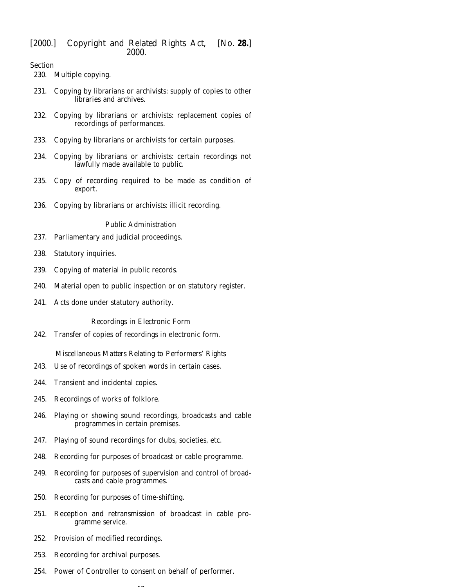## Section

[230. Multiple copying.](#page-129-0)

- [231. Copying by librarians or archivists: supply of copies to other](#page-129-0) libraries and archives.
- [232. Copying by librarians or archivists: replacement copies of](#page-130-0) recordings of performances.
- [233. Copying by librarians or archivists for certain purposes.](#page-130-0)
- [234. Copying by librarians or archivists: certain recordings not](#page-130-0) lawfully made available to public.
- [235. Copy of recording required to be made as condition of](#page-131-0) export.
- [236. Copying by librarians or archivists: illicit recording.](#page-131-0)

#### *Public Administration*

- [237. Parliamentary and judicial proceedings.](#page-131-0)
- [238. Statutory inquiries.](#page-131-0)
- [239. Copying of material in public records.](#page-131-0)
- [240. Material open to public inspection or on statutory register.](#page-131-0)
- [241. Acts done under statutory authority.](#page-132-0)

#### *Recordings in Electronic Form*

[242. Transfer of copies of recordings in electronic form.](#page-132-0)

# *Miscellaneous Matters Relating to Performers' Rights*

- [243. Use of recordings of spoken words in certain cases.](#page-133-0)
- [244. Transient and incidental copies.](#page-133-0)
- [245. Recordings of works of folklore.](#page-134-0)
- [246. Playing or showing sound recordings, broadcasts and cable](#page-134-0) programmes in certain premises.
- [247. Playing of sound recordings for clubs, societies, etc.](#page-134-0)
- [248. Recording for purposes of broadcast or cable programme.](#page-135-0)
- [249. Recording for purposes of supervision and control of broad](#page-135-0)casts and cable programmes.
- [250. Recording for purposes of time-shifting.](#page-135-0)
- [251. Reception and retransmission of broadcast in cable pro](#page-135-0)gramme service.
- [252. Provision of modified recordings.](#page-136-0)
- [253. Recording for archival purposes.](#page-136-0)
- [254. Power of Controller to consent on behalf of performer.](#page-136-0)

 $\overline{1}$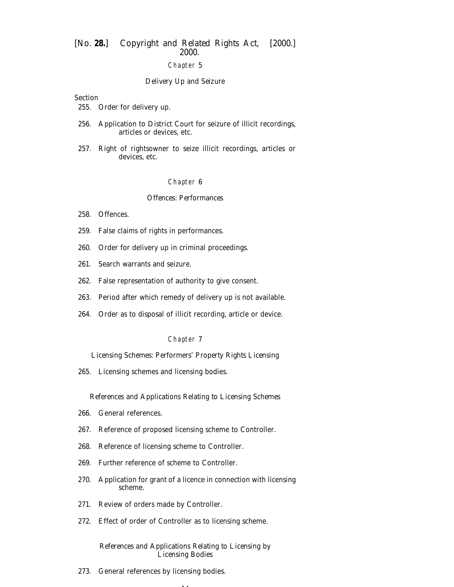## Chapter 5

#### *Delivery Up and Seizure*

Section

- [255. Order for delivery up.](#page-137-0)
- [256. Application to District Court for seizure of illicit recordings,](#page-137-0) articles or devices, etc.
- [257. Right of rightsowner to seize illicit recordings, articles or](#page-138-0) devices, etc.

#### Chapter 6

## *Offences: Performances*

- [258. Offences.](#page-140-0)
- [259. False claims of rights in performances.](#page-141-0)
- [260. Order for delivery up in criminal proceedings.](#page-141-0)
- [261. Search warrants and seizure.](#page-142-0)
- [262. False representation of authority to give consent.](#page-143-0)
- [263. Period after which remedy of delivery up is not available.](#page-143-0)
- [264. Order as to disposal of illicit recording, article or device.](#page-144-0)

#### Chapter 7

*Licensing Schemes: Performers' Property Rights Licensing*

[265. Licensing schemes and licensing bodies.](#page-145-0)

#### *References and Applications Relating to Licensing Schemes*

- [266. General references.](#page-145-0)
- [267. Reference of proposed licensing scheme to Controller.](#page-146-0)
- [268. Reference of licensing scheme to Controller.](#page-146-0)
- [269. Further reference of scheme to Controller.](#page-146-0)
- [270. Application for grant of a licence in connection with licensing](#page-147-0) scheme.
- [271. Review of orders made by Controller.](#page-148-0)
- [272. Effect of order of Controller as to licensing scheme.](#page-148-0)

### *References and Applications Relating to Licensing by Licensing Bodies*

14

[273. General references by licensing bodies.](#page-149-0)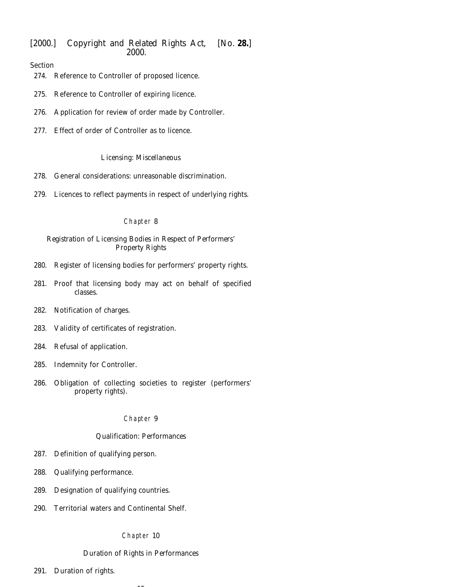# Section

- [274. Reference to Controller of proposed licence.](#page-149-0)
- [275. Reference to Controller of expiring licence.](#page-149-0)
- [276. Application for review of order made by Controller.](#page-150-0)
- [277. Effect of order of Controller as to licence.](#page-150-0)

#### *Licensing: Miscellaneous*

- [278. General considerations: unreasonable discrimination.](#page-151-0)
- [279. Licences to reflect payments in respect of underlying rights.](#page-151-0)

## Chapter 8

## *Registration of Licensing Bodies in Respect of Performers' Property Rights*

- [280. Register of licensing bodies for performers' property rights.](#page-151-0)
- [281. Proof that licensing body may act on behalf of specified](#page-152-0) classes.
- [282. Notification of charges.](#page-153-0)
- [283. Validity of certificates of registration.](#page-153-0)
- [284. Refusal of application.](#page-153-0)
- [285. Indemnity for Controller.](#page-153-0)
- [286. Obligation of collecting societies to register \(performers'](#page-153-0) property rights).

#### Chapter 9

## *Qualification: Performances*

- [287. Definition of qualifying person.](#page-154-0)
- [288. Qualifying performance.](#page-154-0)
- [289. Designation of qualifying countries.](#page-154-0)
- [290. Territorial waters and Continental Shelf.](#page-155-0)

#### Chapter 10

#### *Duration of Rights in Performances*

-

[291. Duration of rights.](#page-155-0)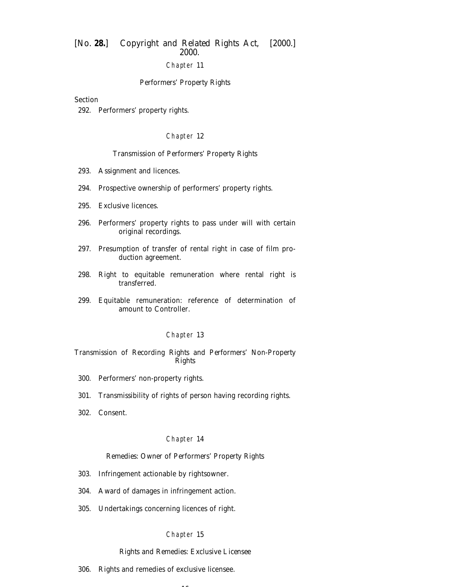## Chapter 11

#### *Performers' Property Rights*

#### Section

[292. Performers' property rights.](#page-155-0)

#### Chapter 12

#### *Transmission of Performers' Property Rights*

- [293. Assignment and licences.](#page-156-0)
- [294. Prospective ownership of performers' property rights.](#page-156-0)
- [295. Exclusive licences.](#page-157-0)
- [296. Performers' property rights to pass under will with certain](#page-157-0) original recordings.
- [297. Presumption of transfer of rental right in case of film pro](#page-157-0)duction agreement.
- [298. Right to equitable remuneration where rental right is](#page-157-0) transferred.
- [299. Equitable remuneration: reference of determination of](#page-158-0) amount to Controller.

#### Chapter 13

#### *Transmission of Recording Rights and Performers' Non-Property Rights*

- [300. Performers' non-property rights.](#page-159-0)
- [301. Transmissibility of rights of person having recording rights.](#page-159-0)
- [302. Consent.](#page-159-0)

#### Chapter 14

#### *Remedies: Owner of Performers' Property Rights*

- [303. Infringement actionable by rightsowner.](#page-160-0)
- [304. Award of damages in infringement action.](#page-160-0)
- [305. Undertakings concerning licences of right.](#page-160-0)

#### Chapter 15

## *Rights and Remedies: Exclusive Licensee*

16

[306. Rights and remedies of exclusive licensee.](#page-161-0)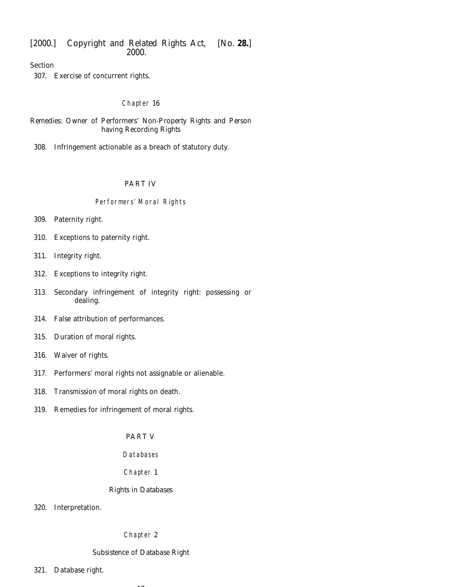Section

[307. Exercise of concurrent rights.](#page-161-0)

## Chapter 16

*Remedies: Owner of Performers' Non-Property Rights and Person having Recording Rights*

[308. Infringement actionable as a breach of statutory duty.](#page-162-0)

# PART IV

## Performers' Moral Rights

- [309. Paternity right.](#page-162-0)
- [310. Exceptions to paternity right.](#page-162-0)
- [311. Integrity right.](#page-162-0)
- [312. Exceptions to integrity right.](#page-163-0)
- [313. Secondary infringement of integrity right: possessing or](#page-163-0) dealing.
- [314. False attribution of performances.](#page-163-0)
- [315. Duration of moral rights.](#page-164-0)
- [316. Waiver of rights.](#page-164-0)
- [317. Performers' moral rights not assignable or alienable.](#page-165-0)
- [318. Transmission of moral rights on death.](#page-165-0)
- [319. Remedies for infringement of moral rights.](#page-166-0)

# PART V

## Databases

## Chapter 1

## *Rights in Databases*

[320. Interpretation.](#page-166-0)

## Chapter 2

## *Subsistence of Database Right*

-

[321. Database right.](#page-167-0)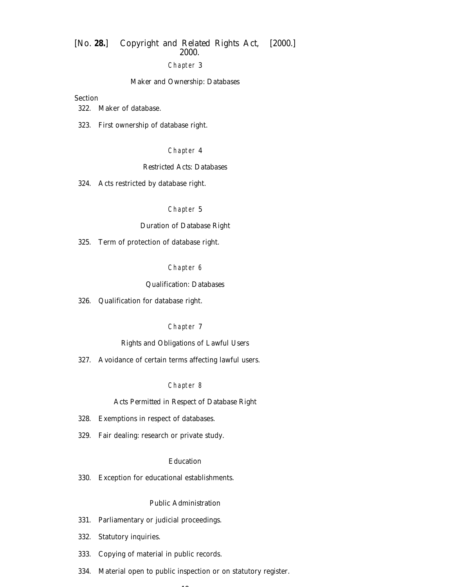# Chapter 3

#### *Maker and Ownership: Databases*

## Section

[322. Maker of database.](#page-167-0)

[323. First ownership of database right.](#page-168-0)

## Chapter 4

#### *Restricted Acts: Databases*

[324. Acts restricted by database right.](#page-168-0)

#### Chapter 5

# *Duration of Database Right*

[325. Term of protection of database right.](#page-169-0)

#### Chapter 6

#### *Qualification: Databases*

[326. Qualification for database right.](#page-169-0)

#### Chapter 7

## *Rights and Obligations of Lawful Users*

[327. Avoidance of certain terms affecting lawful users.](#page-170-0)

#### Chapter 8

#### *Acts Permitted in Respect of Database Right*

- [328. Exemptions in respect of databases.](#page-170-0)
- [329. Fair dealing: research or private study.](#page-170-0)

## *Education*

[330. Exception for educational establishments.](#page-171-0)

## *Public Administration*

- [331. Parliamentary or judicial proceedings.](#page-171-0)
- [332. Statutory inquiries.](#page-171-0)
- [333. Copying of material in public records.](#page-171-0)
- [334. Material open to public inspection or on statutory register.](#page-171-0)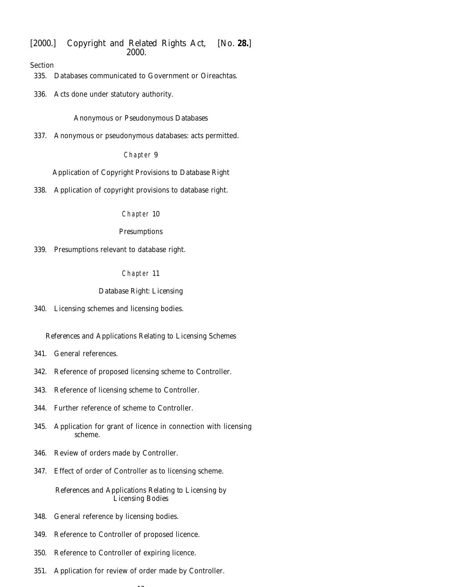Section

- [335. Databases communicated to Government or Oireachtas.](#page-172-0)
- [336. Acts done under statutory authority.](#page-173-0)

*Anonymous or Pseudonymous Databases*

[337. Anonymous or pseudonymous databases: acts permitted.](#page-173-0)

## Chapter 9

*Application of Copyright Provisions to Database Right*

[338. Application of copyright provisions to database right.](#page-173-0)

Chapter 10

## *Presumptions*

[339. Presumptions relevant to database right.](#page-173-0)

Chapter 11

## *Database Right: Licensing*

[340. Licensing schemes and licensing bodies.](#page-174-0)

## *References and Applications Relating to Licensing Schemes*

- [341. General references.](#page-175-0)
- [342. Reference of proposed licensing scheme to Controller.](#page-175-0)
- [343. Reference of licensing scheme to Controller.](#page-175-0)
- [344. Further reference of scheme to Controller.](#page-176-0)
- [345. Application for grant of licence in connection with licensing](#page-176-0) scheme.
- [346. Review of orders made by Controller.](#page-177-0)
- [347. Effect of order of Controller as to licensing scheme.](#page-177-0)

*References and Applications Relating to Licensing by Licensing Bodies*

- [348. General reference by licensing bodies.](#page-178-0)
- [349. Reference to Controller of proposed licence.](#page-179-0)
- [350. Reference to Controller of expiring licence.](#page-179-0)
- [351. Application for review of order made by Controller.](#page-179-0)

 $\overline{\phantom{a}}$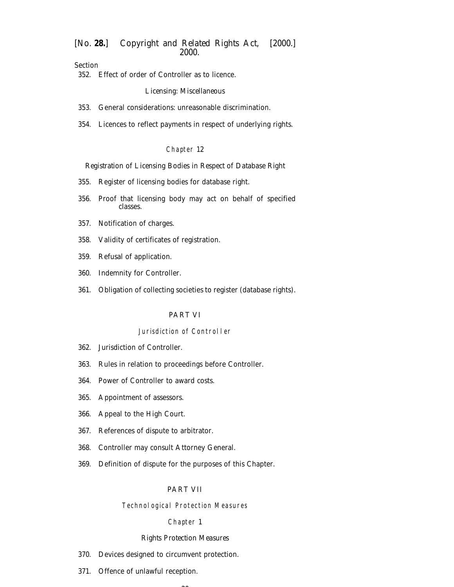Section

[352. Effect of order of Controller as to licence.](#page-180-0)

#### *Licensing: Miscellaneous*

- [353. General considerations: unreasonable discrimination.](#page-180-0)
- [354. Licences to reflect payments in respect of underlying rights.](#page-181-0)

#### Chapter 12

#### *Registration of Licensing Bodies in Respect of Database Right*

- [355. Register of licensing bodies for database right.](#page-181-0)
- [356. Proof that licensing body may act on behalf of specified](#page-182-0) classes.
- [357. Notification of charges.](#page-182-0)
- [358. Validity of certificates of registration.](#page-182-0)
- [359. Refusal of application.](#page-182-0)
- [360. Indemnity for Controller.](#page-183-0)
- [361. Obligation of collecting societies to register \(database rights\).](#page-183-0)

## PART VI

## Jurisdiction of Controller

- [362. Jurisdiction of Controller.](#page-183-0)
- [363. Rules in relation to proceedings before Controller.](#page-183-0)
- [364. Power of Controller to award costs.](#page-184-0)
- [365. Appointment of assessors.](#page-184-0)
- [366. Appeal to the High Court.](#page-184-0)
- [367. References of dispute to arbitrator.](#page-185-0)
- [368. Controller may consult Attorney General.](#page-186-0)
- [369. Definition of dispute for the purposes of this Chapter.](#page-186-0)

## PART VII

## Technological Protection Measures

### Chapter 1

## *Rights Protection Measures*

- [370. Devices designed to circumvent protection.](#page-186-0)
- [371. Offence of unlawful reception.](#page-187-0)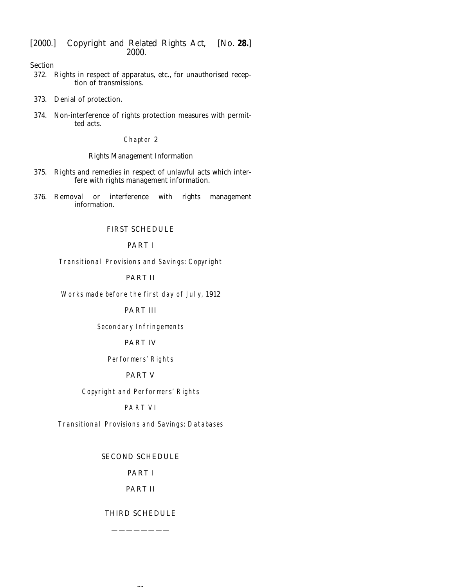Section

- [372. Rights in respect of apparatus, etc., for unauthorised recep](#page-187-0)tion of transmissions.
- [373. Denial of protection.](#page-187-0)
- [374. Non-interference of rights protection measures with permit](#page-188-0)ted acts.

## Chapter 2

## *Rights Management Information*

- [375. Rights and remedies in respect of unlawful acts which inter](#page-188-0)fere with rights management information.
- [376. Removal or interference with rights management](#page-189-0) information.

## [FIRST SCHEDULE](#page-192-0)

# PART I

Transitional Provisions and Savings: Copyright

# PART II

Works made before the first day of July, 1912

# PART III

Secondary Infringements

PART IV

Performers' Rights

# PART V

Copyright and Performers' Rights

# PART VI

Transitional Provisions and Savings: Databases

## [SECOND SCHEDULE](#page-203-0)

# PART I

# PART II

## [THIRD SCHEDULE](#page-204-0)

————————

 $21$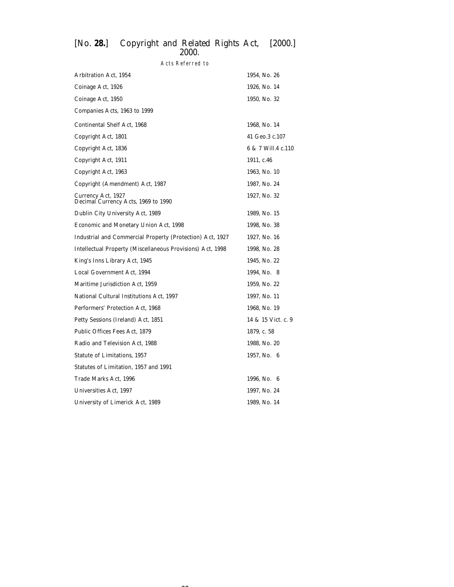# Acts Referred to

| <b>Arbitration Act, 1954</b>                               | 1954, No. 26       |
|------------------------------------------------------------|--------------------|
| Coinage Act, 1926                                          | 1926, No. 14       |
| Coinage Act, 1950                                          | 1950, No. 32       |
| Companies Acts, 1963 to 1999                               |                    |
| Continental Shelf Act, 1968                                | 1968, No. 14       |
| Copyright Act, 1801                                        | 41 Geo.3 c.107     |
| Copyright Act, 1836                                        | 6 & 7 Will.4 c.110 |
| Copyright Act, 1911                                        | 1911, c.46         |
| Copyright Act, 1963                                        | 1963, No. 10       |
| Copyright (Amendment) Act, 1987                            | 1987, No. 24       |
| Currency Act, 1927<br>Decimal Currency Acts, 1969 to 1990  | 1927, No. 32       |
| Dublin City University Act, 1989                           | 1989, No. 15       |
| Economic and Monetary Union Act, 1998                      | 1998, No. 38       |
| Industrial and Commercial Property (Protection) Act, 1927  | 1927, No. 16       |
| Intellectual Property (Miscellaneous Provisions) Act, 1998 | 1998, No. 28       |
| King's Inns Library Act, 1945                              | 1945, No. 22       |
| Local Government Act, 1994                                 | 1994, No. 8        |
| Maritime Jurisdiction Act, 1959                            | 1959, No. 22       |
| National Cultural Institutions Act, 1997                   | 1997, No. 11       |
| Performers' Protection Act, 1968                           | 1968, No. 19       |
| Petty Sessions (Ireland) Act, 1851                         | 14 & 15 Vict. c. 9 |
| Public Offices Fees Act, 1879                              | 1879, c. 58        |
| Radio and Television Act, 1988                             | 1988, No. 20       |
| <b>Statute of Limitations, 1957</b>                        | 1957, No. 6        |
| Statutes of Limitation, 1957 and 1991                      |                    |
| Trade Marks Act, 1996                                      | 1996, No. 6        |
| Universities Act, 1997                                     | 1997, No. 24       |
| University of Limerick Act, 1989                           | 1989, No. 14       |
|                                                            |                    |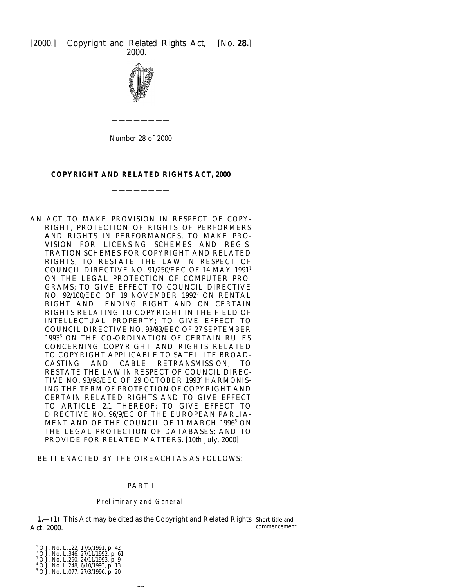<span id="page-22-0"></span>

## **COPYRIGHT AND RELATED RIGHTS ACT, 2000**

————————

————————

AN ACT TO MAKE PROVISION IN RESPECT OF COPY-RIGHT, PROTECTION OF RIGHTS OF PERFORMERS AND RIGHTS IN PERFORMANCES, TO MAKE PRO-VISION FOR LICENSING SCHEMES AND REGIS-TRATION SCHEMES FOR COPYRIGHT AND RELATED RIGHTS; TO RESTATE THE LAW IN RESPECT OF COUNCIL DIRECTIVE NO. 91/250/EEC OF 14 MAY 19911 ON THE LEGAL PROTECTION OF COMPUTER PRO-GRAMS; TO GIVE EFFECT TO COUNCIL DIRECTIVE NO. 92/100/EEC OF 19 NOVEMBER 1992<sup>2</sup> ON RENTAL RIGHT AND LENDING RIGHT AND ON CERTAIN RIGHTS RELATING TO COPYRIGHT IN THE FIELD OF INTELLECTUAL PROPERTY; TO GIVE EFFECT TO COUNCIL DIRECTIVE NO. 93/83/EEC OF 27 SEPTEMBER 1993<sup>3</sup> ON THE CO-ORDINATION OF CERTAIN RULES CONCERNING COPYRIGHT AND RIGHTS RELATED TO COPYRIGHT APPLICABLE TO SATELLITE BROAD-CASTING AND CABLE RETRANSMISSION; TO RESTATE THE LAW IN RESPECT OF COUNCIL DIREC-TIVE NO. 93/98/EEC OF 29 OCTOBER 1993<sup>4</sup> HARMONIS-ING THE TERM OF PROTECTION OF COPYRIGHT AND CERTAIN RELATED RIGHTS AND TO GIVE EFFECT TO ARTICLE 2.1 THEREOF; TO GIVE EFFECT TO DIRECTIVE NO. 96/9/EC OF THE EUROPEAN PARLIA-MENT AND OF THE COUNCIL OF 11 MARCH 1996<sup>5</sup> ON THE LEGAL PROTECTION OF DATABASES; AND TO PROVIDE FOR RELATED MATTERS. [10*th July,* 2000]

BE IT ENACTED BY THE OIREACHTAS AS FOLLOWS:

### PART I

#### Preliminary and General

 $\sim$ 

**1.**—(1) This Act may be cited as the Copyright and Related Rights Short title and Act, 2000. commencement.

<sup>1</sup> O.J. No. L.122, 17/5/1991, p. 42<br><sup>2</sup> O.J. No. L.346, 27/11/1992, p. 61<br><sup>3</sup> O.J. No. L.290, 24/11/1993, p. 9<br><sup>4</sup> O.J. No. L.248, 6/10/1993, p. 13

<sup>5</sup> O.J. No. L.077, 27/3/1996, p. 20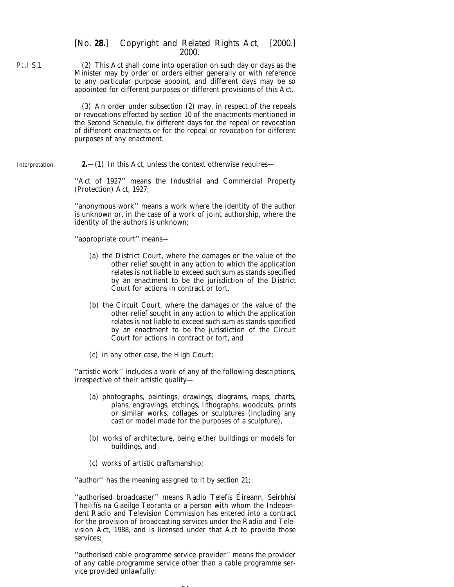(2) This Act shall come into operation on such day or days as the Minister may by order or orders either generally or with reference to any particular purpose appoint, and different days may be so appointed for different purposes or different provisions of this Act.

(3) An order under *subsection (2)* may, in respect of the repeals or revocations effected by *section 10* of the enactments mentioned in the *Second Schedule*, fix different days for the repeal or revocation of different enactments or for the repeal or revocation for different purposes of any enactment.

Interpretation.

<span id="page-23-0"></span>Pt.I S.1

**2.**—(1) In this Act, unless the context otherwise requires—

''Act of 1927'' means the Industrial and Commercial Property (Protection) Act, 1927;

''anonymous work'' means a work where the identity of the author is unknown or, in the case of a work of joint authorship, where the identity of the authors is unknown;

''appropriate court'' means—

- (*a*) the District Court, where the damages or the value of the other relief sought in any action to which the application relates is not liable to exceed such sum as stands specified by an enactment to be the jurisdiction of the District Court for actions in contract or tort,
- (*b*) the Circuit Court, where the damages or the value of the other relief sought in any action to which the application relates is not liable to exceed such sum as stands specified by an enactment to be the jurisdiction of the Circuit Court for actions in contract or tort, and
- (*c*) in any other case, the High Court;

''artistic work'' includes a work of any of the following descriptions, irrespective of their artistic quality—

- (*a*) photographs, paintings, drawings, diagrams, maps, charts, plans, engravings, etchings, lithographs, woodcuts, prints or similar works, collages or sculptures (including any cast or model made for the purposes of a sculpture),
- (*b*) works of architecture, being either buildings or models for buildings, and
- (*c*) works of artistic craftsmanship;

''author'' has the meaning assigned to it by *section 21*;

"authorised broadcaster" means Radio Telefis Eireann, Seirbhisi Theilifís na Gaeilge Teoranta or a person with whom the Independent Radio and Television Commission has entered into a contract for the provision of broadcasting services under the Radio and Television Act, 1988, and is licensed under that Act to provide those services;

''authorised cable programme service provider'' means the provider of any cable programme service other than a cable programme service provided unlawfully;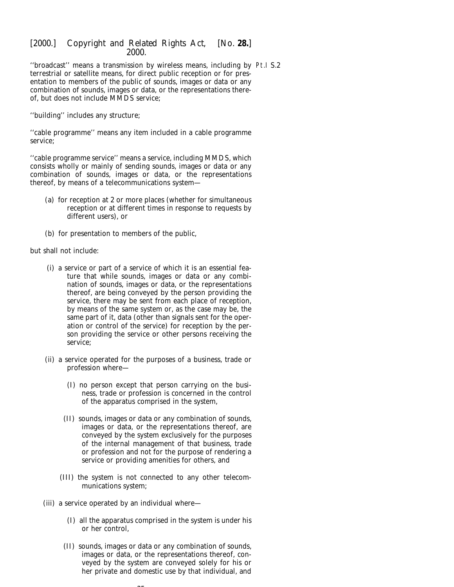''broadcast'' means a transmission by wireless means, including by Pt.I S.2terrestrial or satellite means, for direct public reception or for presentation to members of the public of sounds, images or data or any combination of sounds, images or data, or the representations thereof, but does not include MMDS service;

''building'' includes any structure;

''cable programme'' means any item included in a cable programme service;

"cable programme service" means a service, including MMDS, which consists wholly or mainly of sending sounds, images or data or any combination of sounds, images or data, or the representations thereof, by means of a telecommunications system—

- (*a*) for reception at 2 or more places (whether for simultaneous reception or at different times in response to requests by different users), or
- (*b*) for presentation to members of the public,

but shall not include:

- (i) a service or part of a service of which it is an essential feature that while sounds, images or data or any combination of sounds, images or data, or the representations thereof, are being conveyed by the person providing the service, there may be sent from each place of reception, by means of the same system or, as the case may be, the same part of it, data (other than signals sent for the operation or control of the service) for reception by the person providing the service or other persons receiving the service;
- (ii) a service operated for the purposes of a business, trade or profession where—
	- (I) no person except that person carrying on the business, trade or profession is concerned in the control of the apparatus comprised in the system,
	- (II) sounds, images or data or any combination of sounds, images or data, or the representations thereof, are conveyed by the system exclusively for the purposes of the internal management of that business, trade or profession and not for the purpose of rendering a service or providing amenities for others, and
	- (III) the system is not connected to any other telecommunications system;
- (iii) a service operated by an individual where—
	- (I) all the apparatus comprised in the system is under his or her control,
	- (II) sounds, images or data or any combination of sounds, images or data, or the representations thereof, conveyed by the system are conveyed solely for his or her private and domestic use by that individual, and

 $\sim$   $\sim$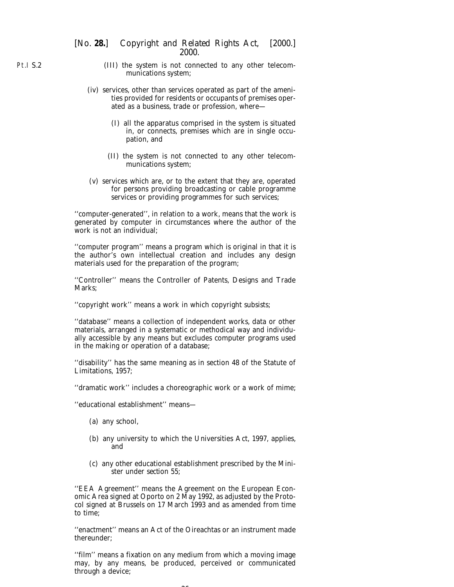- (III) the system is not connected to any other telecommunications system;
- (iv) services, other than services operated as part of the amenities provided for residents or occupants of premises operated as a business, trade or profession, where—
	- (I) all the apparatus comprised in the system is situated in, or connects, premises which are in single occupation, and
	- (II) the system is not connected to any other telecommunications system;
- (v) services which are, or to the extent that they are, operated for persons providing broadcasting or cable programme services or providing programmes for such services;

''computer-generated'', in relation to a work, means that the work is generated by computer in circumstances where the author of the work is not an individual;

''computer program'' means a program which is original in that it is the author's own intellectual creation and includes any design materials used for the preparation of the program;

''Controller'' means the Controller of Patents, Designs and Trade Marks;

''copyright work'' means a work in which copyright subsists;

''database'' means a collection of independent works, data or other materials, arranged in a systematic or methodical way and individually accessible by any means but excludes computer programs used in the making or operation of a database;

''disability'' has the same meaning as in section 48 of the Statute of Limitations, 1957;

''dramatic work'' includes a choreographic work or a work of mime;

''educational establishment'' means—

- (*a*) any school,
- (*b*) any university to which the Universities Act, 1997, applies, and
- (*c*) any other educational establishment prescribed by the Minister under *section 55*;

''EEA Agreement'' means the Agreement on the European Economic Area signed at Oporto on 2 May 1992, as adjusted by the Protocol signed at Brussels on 17 March 1993 and as amended from time to time;

''enactment'' means an Act of the Oireachtas or an instrument made thereunder;

''film'' means a fixation on any medium from which a moving image may, by any means, be produced, perceived or communicated through a device;

 $\sim$ 

Pt.I S.2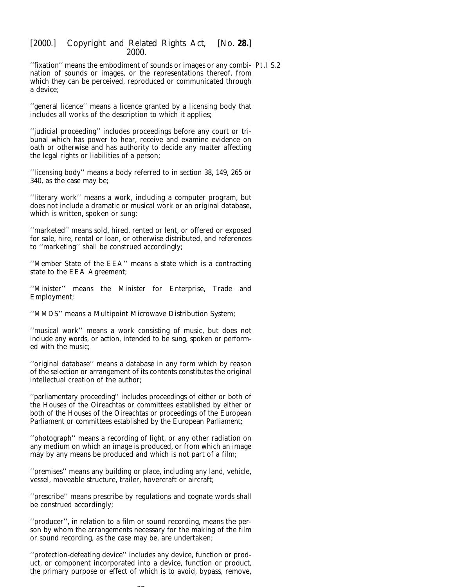"fixation" means the embodiment of sounds or images or any combi- Pt.I S.2 nation of sounds or images, or the representations thereof, from which they can be perceived, reproduced or communicated through a device;

''general licence'' means a licence granted by a licensing body that includes all works of the description to which it applies;

''judicial proceeding'' includes proceedings before any court or tribunal which has power to hear, receive and examine evidence on oath or otherwise and has authority to decide any matter affecting the legal rights or liabilities of a person;

''licensing body'' means a body referred to in *section 38*, *149*, *265* or *340*, as the case may be;

''literary work'' means a work, including a computer program, but does not include a dramatic or musical work or an original database, which is written, spoken or sung;

''marketed'' means sold, hired, rented or lent, or offered or exposed for sale, hire, rental or loan, or otherwise distributed, and references to ''marketing'' shall be construed accordingly;

''Member State of the EEA'' means a state which is a contracting state to the EEA Agreement;

''Minister'' means the Minister for Enterprise, Trade and Employment;

''MMDS'' means a Multipoint Microwave Distribution System;

''musical work'' means a work consisting of music, but does not include any words, or action, intended to be sung, spoken or performed with the music;

''original database'' means a database in any form which by reason of the selection or arrangement of its contents constitutes the original intellectual creation of the author;

''parliamentary proceeding'' includes proceedings of either or both of the Houses of the Oireachtas or committees established by either or both of the Houses of the Oireachtas or proceedings of the European Parliament or committees established by the European Parliament;

''photograph'' means a recording of light, or any other radiation on any medium on which an image is produced, or from which an image may by any means be produced and which is not part of a film;

''premises'' means any building or place, including any land, vehicle, vessel, moveable structure, trailer, hovercraft or aircraft;

''prescribe'' means prescribe by regulations and cognate words shall be construed accordingly;

''producer'', in relation to a film or sound recording, means the person by whom the arrangements necessary for the making of the film or sound recording, as the case may be, are undertaken;

''protection-defeating device'' includes any device, function or product, or component incorporated into a device, function or product, the primary purpose or effect of which is to avoid, bypass, remove,

 $\sim$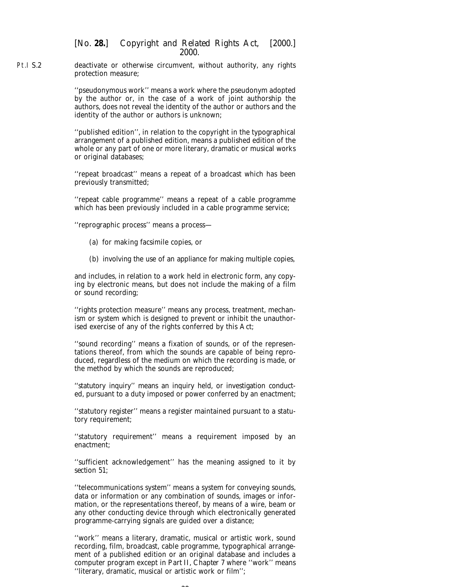Pt.I S.2 deactivate or otherwise circumvent, without authority, any rights protection measure;

> ''pseudonymous work'' means a work where the pseudonym adopted by the author or, in the case of a work of joint authorship the authors, does not reveal the identity of the author or authors and the identity of the author or authors is unknown;

> ''published edition'', in relation to the copyright in the typographical arrangement of a published edition, means a published edition of the whole or any part of one or more literary, dramatic or musical works or original databases;

> ''repeat broadcast'' means a repeat of a broadcast which has been previously transmitted;

> ''repeat cable programme'' means a repeat of a cable programme which has been previously included in a cable programme service;

''reprographic process'' means a process—

- (*a*) for making facsimile copies, or
- (*b*) involving the use of an appliance for making multiple copies,

and includes, in relation to a work held in electronic form, any copying by electronic means, but does not include the making of a film or sound recording;

''rights protection measure'' means any process, treatment, mechanism or system which is designed to prevent or inhibit the unauthorised exercise of any of the rights conferred by this Act;

''sound recording'' means a fixation of sounds, or of the representations thereof, from which the sounds are capable of being reproduced, regardless of the medium on which the recording is made, or the method by which the sounds are reproduced;

''statutory inquiry'' means an inquiry held, or investigation conducted, pursuant to a duty imposed or power conferred by an enactment;

''statutory register'' means a register maintained pursuant to a statutory requirement;

''statutory requirement'' means a requirement imposed by an enactment;

''sufficient acknowledgement'' has the meaning assigned to it by *section 51*;

''telecommunications system'' means a system for conveying sounds, data or information or any combination of sounds, images or information, or the representations thereof, by means of a wire, beam or any other conducting device through which electronically generated programme-carrying signals are guided over a distance;

''work'' means a literary, dramatic, musical or artistic work, sound recording, film, broadcast, cable programme, typographical arrangement of a published edition or an original database and includes a computer program except in *Part II*, *Chapter 7* where ''work'' means ''literary, dramatic, musical or artistic work or film'';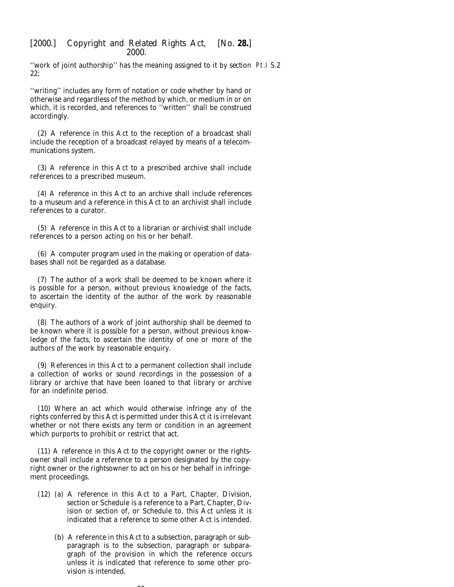''work of joint authorship'' has the meaning assigned to it by *section* Pt.I S.2*22*;

''writing'' includes any form of notation or code whether by hand or otherwise and regardless of the method by which, or medium in or on which, it is recorded, and references to ''written'' shall be construed accordingly.

(2) A reference in this Act to the reception of a broadcast shall include the reception of a broadcast relayed by means of a telecommunications system.

(3) A reference in this Act to a prescribed archive shall include references to a prescribed museum.

(4) A reference in this Act to an archive shall include references to a museum and a reference in this Act to an archivist shall include references to a curator.

(5) A reference in this Act to a librarian or archivist shall include references to a person acting on his or her behalf.

(6) A computer program used in the making or operation of databases shall not be regarded as a database.

(7) The author of a work shall be deemed to be known where it is possible for a person, without previous knowledge of the facts, to ascertain the identity of the author of the work by reasonable enquiry.

(8) The authors of a work of joint authorship shall be deemed to be known where it is possible for a person, without previous knowledge of the facts, to ascertain the identity of one or more of the authors of the work by reasonable enquiry.

(9) References in this Act to a permanent collection shall include a collection of works or sound recordings in the possession of a library or archive that have been loaned to that library or archive for an indefinite period.

(10) Where an act which would otherwise infringe any of the rights conferred by this Act is permitted under this Act it is irrelevant whether or not there exists any term or condition in an agreement which purports to prohibit or restrict that act.

(11) A reference in this Act to the copyright owner or the rightsowner shall include a reference to a person designated by the copyright owner or the rightsowner to act on his or her behalf in infringement proceedings.

- (12) (*a*) A reference in this Act to a Part, Chapter, Division, section or Schedule is a reference to a Part, Chapter, Division or section of, or Schedule to, this Act unless it is indicated that a reference to some other Act is intended.
	- (*b*) A reference in this Act to a subsection, paragraph or subparagraph is to the subsection, paragraph or subparagraph of the provision in which the reference occurs unless it is indicated that reference to some other provision is intended.

 $\sim$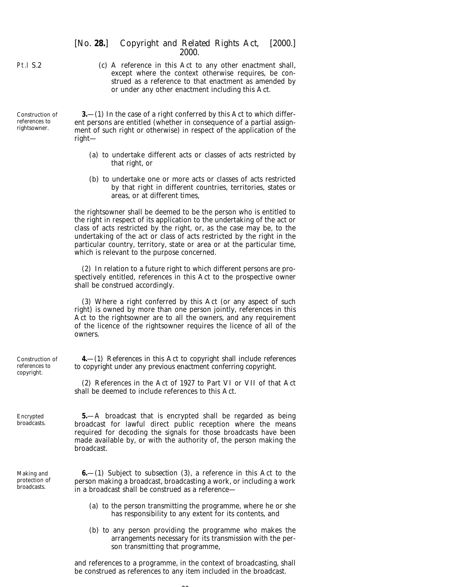|                                                  | strued as a reference to that enactment as amended by<br>or under any other enactment including this Act.                                                                                                                                                                                                                                                                                                                    |
|--------------------------------------------------|------------------------------------------------------------------------------------------------------------------------------------------------------------------------------------------------------------------------------------------------------------------------------------------------------------------------------------------------------------------------------------------------------------------------------|
| Construction of<br>references to<br>rightsowner. | $3-1$ ) In the case of a right conferred by this Act to which differ-<br>ent persons are entitled (whether in consequence of a partial assign-<br>ment of such right or otherwise) in respect of the application of the<br>$right-$                                                                                                                                                                                          |
|                                                  | (a) to undertake different acts or classes of acts restricted by<br>that right, or                                                                                                                                                                                                                                                                                                                                           |
|                                                  | (b) to undertake one or more acts or classes of acts restricted<br>by that right in different countries, territories, states or<br>areas, or at different times,                                                                                                                                                                                                                                                             |
|                                                  | the rightsowner shall be deemed to be the person who is entitled to<br>the right in respect of its application to the undertaking of the act or<br>class of acts restricted by the right, or, as the case may be, to the<br>undertaking of the act or class of acts restricted by the right in the<br>particular country, territory, state or area or at the particular time,<br>which is relevant to the purpose concerned. |
|                                                  | (2) In relation to a future right to which different persons are pro-<br>spectively entitled, references in this Act to the prospective owner<br>shall be construed accordingly.                                                                                                                                                                                                                                             |
|                                                  | (3) Where a right conferred by this Act (or any aspect of such<br>right) is owned by more than one person jointly, references in this<br>Act to the rightsowner are to all the owners, and any requirement<br>of the licence of the rightsowner requires the licence of all of the<br>owners.                                                                                                                                |
| Construction of<br>references to<br>copyright.   | $4-$ (1) References in this Act to copyright shall include references<br>to copyright under any previous enactment conferring copyright.                                                                                                                                                                                                                                                                                     |
|                                                  | (2) References in the Act of 1927 to Part VI or VII of that Act<br>shall be deemed to include references to this Act.                                                                                                                                                                                                                                                                                                        |
| Encrypted<br>broadcasts.                         | <b>5.</b> —A broadcast that is encrypted shall be regarded as being<br>broadcast for lawful direct public reception where the means<br>required for decoding the signals for those broadcasts have been<br>made available by, or with the authority of, the person making the<br>broadcast.                                                                                                                                  |
| Making and<br>protection of<br>broadcasts.       | $6-(1)$ Subject to <i>subsection</i> (3), a reference in this Act to the<br>person making a broadcast, broadcasting a work, or including a work<br>in a broadcast shall be construed as a reference-                                                                                                                                                                                                                         |
|                                                  | (a) to the person transmitting the programme, where he or she<br>has responsibility to any extent for its contents, and                                                                                                                                                                                                                                                                                                      |
|                                                  | $(b)$ to any person providing the programme who makes the                                                                                                                                                                                                                                                                                                                                                                    |

arrangements necessary for its transmission with the person transmitting that programme,

and references to a programme, in the context of broadcasting, shall be construed as references to any item included in the broadcast.

 $\sim$ 

(*c*) A reference in this Act to any other enactment shall, except where the context otherwise requires, be construed as a reference to that enactment as amended by strued as a reference to that enactment as amended by

[*No.* **28.**] *Copyright and Related Rights Act,* [2000.] 2000.

<span id="page-29-0"></span>Pt.I S.2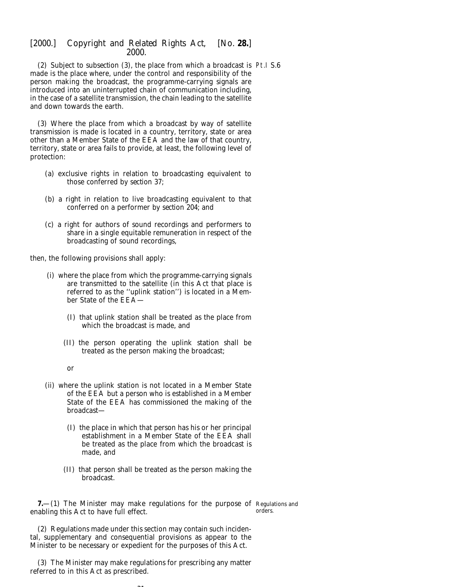<span id="page-30-0"></span>(2) Subject to *subsection (3)*, the place from which a broadcast is Pt.I S.6 made is the place where, under the control and responsibility of the person making the broadcast, the programme-carrying signals are introduced into an uninterrupted chain of communication including, in the case of a satellite transmission, the chain leading to the satellite and down towards the earth.

(3) Where the place from which a broadcast by way of satellite transmission is made is located in a country, territory, state or area other than a Member State of the EEA and the law of that country, territory, state or area fails to provide, at least, the following level of protection:

- (*a*) exclusive rights in relation to broadcasting equivalent to those conferred by *section 37*;
- (*b*) a right in relation to live broadcasting equivalent to that conferred on a performer by *section 204*; and
- (*c*) a right for authors of sound recordings and performers to share in a single equitable remuneration in respect of the broadcasting of sound recordings,

then, the following provisions shall apply:

- (i) where the place from which the programme-carrying signals are transmitted to the satellite (in this Act that place is referred to as the ''uplink station'') is located in a Member State of the EEA—
	- (I) that uplink station shall be treated as the place from which the broadcast is made, and
	- (II) the person operating the uplink station shall be treated as the person making the broadcast;

or

- (ii) where the uplink station is not located in a Member State of the EEA but a person who is established in a Member State of the EEA has commissioned the making of the broadcast—
	- (I) the place in which that person has his or her principal establishment in a Member State of the EEA shall be treated as the place from which the broadcast is made, and
	- (II) that person shall be treated as the person making the broadcast.

**7.**—(1) The Minister may make regulations for the purpose of Regulations and enabling this Act to have full effect. orders.

(2) Regulations made under this section may contain such incidental, supplementary and consequential provisions as appear to the Minister to be necessary or expedient for the purposes of this Act.

(3) The Minister may make regulations for prescribing any matter referred to in this Act as prescribed.

 $\sim$   $\sim$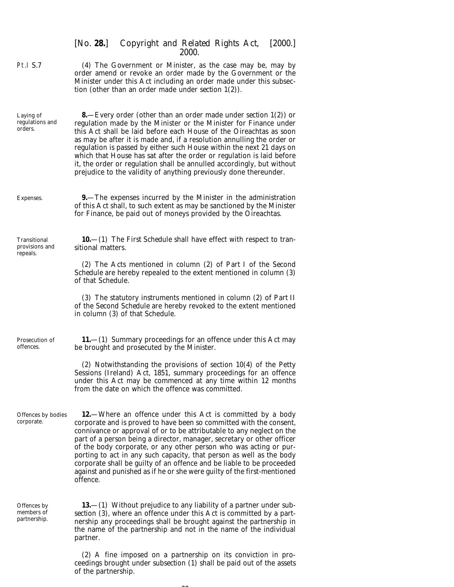<span id="page-31-0"></span>

|                                            | [No. 28.] Copyright and Related Rights Act,<br>[2000.]<br>2000.                                                                                                                                                                                                                                                                                                                                                                                                                                                                                                                                           |
|--------------------------------------------|-----------------------------------------------------------------------------------------------------------------------------------------------------------------------------------------------------------------------------------------------------------------------------------------------------------------------------------------------------------------------------------------------------------------------------------------------------------------------------------------------------------------------------------------------------------------------------------------------------------|
| Pt.I S.7                                   | (4) The Government or Minister, as the case may be, may by<br>order amend or revoke an order made by the Government or the<br>Minister under this Act including an order made under this subsec-<br>tion (other than an order made under section $1(2)$ ).                                                                                                                                                                                                                                                                                                                                                |
| Laying of<br>regulations and<br>orders.    | <b>8</b> —Every order (other than an order made under <i>section 1(2)</i> ) or<br>regulation made by the Minister or the Minister for Finance under<br>this Act shall be laid before each House of the Oireachtas as soon<br>as may be after it is made and, if a resolution annulling the order or<br>regulation is passed by either such House within the next 21 days on<br>which that House has sat after the order or regulation is laid before<br>it, the order or regulation shall be annulled accordingly, but without<br>prejudice to the validity of anything previously done thereunder.       |
| Expenses.                                  | <b>9.</b> —The expenses incurred by the Minister in the administration<br>of this Act shall, to such extent as may be sanctioned by the Minister<br>for Finance, be paid out of moneys provided by the Oireachtas.                                                                                                                                                                                                                                                                                                                                                                                        |
| Transitional<br>provisions and<br>repeals. | <b>10.</b> (1) The <i>First Schedule</i> shall have effect with respect to tran-<br>sitional matters.                                                                                                                                                                                                                                                                                                                                                                                                                                                                                                     |
|                                            | (2) The Acts mentioned in <i>column (2)</i> of <i>Part I</i> of the <i>Second</i><br>Schedule are hereby repealed to the extent mentioned in column (3)<br>of that Schedule.                                                                                                                                                                                                                                                                                                                                                                                                                              |
|                                            | (3) The statutory instruments mentioned in <i>column</i> (2) of <i>Part II</i><br>of the Second Schedule are hereby revoked to the extent mentioned<br>in <i>column</i> (3) of that Schedule.                                                                                                                                                                                                                                                                                                                                                                                                             |
| Prosecution of<br>offences.                | <b>11.</b> —(1) Summary proceedings for an offence under this Act may<br>be brought and prosecuted by the Minister.                                                                                                                                                                                                                                                                                                                                                                                                                                                                                       |
|                                            | (2) Notwithstanding the provisions of section $10(4)$ of the Petty<br>Sessions (Ireland) Act, 1851, summary proceedings for an offence<br>under this Act may be commenced at any time within 12 months<br>from the date on which the offence was committed.                                                                                                                                                                                                                                                                                                                                               |
| Offences by bodies<br>corporate.           | <b>12.</b> —Where an offence under this Act is committed by a body<br>corporate and is proved to have been so committed with the consent,<br>connivance or approval of or to be attributable to any neglect on the<br>part of a person being a director, manager, secretary or other officer<br>of the body corporate, or any other person who was acting or pur-<br>porting to act in any such capacity, that person as well as the body<br>corporate shall be guilty of an offence and be liable to be proceeded<br>against and punished as if he or she were guilty of the first-mentioned<br>offence. |
| Offences by<br>members of<br>partnership.  | <b>13.</b> —(1) Without prejudice to any liability of a partner under $sub$<br>section (3), where an offence under this Act is committed by a part-<br>nership any proceedings shall be brought against the partnership in<br>the name of the partnership and not in the name of the individual<br>partner.                                                                                                                                                                                                                                                                                               |
|                                            | (2) A fine imposed on a partnership on its conviction in pro-<br>ceedings brought under <i>subsection</i> (1) shall be paid out of the assets                                                                                                                                                                                                                                                                                                                                                                                                                                                             |

of the partnership.

 $\sim$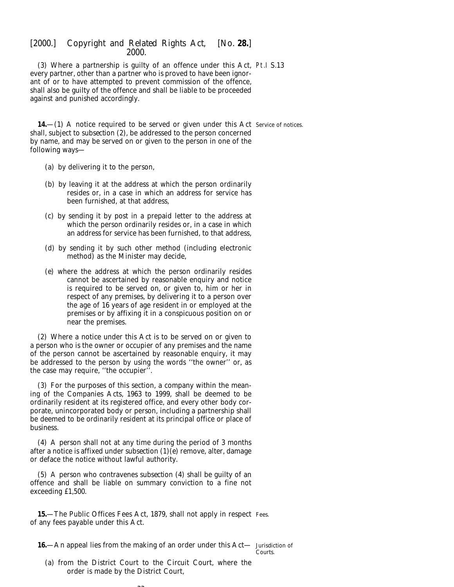<span id="page-32-0"></span>(3) Where a partnership is guilty of an offence under this Act, Pt.I S.13 every partner, other than a partner who is proved to have been ignorant of or to have attempted to prevent commission of the offence, shall also be guilty of the offence and shall be liable to be proceeded against and punished accordingly.

**14.**—(1) A notice required to be served or given under this Act Service of notices. shall, subject to *subsection (2)*, be addressed to the person concerned by name, and may be served on or given to the person in one of the following ways—

- (*a*) by delivering it to the person,
- (*b*) by leaving it at the address at which the person ordinarily resides or, in a case in which an address for service has been furnished, at that address,
- (*c*) by sending it by post in a prepaid letter to the address at which the person ordinarily resides or, in a case in which an address for service has been furnished, to that address,
- (*d*) by sending it by such other method (including electronic method) as the Minister may decide,
- (*e*) where the address at which the person ordinarily resides cannot be ascertained by reasonable enquiry and notice is required to be served on, or given to, him or her in respect of any premises, by delivering it to a person over the age of 16 years of age resident in or employed at the premises or by affixing it in a conspicuous position on or near the premises.

(2) Where a notice under this Act is to be served on or given to a person who is the owner or occupier of any premises and the name of the person cannot be ascertained by reasonable enquiry, it may be addressed to the person by using the words ''the owner'' or, as the case may require, ''the occupier''.

(3) For the purposes of this section, a company within the meaning of the Companies Acts, 1963 to 1999, shall be deemed to be ordinarily resident at its registered office, and every other body corporate, unincorporated body or person, including a partnership shall be deemed to be ordinarily resident at its principal office or place of business.

(4) A person shall not at any time during the period of 3 months after a notice is affixed under *subsection (1)(e)* remove, alter, damage or deface the notice without lawful authority.

(5) A person who contravenes *subsection (4)* shall be guilty of an offence and shall be liable on summary conviction to a fine not exceeding £1,500.

**15.**—The Public Offices Fees Act, 1879, shall not apply in respect Fees. of any fees payable under this Act.

**16.**—An appeal lies from the making of an order under this Act— Jurisdiction of

Courts.

(*a*) from the District Court to the Circuit Court, where the order is made by the District Court,

 $\sim$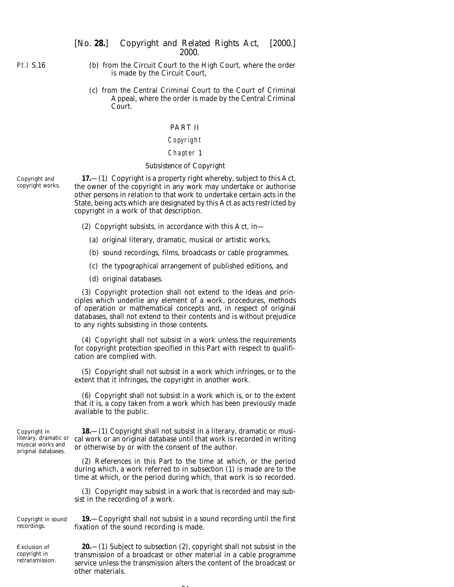<span id="page-33-0"></span>Pt.I S.16

- (*b*) from the Circuit Court to the High Court, where the order is made by the Circuit Court,
- (*c*) from the Central Criminal Court to the Court of Criminal Appeal, where the order is made by the Central Criminal Court.

#### PART II

#### Copyright

#### Chapter 1

#### *Subsistence of Copyright*

Copyright and copyright works.

**17.**—(1) Copyright is a property right whereby, subject to this Act, the owner of the copyright in any work may undertake or authorise other persons in relation to that work to undertake certain acts in the State, being acts which are designated by this Act as acts restricted by copyright in a work of that description.

- (2) Copyright subsists, in accordance with this Act, in—
	- (*a*) original literary, dramatic, musical or artistic works,
	- (*b*) sound recordings, films, broadcasts or cable programmes,
	- (*c*) the typographical arrangement of published editions, and
	- (*d*) original databases.

(3) Copyright protection shall not extend to the ideas and principles which underlie any element of a work, procedures, methods of operation or mathematical concepts and, in respect of original databases, shall not extend to their contents and is without prejudice to any rights subsisting in those contents.

(4) Copyright shall not subsist in a work unless the requirements for copyright protection specified in this Part with respect to qualification are complied with.

(5) Copyright shall not subsist in a work which infringes, or to the extent that it infringes, the copyright in another work.

(6) Copyright shall not subsist in a work which is, or to the extent that it is, a copy taken from a work which has been previously made available to the public.

Copyright in literary, dramatic or musical works and original databases.

**18.**—(1) Copyright shall not subsist in a literary, dramatic or musical work or an original database until that work is recorded in writing or otherwise by or with the consent of the author.

(2) References in this Part to the time at which, or the period during which, a work referred to in *subsection (1)* is made are to the time at which, or the period during which, that work is so recorded.

(3) Copyright may subsist in a work that is recorded and may subsist in the recording of a work.

Copyright in sound recordings.

Exclusion of copyright in retransmission.

**19.**—Copyright shall not subsist in a sound recording until the first fixation of the sound recording is made.

**20.**—(1) Subject to *subsection (2)*, copyright shall not subsist in the transmission of a broadcast or other material in a cable programme service unless the transmission alters the content of the broadcast or other materials.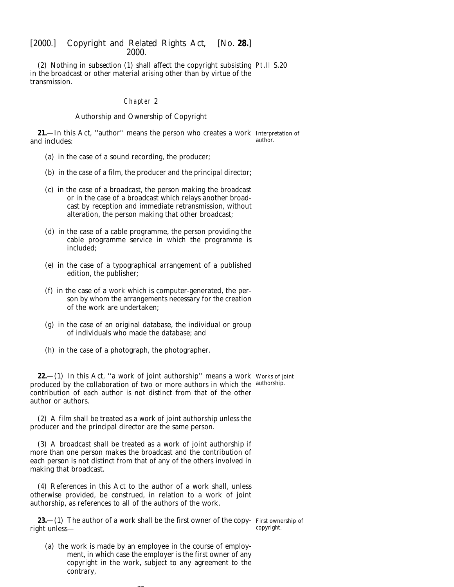<span id="page-34-0"></span>(2) Nothing in *subsection (1)* shall affect the copyright subsisting Pt.II S.20 in the broadcast or other material arising other than by virtue of the transmission.

#### Chapter 2

#### *Authorship and Ownership of Copyright*

**21.**—In this Act, ''author'' means the person who creates a work Interpretation of and includes: author.

- (*a*) in the case of a sound recording, the producer;
- (*b*) in the case of a film, the producer and the principal director;
- (*c*) in the case of a broadcast, the person making the broadcast or in the case of a broadcast which relays another broadcast by reception and immediate retransmission, without alteration, the person making that other broadcast;
- (*d*) in the case of a cable programme, the person providing the cable programme service in which the programme is included;
- (*e*) in the case of a typographical arrangement of a published edition, the publisher;
- (*f*) in the case of a work which is computer-generated, the person by whom the arrangements necessary for the creation of the work are undertaken;
- (*g*) in the case of an original database, the individual or group of individuals who made the database; and
- (*h*) in the case of a photograph, the photographer.

**22.**—(1) In this Act, "a work of joint authorship" means a work Works of joint produced by the collaboration of two or more authors in which the authorship. contribution of each author is not distinct from that of the other author or authors.

(2) A film shall be treated as a work of joint authorship unless the producer and the principal director are the same person.

(3) A broadcast shall be treated as a work of joint authorship if more than one person makes the broadcast and the contribution of each person is not distinct from that of any of the others involved in making that broadcast.

(4) References in this Act to the author of a work shall, unless otherwise provided, be construed, in relation to a work of joint authorship, as references to all of the authors of the work.

**23.**—(1) The author of a work shall be the first owner of the copy- First ownership of right unless—

copyright.

(*a*) the work is made by an employee in the course of employment, in which case the employer is the first owner of any copyright in the work, subject to any agreement to the contrary,

 $\sim$   $\sim$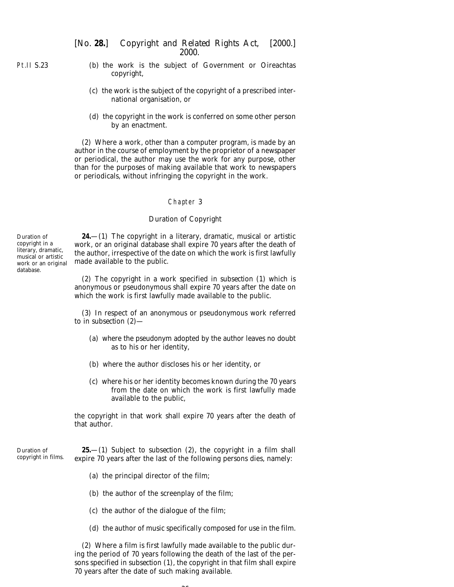- (*b*) the work is the subject of Government or Oireachtas copyright,
	- (*c*) the work is the subject of the copyright of a prescribed international organisation, or
	- (*d*) the copyright in the work is conferred on some other person by an enactment.

(2) Where a work, other than a computer program, is made by an author in the course of employment by the proprietor of a newspaper or periodical, the author may use the work for any purpose, other than for the purposes of making available that work to newspapers or periodicals, without infringing the copyright in the work.

#### Chapter 3

## *Duration of Copyright*

**24.**—(1) The copyright in a literary, dramatic, musical or artistic work, or an original database shall expire 70 years after the death of the author, irrespective of the date on which the work is first lawfully made available to the public.

(2) The copyright in a work specified in *subsection (1)* which is anonymous or pseudonymous shall expire 70 years after the date on which the work is first lawfully made available to the public.

(3) In respect of an anonymous or pseudonymous work referred to in *subsection (2)*—

- (*a*) where the pseudonym adopted by the author leaves no doubt as to his or her identity,
- (*b*) where the author discloses his or her identity, or
- (*c*) where his or her identity becomes known during the 70 years from the date on which the work is first lawfully made available to the public,

the copyright in that work shall expire 70 years after the death of that author.

Duration of copyright in films. **25.**—(1) Subject to *subsection (2)*, the copyright in a film shall expire 70 years after the last of the following persons dies, namely:

- (*a*) the principal director of the film;
- (*b*) the author of the screenplay of the film;
- (*c*) the author of the dialogue of the film;
- (*d*) the author of music specifically composed for use in the film.

(2) Where a film is first lawfully made available to the public during the period of 70 years following the death of the last of the persons specified in *subsection (1)*, the copyright in that film shall expire 70 years after the date of such making available.

<span id="page-35-0"></span>Pt.II S.23

Duration of copyright in a literary, dramatic, musical or artistic work or an original database.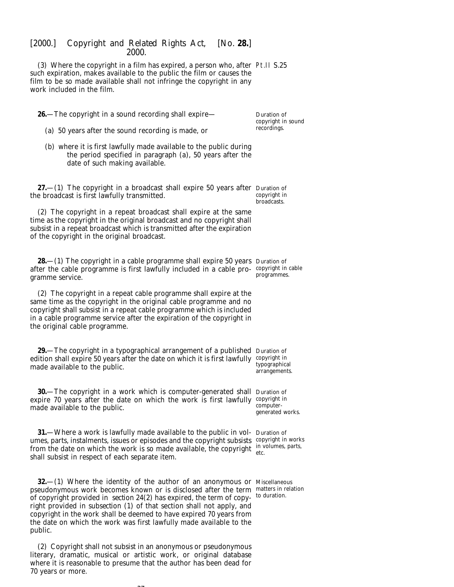(3) Where the copyright in a film has expired, a person who, after Pt.II S.25 such expiration, makes available to the public the film or causes the film to be so made available shall not infringe the copyright in any work included in the film.

**26.**—The copyright in a sound recording shall expire—

Duration of copyright in sound recordings.

- (*a*) 50 years after the sound recording is made, or
- (*b*) where it is first lawfully made available to the public during the period specified in *paragraph (a)*, 50 years after the date of such making available.

**27.**—(1) The copyright in a broadcast shall expire 50 years after Duration of the broadcast is first lawfully transmitted. copyright in broadcasts.

(2) The copyright in a repeat broadcast shall expire at the same time as the copyright in the original broadcast and no copyright shall subsist in a repeat broadcast which is transmitted after the expiration of the copyright in the original broadcast.

**28.**—(1) The copyright in a cable programme shall expire 50 years Duration of after the cable programme is first lawfully included in a cable pro-copyright in cable gramme service.

(2) The copyright in a repeat cable programme shall expire at the same time as the copyright in the original cable programme and no copyright shall subsist in a repeat cable programme which is included in a cable programme service after the expiration of the copyright in the original cable programme.

**29.**—The copyright in a typographical arrangement of a published Duration of edition shall expire 50 years after the date on which it is first lawfully copyright in made available to the public. typographical

**30.**—The copyright in a work which is computer-generated shall Duration of expire 70 years after the date on which the work is first lawfully copyright in made available to the public.

**31.**—Where a work is lawfully made available to the public in vol-Duration of umes, parts, instalments, issues or episodes and the copyright subsists copyright in works from the date on which the work is so made available, the copyright  $\frac{1}{\epsilon}$  in volumes, parts, shall subsist in respect of each separate item.

**32.**—(1) Where the identity of the author of an anonymous or Miscellaneous pseudonymous work becomes known or is disclosed after the term matters in relation of copyright provided in *section 24(2)* has expired, the term of copyright provided in *subsection (1)* of that section shall not apply, and copyright in the work shall be deemed to have expired 70 years from the date on which the work was first lawfully made available to the public.

(2) Copyright shall not subsist in an anonymous or pseudonymous literary, dramatic, musical or artistic work, or original database where it is reasonable to presume that the author has been dead for 70 years or more.

 $\sim$ 

programmes.

arrangements.

computergenerated works.

etc.

to duration.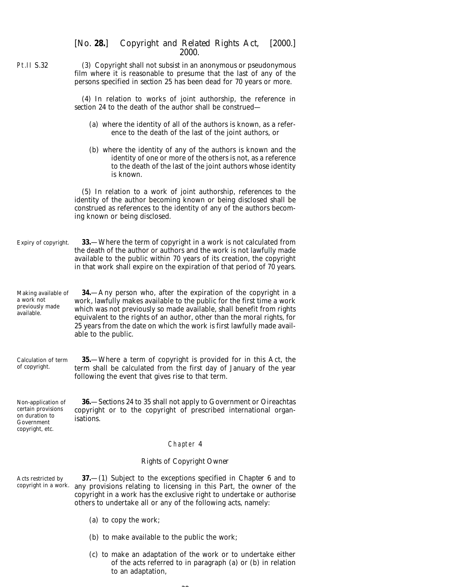| [No. 28.] Copyright and Related Rights Act, [2000.] |       |  |  |
|-----------------------------------------------------|-------|--|--|
|                                                     | 2000. |  |  |

| <b>Pt.II S.32</b>                                                                           | (3) Copyright shall not subsist in an anonymous or pseudonymous<br>film where it is reasonable to presume that the last of any of the<br>persons specified in <i>section 25</i> has been dead for 70 years or more.                                                                                                                                                                          |
|---------------------------------------------------------------------------------------------|----------------------------------------------------------------------------------------------------------------------------------------------------------------------------------------------------------------------------------------------------------------------------------------------------------------------------------------------------------------------------------------------|
|                                                                                             | (4) In relation to works of joint authorship, the reference in<br>section 24 to the death of the author shall be construed-                                                                                                                                                                                                                                                                  |
|                                                                                             | (a) where the identity of all of the authors is known, as a refer-<br>ence to the death of the last of the joint authors, or                                                                                                                                                                                                                                                                 |
|                                                                                             | $(b)$ where the identity of any of the authors is known and the<br>identity of one or more of the others is not, as a reference<br>to the death of the last of the joint authors whose identity<br>is known.                                                                                                                                                                                 |
|                                                                                             | (5) In relation to a work of joint authorship, references to the<br>identity of the author becoming known or being disclosed shall be<br>construed as references to the identity of any of the authors becom-<br>ing known or being disclosed.                                                                                                                                               |
| Expiry of copyright.                                                                        | 33. Where the term of copyright in a work is not calculated from<br>the death of the author or authors and the work is not lawfully made<br>available to the public within 70 years of its creation, the copyright<br>in that work shall expire on the expiration of that period of 70 years.                                                                                                |
| Making available of<br>a work not<br>previously made<br>available.                          | 34-Any person who, after the expiration of the copyright in a<br>work, lawfully makes available to the public for the first time a work<br>which was not previously so made available, shall benefit from rights<br>equivalent to the rights of an author, other than the moral rights, for<br>25 years from the date on which the work is first lawfully made avail-<br>able to the public. |
| Calculation of term<br>of copyright.                                                        | 35. Where a term of copyright is provided for in this Act, the<br>term shall be calculated from the first day of January of the year<br>following the event that gives rise to that term.                                                                                                                                                                                                    |
| Non-application of<br>certain provisions<br>on duration to<br>Government<br>copyright, etc. | <b>36.</b> Sections 24 to 35 shall not apply to Government or Oireachtas<br>copyright or to the copyright of prescribed international organ-<br>isations.                                                                                                                                                                                                                                    |

# Chapter 4

# *Rights of Copyright Owner*

Acts restricted by copyright in a work.

**37.**—(1) Subject to the exceptions specified in *Chapter 6* and to any provisions relating to licensing in this Part, the owner of the copyright in a work has the exclusive right to undertake or authorise others to undertake all or any of the following acts, namely:

- (*a*) to copy the work;
- (*b*) to make available to the public the work;
- (*c*) to make an adaptation of the work or to undertake either of the acts referred to in *paragraph (a)* or *(b)* in relation to an adaptation,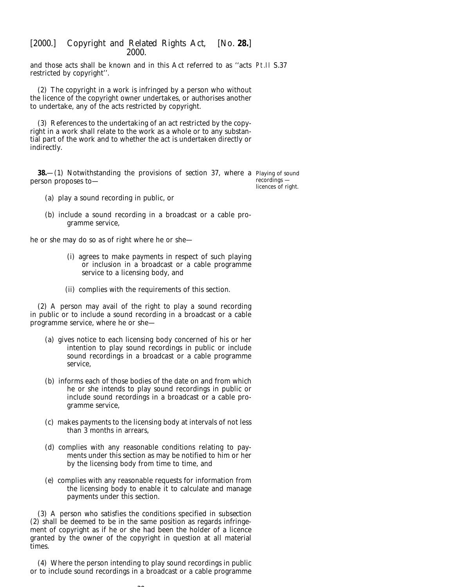and those acts shall be known and in this Act referred to as ''acts Pt.II S.37 restricted by copyright''.

(2) The copyright in a work is infringed by a person who without the licence of the copyright owner undertakes, or authorises another to undertake, any of the acts restricted by copyright.

(3) References to the undertaking of an act restricted by the copyright in a work shall relate to the work as a whole or to any substantial part of the work and to whether the act is undertaken directly or indirectly.

**38.**—(1) Notwithstanding the provisions of *section 37*, where a Playing of sound person proposes to recordings licences of right.

- (*a*) play a sound recording in public, or
- (*b*) include a sound recording in a broadcast or a cable programme service,

he or she may do so as of right where he or she—

- (i) agrees to make payments in respect of such playing or inclusion in a broadcast or a cable programme service to a licensing body, and
- (ii) complies with the requirements of this section.

(2) A person may avail of the right to play a sound recording in public or to include a sound recording in a broadcast or a cable programme service, where he or she—

- (*a*) gives notice to each licensing body concerned of his or her intention to play sound recordings in public or include sound recordings in a broadcast or a cable programme service,
- (*b*) informs each of those bodies of the date on and from which he or she intends to play sound recordings in public or include sound recordings in a broadcast or a cable programme service,
- (*c*) makes payments to the licensing body at intervals of not less than 3 months in arrears,
- (*d*) complies with any reasonable conditions relating to payments under this section as may be notified to him or her by the licensing body from time to time, and
- (*e*) complies with any reasonable requests for information from the licensing body to enable it to calculate and manage payments under this section.

(3) A person who satisfies the conditions specified in *subsection (2)* shall be deemed to be in the same position as regards infringement of copyright as if he or she had been the holder of a licence granted by the owner of the copyright in question at all material times.

(4) Where the person intending to play sound recordings in public or to include sound recordings in a broadcast or a cable programme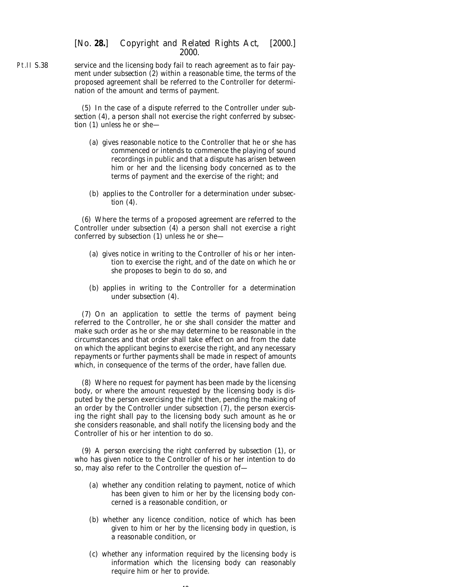Pt.II S.38 service and the licensing body fail to reach agreement as to fair payment under *subsection (2)* within a reasonable time, the terms of the proposed agreement shall be referred to the Controller for determination of the amount and terms of payment.

> (5) In the case of a dispute referred to the Controller under *subsection (4)*, a person shall not exercise the right conferred by *subsection (1)* unless he or she—

- (*a*) gives reasonable notice to the Controller that he or she has commenced or intends to commence the playing of sound recordings in public and that a dispute has arisen between him or her and the licensing body concerned as to the terms of payment and the exercise of the right; and
- (*b*) applies to the Controller for a determination under *subsection (4)*.

(6) Where the terms of a proposed agreement are referred to the Controller under *subsection (4)* a person shall not exercise a right conferred by *subsection (1)* unless he or she—

- (*a*) gives notice in writing to the Controller of his or her intention to exercise the right, and of the date on which he or she proposes to begin to do so, and
- (*b*) applies in writing to the Controller for a determination under *subsection (4)*.

(7) On an application to settle the terms of payment being referred to the Controller, he or she shall consider the matter and make such order as he or she may determine to be reasonable in the circumstances and that order shall take effect on and from the date on which the applicant begins to exercise the right, and any necessary repayments or further payments shall be made in respect of amounts which, in consequence of the terms of the order, have fallen due.

(8) Where no request for payment has been made by the licensing body, or where the amount requested by the licensing body is disputed by the person exercising the right then, pending the making of an order by the Controller under *subsection (7)*, the person exercising the right shall pay to the licensing body such amount as he or she considers reasonable, and shall notify the licensing body and the Controller of his or her intention to do so.

(9) A person exercising the right conferred by *subsection (1)*, or who has given notice to the Controller of his or her intention to do so, may also refer to the Controller the question of—

- (*a*) whether any condition relating to payment, notice of which has been given to him or her by the licensing body concerned is a reasonable condition, or
- (*b*) whether any licence condition, notice of which has been given to him or her by the licensing body in question, is a reasonable condition, or
- (*c*) whether any information required by the licensing body is information which the licensing body can reasonably require him or her to provide.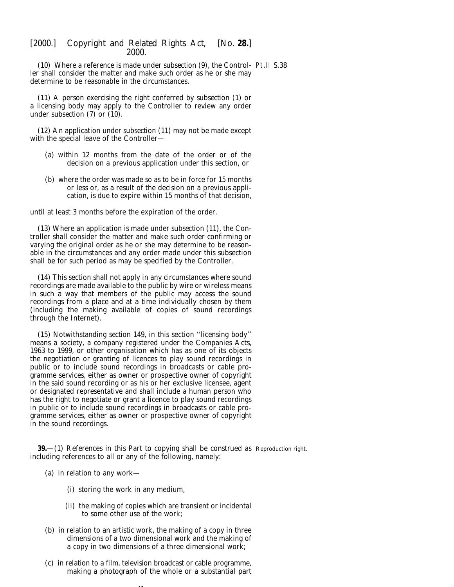(10) Where a reference is made under *subsection (9)*, the Control-Pt.II S.38 ler shall consider the matter and make such order as he or she may determine to be reasonable in the circumstances.

(11) A person exercising the right conferred by *subsection (1)* or a licensing body may apply to the Controller to review any order under *subsection (7)* or *(10)*.

(12) An application under *subsection (11)* may not be made except with the special leave of the Controller—

- (*a*) within 12 months from the date of the order or of the decision on a previous application under this section, or
- (*b*) where the order was made so as to be in force for 15 months or less or, as a result of the decision on a previous application, is due to expire within 15 months of that decision,

until at least 3 months before the expiration of the order.

(13) Where an application is made under *subsection (11)*, the Controller shall consider the matter and make such order confirming or varying the original order as he or she may determine to be reasonable in the circumstances and any order made under this subsection shall be for such period as may be specified by the Controller.

(14) This section shall not apply in any circumstances where sound recordings are made available to the public by wire or wireless means in such a way that members of the public may access the sound recordings from a place and at a time individually chosen by them (including the making available of copies of sound recordings through the Internet).

(15) Notwithstanding *section 149*, in this section ''licensing body'' means a society, a company registered under the Companies Acts, 1963 to 1999, or other organisation which has as one of its objects the negotiation or granting of licences to play sound recordings in public or to include sound recordings in broadcasts or cable programme services, either as owner or prospective owner of copyright in the said sound recording or as his or her exclusive licensee, agent or designated representative and shall include a human person who has the right to negotiate or grant a licence to play sound recordings in public or to include sound recordings in broadcasts or cable programme services, either as owner or prospective owner of copyright in the sound recordings.

**39.**—(1) References in this Part to copying shall be construed as Reproduction right. including references to all or any of the following, namely:

- (*a*) in relation to any work—
	- (i) storing the work in any medium,
	- (ii) the making of copies which are transient or incidental to some other use of the work;
- (*b*) in relation to an artistic work, the making of a copy in three dimensions of a two dimensional work and the making of a copy in two dimensions of a three dimensional work;
- (*c*) in relation to a film, television broadcast or cable programme, making a photograph of the whole or a substantial part

41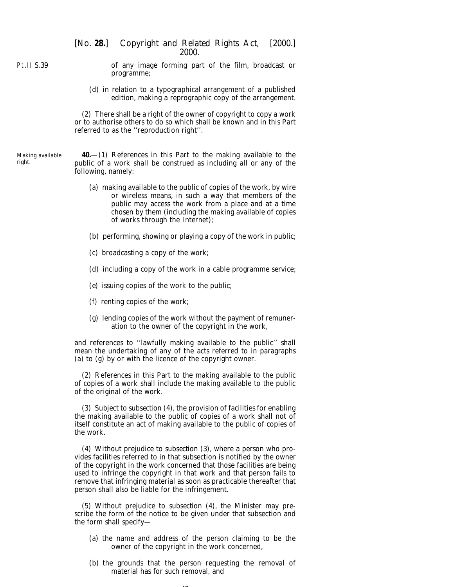Pt.II S.39

of any image forming part of the film, broadcast or programme;

(*d*) in relation to a typographical arrangement of a published edition, making a reprographic copy of the arrangement.

(2) There shall be a right of the owner of copyright to copy a work or to authorise others to do so which shall be known and in this Part referred to as the ''reproduction right''.

Making available right.

**40.**—(1) References in this Part to the making available to the public of a work shall be construed as including all or any of the following, namely:

- (*a*) making available to the public of copies of the work, by wire or wireless means, in such a way that members of the public may access the work from a place and at a time chosen by them (including the making available of copies of works through the Internet);
- (*b*) performing, showing or playing a copy of the work in public;
- (*c*) broadcasting a copy of the work;
- (*d*) including a copy of the work in a cable programme service;
- (*e*) issuing copies of the work to the public;
- (*f*) renting copies of the work;
- (*g*) lending copies of the work without the payment of remuneration to the owner of the copyright in the work,

and references to ''lawfully making available to the public'' shall mean the undertaking of any of the acts referred to in *paragraphs (a)* to *(g)* by or with the licence of the copyright owner.

(2) References in this Part to the making available to the public of copies of a work shall include the making available to the public of the original of the work.

(3) Subject to *subsection (4)*, the provision of facilities for enabling the making available to the public of copies of a work shall not of itself constitute an act of making available to the public of copies of the work.

(4) Without prejudice to *subsection (3)*, where a person who provides facilities referred to in that subsection is notified by the owner of the copyright in the work concerned that those facilities are being used to infringe the copyright in that work and that person fails to remove that infringing material as soon as practicable thereafter that person shall also be liable for the infringement.

(5) Without prejudice to *subsection (4)*, the Minister may prescribe the form of the notice to be given under that subsection and the form shall specify—

- (*a*) the name and address of the person claiming to be the owner of the copyright in the work concerned,
- (*b*) the grounds that the person requesting the removal of material has for such removal, and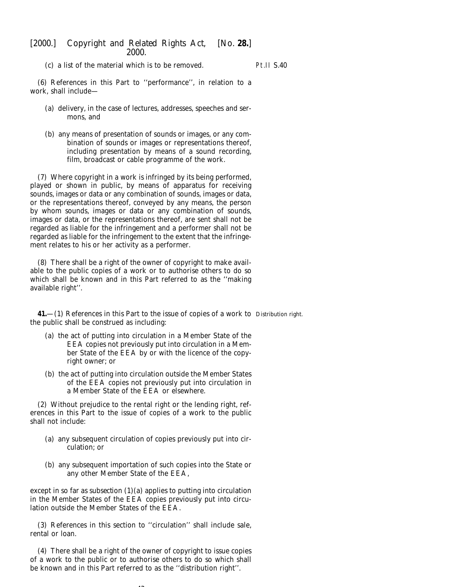(*c*) a list of the material which is to be removed.

Pt.II S.40

(6) References in this Part to ''performance'', in relation to a work, shall include—

- (*a*) delivery, in the case of lectures, addresses, speeches and sermons, and
- (*b*) any means of presentation of sounds or images, or any combination of sounds or images or representations thereof, including presentation by means of a sound recording, film, broadcast or cable programme of the work.

(7) Where copyright in a work is infringed by its being performed, played or shown in public, by means of apparatus for receiving sounds, images or data or any combination of sounds, images or data, or the representations thereof, conveyed by any means, the person by whom sounds, images or data or any combination of sounds, images or data, or the representations thereof, are sent shall not be regarded as liable for the infringement and a performer shall not be regarded as liable for the infringement to the extent that the infringement relates to his or her activity as a performer.

(8) There shall be a right of the owner of copyright to make available to the public copies of a work or to authorise others to do so which shall be known and in this Part referred to as the ''making available right''.

**41.**—(1) References in this Part to the issue of copies of a work to Distribution right.the public shall be construed as including:

- (*a*) the act of putting into circulation in a Member State of the EEA copies not previously put into circulation in a Member State of the EEA by or with the licence of the copyright owner; or
- (*b*) the act of putting into circulation outside the Member States of the EEA copies not previously put into circulation in a Member State of the EEA or elsewhere.

(2) Without prejudice to the rental right or the lending right, references in this Part to the issue of copies of a work to the public shall not include:

- (*a*) any subsequent circulation of copies previously put into circulation; or
- (*b*) any subsequent importation of such copies into the State or any other Member State of the EEA,

except in so far as *subsection (1)(a)* applies to putting into circulation in the Member States of the EEA copies previously put into circulation outside the Member States of the EEA.

(3) References in this section to ''circulation'' shall include sale, rental or loan.

(4) There shall be a right of the owner of copyright to issue copies of a work to the public or to authorise others to do so which shall be known and in this Part referred to as the ''distribution right''.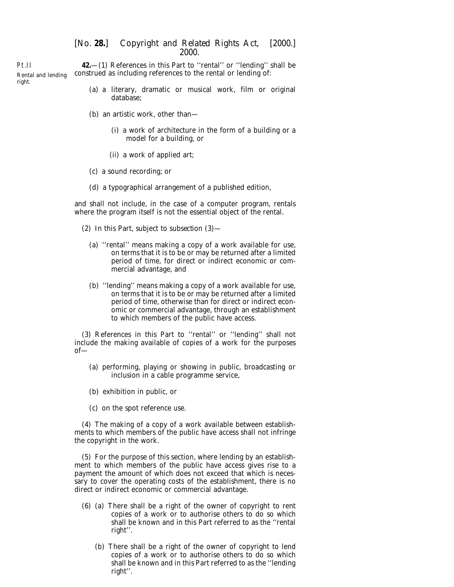Pt.II Rental and lending right. **42.**—(1) References in this Part to ''rental'' or ''lending'' shall be construed as including references to the rental or lending of:

- (*a*) a literary, dramatic or musical work, film or original database;
- (*b*) an artistic work, other than—
	- (i) a work of architecture in the form of a building or a model for a building, or
	- (ii) a work of applied art;
- (*c*) a sound recording; or
- (*d*) a typographical arrangement of a published edition,

and shall not include, in the case of a computer program, rentals where the program itself is not the essential object of the rental.

- (2) In this Part, subject to *subsection (3)*
	- (*a*) ''rental'' means making a copy of a work available for use, on terms that it is to be or may be returned after a limited period of time, for direct or indirect economic or commercial advantage, and
	- (*b*) ''lending'' means making a copy of a work available for use, on terms that it is to be or may be returned after a limited period of time, otherwise than for direct or indirect economic or commercial advantage, through an establishment to which members of the public have access.

(3) References in this Part to ''rental'' or ''lending'' shall not include the making available of copies of a work for the purposes of—

- (*a*) performing, playing or showing in public, broadcasting or inclusion in a cable programme service,
- (*b*) exhibition in public, or
- (*c*) on the spot reference use.

(4) The making of a copy of a work available between establishments to which members of the public have access shall not infringe the copyright in the work.

(5) For the purpose of this section, where lending by an establishment to which members of the public have access gives rise to a payment the amount of which does not exceed that which is necessary to cover the operating costs of the establishment, there is no direct or indirect economic or commercial advantage.

- (6) (*a*) There shall be a right of the owner of copyright to rent copies of a work or to authorise others to do so which shall be known and in this Part referred to as the ''rental right''.
	- (*b*) There shall be a right of the owner of copyright to lend copies of a work or to authorise others to do so which shall be known and in this Part referred to as the ''lending right''.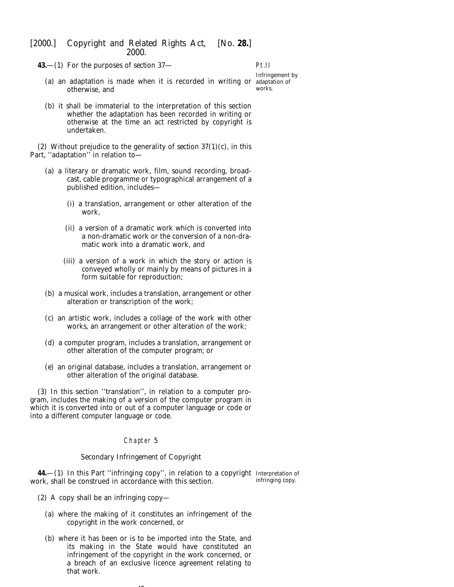**43.**—(1) For the purposes of *section 37*—

Pt.II

```
Infringement by
works.
```
- (*a*) an adaptation is made when it is recorded in writing or adaptation of otherwise, and
- (*b*) it shall be immaterial to the interpretation of this section whether the adaptation has been recorded in writing or otherwise at the time an act restricted by copyright is undertaken.

(2) Without prejudice to the generality of *section 37(1)(c)*, in this Part, "adaptation" in relation to-

- (*a*) a literary or dramatic work, film, sound recording, broadcast, cable programme or typographical arrangement of a published edition, includes—
	- (i) a translation, arrangement or other alteration of the work,
	- (ii) a version of a dramatic work which is converted into a non-dramatic work or the conversion of a non-dramatic work into a dramatic work, and
	- (iii) a version of a work in which the story or action is conveyed wholly or mainly by means of pictures in a form suitable for reproduction;
- (*b*) a musical work, includes a translation, arrangement or other alteration or transcription of the work;
- (*c*) an artistic work, includes a collage of the work with other works, an arrangement or other alteration of the work;
- (*d*) a computer program, includes a translation, arrangement or other alteration of the computer program; or
- (*e*) an original database, includes a translation, arrangement or other alteration of the original database.

(3) In this section ''translation'', in relation to a computer program, includes the making of a version of the computer program in which it is converted into or out of a computer language or code or into a different computer language or code.

### Chapter 5

#### *Secondary Infringement of Copyright*

**44.**—(1) In this Part ''infringing copy'', in relation to a copyright Interpretation of work, shall be construed in accordance with this section. infringing copy.

- (2) A copy shall be an infringing copy—
	- (*a*) where the making of it constitutes an infringement of the copyright in the work concerned, or
	- (*b*) where it has been or is to be imported into the State, and its making in the State would have constituted an infringement of the copyright in the work concerned, or a breach of an exclusive licence agreement relating to that work.

45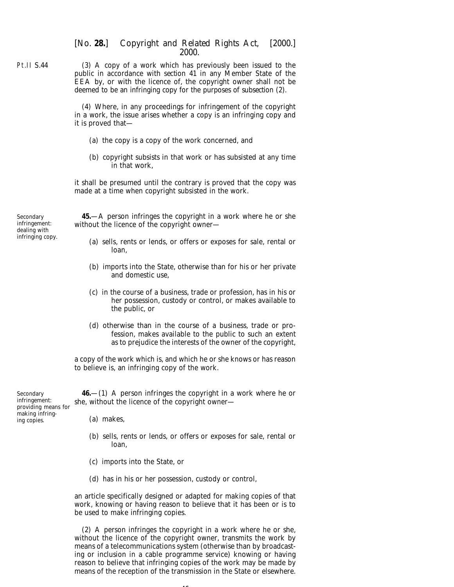(3) A copy of a work which has previously been issued to the public in accordance with *section 41* in any Member State of the EEA by, or with the licence of, the copyright owner shall not be deemed to be an infringing copy for the purposes of *subsection (2)*.

(4) Where, in any proceedings for infringement of the copyright in a work, the issue arises whether a copy is an infringing copy and it is proved that—

- (*a*) the copy is a copy of the work concerned, and
- (*b*) copyright subsists in that work or has subsisted at any time in that work,

it shall be presumed until the contrary is proved that the copy was made at a time when copyright subsisted in the work.

Secondary infringement: dealing with infringing copy.

**45.**—A person infringes the copyright in a work where he or she without the licence of the copyright owner—

- (*a*) sells, rents or lends, or offers or exposes for sale, rental or loan,
- (*b*) imports into the State, otherwise than for his or her private and domestic use,
- (*c*) in the course of a business, trade or profession, has in his or her possession, custody or control, or makes available to the public, or
- (*d*) otherwise than in the course of a business, trade or profession, makes available to the public to such an extent as to prejudice the interests of the owner of the copyright,

a copy of the work which is, and which he or she knows or has reason to believe is, an infringing copy of the work.

Secondary infringement: providing means for making infringing copies.

**46.**—(1) A person infringes the copyright in a work where he or she, without the licence of the copyright owner—

- (*a*) makes,
- (*b*) sells, rents or lends, or offers or exposes for sale, rental or loan,
- (*c*) imports into the State, or
- (*d*) has in his or her possession, custody or control,

an article specifically designed or adapted for making copies of that work, knowing or having reason to believe that it has been or is to be used to make infringing copies.

(2) A person infringes the copyright in a work where he or she, without the licence of the copyright owner, transmits the work by means of a telecommunications system (otherwise than by broadcasting or inclusion in a cable programme service) knowing or having reason to believe that infringing copies of the work may be made by means of the reception of the transmission in the State or elsewhere.

Pt.II S.44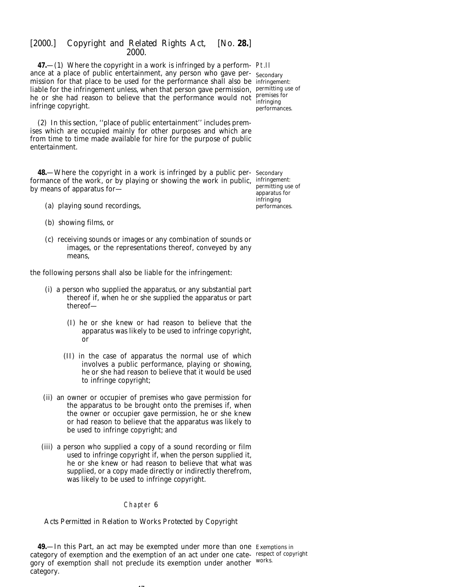**47.**—(1) Where the copyright in a work is infringed by a perform-Pt.II ance at a place of public entertainment, any person who gave per-Secondary mission for that place to be used for the performance shall also be infringement: liable for the infringement unless, when that person gave permission, permitting use of he or she had reason to believe that the performance would not  $\frac{premissor}{{interings}}$ infringe copyright.

infringing performances.

(2) In this section, ''place of public entertainment'' includes premises which are occupied mainly for other purposes and which are from time to time made available for hire for the purpose of public entertainment.

**48.**—Where the copyright in a work is infringed by a public per-Secondary formance of the work, or by playing or showing the work in public, infringement: by means of apparatus for—

permitting use of apparatus for infringing performances.

- (*a*) playing sound recordings,
- (*b*) showing films, or
- (*c*) receiving sounds or images or any combination of sounds or images, or the representations thereof, conveyed by any means,

the following persons shall also be liable for the infringement:

- (i) a person who supplied the apparatus, or any substantial part thereof if, when he or she supplied the apparatus or part thereof—
	- (I) he or she knew or had reason to believe that the apparatus was likely to be used to infringe copyright, or
	- (II) in the case of apparatus the normal use of which involves a public performance, playing or showing, he or she had reason to believe that it would be used to infringe copyright;
- (ii) an owner or occupier of premises who gave permission for the apparatus to be brought onto the premises if, when the owner or occupier gave permission, he or she knew or had reason to believe that the apparatus was likely to be used to infringe copyright; and
- (iii) a person who supplied a copy of a sound recording or film used to infringe copyright if, when the person supplied it, he or she knew or had reason to believe that what was supplied, or a copy made directly or indirectly therefrom, was likely to be used to infringe copyright.

## Chapter 6

## *Acts Permitted in Relation to Works Protected by Copyright*

**49.**—In this Part, an act may be exempted under more than one Exemptions in category of exemption and the exemption of an act under one cate-respect of copyright gory of exemption shall not preclude its exemption under another works. category.

- -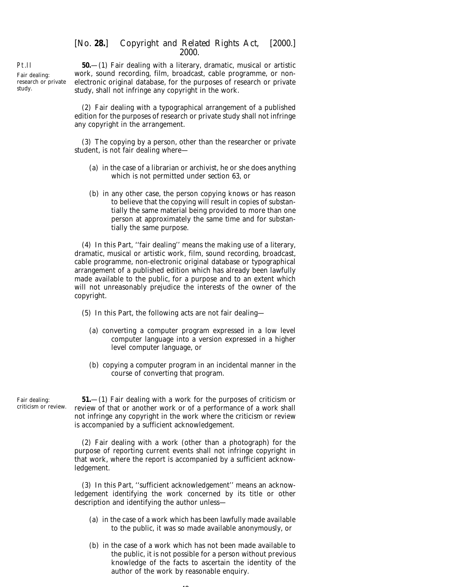Pt.II Fair dealing: research or private study.

**50.**—(1) Fair dealing with a literary, dramatic, musical or artistic work, sound recording, film, broadcast, cable programme, or nonelectronic original database, for the purposes of research or private study, shall not infringe any copyright in the work.

(2) Fair dealing with a typographical arrangement of a published edition for the purposes of research or private study shall not infringe any copyright in the arrangement.

(3) The copying by a person, other than the researcher or private student, is not fair dealing where—

- (*a*) in the case of a librarian or archivist, he or she does anything which is not permitted under *section 63*, or
- (*b*) in any other case, the person copying knows or has reason to believe that the copying will result in copies of substantially the same material being provided to more than one person at approximately the same time and for substantially the same purpose.

(4) In this Part, ''fair dealing'' means the making use of a literary, dramatic, musical or artistic work, film, sound recording, broadcast, cable programme, non-electronic original database or typographical arrangement of a published edition which has already been lawfully made available to the public, for a purpose and to an extent which will not unreasonably prejudice the interests of the owner of the copyright.

- (5) In this Part, the following acts are not fair dealing—
	- (*a*) converting a computer program expressed in a low level computer language into a version expressed in a higher level computer language, or
	- (*b*) copying a computer program in an incidental manner in the course of converting that program.

Fair dealing: criticism or review.

**51.**—(1) Fair dealing with a work for the purposes of criticism or review of that or another work or of a performance of a work shall not infringe any copyright in the work where the criticism or review is accompanied by a sufficient acknowledgement.

(2) Fair dealing with a work (other than a photograph) for the purpose of reporting current events shall not infringe copyright in that work, where the report is accompanied by a sufficient acknowledgement.

(3) In this Part, ''sufficient acknowledgement'' means an acknowledgement identifying the work concerned by its title or other description and identifying the author unless—

- (*a*) in the case of a work which has been lawfully made available to the public, it was so made available anonymously, or
- (*b*) in the case of a work which has not been made available to the public, it is not possible for a person without previous knowledge of the facts to ascertain the identity of the author of the work by reasonable enquiry.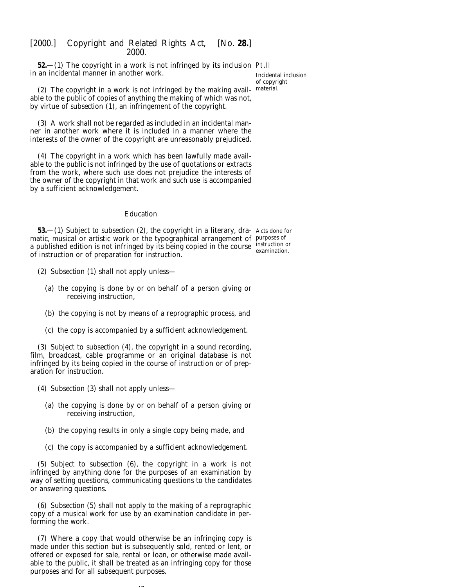**52.**—(1) The copyright in a work is not infringed by its inclusion Pt.II in an incidental manner in another work.

Incidental inclusion of copyright material.

(2) The copyright in a work is not infringed by the making available to the public of copies of anything the making of which was not, by virtue of *subsection (1)*, an infringement of the copyright.

(3) A work shall not be regarded as included in an incidental manner in another work where it is included in a manner where the interests of the owner of the copyright are unreasonably prejudiced.

(4) The copyright in a work which has been lawfully made available to the public is not infringed by the use of quotations or extracts from the work, where such use does not prejudice the interests of the owner of the copyright in that work and such use is accompanied by a sufficient acknowledgement.

#### *Education*

**53.**—(1) Subject to *subsection (2)*, the copyright in a literary, dra- Acts done for matic, musical or artistic work or the typographical arrangement of purposes of a published edition is not infringed by its being copied in the course instruction or of instruction or of preparation for instruction. examination.

- (2) *Subsection (1)* shall not apply unless—
	- (*a*) the copying is done by or on behalf of a person giving or receiving instruction,
	- (*b*) the copying is not by means of a reprographic process, and
	- (*c*) the copy is accompanied by a sufficient acknowledgement.

(3) Subject to *subsection (4)*, the copyright in a sound recording, film, broadcast, cable programme or an original database is not infringed by its being copied in the course of instruction or of preparation for instruction.

- (4) *Subsection (3)* shall not apply unless—
	- (*a*) the copying is done by or on behalf of a person giving or receiving instruction,
	- (*b*) the copying results in only a single copy being made, and
	- (*c*) the copy is accompanied by a sufficient acknowledgement.

(5) Subject to *subsection (6)*, the copyright in a work is not infringed by anything done for the purposes of an examination by way of setting questions, communicating questions to the candidates or answering questions.

(6) *Subsection (5)* shall not apply to the making of a reprographic copy of a musical work for use by an examination candidate in performing the work.

(7) Where a copy that would otherwise be an infringing copy is made under this section but is subsequently sold, rented or lent, or offered or exposed for sale, rental or loan, or otherwise made available to the public, it shall be treated as an infringing copy for those purposes and for all subsequent purposes.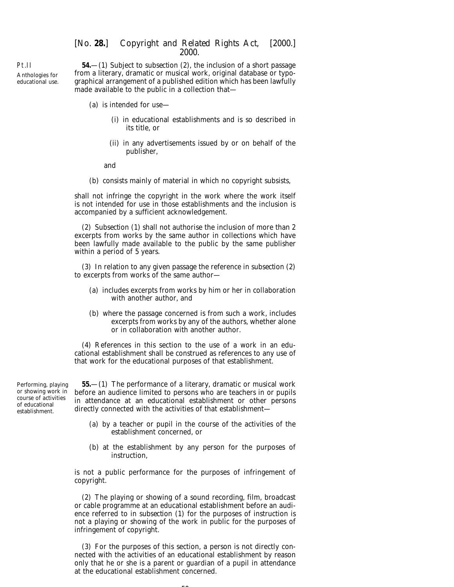Pt.II Anthologies for educational use.

**54.**—(1) Subject to *subsection (2)*, the inclusion of a short passage from a literary, dramatic or musical work, original database or typographical arrangement of a published edition which has been lawfully made available to the public in a collection that—

- (*a*) is intended for use—
	- (i) in educational establishments and is so described in its title, or
	- (ii) in any advertisements issued by or on behalf of the publisher,

and

(*b*) consists mainly of material in which no copyright subsists,

shall not infringe the copyright in the work where the work itself is not intended for use in those establishments and the inclusion is accompanied by a sufficient acknowledgement.

(2) *Subsection (1)* shall not authorise the inclusion of more than 2 excerpts from works by the same author in collections which have been lawfully made available to the public by the same publisher within a period of 5 years.

(3) In relation to any given passage the reference in *subsection (2)* to excerpts from works of the same author—

- (*a*) includes excerpts from works by him or her in collaboration with another author, and
- (*b*) where the passage concerned is from such a work, includes excerpts from works by any of the authors, whether alone or in collaboration with another author.

(4) References in this section to the use of a work in an educational establishment shall be construed as references to any use of that work for the educational purposes of that establishment.

Performing, playing or showing work in course of activities of educational establishment.

**55.**—(1) The performance of a literary, dramatic or musical work before an audience limited to persons who are teachers in or pupils in attendance at an educational establishment or other persons directly connected with the activities of that establishment—

- (*a*) by a teacher or pupil in the course of the activities of the establishment concerned, or
- (*b*) at the establishment by any person for the purposes of instruction,

is not a public performance for the purposes of infringement of copyright.

(2) The playing or showing of a sound recording, film, broadcast or cable programme at an educational establishment before an audience referred to in *subsection (1)* for the purposes of instruction is not a playing or showing of the work in public for the purposes of infringement of copyright.

(3) For the purposes of this section, a person is not directly connected with the activities of an educational establishment by reason only that he or she is a parent or guardian of a pupil in attendance at the educational establishment concerned.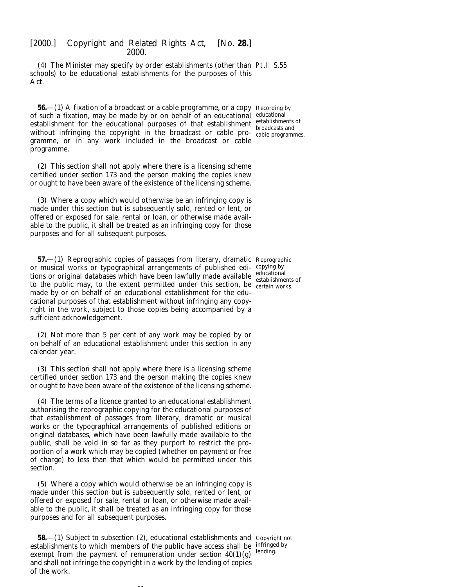(4) The Minister may specify by order establishments (other than Pt.II S.55 schools) to be educational establishments for the purposes of this Act.

**56.**—(1) A fixation of a broadcast or a cable programme, or a copy Recording by of such a fixation, may be made by or on behalf of an educational educational establishment for the educational purposes of that establishment establishments of without infringing the copyright in the broadcast or cable pro-<br>cable programmes. gramme, or in any work included in the broadcast or cable programme.

(2) This section shall not apply where there is a licensing scheme certified under *section 173* and the person making the copies knew or ought to have been aware of the existence of the licensing scheme.

(3) Where a copy which would otherwise be an infringing copy is made under this section but is subsequently sold, rented or lent, or offered or exposed for sale, rental or loan, or otherwise made available to the public, it shall be treated as an infringing copy for those purposes and for all subsequent purposes.

**57.**—(1) Reprographic copies of passages from literary, dramatic Reprographic or musical works or typographical arrangements of published edi-copying by tions or original databases which have been lawfully made available educational to the public may, to the extent permitted under this section, be establishments of to the public may, to the extent permitted under this section, be certain works. made by or on behalf of an educational establishment for the educational purposes of that establishment without infringing any copyright in the work, subject to those copies being accompanied by a sufficient acknowledgement.

(2) Not more than 5 per cent of any work may be copied by or on behalf of an educational establishment under this section in any calendar year.

(3) This section shall not apply where there is a licensing scheme certified under *section 173* and the person making the copies knew or ought to have been aware of the existence of the licensing scheme.

(4) The terms of a licence granted to an educational establishment authorising the reprographic copying for the educational purposes of that establishment of passages from literary, dramatic or musical works or the typographical arrangements of published editions or original databases, which have been lawfully made available to the public, shall be void in so far as they purport to restrict the proportion of a work which may be copied (whether on payment or free of charge) to less than that which would be permitted under this section.

(5) Where a copy which would otherwise be an infringing copy is made under this section but is subsequently sold, rented or lent, or offered or exposed for sale, rental or loan, or otherwise made available to the public, it shall be treated as an infringing copy for those purposes and for all subsequent purposes.

**58.**—(1) Subject to *subsection (2)*, educational establishments and Copyright not establishments to which members of the public have access shall be infringed by exempt from the payment of remuneration under *section 40(1)(g)* and shall not infringe the copyright in a work by the lending of copies of the work. lending.

 $-1$ 

broadcasts and

certain works.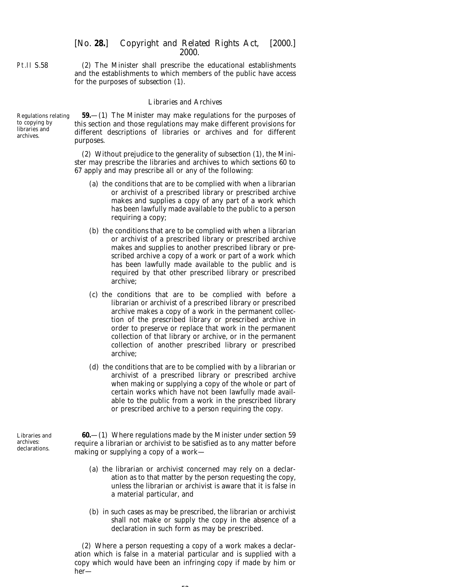Pt.II S.58

(2) The Minister shall prescribe the educational establishments and the establishments to which members of the public have access for the purposes of *subsection (1)*.

### *Libraries and Archives*

Regulations relating to copying by libraries and archives. **59.**—(1) The Minister may make regulations for the purposes of this section and those regulations may make different provisions for different descriptions of libraries or archives and for different purposes.

> (2) Without prejudice to the generality of *subsection (1)*, the Minister may prescribe the libraries and archives to which *sections 60* to *67* apply and may prescribe all or any of the following:

- (*a*) the conditions that are to be complied with when a librarian or archivist of a prescribed library or prescribed archive makes and supplies a copy of any part of a work which has been lawfully made available to the public to a person requiring a copy;
- (*b*) the conditions that are to be complied with when a librarian or archivist of a prescribed library or prescribed archive makes and supplies to another prescribed library or prescribed archive a copy of a work or part of a work which has been lawfully made available to the public and is required by that other prescribed library or prescribed archive;
- (*c*) the conditions that are to be complied with before a librarian or archivist of a prescribed library or prescribed archive makes a copy of a work in the permanent collection of the prescribed library or prescribed archive in order to preserve or replace that work in the permanent collection of that library or archive, or in the permanent collection of another prescribed library or prescribed archive;
- (*d*) the conditions that are to be complied with by a librarian or archivist of a prescribed library or prescribed archive when making or supplying a copy of the whole or part of certain works which have not been lawfully made available to the public from a work in the prescribed library or prescribed archive to a person requiring the copy.

**60.**—(1) Where regulations made by the Minister under *section 59* require a librarian or archivist to be satisfied as to any matter before making or supplying a copy of a work—

- (*a*) the librarian or archivist concerned may rely on a declaration as to that matter by the person requesting the copy, unless the librarian or archivist is aware that it is false in a material particular, and
- (*b*) in such cases as may be prescribed, the librarian or archivist shall not make or supply the copy in the absence of a declaration in such form as may be prescribed.

(2) Where a person requesting a copy of a work makes a declaration which is false in a material particular and is supplied with a copy which would have been an infringing copy if made by him or her—

Libraries and archives: declarations.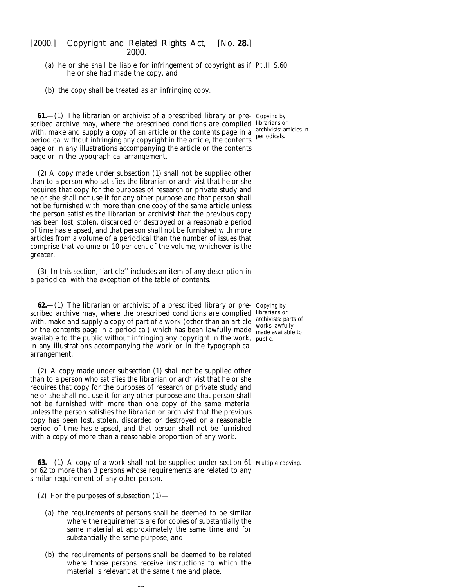- (*a*) he or she shall be liable for infringement of copyright as if Pt.II S.60 he or she had made the copy, and
- (*b*) the copy shall be treated as an infringing copy.

**61.**—(1) The librarian or archivist of a prescribed library or pre- Copying by scribed archive may, where the prescribed conditions are complied librarians or with, make and supply a copy of an article or the contents page in a  $\frac{\text{archivists: articles in}}{\text{periodicles}}$ periodical without infringing any copyright in the article, the contents page or in any illustrations accompanying the article or the contents page or in the typographical arrangement.

(2) A copy made under *subsection (1)* shall not be supplied other than to a person who satisfies the librarian or archivist that he or she requires that copy for the purposes of research or private study and he or she shall not use it for any other purpose and that person shall not be furnished with more than one copy of the same article unless the person satisfies the librarian or archivist that the previous copy has been lost, stolen, discarded or destroyed or a reasonable period of time has elapsed, and that person shall not be furnished with more articles from a volume of a periodical than the number of issues that comprise that volume or 10 per cent of the volume, whichever is the greater.

(3) In this section, ''article'' includes an item of any description in a periodical with the exception of the table of contents.

**62.**—(1) The librarian or archivist of a prescribed library or pre- Copying by scribed archive may, where the prescribed conditions are complied librarians or with, make and supply a copy of part of a work (other than an article  $\frac{\text{archivists: parts of}}{\text{work: length}}$ or the contents page in a periodical) which has been lawfully made made available available to the public without infringing any copyright in the work, public. in any illustrations accompanying the work or in the typographical arrangement.

(2) A copy made under *subsection (1)* shall not be supplied other than to a person who satisfies the librarian or archivist that he or she requires that copy for the purposes of research or private study and he or she shall not use it for any other purpose and that person shall not be furnished with more than one copy of the same material unless the person satisfies the librarian or archivist that the previous copy has been lost, stolen, discarded or destroyed or a reasonable period of time has elapsed, and that person shall not be furnished with a copy of more than a reasonable proportion of any work.

**63.**—(1) A copy of a work shall not be supplied under *section 61* Multiple copying. or *62* to more than 3 persons whose requirements are related to any similar requirement of any other person.

- (2) For the purposes of *subsection (1)*
	- (*a*) the requirements of persons shall be deemed to be similar where the requirements are for copies of substantially the same material at approximately the same time and for substantially the same purpose, and
	- (*b*) the requirements of persons shall be deemed to be related where those persons receive instructions to which the material is relevant at the same time and place.

 $-$ 

periodicals.

made available to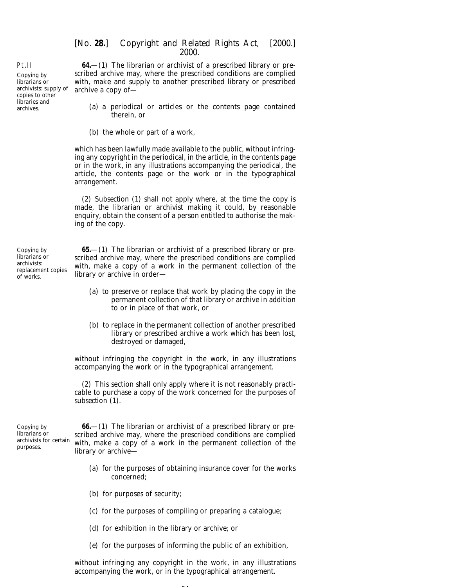**64.**—(1) The librarian or archivist of a prescribed library or prescribed archive may, where the prescribed conditions are complied with, make and supply to another prescribed library or prescribed archive a copy of—

- (*a*) a periodical or articles or the contents page contained therein, or
- (*b*) the whole or part of a work,

which has been lawfully made available to the public, without infringing any copyright in the periodical, in the article, in the contents page or in the work, in any illustrations accompanying the periodical, the article, the contents page or the work or in the typographical arrangement.

(2) *Subsection (1)* shall not apply where, at the time the copy is made, the librarian or archivist making it could, by reasonable enquiry, obtain the consent of a person entitled to authorise the making of the copy.

Copying by librarians or archivists: replacement copies of works.

**65.**—(1) The librarian or archivist of a prescribed library or prescribed archive may, where the prescribed conditions are complied with, make a copy of a work in the permanent collection of the library or archive in order—

- (*a*) to preserve or replace that work by placing the copy in the permanent collection of that library or archive in addition to or in place of that work, or
- (*b*) to replace in the permanent collection of another prescribed library or prescribed archive a work which has been lost, destroyed or damaged,

without infringing the copyright in the work, in any illustrations accompanying the work or in the typographical arrangement.

(2) This section shall only apply where it is not reasonably practicable to purchase a copy of the work concerned for the purposes of *subsection (1)*.

Copying by librarians or archivists for certain purposes.

**66.**—(1) The librarian or archivist of a prescribed library or prescribed archive may, where the prescribed conditions are complied with, make a copy of a work in the permanent collection of the library or archive—

- (*a*) for the purposes of obtaining insurance cover for the works concerned;
- (*b*) for purposes of security;
- (*c*) for the purposes of compiling or preparing a catalogue;
- (*d*) for exhibition in the library or archive; or
- (*e*) for the purposes of informing the public of an exhibition,

without infringing any copyright in the work, in any illustrations accompanying the work, or in the typographical arrangement.

Pt.II

Copying by librarians or archivists: supply of copies to other libraries and archives.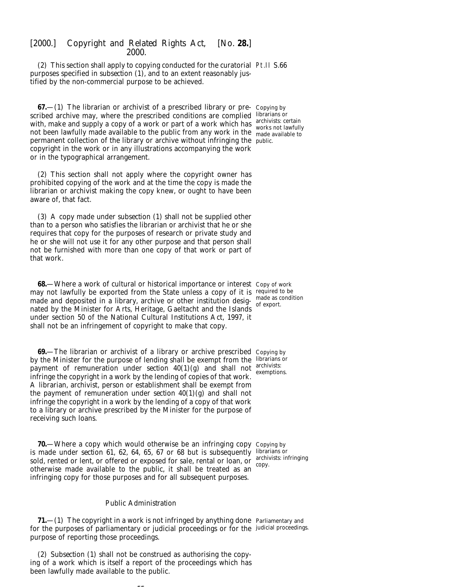(2) This section shall apply to copying conducted for the curatorial Pt.II S.66 purposes specified in *subsection (1)*, and to an extent reasonably justified by the non-commercial purpose to be achieved.

**67.**—(1) The librarian or archivist of a prescribed library or pre- Copying by scribed archive may, where the prescribed conditions are complied librarians or with, make and supply a copy of a work or part of a work which has not been lawfully made available to the public from any work in the permanent collection of the library or archive without infringing the public. copyright in the work or in any illustrations accompanying the work or in the typographical arrangement.

(2) This section shall not apply where the copyright owner has prohibited copying of the work and at the time the copy is made the librarian or archivist making the copy knew, or ought to have been aware of, that fact.

(3) A copy made under *subsection (1)* shall not be supplied other than to a person who satisfies the librarian or archivist that he or she requires that copy for the purposes of research or private study and he or she will not use it for any other purpose and that person shall not be furnished with more than one copy of that work or part of that work.

**68.**—Where a work of cultural or historical importance or interest Copy of work may not lawfully be exported from the State unless a copy of it is required to be made and deposited in a library, archive or other institution desig-  $\frac{m_{\text{ode}}}{\text{of}}$  exports nated by the Minister for Arts, Heritage, Gaeltacht and the Islands under section 50 of the National Cultural Institutions Act, 1997, it shall not be an infringement of copyright to make that copy.

**69.**—The librarian or archivist of a library or archive prescribed Copying by by the Minister for the purpose of lending shall be exempt from the librarians or payment of remuneration under *section*  $40(1)(g)$  and shall not archivists: infringe the copyright in a work by the lending of copies of that work. A librarian, archivist, person or establishment shall be exempt from the payment of remuneration under *section*  $40(1)(g)$  and shall not infringe the copyright in a work by the lending of a copy of that work to a library or archive prescribed by the Minister for the purpose of receiving such loans.

**70.**—Where a copy which would otherwise be an infringing copy Copying by is made under *section 61, 62, 64, 65, 67* or *68* but is subsequently librarians or sold, rented or lent, or offered or exposed for sale, rental or loan, or  $\frac{\text{archivists: infinging}}{\text{conv}}$ otherwise made available to the public, it shall be treated as an infringing copy for those purposes and for all subsequent purposes.

archivists: certain works not lawfully made available to

of export.

exemptions.

copy.

#### *Public Administration*

**71.**—(1) The copyright in a work is not infringed by anything done Parliamentary and for the purposes of parliamentary or judicial proceedings or for the judicial proceedings.purpose of reporting those proceedings.

(2) *Subsection (1)* shall not be construed as authorising the copying of a work which is itself a report of the proceedings which has been lawfully made available to the public.

 $-$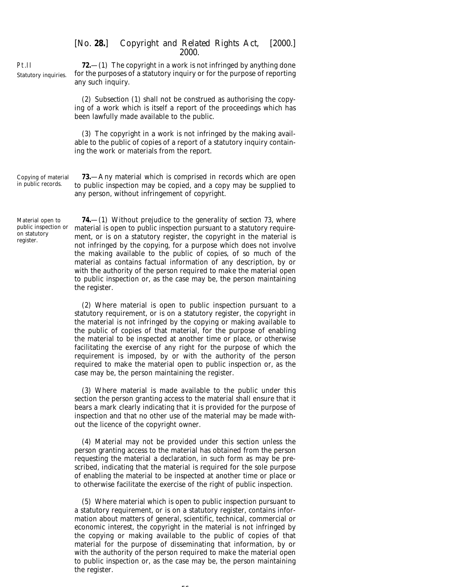Pt.II Statutory inquiries.

**72.**—(1) The copyright in a work is not infringed by anything done for the purposes of a statutory inquiry or for the purpose of reporting any such inquiry.

(2) *Subsection (1)* shall not be construed as authorising the copying of a work which is itself a report of the proceedings which has been lawfully made available to the public.

(3) The copyright in a work is not infringed by the making available to the public of copies of a report of a statutory inquiry containing the work or materials from the report.

Copying of material in public records.

**73.**—Any material which is comprised in records which are open to public inspection may be copied, and a copy may be supplied to any person, without infringement of copyright.

Material open to public inspection or on statutory register.

**74.**—(1) Without prejudice to the generality of *section 73*, where material is open to public inspection pursuant to a statutory requirement, or is on a statutory register, the copyright in the material is not infringed by the copying, for a purpose which does not involve the making available to the public of copies, of so much of the material as contains factual information of any description, by or with the authority of the person required to make the material open to public inspection or, as the case may be, the person maintaining the register.

(2) Where material is open to public inspection pursuant to a statutory requirement, or is on a statutory register, the copyright in the material is not infringed by the copying or making available to the public of copies of that material, for the purpose of enabling the material to be inspected at another time or place, or otherwise facilitating the exercise of any right for the purpose of which the requirement is imposed, by or with the authority of the person required to make the material open to public inspection or, as the case may be, the person maintaining the register.

(3) Where material is made available to the public under this section the person granting access to the material shall ensure that it bears a mark clearly indicating that it is provided for the purpose of inspection and that no other use of the material may be made without the licence of the copyright owner.

(4) Material may not be provided under this section unless the person granting access to the material has obtained from the person requesting the material a declaration, in such form as may be prescribed, indicating that the material is required for the sole purpose of enabling the material to be inspected at another time or place or to otherwise facilitate the exercise of the right of public inspection.

(5) Where material which is open to public inspection pursuant to a statutory requirement, or is on a statutory register, contains information about matters of general, scientific, technical, commercial or economic interest, the copyright in the material is not infringed by the copying or making available to the public of copies of that material for the purpose of disseminating that information, by or with the authority of the person required to make the material open to public inspection or, as the case may be, the person maintaining the register.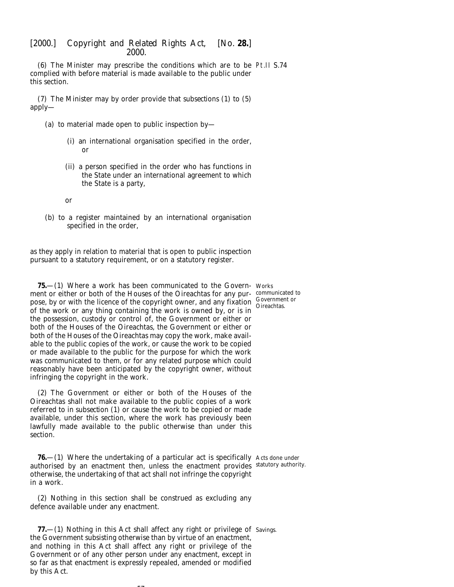(6) The Minister may prescribe the conditions which are to be Pt.II S.74 complied with before material is made available to the public under this section.

(7) The Minister may by order provide that *subsections (1)* to *(5)* apply—

- (*a*) to material made open to public inspection by—
	- (i) an international organisation specified in the order, or
	- (ii) a person specified in the order who has functions in the State under an international agreement to which the State is a party,

or

(*b*) to a register maintained by an international organisation specified in the order,

as they apply in relation to material that is open to public inspection pursuant to a statutory requirement, or on a statutory register.

**75.**—(1) Where a work has been communicated to the Govern-Works ment or either or both of the Houses of the Oireachtas for any pur-communicated to pose, by or with the licence of the copyright owner, and any fixation Governmen of the work or any thing containing the work is owned by, or is in the possession, custody or control of, the Government or either or both of the Houses of the Oireachtas, the Government or either or both of the Houses of the Oireachtas may copy the work, make available to the public copies of the work, or cause the work to be copied or made available to the public for the purpose for which the work was communicated to them, or for any related purpose which could reasonably have been anticipated by the copyright owner, without infringing the copyright in the work.

(2) The Government or either or both of the Houses of the Oireachtas shall not make available to the public copies of a work referred to in *subsection (1)* or cause the work to be copied or made available, under this section, where the work has previously been lawfully made available to the public otherwise than under this section.

**76.**—(1) Where the undertaking of a particular act is specifically Acts done under authorised by an enactment then, unless the enactment provides statutory authority. otherwise, the undertaking of that act shall not infringe the copyright in a work.

(2) Nothing in this section shall be construed as excluding any defence available under any enactment.

--

**77.**—(1) Nothing in this Act shall affect any right or privilege of Savings. the Government subsisting otherwise than by virtue of an enactment, and nothing in this Act shall affect any right or privilege of the Government or of any other person under any enactment, except in so far as that enactment is expressly repealed, amended or modified by this Act.

Government or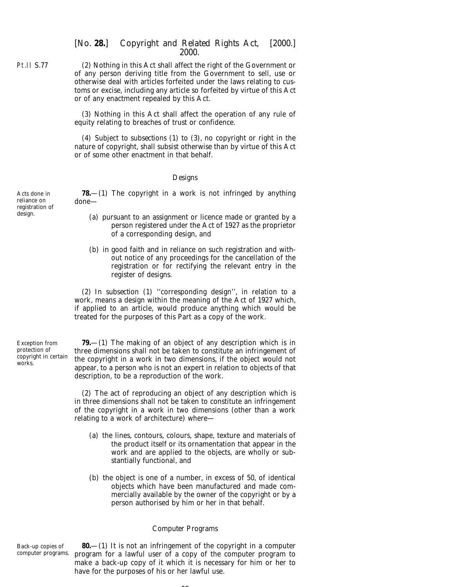(2) Nothing in this Act shall affect the right of the Government or of any person deriving title from the Government to sell, use or otherwise deal with articles forfeited under the laws relating to customs or excise, including any article so forfeited by virtue of this Act or of any enactment repealed by this Act.

(3) Nothing in this Act shall affect the operation of any rule of equity relating to breaches of trust or confidence.

(4) Subject to *subsections (1)* to *(3)*, no copyright or right in the nature of copyright, shall subsist otherwise than by virtue of this Act or of some other enactment in that behalf.

### *Designs*

**78.**—(1) The copyright in a work is not infringed by anything done—

- (*a*) pursuant to an assignment or licence made or granted by a person registered under the Act of 1927 as the proprietor of a corresponding design, and
- (*b*) in good faith and in reliance on such registration and without notice of any proceedings for the cancellation of the registration or for rectifying the relevant entry in the register of designs.

(2) In *subsection (1)* ''corresponding design'', in relation to a work, means a design within the meaning of the Act of 1927 which, if applied to an article, would produce anything which would be treated for the purposes of this Part as a copy of the work.

Exception from protection of copyright in certain works.

**79.**—(1) The making of an object of any description which is in three dimensions shall not be taken to constitute an infringement of the copyright in a work in two dimensions, if the object would not appear, to a person who is not an expert in relation to objects of that description, to be a reproduction of the work.

(2) The act of reproducing an object of any description which is in three dimensions shall not be taken to constitute an infringement of the copyright in a work in two dimensions (other than a work relating to a work of architecture) where—

- (*a*) the lines, contours, colours, shape, texture and materials of the product itself or its ornamentation that appear in the work and are applied to the objects, are wholly or substantially functional, and
- (*b*) the object is one of a number, in excess of 50, of identical objects which have been manufactured and made commercially available by the owner of the copyright or by a person authorised by him or her in that behalf.

### *Computer Programs*

Back-up copies of computer programs.

**80.**—(1) It is not an infringement of the copyright in a computer program for a lawful user of a copy of the computer program to make a back-up copy of it which it is necessary for him or her to have for the purposes of his or her lawful use.

 $-$ 

Pt.II S.77

Acts done in reliance on registration of design.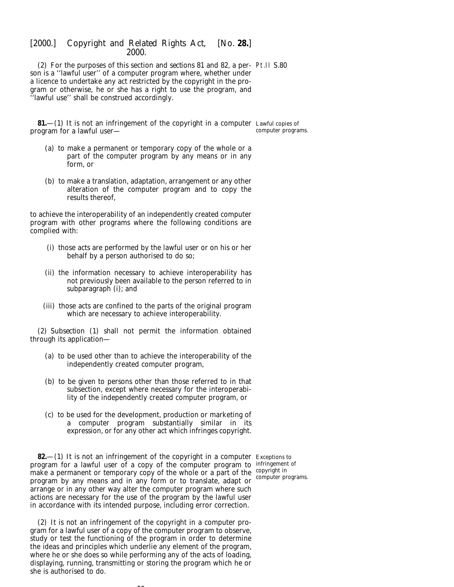(2) For the purposes of this section and *sections 81* and *82*, a per-Pt.II S.80 son is a ''lawful user'' of a computer program where, whether under a licence to undertake any act restricted by the copyright in the program or otherwise, he or she has a right to use the program, and ''lawful use'' shall be construed accordingly.

**81.**—(1) It is not an infringement of the copyright in a computer Lawful copies of program for a lawful user computer programs.

- (*a*) to make a permanent or temporary copy of the whole or a part of the computer program by any means or in any form, or
- (*b*) to make a translation, adaptation, arrangement or any other alteration of the computer program and to copy the results thereof,

to achieve the interoperability of an independently created computer program with other programs where the following conditions are complied with:

- (i) those acts are performed by the lawful user or on his or her behalf by a person authorised to do so;
- (ii) the information necessary to achieve interoperability has not previously been available to the person referred to in *subparagraph (i)*; and
- (iii) those acts are confined to the parts of the original program which are necessary to achieve interoperability.

(2) *Subsection (1)* shall not permit the information obtained through its application—

- (*a*) to be used other than to achieve the interoperability of the independently created computer program,
- (*b*) to be given to persons other than those referred to in that subsection, except where necessary for the interoperability of the independently created computer program, or
- (*c*) to be used for the development, production or marketing of a computer program substantially similar in its expression, or for any other act which infringes copyright.

**82.**—(1) It is not an infringement of the copyright in a computer Exceptions to program for a lawful user of a copy of the computer program to infringement of make a permanent or temporary copy of the whole or a part of the copyright in program by any means and in any form or to translate, adapt or arrange or in any other way alter the computer program where such actions are necessary for the use of the program by the lawful user in accordance with its intended purpose, including error correction.

(2) It is not an infringement of the copyright in a computer program for a lawful user of a copy of the computer program to observe, study or test the functioning of the program in order to determine the ideas and principles which underlie any element of the program, where he or she does so while performing any of the acts of loading, displaying, running, transmitting or storing the program which he or she is authorised to do.

 $-$ 

computer programs.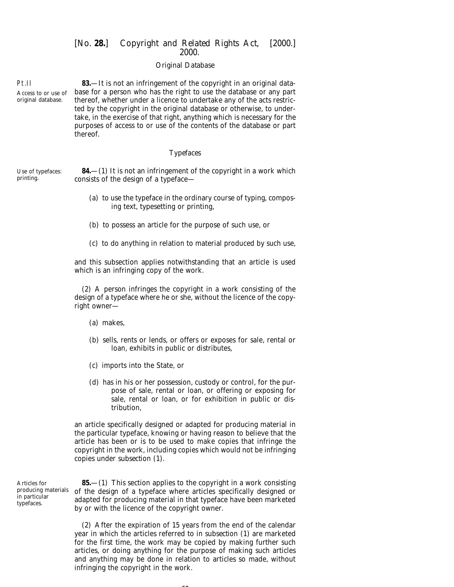## *Original Database*

Access to or use of original database. **83.**—It is not an infringement of the copyright in an original database for a person who has the right to use the database or any part thereof, whether under a licence to undertake any of the acts restricted by the copyright in the original database or otherwise, to undertake, in the exercise of that right, anything which is necessary for the purposes of access to or use of the contents of the database or part thereof.

#### *Typefaces*

Use of typefaces: printing. **84.**—(1) It is not an infringement of the copyright in a work which consists of the design of a typeface—

- (*a*) to use the typeface in the ordinary course of typing, composing text, typesetting or printing,
- (*b*) to possess an article for the purpose of such use, or
- (*c*) to do anything in relation to material produced by such use,

and this subsection applies notwithstanding that an article is used which is an infringing copy of the work.

(2) A person infringes the copyright in a work consisting of the design of a typeface where he or she, without the licence of the copyright owner—

- (*a*) makes,
- (*b*) sells, rents or lends, or offers or exposes for sale, rental or loan, exhibits in public or distributes,
- (*c*) imports into the State, or
- (*d*) has in his or her possession, custody or control, for the purpose of sale, rental or loan, or offering or exposing for sale, rental or loan, or for exhibition in public or distribution,

an article specifically designed or adapted for producing material in the particular typeface, knowing or having reason to believe that the article has been or is to be used to make copies that infringe the copyright in the work, including copies which would not be infringing copies under *subsection (1)*.

Articles for producing materials in particular typefaces.

**85.**—(1) This section applies to the copyright in a work consisting of the design of a typeface where articles specifically designed or adapted for producing material in that typeface have been marketed by or with the licence of the copyright owner.

(2) After the expiration of 15 years from the end of the calendar year in which the articles referred to in *subsection (1)* are marketed for the first time, the work may be copied by making further such articles, or doing anything for the purpose of making such articles and anything may be done in relation to articles so made, without infringing the copyright in the work.

Pt.II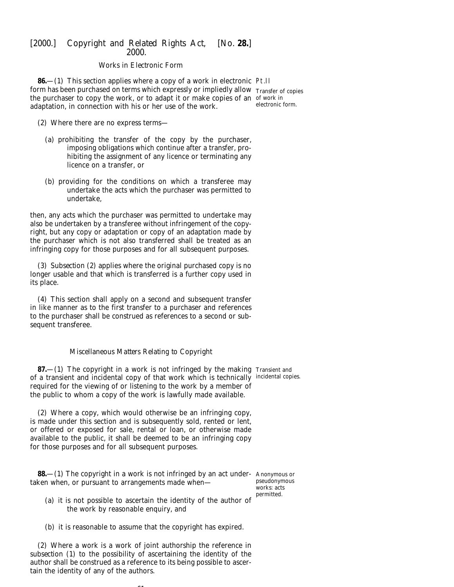### *Works in Electronic Form*

**86.**—(1) This section applies where a copy of a work in electronic Pt.II form has been purchased on terms which expressly or impliedly allow Transfer of copies the purchaser to copy the work, or to adapt it or make copies of an of work in adaptation, in connection with his or her use of the work.

electronic form.

- (2) Where there are no express terms—
	- (*a*) prohibiting the transfer of the copy by the purchaser, imposing obligations which continue after a transfer, prohibiting the assignment of any licence or terminating any licence on a transfer, or
	- (*b*) providing for the conditions on which a transferee may undertake the acts which the purchaser was permitted to undertake,

then, any acts which the purchaser was permitted to undertake may also be undertaken by a transferee without infringement of the copyright, but any copy or adaptation or copy of an adaptation made by the purchaser which is not also transferred shall be treated as an infringing copy for those purposes and for all subsequent purposes.

(3) *Subsection (2)* applies where the original purchased copy is no longer usable and that which is transferred is a further copy used in its place.

(4) This section shall apply on a second and subsequent transfer in like manner as to the first transfer to a purchaser and references to the purchaser shall be construed as references to a second or subsequent transferee.

#### *Miscellaneous Matters Relating to Copyright*

**87.**—(1) The copyright in a work is not infringed by the making Transient and of a transient and incidental copy of that work which is technically incidental copies. required for the viewing of or listening to the work by a member of the public to whom a copy of the work is lawfully made available.

(2) Where a copy, which would otherwise be an infringing copy, is made under this section and is subsequently sold, rented or lent, or offered or exposed for sale, rental or loan, or otherwise made available to the public, it shall be deemed to be an infringing copy for those purposes and for all subsequent purposes.

**88.**—(1) The copyright in a work is not infringed by an act under-Anonymous or taken when, or pursuant to arrangements made when—

pseudonymous works: acts permitted.

- (*a*) it is not possible to ascertain the identity of the author of the work by reasonable enquiry, and
- (*b*) it is reasonable to assume that the copyright has expired.

(2) Where a work is a work of joint authorship the reference in *subsection (1)* to the possibility of ascertaining the identity of the author shall be construed as a reference to its being possible to ascertain the identity of any of the authors.

 $\sim$   $\sim$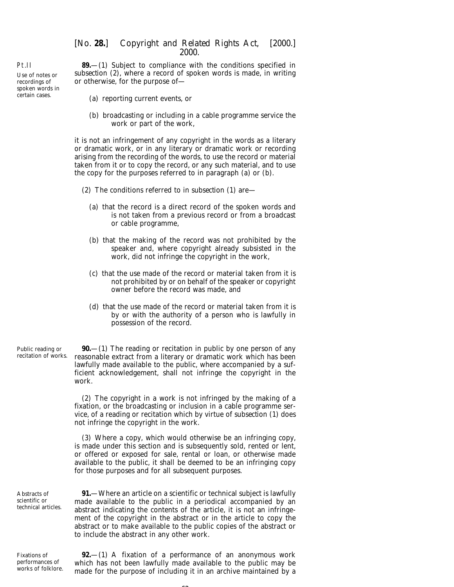**89.**—(1) Subject to compliance with the conditions specified in *subsection (2)*, where a record of spoken words is made, in writing or otherwise, for the purpose of—

- (*a*) reporting current events, or
- (*b*) broadcasting or including in a cable programme service the work or part of the work,

it is not an infringement of any copyright in the words as a literary or dramatic work, or in any literary or dramatic work or recording arising from the recording of the words, to use the record or material taken from it or to copy the record, or any such material, and to use the copy for the purposes referred to in *paragraph (a)* or *(b)*.

- (2) The conditions referred to in *subsection (1)* are—
	- (*a*) that the record is a direct record of the spoken words and is not taken from a previous record or from a broadcast or cable programme,
	- (*b*) that the making of the record was not prohibited by the speaker and, where copyright already subsisted in the work, did not infringe the copyright in the work,
	- (*c*) that the use made of the record or material taken from it is not prohibited by or on behalf of the speaker or copyright owner before the record was made, and
	- (*d*) that the use made of the record or material taken from it is by or with the authority of a person who is lawfully in possession of the record.

Public reading or recitation of works. **90.**—(1) The reading or recitation in public by one person of any reasonable extract from a literary or dramatic work which has been lawfully made available to the public, where accompanied by a sufficient acknowledgement, shall not infringe the copyright in the work.

> (2) The copyright in a work is not infringed by the making of a fixation, or the broadcasting or inclusion in a cable programme service, of a reading or recitation which by virtue of *subsection (1)* does not infringe the copyright in the work.

> (3) Where a copy, which would otherwise be an infringing copy, is made under this section and is subsequently sold, rented or lent, or offered or exposed for sale, rental or loan, or otherwise made available to the public, it shall be deemed to be an infringing copy for those purposes and for all subsequent purposes.

Abstracts of scientific or technical articles.

**91.**—Where an article on a scientific or technical subject is lawfully made available to the public in a periodical accompanied by an abstract indicating the contents of the article, it is not an infringement of the copyright in the abstract or in the article to copy the abstract or to make available to the public copies of the abstract or to include the abstract in any other work.

Fixations of performances of works of folklore.

**92.**—(1) A fixation of a performance of an anonymous work which has not been lawfully made available to the public may be made for the purpose of including it in an archive maintained by a

## Pt.II

Use of notes or recordings of spoken words in certain cases.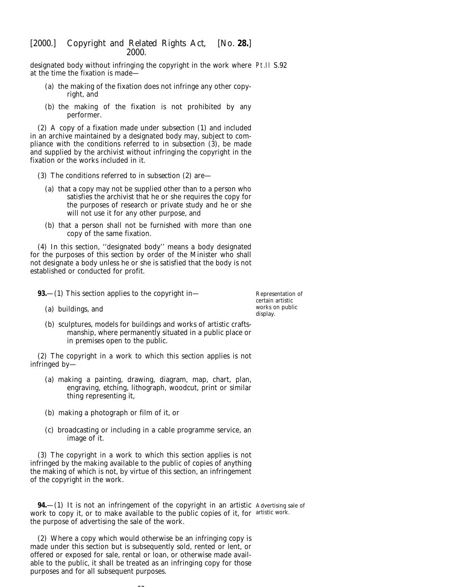designated body without infringing the copyright in the work where Pt.II S.92 at the time the fixation is made—

- (*a*) the making of the fixation does not infringe any other copyright, and
- (*b*) the making of the fixation is not prohibited by any performer.

(2) A copy of a fixation made under *subsection (1)* and included in an archive maintained by a designated body may, subject to compliance with the conditions referred to in *subsection (3)*, be made and supplied by the archivist without infringing the copyright in the fixation or the works included in it.

- (3) The conditions referred to in *subsection (2)* are—
	- (*a*) that a copy may not be supplied other than to a person who satisfies the archivist that he or she requires the copy for the purposes of research or private study and he or she will not use it for any other purpose, and
	- (*b*) that a person shall not be furnished with more than one copy of the same fixation.

(4) In this section, ''designated body'' means a body designated for the purposes of this section by order of the Minister who shall not designate a body unless he or she is satisfied that the body is not established or conducted for profit.

**93.**—(1) This section applies to the copyright in—

(*a*) buildings, and

Representation of certain artistic works on public display.

(*b*) sculptures, models for buildings and works of artistic craftsmanship, where permanently situated in a public place or in premises open to the public.

(2) The copyright in a work to which this section applies is not infringed by—

- (*a*) making a painting, drawing, diagram, map, chart, plan, engraving, etching, lithograph, woodcut, print or similar thing representing it,
- (*b*) making a photograph or film of it, or
- (*c*) broadcasting or including in a cable programme service, an image of it.

(3) The copyright in a work to which this section applies is not infringed by the making available to the public of copies of anything the making of which is not, by virtue of this section, an infringement of the copyright in the work.

**94.**—(1) It is not an infringement of the copyright in an artistic Advertising sale of work to copy it, or to make available to the public copies of it, for artistic work.the purpose of advertising the sale of the work.

(2) Where a copy which would otherwise be an infringing copy is made under this section but is subsequently sold, rented or lent, or offered or exposed for sale, rental or loan, or otherwise made available to the public, it shall be treated as an infringing copy for those purposes and for all subsequent purposes.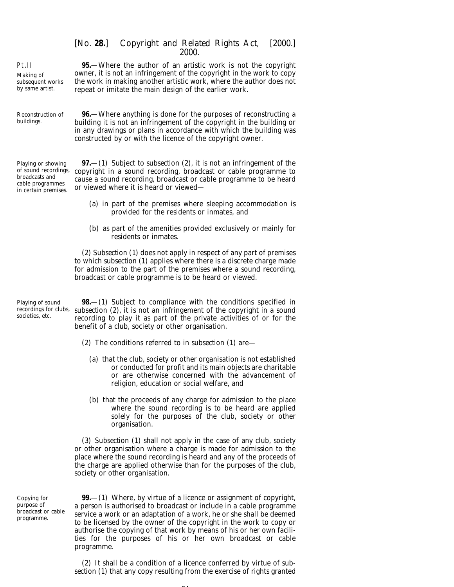Pt.II Making of subsequent works by same artist.

**95.**—Where the author of an artistic work is not the copyright owner, it is not an infringement of the copyright in the work to copy the work in making another artistic work, where the author does not repeat or imitate the main design of the earlier work.

Reconstruction of buildings. **96.**—Where anything is done for the purposes of reconstructing a building it is not an infringement of the copyright in the building or in any drawings or plans in accordance with which the building was constructed by or with the licence of the copyright owner.

Playing or showing of sound recordings, broadcasts and cable programmes in certain premises.

**97.**—(1) Subject to *subsection (2)*, it is not an infringement of the copyright in a sound recording, broadcast or cable programme to cause a sound recording, broadcast or cable programme to be heard or viewed where it is heard or viewed—

- (*a*) in part of the premises where sleeping accommodation is provided for the residents or inmates, and
- (*b*) as part of the amenities provided exclusively or mainly for residents or inmates.

(2) *Subsection (1)* does not apply in respect of any part of premises to which *subsection (1)* applies where there is a discrete charge made for admission to the part of the premises where a sound recording, broadcast or cable programme is to be heard or viewed.

Playing of sound recordings for clubs, societies, etc.

**98.**—(1) Subject to compliance with the conditions specified in *subsection (2)*, it is not an infringement of the copyright in a sound recording to play it as part of the private activities of or for the benefit of a club, society or other organisation.

- (2) The conditions referred to in *subsection (1)* are—
	- (*a*) that the club, society or other organisation is not established or conducted for profit and its main objects are charitable or are otherwise concerned with the advancement of religion, education or social welfare, and
	- (*b*) that the proceeds of any charge for admission to the place where the sound recording is to be heard are applied solely for the purposes of the club, society or other organisation.

(3) *Subsection (1)* shall not apply in the case of any club, society or other organisation where a charge is made for admission to the place where the sound recording is heard and any of the proceeds of the charge are applied otherwise than for the purposes of the club, society or other organisation.

Copying for purpose of broadcast or cable programme.

**99.**—(1) Where, by virtue of a licence or assignment of copyright, a person is authorised to broadcast or include in a cable programme service a work or an adaptation of a work, he or she shall be deemed to be licensed by the owner of the copyright in the work to copy or authorise the copying of that work by means of his or her own facilities for the purposes of his or her own broadcast or cable programme.

(2) It shall be a condition of a licence conferred by virtue of *subsection (1)* that any copy resulting from the exercise of rights granted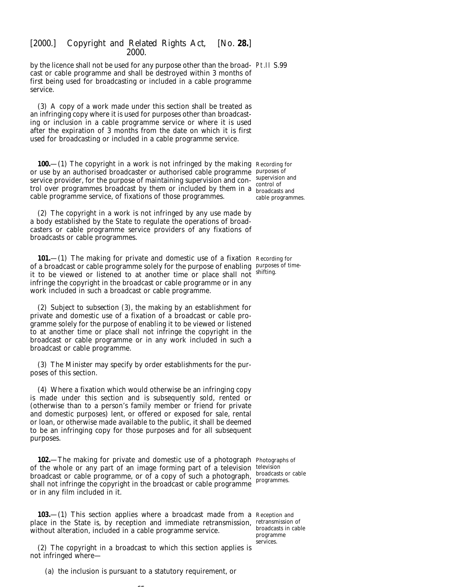by the licence shall not be used for any purpose other than the broad-Pt.II S.99 cast or cable programme and shall be destroyed within 3 months of first being used for broadcasting or included in a cable programme service.

(3) A copy of a work made under this section shall be treated as an infringing copy where it is used for purposes other than broadcasting or inclusion in a cable programme service or where it is used after the expiration of 3 months from the date on which it is first used for broadcasting or included in a cable programme service.

**100.**—(1) The copyright in a work is not infringed by the making Recording for or use by an authorised broadcaster or authorised cable programme purposes of service provider, for the purpose of maintaining supervision and con-supervision and trol over provided by control of trol over programmes broadcast by them or included by them in a  $_{\text{broadcast}}$ cable programme service, of fixations of those programmes.

(2) The copyright in a work is not infringed by any use made by a body established by the State to regulate the operations of broadcasters or cable programme service providers of any fixations of broadcasts or cable programmes.

**101.**—(1) The making for private and domestic use of a fixation Recording for of a broadcast or cable programme solely for the purpose of enabling purposes of timeit to be viewed or listened to at another time or place shall not shifting. infringe the copyright in the broadcast or cable programme or in any work included in such a broadcast or cable programme.

(2) Subject to *subsection (3)*, the making by an establishment for private and domestic use of a fixation of a broadcast or cable programme solely for the purpose of enabling it to be viewed or listened to at another time or place shall not infringe the copyright in the broadcast or cable programme or in any work included in such a broadcast or cable programme.

(3) The Minister may specify by order establishments for the purposes of this section.

(4) Where a fixation which would otherwise be an infringing copy is made under this section and is subsequently sold, rented or (otherwise than to a person's family member or friend for private and domestic purposes) lent, or offered or exposed for sale, rental or loan, or otherwise made available to the public, it shall be deemed to be an infringing copy for those purposes and for all subsequent purposes.

**102.**—The making for private and domestic use of a photograph Photographs of of the whole or any part of an image forming part of a television television broadcast or cable programme, or of a copy of such a photograph, shall not infringe the copyright in the broadcast or cable programmes programmes. or in any film included in it.

broadcasts or cable

**103.**—(1) This section applies where a broadcast made from a Reception and place in the State is, by reception and immediate retransmission, retransmission of without alteration, included in a cable programme service.

(2) The copyright in a broadcast to which this section applies is not infringed where—

(*a*) the inclusion is pursuant to a statutory requirement, or

 $\sim$   $\sim$ 

broadcasts and cable programmes.

broadcasts in cable programme services.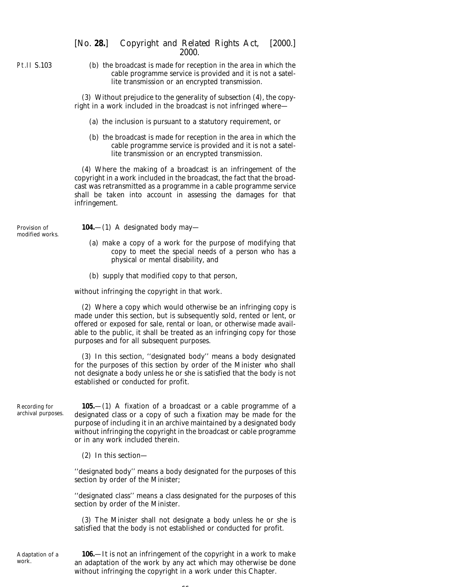Pt.II S.103

(*b*) the broadcast is made for reception in the area in which the cable programme service is provided and it is not a satellite transmission or an encrypted transmission.

(3) Without prejudice to the generality of *subsection (4)*, the copyright in a work included in the broadcast is not infringed where—

- (*a*) the inclusion is pursuant to a statutory requirement, or
- (*b*) the broadcast is made for reception in the area in which the cable programme service is provided and it is not a satellite transmission or an encrypted transmission.

(4) Where the making of a broadcast is an infringement of the copyright in a work included in the broadcast, the fact that the broadcast was retransmitted as a programme in a cable programme service shall be taken into account in assessing the damages for that infringement.

Provision of modified works. **104.**—(1) A designated body may—

- (*a*) make a copy of a work for the purpose of modifying that copy to meet the special needs of a person who has a physical or mental disability, and
- (*b*) supply that modified copy to that person,

without infringing the copyright in that work.

(2) Where a copy which would otherwise be an infringing copy is made under this section, but is subsequently sold, rented or lent, or offered or exposed for sale, rental or loan, or otherwise made available to the public, it shall be treated as an infringing copy for those purposes and for all subsequent purposes.

(3) In this section, ''designated body'' means a body designated for the purposes of this section by order of the Minister who shall not designate a body unless he or she is satisfied that the body is not established or conducted for profit.

Recording for archival purposes.

**105.**—(1) A fixation of a broadcast or a cable programme of a designated class or a copy of such a fixation may be made for the purpose of including it in an archive maintained by a designated body without infringing the copyright in the broadcast or cable programme or in any work included therein.

(2) In this section—

''designated body'' means a body designated for the purposes of this section by order of the Minister;

''designated class'' means a class designated for the purposes of this section by order of the Minister.

(3) The Minister shall not designate a body unless he or she is satisfied that the body is not established or conducted for profit.

Adaptation of a work.

**106.**—It is not an infringement of the copyright in a work to make an adaptation of the work by any act which may otherwise be done without infringing the copyright in a work under this Chapter.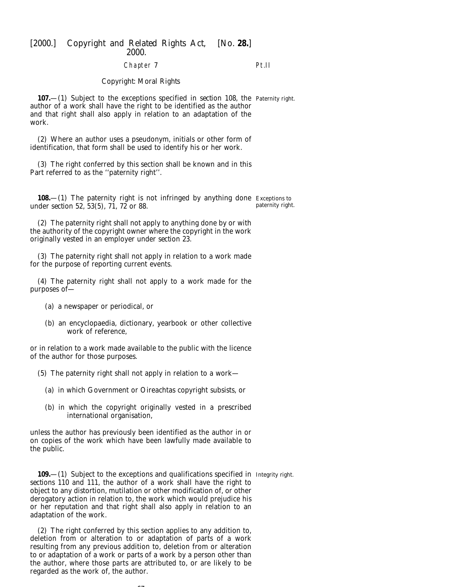Chapter 7

Pt.II

#### *Copyright: Moral Rights*

**107.**—(1) Subject to the exceptions specified in *section 108*, the Paternity right. author of a work shall have the right to be identified as the author and that right shall also apply in relation to an adaptation of the work.

(2) Where an author uses a pseudonym, initials or other form of identification, that form shall be used to identify his or her work.

(3) The right conferred by this section shall be known and in this Part referred to as the ''paternity right''.

**108.**—(1) The paternity right is not infringed by anything done Exceptions to under *section 52, 53(5), 71, 72* or *88.* paternity right.

(2) The paternity right shall not apply to anything done by or with the authority of the copyright owner where the copyright in the work originally vested in an employer under *section 23*.

(3) The paternity right shall not apply in relation to a work made for the purpose of reporting current events.

(4) The paternity right shall not apply to a work made for the purposes of—

- (*a*) a newspaper or periodical, or
- (*b*) an encyclopaedia, dictionary, yearbook or other collective work of reference,

or in relation to a work made available to the public with the licence of the author for those purposes.

(5) The paternity right shall not apply in relation to a work—

- (*a*) in which Government or Oireachtas copyright subsists, or
- (*b*) in which the copyright originally vested in a prescribed international organisation,

unless the author has previously been identified as the author in or on copies of the work which have been lawfully made available to the public.

**109.**—(1) Subject to the exceptions and qualifications specified in Integrity right. *sections 110* and *111*, the author of a work shall have the right to object to any distortion, mutilation or other modification of, or other derogatory action in relation to, the work which would prejudice his or her reputation and that right shall also apply in relation to an adaptation of the work.

(2) The right conferred by this section applies to any addition to, deletion from or alteration to or adaptation of parts of a work resulting from any previous addition to, deletion from or alteration to or adaptation of a work or parts of a work by a person other than the author, where those parts are attributed to, or are likely to be regarded as the work of, the author.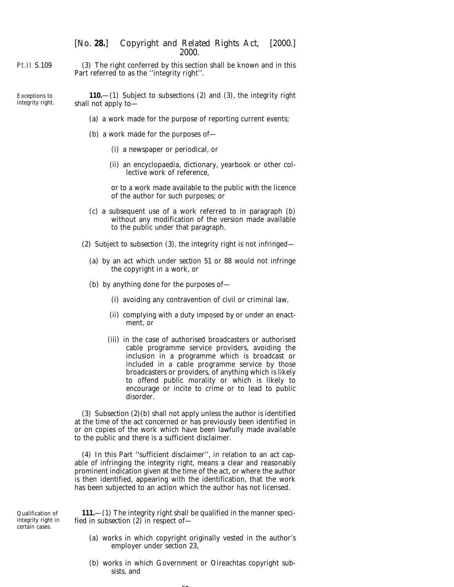Pt.II S.109 (3) The right conferred by this section shall be known and in this Part referred to as the ''integrity right''.

Exceptions to integrity right. **110.**—(1) Subject to *subsections (2)* and *(3)*, the integrity right shall not apply to—

- (*a*) a work made for the purpose of reporting current events;
- (*b*) a work made for the purposes of—
	- (i) a newspaper or periodical, or
	- (ii) an encyclopaedia, dictionary, yearbook or other collective work of reference,

or to a work made available to the public with the licence of the author for such purposes; or

- (*c*) a subsequent use of a work referred to in *paragraph (b)* without any modification of the version made available to the public under that paragraph.
- (2) Subject to *subsection (3)*, the integrity right is not infringed—
	- (*a*) by an act which under *section 51* or *88* would not infringe the copyright in a work, or
	- (*b*) by anything done for the purposes of—
		- (i) avoiding any contravention of civil or criminal law,
		- (ii) complying with a duty imposed by or under an enactment, or
		- (iii) in the case of authorised broadcasters or authorised cable programme service providers, avoiding the inclusion in a programme which is broadcast or included in a cable programme service by those broadcasters or providers, of anything which is likely to offend public morality or which is likely to encourage or incite to crime or to lead to public disorder.

(3) *Subsection (2)(b)* shall not apply unless the author is identified at the time of the act concerned or has previously been identified in or on copies of the work which have been lawfully made available to the public and there is a sufficient disclaimer.

(4) In this Part ''sufficient disclaimer'', in relation to an act capable of infringing the integrity right, means a clear and reasonably prominent indication given at the time of the act, or where the author is then identified, appearing with the identification, that the work has been subjected to an action which the author has not licensed.

Qualification of integrity right in certain cases.

**111.**—(1) The integrity right shall be qualified in the manner specified in *subsection (2)* in respect of—

- (*a*) works in which copyright originally vested in the author's employer under *section 23*,
- (*b*) works in which Government or Oireachtas copyright subsists, and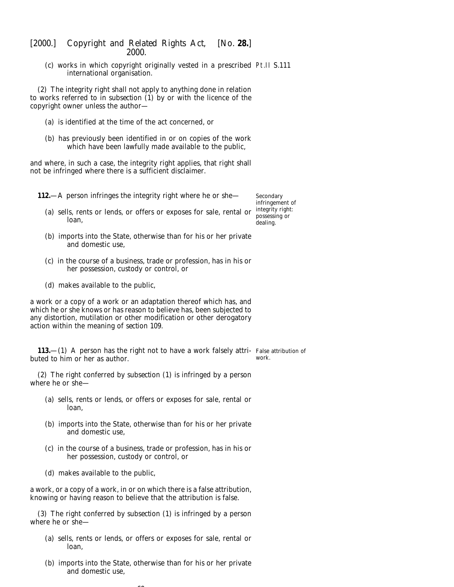(*c*) works in which copyright originally vested in a prescribed Pt.II S.111 international organisation.

(2) The integrity right shall not apply to anything done in relation to works referred to in *subsection (1)* by or with the licence of the copyright owner unless the author—

- (*a*) is identified at the time of the act concerned, or
- (*b*) has previously been identified in or on copies of the work which have been lawfully made available to the public,

and where, in such a case, the integrity right applies, that right shall not be infringed where there is a sufficient disclaimer.

**112.**—A person infringes the integrity right where he or she—

Secondary infringement of integrity right: possessing or dealing.

- (*a*) sells, rents or lends, or offers or exposes for sale, rental or loan,
- (*b*) imports into the State, otherwise than for his or her private and domestic use,
- (*c*) in the course of a business, trade or profession, has in his or her possession, custody or control, or
- (*d*) makes available to the public,

a work or a copy of a work or an adaptation thereof which has, and which he or she knows or has reason to believe has, been subjected to any distortion, mutilation or other modification or other derogatory action within the meaning of *section 109*.

**113.**—(1) A person has the right not to have a work falsely attri- False attribution of buted to him or her as author. work.

(2) The right conferred by *subsection (1)* is infringed by a person where he or she—

- (*a*) sells, rents or lends, or offers or exposes for sale, rental or loan,
- (*b*) imports into the State, otherwise than for his or her private and domestic use,
- (*c*) in the course of a business, trade or profession, has in his or her possession, custody or control, or
- (*d*) makes available to the public,

a work, or a copy of a work, in or on which there is a false attribution, knowing or having reason to believe that the attribution is false.

(3) The right conferred by *subsection (1)* is infringed by a person where he or she—

- (*a*) sells, rents or lends, or offers or exposes for sale, rental or loan,
- (*b*) imports into the State, otherwise than for his or her private and domestic use,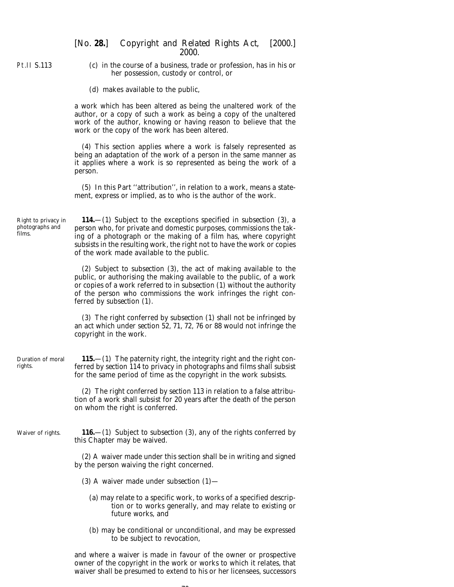Pt.II S.113

(*c*) in the course of a business, trade or profession, has in his or her possession, custody or control, or

(*d*) makes available to the public,

a work which has been altered as being the unaltered work of the author, or a copy of such a work as being a copy of the unaltered work of the author, knowing or having reason to believe that the work or the copy of the work has been altered.

(4) This section applies where a work is falsely represented as being an adaptation of the work of a person in the same manner as it applies where a work is so represented as being the work of a person.

(5) In this Part ''attribution'', in relation to a work, means a statement, express or implied, as to who is the author of the work.

Right to privacy in photographs and films. **114.**—(1) Subject to the exceptions specified in *subsection (3)*, a person who, for private and domestic purposes, commissions the taking of a photograph or the making of a film has, where copyright subsists in the resulting work, the right not to have the work or copies of the work made available to the public.

> (2) Subject to *subsection (3)*, the act of making available to the public, or authorising the making available to the public, of a work or copies of a work referred to in *subsection (1)* without the authority of the person who commissions the work infringes the right conferred by *subsection (1)*.

> (3) The right conferred by *subsection (1)* shall not be infringed by an act which under *section 52, 71, 72, 76* or *88* would not infringe the copyright in the work.

Duration of moral rights. **115.**—(1) The paternity right, the integrity right and the right conferred by *section 114* to privacy in photographs and films shall subsist for the same period of time as the copyright in the work subsists.

> (2) The right conferred by *section 113* in relation to a false attribution of a work shall subsist for 20 years after the death of the person on whom the right is conferred.

Waiver of rights. **116.**—(1) Subject to *subsection (3)*, any of the rights conferred by this Chapter may be waived.

> (2) A waiver made under this section shall be in writing and signed by the person waiving the right concerned.

- (3) A waiver made under *subsection (1)*
	- (*a*) may relate to a specific work, to works of a specified description or to works generally, and may relate to existing or future works, and
	- (*b*) may be conditional or unconditional, and may be expressed to be subject to revocation,

and where a waiver is made in favour of the owner or prospective owner of the copyright in the work or works to which it relates, that waiver shall be presumed to extend to his or her licensees, successors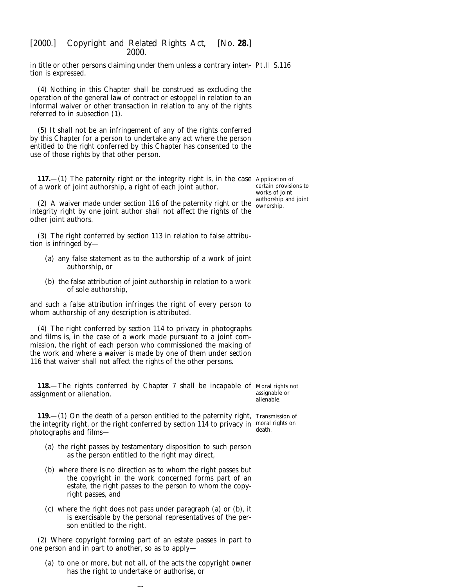in title or other persons claiming under them unless a contrary inten-Pt.II S.116 tion is expressed.

(4) Nothing in this Chapter shall be construed as excluding the operation of the general law of contract or estoppel in relation to an informal waiver or other transaction in relation to any of the rights referred to in *subsection (1)*.

(5) It shall not be an infringement of any of the rights conferred by this Chapter for a person to undertake any act where the person entitled to the right conferred by this Chapter has consented to the use of those rights by that other person.

**117.**—(1) The paternity right or the integrity right is, in the case Application of of a work of joint authorship, a right of each joint author.

certain provisions to works of joint authorship and joint ownership.

(2) A waiver made under *section 116* of the paternity right or the integrity right by one joint author shall not affect the rights of the other joint authors.

(3) The right conferred by *section 113* in relation to false attribution is infringed by—

- (*a*) any false statement as to the authorship of a work of joint authorship, or
- (*b*) the false attribution of joint authorship in relation to a work of sole authorship,

and such a false attribution infringes the right of every person to whom authorship of any description is attributed.

(4) The right conferred by *section 114* to privacy in photographs and films is, in the case of a work made pursuant to a joint commission, the right of each person who commissioned the making of the work and where a waiver is made by one of them under *section 116* that waiver shall not affect the rights of the other persons.

**118.**—The rights conferred by *Chapter 7* shall be incapable of Moral rights not assignment or alienation. assignable or

alienable.

**119.**—(1) On the death of a person entitled to the paternity right, Transmission of the integrity right, or the right conferred by *section 114* to privacy in moral rights on photographs and films death.

- (*a*) the right passes by testamentary disposition to such person as the person entitled to the right may direct,
- (*b*) where there is no direction as to whom the right passes but the copyright in the work concerned forms part of an estate, the right passes to the person to whom the copyright passes, and
- (*c*) where the right does not pass under *paragraph (a)* or *(b)*, it is exercisable by the personal representatives of the person entitled to the right.

(2) Where copyright forming part of an estate passes in part to one person and in part to another, so as to apply—

 $\sim$ 

(*a*) to one or more, but not all, of the acts the copyright owner has the right to undertake or authorise, or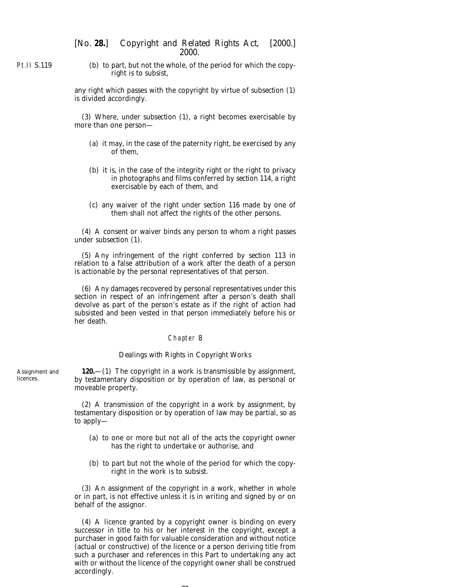Pt.II S.119

(*b*) to part, but not the whole, of the period for which the copyright is to subsist,

any right which passes with the copyright by virtue of *subsection (1)* is divided accordingly.

(3) Where, under *subsection (1)*, a right becomes exercisable by more than one person—

- (*a*) it may, in the case of the paternity right, be exercised by any of them,
- (*b*) it is, in the case of the integrity right or the right to privacy in photographs and films conferred by *section 114*, a right exercisable by each of them, and
- (*c*) any waiver of the right under *section 116* made by one of them shall not affect the rights of the other persons.

(4) A consent or waiver binds any person to whom a right passes under *subsection (1)*.

(5) Any infringement of the right conferred by *section 113* in relation to a false attribution of a work after the death of a person is actionable by the personal representatives of that person.

(6) Any damages recovered by personal representatives under this section in respect of an infringement after a person's death shall devolve as part of the person's estate as if the right of action had subsisted and been vested in that person immediately before his or her death.

#### Chapter 8

#### *Dealings with Rights in Copyright Works*

**120.**—(1) The copyright in a work is transmissible by assignment, by testamentary disposition or by operation of law, as personal or moveable property.

(2) A transmission of the copyright in a work by assignment, by testamentary disposition or by operation of law may be partial, so as to apply—

- (*a*) to one or more but not all of the acts the copyright owner has the right to undertake or authorise, and
- (*b*) to part but not the whole of the period for which the copyright in the work is to subsist.

(3) An assignment of the copyright in a work, whether in whole or in part, is not effective unless it is in writing and signed by or on behalf of the assignor.

(4) A licence granted by a copyright owner is binding on every successor in title to his or her interest in the copyright, except a purchaser in good faith for valuable consideration and without notice (actual or constructive) of the licence or a person deriving title from such a purchaser and references in this Part to undertaking any act with or without the licence of the copyright owner shall be construed accordingly.

Assignment and licences.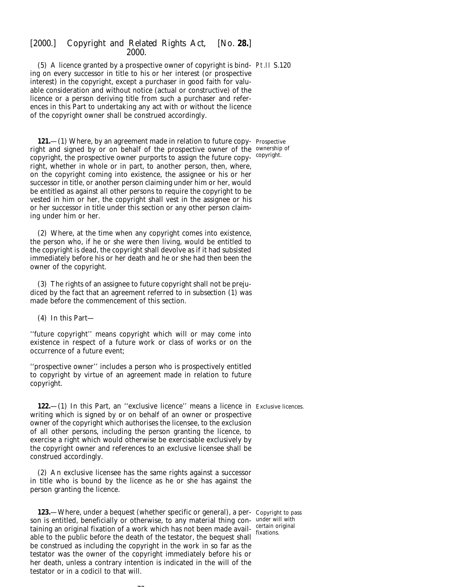(5) A licence granted by a prospective owner of copyright is bind-Pt.II S.120 ing on every successor in title to his or her interest (or prospective interest) in the copyright, except a purchaser in good faith for valuable consideration and without notice (actual or constructive) of the licence or a person deriving title from such a purchaser and references in this Part to undertaking any act with or without the licence of the copyright owner shall be construed accordingly.

**121.**—(1) Where, by an agreement made in relation to future copy-Prospective right and signed by or on behalf of the prospective owner of the ownership of copyright, the prospective owner purports to assign the future copyright, whether in whole or in part, to another person, then, where, on the copyright coming into existence, the assignee or his or her successor in title, or another person claiming under him or her, would be entitled as against all other persons to require the copyright to be vested in him or her, the copyright shall vest in the assignee or his or her successor in title under this section or any other person claiming under him or her.

(2) Where, at the time when any copyright comes into existence, the person who, if he or she were then living, would be entitled to the copyright is dead, the copyright shall devolve as if it had subsisted immediately before his or her death and he or she had then been the owner of the copyright.

(3) The rights of an assignee to future copyright shall not be prejudiced by the fact that an agreement referred to in *subsection (1)* was made before the commencement of this section.

(4) In this Part—

''future copyright'' means copyright which will or may come into existence in respect of a future work or class of works or on the occurrence of a future event;

''prospective owner'' includes a person who is prospectively entitled to copyright by virtue of an agreement made in relation to future copyright.

**122.**—(1) In this Part, an "exclusive licence" means a licence in Exclusive licences. writing which is signed by or on behalf of an owner or prospective owner of the copyright which authorises the licensee, to the exclusion of all other persons, including the person granting the licence, to exercise a right which would otherwise be exercisable exclusively by the copyright owner and references to an exclusive licensee shall be construed accordingly.

(2) An exclusive licensee has the same rights against a successor in title who is bound by the licence as he or she has against the person granting the licence.

**123.**—Where, under a bequest (whether specific or general), a per- Copyright to pass son is entitled, beneficially or otherwise, to any material thing con-under will with taining an original fixation of a work which has not been made avail- certain original able to the public before the death of the testator, the bequest shall be construed as including the copyright in the work in so far as the testator was the owner of the copyright immediately before his or her death, unless a contrary intention is indicated in the will of the testator or in a codicil to that will.

 $\sim$ 

fixations.

copyright.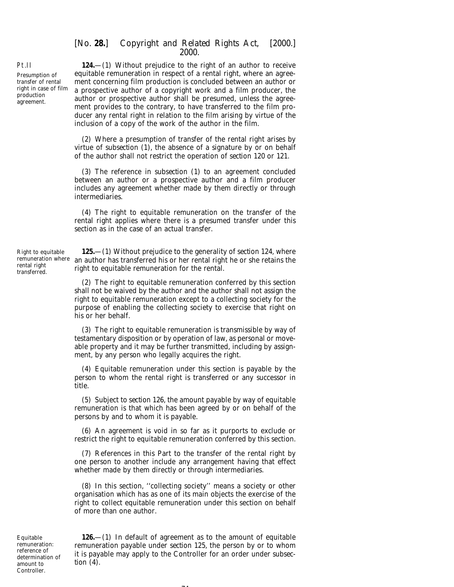**124.**—(1) Without prejudice to the right of an author to receive equitable remuneration in respect of a rental right, where an agreement concerning film production is concluded between an author or a prospective author of a copyright work and a film producer, the author or prospective author shall be presumed, unless the agreement provides to the contrary, to have transferred to the film producer any rental right in relation to the film arising by virtue of the inclusion of a copy of the work of the author in the film.

(2) Where a presumption of transfer of the rental right arises by virtue of *subsection (1)*, the absence of a signature by or on behalf of the author shall not restrict the operation of *section 120* or *121.*

(3) The reference in *subsection (1)* to an agreement concluded between an author or a prospective author and a film producer includes any agreement whether made by them directly or through intermediaries.

(4) The right to equitable remuneration on the transfer of the rental right applies where there is a presumed transfer under this section as in the case of an actual transfer.

Right to equitable remuneration where rental right transferred.

**125.**—(1) Without prejudice to the generality of *section 124*, where an author has transferred his or her rental right he or she retains the right to equitable remuneration for the rental.

(2) The right to equitable remuneration conferred by this section shall not be waived by the author and the author shall not assign the right to equitable remuneration except to a collecting society for the purpose of enabling the collecting society to exercise that right on his or her behalf.

(3) The right to equitable remuneration is transmissible by way of testamentary disposition or by operation of law, as personal or moveable property and it may be further transmitted, including by assignment, by any person who legally acquires the right.

(4) Equitable remuneration under this section is payable by the person to whom the rental right is transferred or any successor in title.

(5) Subject to *section 126*, the amount payable by way of equitable remuneration is that which has been agreed by or on behalf of the persons by and to whom it is payable.

(6) An agreement is void in so far as it purports to exclude or restrict the right to equitable remuneration conferred by this section.

(7) References in this Part to the transfer of the rental right by one person to another include any arrangement having that effect whether made by them directly or through intermediaries.

(8) In this section, ''collecting society'' means a society or other organisation which has as one of its main objects the exercise of the right to collect equitable remuneration under this section on behalf of more than one author.

Equitable remuneration: reference of determination of amount to Controller.

**126.**—(1) In default of agreement as to the amount of equitable remuneration payable under *section 125*, the person by or to whom it is payable may apply to the Controller for an order under *subsection (4)*.

 $\sim$   $\cdot$ 

# Pt.II

Presumption of transfer of rental right in case of film production agreement.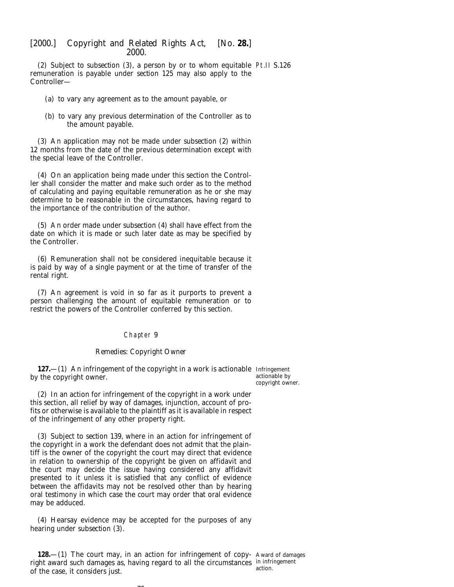(2) Subject to *subsection (3)*, a person by or to whom equitable Pt.II S.126 remuneration is payable under *section 125* may also apply to the Controller—

- (*a*) to vary any agreement as to the amount payable, or
- (*b*) to vary any previous determination of the Controller as to the amount payable.

(3) An application may not be made under *subsection (2)* within 12 months from the date of the previous determination except with the special leave of the Controller.

(4) On an application being made under this section the Controller shall consider the matter and make such order as to the method of calculating and paying equitable remuneration as he or she may determine to be reasonable in the circumstances, having regard to the importance of the contribution of the author.

(5) An order made under *subsection (4)* shall have effect from the date on which it is made or such later date as may be specified by the Controller.

(6) Remuneration shall not be considered inequitable because it is paid by way of a single payment or at the time of transfer of the rental right.

(7) An agreement is void in so far as it purports to prevent a person challenging the amount of equitable remuneration or to restrict the powers of the Controller conferred by this section.

### Chapter 9

#### *Remedies: Copyright Owner*

**127.**—(1) An infringement of the copyright in a work is actionable Infringement by the copyright owner.

actionable by copyright owner.

(2) In an action for infringement of the copyright in a work under this section, all relief by way of damages, injunction, account of profits or otherwise is available to the plaintiff as it is available in respect of the infringement of any other property right.

(3) Subject to *section 139*, where in an action for infringement of the copyright in a work the defendant does not admit that the plaintiff is the owner of the copyright the court may direct that evidence in relation to ownership of the copyright be given on affidavit and the court may decide the issue having considered any affidavit presented to it unless it is satisfied that any conflict of evidence between the affidavits may not be resolved other than by hearing oral testimony in which case the court may order that oral evidence may be adduced.

(4) Hearsay evidence may be accepted for the purposes of any hearing under *subsection (3)*.

 $-1$ 

**128.**—(1) The court may, in an action for infringement of copy- Award of damages right award such damages as, having regard to all the circumstances in infringement of the case, it considers just. action.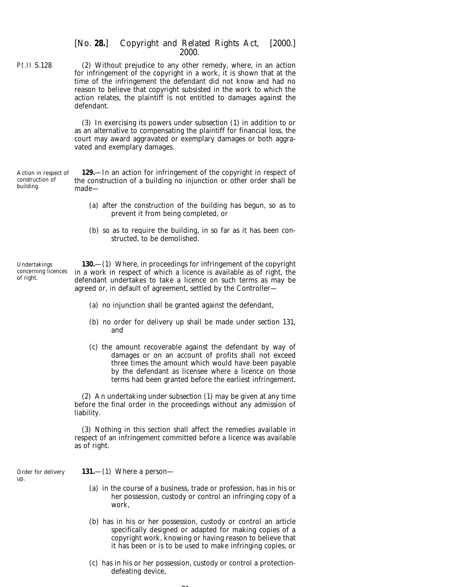|  | [No. 28.] Copyright and Related Rights Act, [2000.] |  |
|--|-----------------------------------------------------|--|
|  | 2000.                                               |  |

Pt.II S.128 (2) Without prejudice to any other remedy, where, in an action for infringement of the copyright in a work, it is shown that at the time of the infringement the defendant did not know and had no reason to believe that copyright subsisted in the work to which the action relates, the plaintiff is not entitled to damages against the defendant.

> (3) In exercising its powers under *subsection (1)* in addition to or as an alternative to compensating the plaintiff for financial loss, the court may award aggravated or exemplary damages or both aggravated and exemplary damages.

Action in respect of construction of building. **129.**—In an action for infringement of the copyright in respect of the construction of a building no injunction or other order shall be made—

- (*a*) after the construction of the building has begun, so as to prevent it from being completed, or
- (*b*) so as to require the building, in so far as it has been constructed, to be demolished.

Undertakings concerning licences of right.

up.

**130.**—(1) Where, in proceedings for infringement of the copyright in a work in respect of which a licence is available as of right, the defendant undertakes to take a licence on such terms as may be agreed or, in default of agreement, settled by the Controller—

- (*a*) no injunction shall be granted against the defendant,
- (*b*) no order for delivery up shall be made under *section 131*, and
- (*c*) the amount recoverable against the defendant by way of damages or on an account of profits shall not exceed three times the amount which would have been payable by the defendant as licensee where a licence on those terms had been granted before the earliest infringement.

(2) An undertaking under *subsection (1)* may be given at any time before the final order in the proceedings without any admission of liability.

(3) Nothing in this section shall affect the remedies available in respect of an infringement committed before a licence was available as of right.

Order for delivery **131.**—(1) Where a person—

- (*a*) in the course of a business, trade or profession, has in his or her possession, custody or control an infringing copy of a work,
- (*b*) has in his or her possession, custody or control an article specifically designed or adapted for making copies of a copyright work, knowing or having reason to believe that it has been or is to be used to make infringing copies, or
- (*c*) has in his or her possession, custody or control a protectiondefeating device,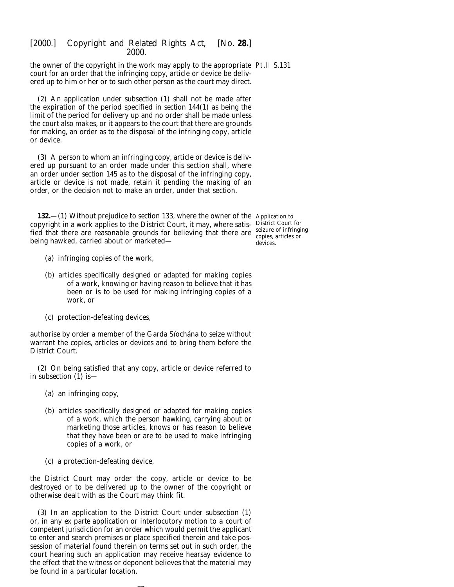the owner of the copyright in the work may apply to the appropriate Pt.II S.131 court for an order that the infringing copy, article or device be delivered up to him or her or to such other person as the court may direct.

(2) An application under *subsection (1)* shall not be made after the expiration of the period specified in *section 144(1)* as being the limit of the period for delivery up and no order shall be made unless the court also makes, or it appears to the court that there are grounds for making, an order as to the disposal of the infringing copy, article or device.

(3) A person to whom an infringing copy, article or device is delivered up pursuant to an order made under this section shall, where an order under *section 145* as to the disposal of the infringing copy, article or device is not made, retain it pending the making of an order, or the decision not to make an order, under that section.

**132.**—(1) Without prejudice to *section 133*, where the owner of the Application to copyright in a work applies to the District Court, it may, where satis-District Court for fied that there are reasonable grounds for believing that there are seizure of infringing being hawked, carried about or marketed—

copies, articles or devices.

- (*a*) infringing copies of the work,
- (*b*) articles specifically designed or adapted for making copies of a work, knowing or having reason to believe that it has been or is to be used for making infringing copies of a work, or
- (*c*) protection-defeating devices,

authorise by order a member of the Garda Síochána to seize without warrant the copies, articles or devices and to bring them before the District Court.

(2) On being satisfied that any copy, article or device referred to in *subsection (1)* is—

- (*a*) an infringing copy,
- (*b*) articles specifically designed or adapted for making copies of a work, which the person hawking, carrying about or marketing those articles, knows or has reason to believe that they have been or are to be used to make infringing copies of a work, or
- (*c*) a protection-defeating device,

the District Court may order the copy, article or device to be destroyed or to be delivered up to the owner of the copyright or otherwise dealt with as the Court may think fit.

(3) In an application to the District Court under *subsection (1)* or, in any *ex parte* application or interlocutory motion to a court of competent jurisdiction for an order which would permit the applicant to enter and search premises or place specified therein and take possession of material found therein on terms set out in such order, the court hearing such an application may receive hearsay evidence to the effect that the witness or deponent believes that the material may be found in a particular location.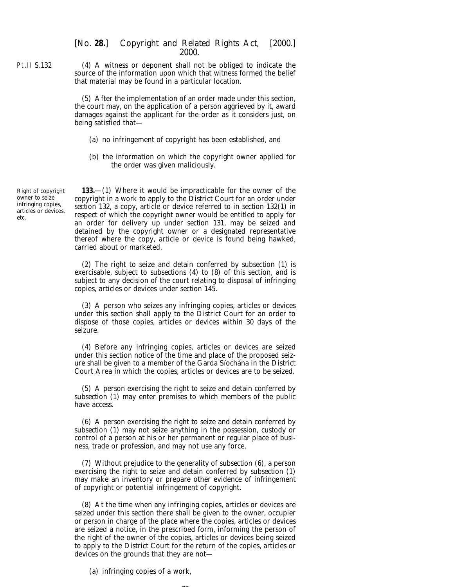(4) A witness or deponent shall not be obliged to indicate the source of the information upon which that witness formed the belief that material may be found in a particular location.

(5) After the implementation of an order made under this section, the court may, on the application of a person aggrieved by it, award damages against the applicant for the order as it considers just, on being satisfied that—

- (*a*) no infringement of copyright has been established, and
- (*b*) the information on which the copyright owner applied for the order was given maliciously.

Right of copyright owner to seize infringing copies, articles or devices, etc.

Pt.II S.132

**133.**—(1) Where it would be impracticable for the owner of the copyright in a work to apply to the District Court for an order under *section 132*, a copy, article or device referred to in *section 132(1)* in respect of which the copyright owner would be entitled to apply for an order for delivery up under *section 131*, may be seized and detained by the copyright owner or a designated representative thereof where the copy, article or device is found being hawked, carried about or marketed.

(2) The right to seize and detain conferred by *subsection (1)* is exercisable, subject to *subsections (4)* to *(8)* of this section, and is subject to any decision of the court relating to disposal of infringing copies, articles or devices under *section 145*.

(3) A person who seizes any infringing copies, articles or devices under this section shall apply to the District Court for an order to dispose of those copies, articles or devices within 30 days of the seizure.

(4) Before any infringing copies, articles or devices are seized under this section notice of the time and place of the proposed seizure shall be given to a member of the Garda Síochána in the District Court Area in which the copies, articles or devices are to be seized.

(5) A person exercising the right to seize and detain conferred by *subsection (1)* may enter premises to which members of the public have access.

(6) A person exercising the right to seize and detain conferred by *subsection (1)* may not seize anything in the possession, custody or control of a person at his or her permanent or regular place of business, trade or profession, and may not use any force.

(7) Without prejudice to the generality of *subsection (6)*, a person exercising the right to seize and detain conferred by *subsection (1)* may make an inventory or prepare other evidence of infringement of copyright or potential infringement of copyright.

(8) At the time when any infringing copies, articles or devices are seized under this section there shall be given to the owner, occupier or person in charge of the place where the copies, articles or devices are seized a notice, in the prescribed form, informing the person of the right of the owner of the copies, articles or devices being seized to apply to the District Court for the return of the copies, articles or devices on the grounds that they are not—

 $\sim$ 

(*a*) infringing copies of a work,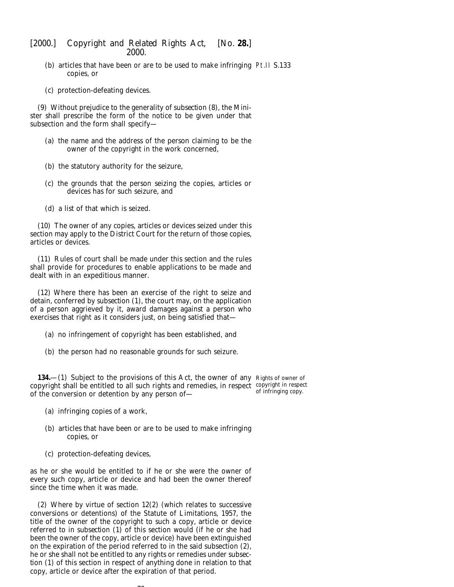- (*b*) articles that have been or are to be used to make infringing Pt.II S.133 copies, or
- (*c*) protection-defeating devices.

(9) Without prejudice to the generality of *subsection (8)*, the Minister shall prescribe the form of the notice to be given under that subsection and the form shall specify—

- (*a*) the name and the address of the person claiming to be the owner of the copyright in the work concerned,
- (*b*) the statutory authority for the seizure,
- (*c*) the grounds that the person seizing the copies, articles or devices has for such seizure, and
- (*d*) a list of that which is seized.

(10) The owner of any copies, articles or devices seized under this section may apply to the District Court for the return of those copies, articles or devices.

(11) Rules of court shall be made under this section and the rules shall provide for procedures to enable applications to be made and dealt with in an expeditious manner.

(12) Where there has been an exercise of the right to seize and detain, conferred by *subsection (1)*, the court may, on the application of a person aggrieved by it, award damages against a person who exercises that right as it considers just, on being satisfied that—

- (*a*) no infringement of copyright has been established, and
- (*b*) the person had no reasonable grounds for such seizure.

**134.**—(1) Subject to the provisions of this Act, the owner of any Rights of owner of copyright shall be entitled to all such rights and remedies, in respect copyright in respect of the conversion or detention by any person of of infringing copy.

- (*a*) infringing copies of a work,
- (*b*) articles that have been or are to be used to make infringing copies, or
- (*c*) protection-defeating devices,

as he or she would be entitled to if he or she were the owner of every such copy, article or device and had been the owner thereof since the time when it was made.

(2) Where by virtue of section 12(2) (which relates to successive conversions or detentions) of the Statute of Limitations, 1957, the title of the owner of the copyright to such a copy, article or device referred to in *subsection (1)* of this section would (if he or she had been the owner of the copy, article or device) have been extinguished on the expiration of the period referred to in the said subsection (2), he or she shall not be entitled to any rights or remedies under *subsection (1)* of this section in respect of anything done in relation to that copy, article or device after the expiration of that period.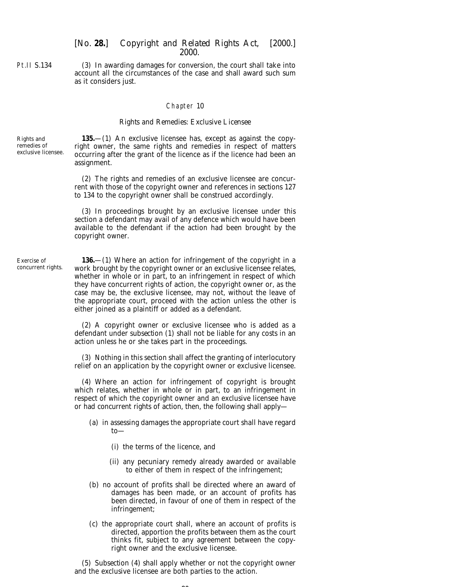Pt.II S.134

(3) In awarding damages for conversion, the court shall take into account all the circumstances of the case and shall award such sum as it considers just.

### Chapter 10

## *Rights and Remedies: Exclusive Licensee*

Rights and remedies of exclusive licensee.

**135.**—(1) An exclusive licensee has, except as against the copyright owner, the same rights and remedies in respect of matters occurring after the grant of the licence as if the licence had been an assignment.

(2) The rights and remedies of an exclusive licensee are concurrent with those of the copyright owner and references in *sections 127* to *134* to the copyright owner shall be construed accordingly.

(3) In proceedings brought by an exclusive licensee under this section a defendant may avail of any defence which would have been available to the defendant if the action had been brought by the copyright owner.

Exercise of concurrent rights.

**136.**—(1) Where an action for infringement of the copyright in a work brought by the copyright owner or an exclusive licensee relates, whether in whole or in part, to an infringement in respect of which they have concurrent rights of action, the copyright owner or, as the case may be, the exclusive licensee, may not, without the leave of the appropriate court, proceed with the action unless the other is either joined as a plaintiff or added as a defendant.

(2) A copyright owner or exclusive licensee who is added as a defendant under *subsection (1)* shall not be liable for any costs in an action unless he or she takes part in the proceedings.

(3) Nothing in this section shall affect the granting of interlocutory relief on an application by the copyright owner or exclusive licensee.

(4) Where an action for infringement of copyright is brought which relates, whether in whole or in part, to an infringement in respect of which the copyright owner and an exclusive licensee have or had concurrent rights of action, then, the following shall apply—

- (*a*) in assessing damages the appropriate court shall have regard to—
	- (i) the terms of the licence, and
	- (ii) any pecuniary remedy already awarded or available to either of them in respect of the infringement;
- (*b*) no account of profits shall be directed where an award of damages has been made, or an account of profits has been directed, in favour of one of them in respect of the infringement;
- (*c*) the appropriate court shall, where an account of profits is directed, apportion the profits between them as the court thinks fit, subject to any agreement between the copyright owner and the exclusive licensee.

(5) *Subsection (4)* shall apply whether or not the copyright owner and the exclusive licensee are both parties to the action.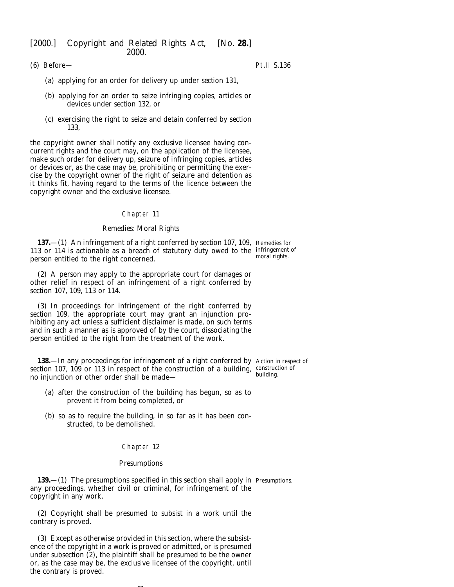(6) Before—

Pt.II S.136

- (*a*) applying for an order for delivery up under *section 131*,
- (*b*) applying for an order to seize infringing copies, articles or devices under *section 132*, or
- (*c*) exercising the right to seize and detain conferred by *section 133*,

the copyright owner shall notify any exclusive licensee having concurrent rights and the court may, on the application of the licensee, make such order for delivery up, seizure of infringing copies, articles or devices or, as the case may be, prohibiting or permitting the exercise by the copyright owner of the right of seizure and detention as it thinks fit, having regard to the terms of the licence between the copyright owner and the exclusive licensee.

#### Chapter 11

### *Remedies: Moral Rights*

**137.**—(1) An infringement of a right conferred by *section 107, 109,* Remedies for 113 or 114 is actionable as a breach of statutory duty owed to the infringement of person entitled to the right concerned. moral rights.

(2) A person may apply to the appropriate court for damages or other relief in respect of an infringement of a right conferred by *section 107, 109, 113* or *114*.

(3) In proceedings for infringement of the right conferred by *section 109*, the appropriate court may grant an injunction prohibiting any act unless a sufficient disclaimer is made, on such terms and in such a manner as is approved of by the court, dissociating the person entitled to the right from the treatment of the work.

**138.**—In any proceedings for infringement of a right conferred by Action in respect of section 107, 109 or 113 in respect of the construction of a building, construction of no injunction or other order shall be made building.

- (*a*) after the construction of the building has begun, so as to prevent it from being completed, or
- (*b*) so as to require the building, in so far as it has been constructed, to be demolished.

### Chapter 12

#### *Presumptions*

**139.**—(1) The presumptions specified in this section shall apply in Presumptions. any proceedings, whether civil or criminal, for infringement of the copyright in any work.

(2) Copyright shall be presumed to subsist in a work until the contrary is proved.

(3) Except as otherwise provided in this section, where the subsistence of the copyright in a work is proved or admitted, or is presumed under *subsection (2)*, the plaintiff shall be presumed to be the owner or, as the case may be, the exclusive licensee of the copyright, until the contrary is proved.

 $\sim$   $\sim$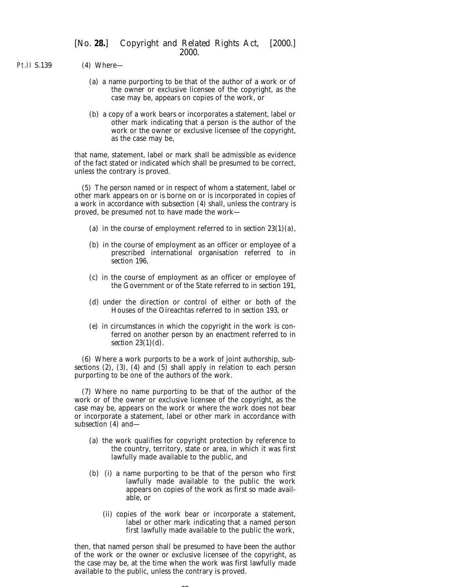Pt.II S.139 (4) Where—

- (*a*) a name purporting to be that of the author of a work or of the owner or exclusive licensee of the copyright, as the case may be, appears on copies of the work, or
- (*b*) a copy of a work bears or incorporates a statement, label or other mark indicating that a person is the author of the work or the owner or exclusive licensee of the copyright, as the case may be,

that name, statement, label or mark shall be admissible as evidence of the fact stated or indicated which shall be presumed to be correct, unless the contrary is proved.

(5) The person named or in respect of whom a statement, label or other mark appears on or is borne on or is incorporated in copies of a work in accordance with *subsection (4)* shall, unless the contrary is proved, be presumed not to have made the work—

- (*a*) in the course of employment referred to in *section 23(1)(a)*,
- (*b*) in the course of employment as an officer or employee of a prescribed international organisation referred to in *section 196*,
- (*c*) in the course of employment as an officer or employee of the Government or of the State referred to in *section 191*,
- (*d*) under the direction or control of either or both of the Houses of the Oireachtas referred to in *section 193*, or
- (*e*) in circumstances in which the copyright in the work is conferred on another person by an enactment referred to in *section 23(1)(d)*.

(6) Where a work purports to be a work of joint authorship, *subsections (2), (3), (4)* and *(5)* shall apply in relation to each person purporting to be one of the authors of the work.

(7) Where no name purporting to be that of the author of the work or of the owner or exclusive licensee of the copyright, as the case may be, appears on the work or where the work does not bear or incorporate a statement, label or other mark in accordance with *subsection (4)* and—

- (*a*) the work qualifies for copyright protection by reference to the country, territory, state or area, in which it was first lawfully made available to the public, and
- (*b*) (i) a name purporting to be that of the person who first lawfully made available to the public the work appears on copies of the work as first so made available, or
	- (ii) copies of the work bear or incorporate a statement, label or other mark indicating that a named person first lawfully made available to the public the work,

then, that named person shall be presumed to have been the author of the work or the owner or exclusive licensee of the copyright, as the case may be, at the time when the work was first lawfully made available to the public, unless the contrary is proved.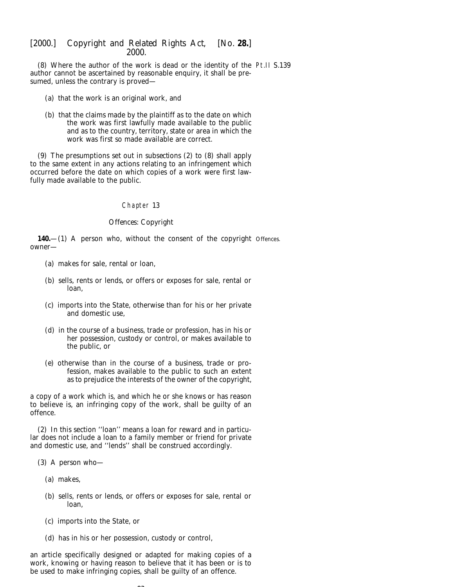(8) Where the author of the work is dead or the identity of the Pt.II S.139 author cannot be ascertained by reasonable enquiry, it shall be presumed, unless the contrary is proved—

- (*a*) that the work is an original work, and
- (*b*) that the claims made by the plaintiff as to the date on which the work was first lawfully made available to the public and as to the country, territory, state or area in which the work was first so made available are correct.

(9) The presumptions set out in *subsections (2)* to *(8)* shall apply to the same extent in any actions relating to an infringement which occurred before the date on which copies of a work were first lawfully made available to the public.

### Chapter 13

### *Offences: Copyright*

**140.**—(1) A person who, without the consent of the copyright Offences.owner—

- (*a*) makes for sale, rental or loan,
- (*b*) sells, rents or lends, or offers or exposes for sale, rental or loan,
- (*c*) imports into the State, otherwise than for his or her private and domestic use,
- (*d*) in the course of a business, trade or profession, has in his or her possession, custody or control, or makes available to the public, or
- (*e*) otherwise than in the course of a business, trade or profession, makes available to the public to such an extent as to prejudice the interests of the owner of the copyright,

a copy of a work which is, and which he or she knows or has reason to believe is, an infringing copy of the work, shall be guilty of an offence.

(2) In this section ''loan'' means a loan for reward and in particular does not include a loan to a family member or friend for private and domestic use, and "lends" shall be construed accordingly.

- (3) A person who—
	- (*a*) makes,
	- (*b*) sells, rents or lends, or offers or exposes for sale, rental or loan,
	- (*c*) imports into the State, or
	- (*d*) has in his or her possession, custody or control,

an article specifically designed or adapted for making copies of a work, knowing or having reason to believe that it has been or is to be used to make infringing copies, shall be guilty of an offence.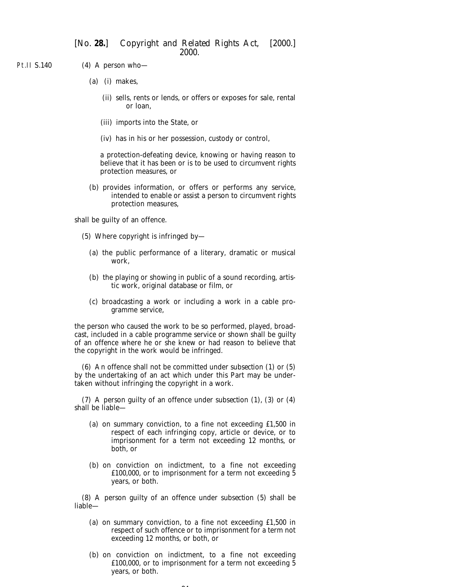Pt.II S.140 (4) A person who—

- (*a*) (i) makes,
	- (ii) sells, rents or lends, or offers or exposes for sale, rental or loan,
	- (iii) imports into the State, or
	- (iv) has in his or her possession, custody or control,

a protection-defeating device, knowing or having reason to believe that it has been or is to be used to circumvent rights protection measures, or

(*b*) provides information, or offers or performs any service, intended to enable or assist a person to circumvent rights protection measures,

shall be guilty of an offence.

- (5) Where copyright is infringed by—
	- (*a*) the public performance of a literary, dramatic or musical work,
	- (*b*) the playing or showing in public of a sound recording, artistic work, original database or film, or
	- (*c*) broadcasting a work or including a work in a cable programme service,

the person who caused the work to be so performed, played, broadcast, included in a cable programme service or shown shall be guilty of an offence where he or she knew or had reason to believe that the copyright in the work would be infringed.

(6) An offence shall not be committed under *subsection (1)* or *(5)* by the undertaking of an act which under this Part may be undertaken without infringing the copyright in a work.

(7) A person guilty of an offence under *subsection (1)*, *(3)* or *(4)* shall be liable—

- (*a*) on summary conviction, to a fine not exceeding £1,500 in respect of each infringing copy, article or device, or to imprisonment for a term not exceeding 12 months, or both, or
- (*b*) on conviction on indictment, to a fine not exceeding £100,000, or to imprisonment for a term not exceeding 5 years, or both.

(8) A person guilty of an offence under *subsection (5)* shall be liable—

- (*a*) on summary conviction, to a fine not exceeding £1,500 in respect of such offence or to imprisonment for a term not exceeding 12 months, or both, or
- (*b*) on conviction on indictment, to a fine not exceeding £100,000, or to imprisonment for a term not exceeding 5 years, or both.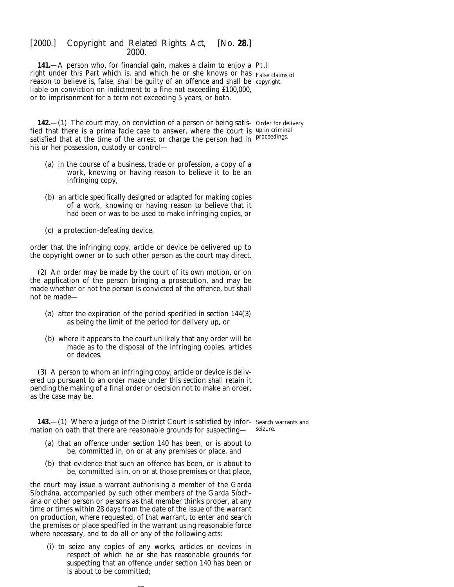**141.**—A person who, for financial gain, makes a claim to enjoy a Pt.II right under this Part which is, and which he or she knows or has False claims of reason to believe is, false, shall be guilty of an offence and shall be copyright. liable on conviction on indictment to a fine not exceeding £100,000, or to imprisonment for a term not exceeding 5 years, or both.

**142.**—(1) The court may, on conviction of a person or being satis- Order for delivery fied that there is a *prima facie* case to answer, where the court is up in criminal satisfied that at the time of the arrest or charge the person had in <sup>proceedings.</sup> his or her possession, custody or control—

- (*a*) in the course of a business, trade or profession, a copy of a work, knowing or having reason to believe it to be an infringing copy,
- (*b*) an article specifically designed or adapted for making copies of a work, knowing or having reason to believe that it had been or was to be used to make infringing copies, or
- (*c*) a protection-defeating device,

order that the infringing copy, article or device be delivered up to the copyright owner or to such other person as the court may direct.

(2) An order may be made by the court of its own motion, or on the application of the person bringing a prosecution, and may be made whether or not the person is convicted of the offence, but shall not be made—

- (*a*) after the expiration of the period specified in *section 144(3)* as being the limit of the period for delivery up, or
- (*b*) where it appears to the court unlikely that any order will be made as to the disposal of the infringing copies, articles or devices.

(3) A person to whom an infringing copy, article or device is delivered up pursuant to an order made under this section shall retain it pending the making of a final order or decision not to make an order, as the case may be.

**143.**—(1) Where a judge of the District Court is satisfied by infor-Search warrants and mation on oath that there are reasonable grounds for suspecting seizure.

- (*a*) that an offence under *section 140* has been, or is about to be, committed in, on or at any premises or place, and
- (*b*) that evidence that such an offence has been, or is about to be, committed is in, on or at those premises or that place,

the court may issue a warrant authorising a member of the Garda Síochána, accompanied by such other members of the Garda Síochána or other person or persons as that member thinks proper, at any time or times within 28 days from the date of the issue of the warrant on production, where requested, of that warrant, to enter and search the premises or place specified in the warrant using reasonable force where necessary, and to do all or any of the following acts:

(i) to seize any copies of any works, articles or devices in respect of which he or she has reasonable grounds for suspecting that an offence under *section 140* has been or is about to be committed;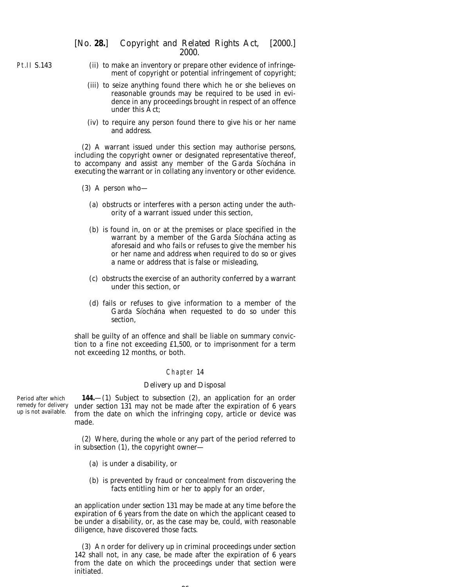- (ii) to make an inventory or prepare other evidence of infringement of copyright or potential infringement of copyright;
	- (iii) to seize anything found there which he or she believes on reasonable grounds may be required to be used in evidence in any proceedings brought in respect of an offence under this Act;
	- (iv) to require any person found there to give his or her name and address.

(2) A warrant issued under this section may authorise persons, including the copyright owner or designated representative thereof, to accompany and assist any member of the Garda Siochana in executing the warrant or in collating any inventory or other evidence.

- (3) A person who—
	- (*a*) obstructs or interferes with a person acting under the authority of a warrant issued under this section,
	- (*b*) is found in, on or at the premises or place specified in the warrant by a member of the Garda Siochana acting as aforesaid and who fails or refuses to give the member his or her name and address when required to do so or gives a name or address that is false or misleading,
	- (*c*) obstructs the exercise of an authority conferred by a warrant under this section, or
	- (*d*) fails or refuses to give information to a member of the Garda Síochána when requested to do so under this section,

shall be guilty of an offence and shall be liable on summary conviction to a fine not exceeding £1,500, or to imprisonment for a term not exceeding 12 months, or both.

### Chapter 14

#### *Delivery up and Disposal*

Period after which remedy for delivery up is not available.

**144.**—(1) Subject to *subsection (2)*, an application for an order under *section 131* may not be made after the expiration of 6 years from the date on which the infringing copy, article or device was made.

(2) Where, during the whole or any part of the period referred to in *subsection (1)*, the copyright owner—

- (*a*) is under a disability, or
- (*b*) is prevented by fraud or concealment from discovering the facts entitling him or her to apply for an order,

an application under *section 131* may be made at any time before the expiration of 6 years from the date on which the applicant ceased to be under a disability, or, as the case may be, could, with reasonable diligence, have discovered those facts.

(3) An order for delivery up in criminal proceedings under *section 142* shall not, in any case, be made after the expiration of 6 years from the date on which the proceedings under that section were initiated.

 $\sim$ 

Pt.II S.143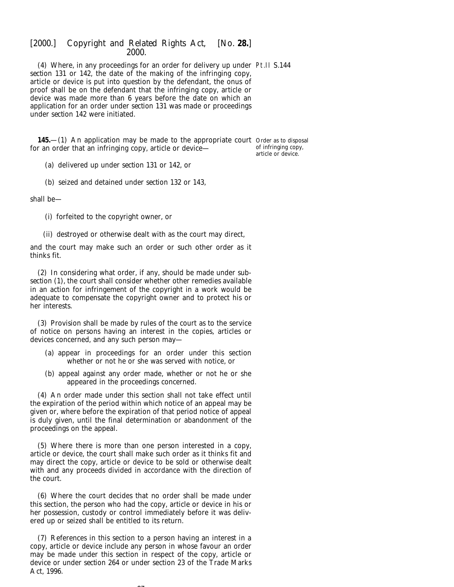(4) Where, in any proceedings for an order for delivery up under Pt.II S.144 *section 131* or *142*, the date of the making of the infringing copy, article or device is put into question by the defendant, the onus of proof shall be on the defendant that the infringing copy, article or device was made more than 6 years before the date on which an application for an order under *section 131* was made or proceedings under *section 142* were initiated.

**145.**—(1) An application may be made to the appropriate court Order as to disposal for an order that an infringing copy, article or device of infringing copy,

article or device.

(*a*) delivered up under *section 131* or *142*, or

(*b*) seized and detained under *section 132* or *143*,

shall be—

(i) forfeited to the copyright owner, or

(ii) destroyed or otherwise dealt with as the court may direct,

and the court may make such an order or such other order as it thinks fit.

(2) In considering what order, if any, should be made under *subsection (1)*, the court shall consider whether other remedies available in an action for infringement of the copyright in a work would be adequate to compensate the copyright owner and to protect his or her interests.

(3) Provision shall be made by rules of the court as to the service of notice on persons having an interest in the copies, articles or devices concerned, and any such person may—

- (*a*) appear in proceedings for an order under this section whether or not he or she was served with notice, or
- (*b*) appeal against any order made, whether or not he or she appeared in the proceedings concerned.

(4) An order made under this section shall not take effect until the expiration of the period within which notice of an appeal may be given or, where before the expiration of that period notice of appeal is duly given, until the final determination or abandonment of the proceedings on the appeal.

(5) Where there is more than one person interested in a copy, article or device, the court shall make such order as it thinks fit and may direct the copy, article or device to be sold or otherwise dealt with and any proceeds divided in accordance with the direction of the court.

(6) Where the court decides that no order shall be made under this section, the person who had the copy, article or device in his or her possession, custody or control immediately before it was delivered up or seized shall be entitled to its return.

(7) References in this section to a person having an interest in a copy, article or device include any person in whose favour an order may be made under this section in respect of the copy, article or device or under *section 264* or under section 23 of the Trade Marks Act, 1996.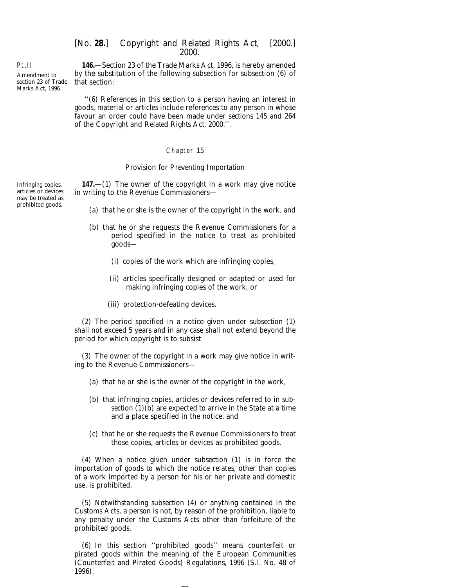Amendment to section 23 of Trade Marks Act, 1996.

Pt.II

**146.**—Section 23 of the Trade Marks Act, 1996, is hereby amended by the substitution of the following subsection for subsection (6) of that section:

''(6) References in this section to a person having an interest in goods, material or articles include references to any person in whose favour an order could have been made under *sections 145* and *264* of the *Copyright and Related Rights Act, 2000*.''.

### Chapter 15

#### *Provision for Preventing Importation*

Infringing copies, **147.**—(1) The owner of the copyright in a work may give notice in writing to the Revenue Commissioners—

- (*a*) that he or she is the owner of the copyright in the work, and
- (*b*) that he or she requests the Revenue Commissioners for a period specified in the notice to treat as prohibited goods—
	- (i) copies of the work which are infringing copies,
	- (ii) articles specifically designed or adapted or used for making infringing copies of the work, or
	- (iii) protection-defeating devices.

(2) The period specified in a notice given under *subsection (1)* shall not exceed 5 years and in any case shall not extend beyond the period for which copyright is to subsist.

(3) The owner of the copyright in a work may give notice in writing to the Revenue Commissioners—

- (*a*) that he or she is the owner of the copyright in the work,
- (*b*) that infringing copies, articles or devices referred to in *subsection (1)(b)* are expected to arrive in the State at a time and a place specified in the notice, and
- (*c*) that he or she requests the Revenue Commissioners to treat those copies, articles or devices as prohibited goods.

(4) When a notice given under *subsection (1)* is in force the importation of goods to which the notice relates, other than copies of a work imported by a person for his or her private and domestic use, is prohibited.

(5) Notwithstanding *subsection (4)* or anything contained in the Customs Acts, a person is not, by reason of the prohibition, liable to any penalty under the Customs Acts other than forfeiture of the prohibited goods.

(6) In this section ''prohibited goods'' means counterfeit or pirated goods within the meaning of the European Communities (Counterfeit and Pirated Goods) Regulations, 1996 (S.I. No. 48 of 1996).

 $\sim$ 

articles or devices may be treated as prohibited goods.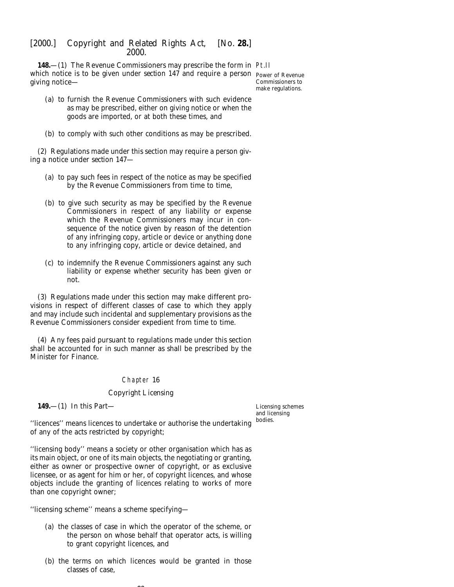**148.**—(1) The Revenue Commissioners may prescribe the form in Pt.II which notice is to be given under *section 147* and require a person Power of Revenue giving notice—

Commissioners to make regulations.

- (*a*) to furnish the Revenue Commissioners with such evidence as may be prescribed, either on giving notice or when the goods are imported, or at both these times, and
- (*b*) to comply with such other conditions as may be prescribed.

(2) Regulations made under this section may require a person giving a notice under *section 147*—

- (*a*) to pay such fees in respect of the notice as may be specified by the Revenue Commissioners from time to time,
- (*b*) to give such security as may be specified by the Revenue Commissioners in respect of any liability or expense which the Revenue Commissioners may incur in consequence of the notice given by reason of the detention of any infringing copy, article or device or anything done to any infringing copy, article or device detained, and
- (*c*) to indemnify the Revenue Commissioners against any such liability or expense whether security has been given or not.

(3) Regulations made under this section may make different provisions in respect of different classes of case to which they apply and may include such incidental and supplementary provisions as the Revenue Commissioners consider expedient from time to time.

(4) Any fees paid pursuant to regulations made under this section shall be accounted for in such manner as shall be prescribed by the Minister for Finance.

# Chapter 16

### *Copyright Licensing*

**149.**—(1) In this Part—

Licensing schemes and licensing bodies.

''licences'' means licences to undertake or authorise the undertaking of any of the acts restricted by copyright;

''licensing body'' means a society or other organisation which has as its main object, or one of its main objects, the negotiating or granting, either as owner or prospective owner of copyright, or as exclusive licensee, or as agent for him or her, of copyright licences, and whose objects include the granting of licences relating to works of more than one copyright owner;

''licensing scheme'' means a scheme specifying—

- (*a*) the classes of case in which the operator of the scheme, or the person on whose behalf that operator acts, is willing to grant copyright licences, and
- (*b*) the terms on which licences would be granted in those classes of case,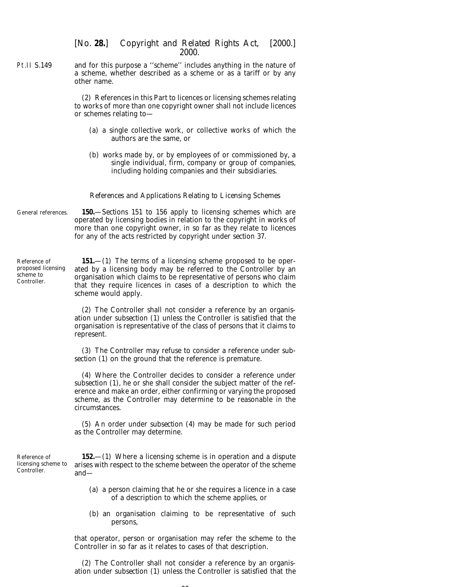Pt.II S.149 and for this purpose a ''scheme'' includes anything in the nature of a scheme, whether described as a scheme or as a tariff or by any other name.

> (2) References in this Part to licences or licensing schemes relating to works of more than one copyright owner shall not include licences or schemes relating to—

- (*a*) a single collective work, or collective works of which the authors are the same, or
- (*b*) works made by, or by employees of or commissioned by, a single individual, firm, company or group of companies, including holding companies and their subsidiaries.

#### *References and Applications Relating to Licensing Schemes*

General references. **150.**—*Sections 151* to *156* apply to licensing schemes which are operated by licensing bodies in relation to the copyright in works of more than one copyright owner, in so far as they relate to licences for any of the acts restricted by copyright under *section 37*.

Reference of proposed licensing scheme to Controller. **151.**—(1) The terms of a licensing scheme proposed to be operated by a licensing body may be referred to the Controller by an organisation which claims to be representative of persons who claim that they require licences in cases of a description to which the scheme would apply.

> (2) The Controller shall not consider a reference by an organisation under *subsection (1)* unless the Controller is satisfied that the organisation is representative of the class of persons that it claims to represent.

> (3) The Controller may refuse to consider a reference under *subsection (1)* on the ground that the reference is premature.

> (4) Where the Controller decides to consider a reference under *subsection (1)*, he or she shall consider the subject matter of the reference and make an order, either confirming or varying the proposed scheme, as the Controller may determine to be reasonable in the circumstances.

> (5) An order under *subsection (4)* may be made for such period as the Controller may determine.

**152.**—(1) Where a licensing scheme is in operation and a dispute arises with respect to the scheme between the operator of the scheme and—

- (*a*) a person claiming that he or she requires a licence in a case of a description to which the scheme applies, or
- (*b*) an organisation claiming to be representative of such persons,

that operator, person or organisation may refer the scheme to the Controller in so far as it relates to cases of that description.

(2) The Controller shall not consider a reference by an organisation under *subsection (1)* unless the Controller is satisfied that the

Reference of licensing scheme to Controller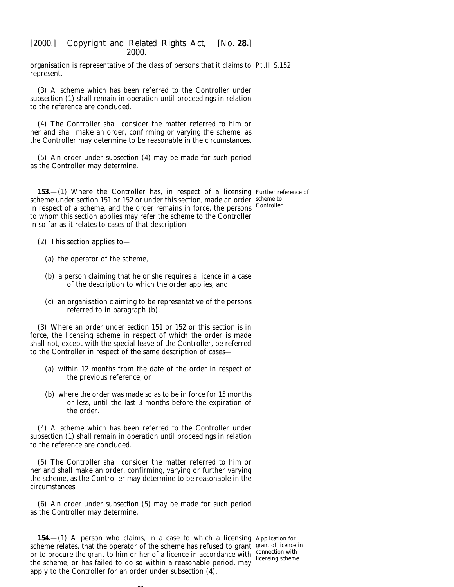organisation is representative of the class of persons that it claims to Pt.II S.152 represent.

(3) A scheme which has been referred to the Controller under *subsection (1)* shall remain in operation until proceedings in relation to the reference are concluded.

(4) The Controller shall consider the matter referred to him or her and shall make an order, confirming or varying the scheme, as the Controller may determine to be reasonable in the circumstances.

(5) An order under *subsection (4)* may be made for such period as the Controller may determine.

**153.**—(1) Where the Controller has, in respect of a licensing Further reference of scheme under *section 151* or *152* or under this section, made an order scheme to in respect of a scheme, and the order remains in force, the persons Controller. to whom this section applies may refer the scheme to the Controller in so far as it relates to cases of that description.

- (2) This section applies to—
	- (*a*) the operator of the scheme,
	- (*b*) a person claiming that he or she requires a licence in a case of the description to which the order applies, and
	- (*c*) an organisation claiming to be representative of the persons referred to in *paragraph (b).*

(3) Where an order under *section 151* or *152* or this section is in force, the licensing scheme in respect of which the order is made shall not, except with the special leave of the Controller, be referred to the Controller in respect of the same description of cases—

- (*a*) within 12 months from the date of the order in respect of the previous reference, or
- (*b*) where the order was made so as to be in force for 15 months or less, until the last 3 months before the expiration of the order.

(4) A scheme which has been referred to the Controller under *subsection (1)* shall remain in operation until proceedings in relation to the reference are concluded.

(5) The Controller shall consider the matter referred to him or her and shall make an order, confirming, varying or further varying the scheme, as the Controller may determine to be reasonable in the circumstances.

(6) An order under *subsection (5)* may be made for such period as the Controller may determine.

**154.**—(1) A person who claims, in a case to which a licensing Application for scheme relates, that the operator of the scheme has refused to grant grant of licence in or to procure the grant to him or her of a licence in accordance with  $\frac{\text{connection with}}{\text{liconvering cohom}}$ the scheme, or has failed to do so within a reasonable period, may apply to the Controller for an order under *subsection (4)*.

 $\sim$ 

licensing scheme.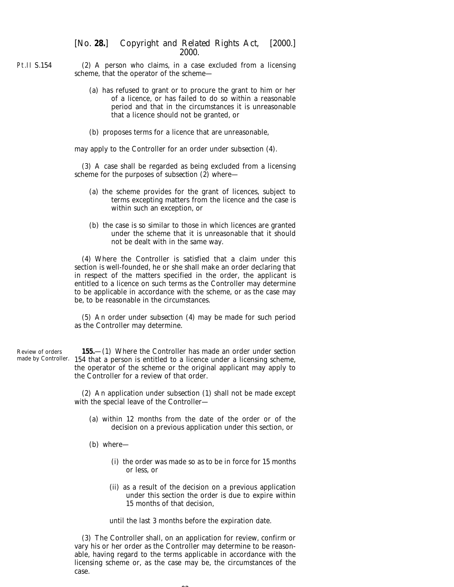Pt.II S.154 (2) A person who claims, in a case excluded from a licensing scheme, that the operator of the scheme—

- (*a*) has refused to grant or to procure the grant to him or her of a licence, or has failed to do so within a reasonable period and that in the circumstances it is unreasonable that a licence should not be granted, or
- (*b*) proposes terms for a licence that are unreasonable,

may apply to the Controller for an order under *subsection (4)*.

(3) A case shall be regarded as being excluded from a licensing scheme for the purposes of *subsection (2)* where—

- (*a*) the scheme provides for the grant of licences, subject to terms excepting matters from the licence and the case is within such an exception, or
- (*b*) the case is so similar to those in which licences are granted under the scheme that it is unreasonable that it should not be dealt with in the same way.

(4) Where the Controller is satisfied that a claim under this section is well-founded, he or she shall make an order declaring that in respect of the matters specified in the order, the applicant is entitled to a licence on such terms as the Controller may determine to be applicable in accordance with the scheme, or as the case may be, to be reasonable in the circumstances.

(5) An order under *subsection (4)* may be made for such period as the Controller may determine.

Review of orders made by Controller. *154* that a person is entitled to a licence under a licensing scheme, **155.**—(1) Where the Controller has made an order under *section* the operator of the scheme or the original applicant may apply to the Controller for a review of that order.

> (2) An application under *subsection (1)* shall not be made except with the special leave of the Controller—

- (*a*) within 12 months from the date of the order or of the decision on a previous application under this section, or
- (*b*) where—
	- (i) the order was made so as to be in force for 15 months or less, or
	- (ii) as a result of the decision on a previous application under this section the order is due to expire within 15 months of that decision,

until the last 3 months before the expiration date.

(3) The Controller shall, on an application for review, confirm or vary his or her order as the Controller may determine to be reasonable, having regard to the terms applicable in accordance with the licensing scheme or, as the case may be, the circumstances of the case.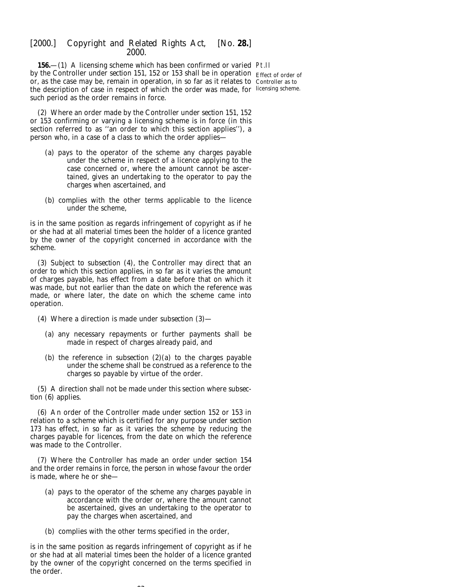**156.**—(1) A licensing scheme which has been confirmed or varied Pt.II by the Controller under *section 151, 152* or *153* shall be in operation Effect of order of or, as the case may be, remain in operation, in so far as it relates to Controller as to the description of case in respect of which the order was made, for licensing scheme.such period as the order remains in force.

(2) Where an order made by the Controller under *section 151, 152* or *153* confirming or varying a licensing scheme is in force (in this section referred to as ''an order to which this section applies''), a person who, in a case of a class to which the order applies—

- (*a*) pays to the operator of the scheme any charges payable under the scheme in respect of a licence applying to the case concerned or, where the amount cannot be ascertained, gives an undertaking to the operator to pay the charges when ascertained, and
- (*b*) complies with the other terms applicable to the licence under the scheme,

is in the same position as regards infringement of copyright as if he or she had at all material times been the holder of a licence granted by the owner of the copyright concerned in accordance with the scheme.

(3) Subject to *subsection (4)*, the Controller may direct that an order to which this section applies, in so far as it varies the amount of charges payable, has effect from a date before that on which it was made, but not earlier than the date on which the reference was made, or where later, the date on which the scheme came into operation.

- (4) Where a direction is made under *subsection (3)*
	- (*a*) any necessary repayments or further payments shall be made in respect of charges already paid, and
	- (*b*) the reference in *subsection (2)(a)* to the charges payable under the scheme shall be construed as a reference to the charges so payable by virtue of the order.

(5) A direction shall not be made under this section where *subsection (6)* applies.

(6) An order of the Controller made under *section 152* or *153* in relation to a scheme which is certified for any purpose under *section 173* has effect, in so far as it varies the scheme by reducing the charges payable for licences, from the date on which the reference was made to the Controller.

(7) Where the Controller has made an order under *section 154* and the order remains in force, the person in whose favour the order is made, where he or she—

- (*a*) pays to the operator of the scheme any charges payable in accordance with the order or, where the amount cannot be ascertained, gives an undertaking to the operator to pay the charges when ascertained, and
- (*b*) complies with the other terms specified in the order,

is in the same position as regards infringement of copyright as if he or she had at all material times been the holder of a licence granted by the owner of the copyright concerned on the terms specified in the order.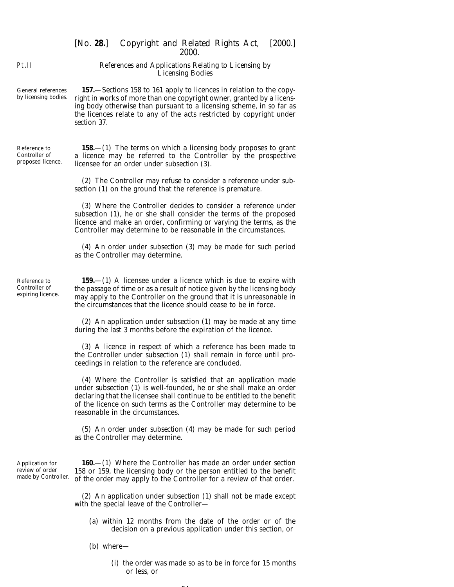*References and Applications Relating to Licensing by Licensing Bodies*

General references by licensing bodies. **157.**—*Sections 158* to *161* apply to licences in relation to the copyright in works of more than one copyright owner, granted by a licensing body otherwise than pursuant to a licensing scheme, in so far as the licences relate to any of the acts restricted by copyright under *section 37*.

Reference to Controller of proposed licence.

Pt.II

**158.**—(1) The terms on which a licensing body proposes to grant a licence may be referred to the Controller by the prospective licensee for an order under *subsection (3)*.

(2) The Controller may refuse to consider a reference under *subsection (1)* on the ground that the reference is premature.

(3) Where the Controller decides to consider a reference under *subsection (1)*, he or she shall consider the terms of the proposed licence and make an order, confirming or varying the terms, as the Controller may determine to be reasonable in the circumstances.

(4) An order under *subsection (3)* may be made for such period as the Controller may determine.

Reference to Controller of expiring licence.

**159.**—(1) A licensee under a licence which is due to expire with the passage of time or as a result of notice given by the licensing body may apply to the Controller on the ground that it is unreasonable in the circumstances that the licence should cease to be in force.

(2) An application under *subsection (1)* may be made at any time during the last 3 months before the expiration of the licence.

(3) A licence in respect of which a reference has been made to the Controller under *subsection (1)* shall remain in force until proceedings in relation to the reference are concluded.

(4) Where the Controller is satisfied that an application made under *subsection* (1) is well-founded, he or she shall make an order declaring that the licensee shall continue to be entitled to the benefit of the licence on such terms as the Controller may determine to be reasonable in the circumstances.

(5) An order under *subsection (4)* may be made for such period as the Controller may determine.

Application for review of order made by Controller.

**160.**—(1) Where the Controller has made an order under *section 158* or *159*, the licensing body or the person entitled to the benefit of the order may apply to the Controller for a review of that order.

(2) An application under *subsection (1)* shall not be made except with the special leave of the Controller—

- (*a*) within 12 months from the date of the order or of the decision on a previous application under this section, or
- (*b*) where—
	- (i) the order was made so as to be in force for 15 months or less, or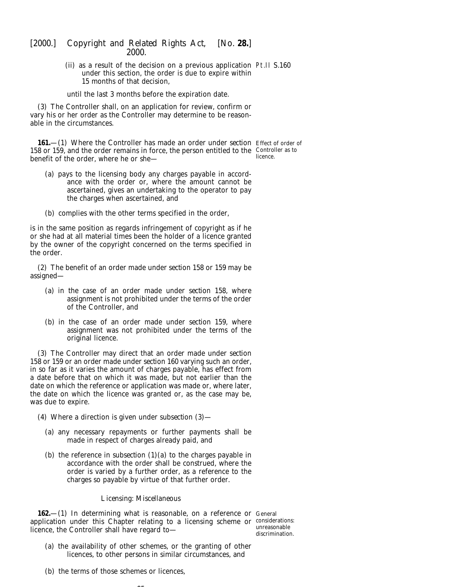(ii) as a result of the decision on a previous application Pt.II S.160 under this section, the order is due to expire within 15 months of that decision,

until the last 3 months before the expiration date.

(3) The Controller shall, on an application for review, confirm or vary his or her order as the Controller may determine to be reasonable in the circumstances.

**161.**—(1) Where the Controller has made an order under *section* Effect of order of 158 or 159, and the order remains in force, the person entitled to the Controller as to benefit of the order, where he or she licence.

- (*a*) pays to the licensing body any charges payable in accordance with the order or, where the amount cannot be ascertained, gives an undertaking to the operator to pay the charges when ascertained, and
- (*b*) complies with the other terms specified in the order,

is in the same position as regards infringement of copyright as if he or she had at all material times been the holder of a licence granted by the owner of the copyright concerned on the terms specified in the order.

(2) The benefit of an order made under *section 158* or *159* may be assigned—

- (*a*) in the case of an order made under *section 158*, where assignment is not prohibited under the terms of the order of the Controller, and
- (*b*) in the case of an order made under *section 159*, where assignment was not prohibited under the terms of the original licence.

(3) The Controller may direct that an order made under *section 158* or *159* or an order made under *section 160* varying such an order, in so far as it varies the amount of charges payable, has effect from a date before that on which it was made, but not earlier than the date on which the reference or application was made or, where later, the date on which the licence was granted or, as the case may be, was due to expire.

- (4) Where a direction is given under *subsection (3)*
	- (*a*) any necessary repayments or further payments shall be made in respect of charges already paid, and
	- (*b*) the reference in *subsection (1)(a)* to the charges payable in accordance with the order shall be construed, where the order is varied by a further order, as a reference to the charges so payable by virtue of that further order.

### *Licensing: Miscellaneous*

**162.**—(1) In determining what is reasonable, on a reference or General application under this Chapter relating to a licensing scheme or considerations: licence, the Controller shall have regard to—

 $\sim$   $\sim$ 

unreasonable discrimination.

- (*a*) the availability of other schemes, or the granting of other licences, to other persons in similar circumstances, and
- (*b*) the terms of those schemes or licences,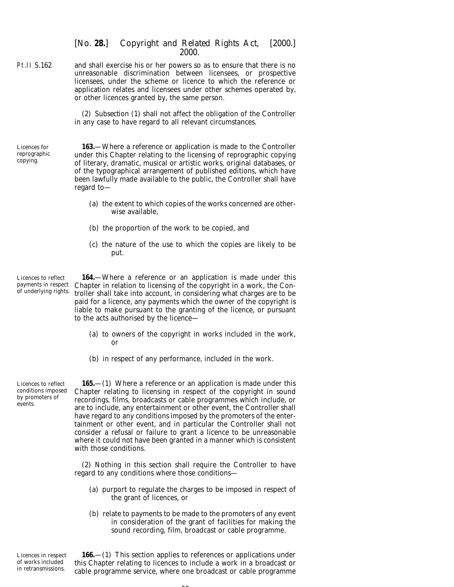Pt.II S.162 and shall exercise his or her powers so as to ensure that there is no unreasonable discrimination between licensees, or prospective licensees, under the scheme or licence to which the reference or application relates and licensees under other schemes operated by, or other licences granted by, the same person.

> (2) *Subsection (1)* shall not affect the obligation of the Controller in any case to have regard to all relevant circumstances.

Licences for reprographic copying.

**163.**—Where a reference or application is made to the Controller under this Chapter relating to the licensing of reprographic copying of literary, dramatic, musical or artistic works, original databases, or of the typographical arrangement of published editions, which have been lawfully made available to the public, the Controller shall have regard to—

- (*a*) the extent to which copies of the works concerned are otherwise available,
- (*b*) the proportion of the work to be copied, and
- (*c*) the nature of the use to which the copies are likely to be put.

Licences to reflect payments in respect of underlying rights.

**164.**—Where a reference or an application is made under this Chapter in relation to licensing of the copyright in a work, the Controller shall take into account, in considering what charges are to be paid for a licence, any payments which the owner of the copyright is liable to make pursuant to the granting of the licence, or pursuant to the acts authorised by the licence—

- (*a*) to owners of the copyright in works included in the work, or
- (*b*) in respect of any performance, included in the work.

Licences to reflect conditions imposed by promoters of events.

**165.**—(1) Where a reference or an application is made under this Chapter relating to licensing in respect of the copyright in sound recordings, films, broadcasts or cable programmes which include, or are to include, any entertainment or other event, the Controller shall have regard to any conditions imposed by the promoters of the entertainment or other event, and in particular the Controller shall not consider a refusal or failure to grant a licence to be unreasonable where it could not have been granted in a manner which is consistent with those conditions.

(2) Nothing in this section shall require the Controller to have regard to any conditions where those conditions—

- (*a*) purport to regulate the charges to be imposed in respect of the grant of licences, or
- (*b*) relate to payments to be made to the promoters of any event in consideration of the grant of facilities for making the sound recording, film, broadcast or cable programme.

Licences in respect of works included in retransmissions.

**166.**—(1) This section applies to references or applications under this Chapter relating to licences to include a work in a broadcast or cable programme service, where one broadcast or cable programme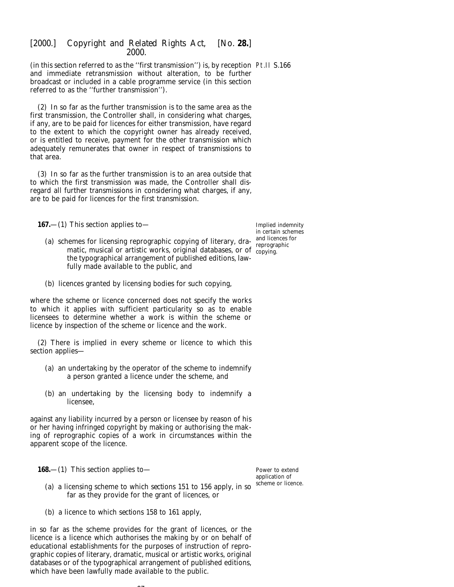(in this section referred to as the ''first transmission'') is, by reception Pt.II S.166 and immediate retransmission without alteration, to be further broadcast or included in a cable programme service (in this section referred to as the ''further transmission'').

(2) In so far as the further transmission is to the same area as the first transmission, the Controller shall, in considering what charges, if any, are to be paid for licences for either transmission, have regard to the extent to which the copyright owner has already received, or is entitled to receive, payment for the other transmission which adequately remunerates that owner in respect of transmissions to that area.

(3) In so far as the further transmission is to an area outside that to which the first transmission was made, the Controller shall disregard all further transmissions in considering what charges, if any, are to be paid for licences for the first transmission.

**167.**—(1) This section applies to—

- (*a*) schemes for licensing reprographic copying of literary, dramatic, musical or artistic works, original databases, or of copying. the typographical arrangement of published editions, lawfully made available to the public, and
- (*b*) licences granted by licensing bodies for such copying,

where the scheme or licence concerned does not specify the works to which it applies with sufficient particularity so as to enable licensees to determine whether a work is within the scheme or licence by inspection of the scheme or licence and the work.

(2) There is implied in every scheme or licence to which this section applies—

- (*a*) an undertaking by the operator of the scheme to indemnify a person granted a licence under the scheme, and
- (*b*) an undertaking by the licensing body to indemnify a licensee,

against any liability incurred by a person or licensee by reason of his or her having infringed copyright by making or authorising the making of reprographic copies of a work in circumstances within the apparent scope of the licence.

**168.**—(1) This section applies to—

(*a*) a licensing scheme to which *sections 151* to *156* apply, in so Power to extend application of scheme or licence.

(*b*) a licence to which *sections 158* to *161* apply,

in so far as the scheme provides for the grant of licences, or the licence is a licence which authorises the making by or on behalf of educational establishments for the purposes of instruction of reprographic copies of literary, dramatic, musical or artistic works, original databases or of the typographical arrangement of published editions, which have been lawfully made available to the public.

 $\sim$ 

far as they provide for the grant of licences, or

Implied indemnity in certain schemes and licences for reprographic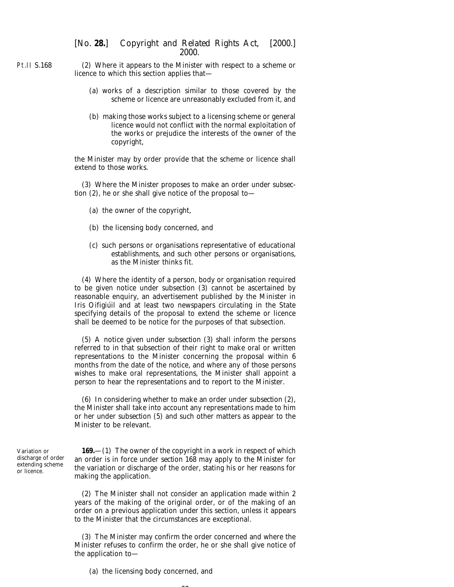Pt.II S.168 (2) Where it appears to the Minister with respect to a scheme or licence to which this section applies that—

- (*a*) works of a description similar to those covered by the scheme or licence are unreasonably excluded from it, and
- (*b*) making those works subject to a licensing scheme or general licence would not conflict with the normal exploitation of the works or prejudice the interests of the owner of the copyright,

the Minister may by order provide that the scheme or licence shall extend to those works.

(3) Where the Minister proposes to make an order under *subsection (2)*, he or she shall give notice of the proposal to—

- (*a*) the owner of the copyright,
- (*b*) the licensing body concerned, and
- (*c*) such persons or organisations representative of educational establishments, and such other persons or organisations, as the Minister thinks fit.

(4) Where the identity of a person, body or organisation required to be given notice under *subsection (3)* cannot be ascertained by reasonable enquiry, an advertisement published by the Minister in *Iris Oifigiúil* and at least two newspapers circulating in the State specifying details of the proposal to extend the scheme or licence shall be deemed to be notice for the purposes of that subsection.

(5) A notice given under *subsection (3)* shall inform the persons referred to in that subsection of their right to make oral or written representations to the Minister concerning the proposal within 6 months from the date of the notice, and where any of those persons wishes to make oral representations, the Minister shall appoint a person to hear the representations and to report to the Minister.

(6) In considering whether to make an order under *subsection (2)*, the Minister shall take into account any representations made to him or her under *subsection (5)* and such other matters as appear to the Minister to be relevant.

Variation or discharge of order extending scheme or licence.

**169.**—(1) The owner of the copyright in a work in respect of which an order is in force under *section 168* may apply to the Minister for the variation or discharge of the order, stating his or her reasons for making the application.

(2) The Minister shall not consider an application made within 2 years of the making of the original order, or of the making of an order on a previous application under this section, unless it appears to the Minister that the circumstances are exceptional.

(3) The Minister may confirm the order concerned and where the Minister refuses to confirm the order, he or she shall give notice of the application to—

 $\sim$ 

(*a*) the licensing body concerned, and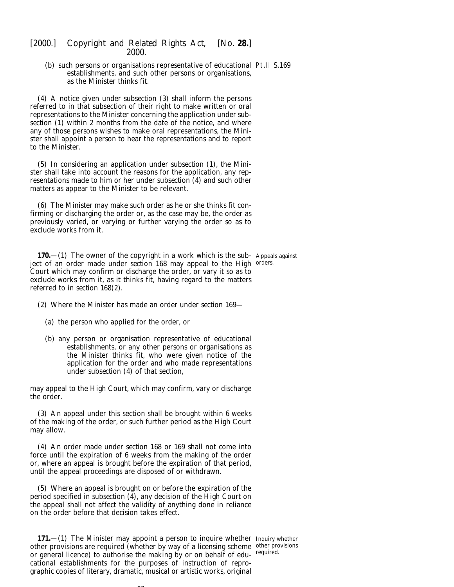(*b*) such persons or organisations representative of educational Pt.II S.169 establishments, and such other persons or organisations, as the Minister thinks fit.

(4) A notice given under *subsection (3)* shall inform the persons referred to in that subsection of their right to make written or oral representations to the Minister concerning the application under *subsection (1)* within 2 months from the date of the notice, and where any of those persons wishes to make oral representations, the Minister shall appoint a person to hear the representations and to report to the Minister.

(5) In considering an application under *subsection (1)*, the Minister shall take into account the reasons for the application, any representations made to him or her under *subsection (4)* and such other matters as appear to the Minister to be relevant.

(6) The Minister may make such order as he or she thinks fit confirming or discharging the order or, as the case may be, the order as previously varied, or varying or further varying the order so as to exclude works from it.

**170.**—(1) The owner of the copyright in a work which is the sub- Appeals against ject of an order made under *section 168* may appeal to the High <sup>orders.</sup> Court which may confirm or discharge the order, or vary it so as to exclude works from it, as it thinks fit, having regard to the matters referred to in *section 168(2)*.

(2) Where the Minister has made an order under *section 169*—

- (*a*) the person who applied for the order, or
- (*b*) any person or organisation representative of educational establishments, or any other persons or organisations as the Minister thinks fit, who were given notice of the application for the order and who made representations under *subsection (4)* of that section,

may appeal to the High Court, which may confirm, vary or discharge the order.

(3) An appeal under this section shall be brought within 6 weeks of the making of the order, or such further period as the High Court may allow.

(4) An order made under *section 168* or *169* shall not come into force until the expiration of 6 weeks from the making of the order or, where an appeal is brought before the expiration of that period, until the appeal proceedings are disposed of or withdrawn.

(5) Where an appeal is brought on or before the expiration of the period specified in *subsection (4)*, any decision of the High Court on the appeal shall not affect the validity of anything done in reliance on the order before that decision takes effect.

**171.**—(1) The Minister may appoint a person to inquire whether Inquiry whether other provisions are required (whether by way of a licensing scheme other provisions or general licence) to authorise the making by or on behalf of edu-required. cational establishments for the purposes of instruction of reprographic copies of literary, dramatic, musical or artistic works, original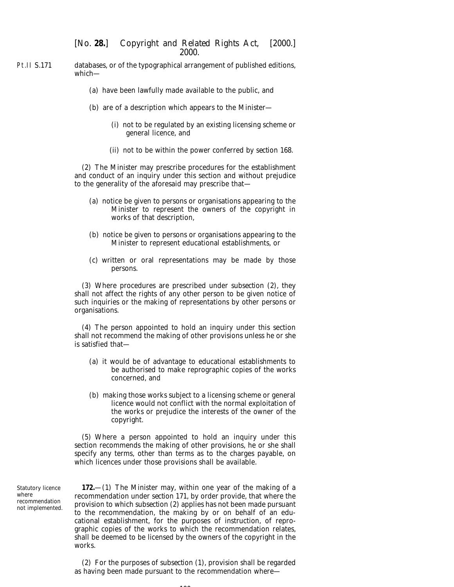- Pt.II S.171 databases, or of the typographical arrangement of published editions, which—
	- (*a*) have been lawfully made available to the public, and
	- (*b*) are of a description which appears to the Minister—
		- (i) not to be regulated by an existing licensing scheme or general licence, and
		- (ii) not to be within the power conferred by *section 168*.

(2) The Minister may prescribe procedures for the establishment and conduct of an inquiry under this section and without prejudice to the generality of the aforesaid may prescribe that—

- (*a*) notice be given to persons or organisations appearing to the Minister to represent the owners of the copyright in works of that description,
- (*b*) notice be given to persons or organisations appearing to the Minister to represent educational establishments, or
- (*c*) written or oral representations may be made by those persons.

(3) Where procedures are prescribed under *subsection (2)*, they shall not affect the rights of any other person to be given notice of such inquiries or the making of representations by other persons or organisations.

(4) The person appointed to hold an inquiry under this section shall not recommend the making of other provisions unless he or she is satisfied that—

- (*a*) it would be of advantage to educational establishments to be authorised to make reprographic copies of the works concerned, and
- (*b*) making those works subject to a licensing scheme or general licence would not conflict with the normal exploitation of the works or prejudice the interests of the owner of the copyright.

(5) Where a person appointed to hold an inquiry under this section recommends the making of other provisions, he or she shall specify any terms, other than terms as to the charges payable, on which licences under those provisions shall be available.

Statutory licence where recommendation not implemented.

**172.**—(1) The Minister may, within one year of the making of a recommendation under *section 171*, by order provide, that where the provision to which *subsection (2)* applies has not been made pursuant to the recommendation, the making by or on behalf of an educational establishment, for the purposes of instruction, of reprographic copies of the works to which the recommendation relates, shall be deemed to be licensed by the owners of the copyright in the works.

(2) For the purposes of *subsection (1)*, provision shall be regarded as having been made pursuant to the recommendation where—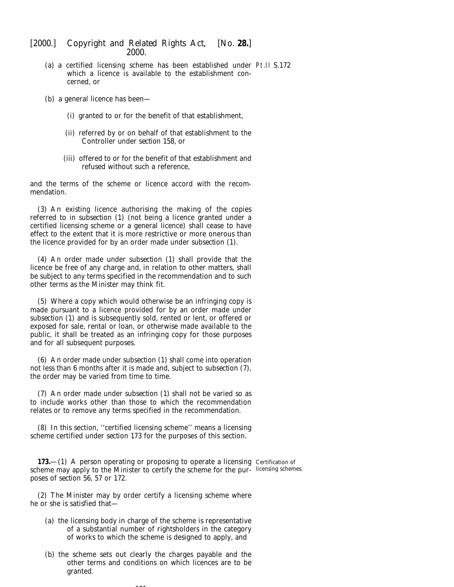- (*a*) a certified licensing scheme has been established under Pt.II S.172 which a licence is available to the establishment concerned, or
- (*b*) a general licence has been—
	- (i) granted to or for the benefit of that establishment,
	- (ii) referred by or on behalf of that establishment to the Controller under *section 158*, or
	- (iii) offered to or for the benefit of that establishment and refused without such a reference,

and the terms of the scheme or licence accord with the recommendation.

(3) An existing licence authorising the making of the copies referred to in *subsection (1)* (not being a licence granted under a certified licensing scheme or a general licence) shall cease to have effect to the extent that it is more restrictive or more onerous than the licence provided for by an order made under *subsection (1)*.

(4) An order made under *subsection (1)* shall provide that the licence be free of any charge and, in relation to other matters, shall be subject to any terms specified in the recommendation and to such other terms as the Minister may think fit.

(5) Where a copy which would otherwise be an infringing copy is made pursuant to a licence provided for by an order made under *subsection (1)* and is subsequently sold, rented or lent, or offered or exposed for sale, rental or loan, or otherwise made available to the public, it shall be treated as an infringing copy for those purposes and for all subsequent purposes.

(6) An order made under *subsection (1)* shall come into operation not less than 6 months after it is made and, subject to *subsection (7)*, the order may be varied from time to time.

(7) An order made under *subsection (1)* shall not be varied so as to include works other than those to which the recommendation relates or to remove any terms specified in the recommendation.

(8) In this section, ''certified licensing scheme'' means a licensing scheme certified under *section 173* for the purposes of this section.

**173.**—(1) A person operating or proposing to operate a licensing Certification of scheme may apply to the Minister to certify the scheme for the pur-licensing schemes.poses of *section 56, 57* or *172.*

(2) The Minister may by order certify a licensing scheme where he or she is satisfied that—

- (*a*) the licensing body in charge of the scheme is representative of a substantial number of rightsholders in the category of works to which the scheme is designed to apply, and
- (*b*) the scheme sets out clearly the charges payable and the other terms and conditions on which licences are to be granted.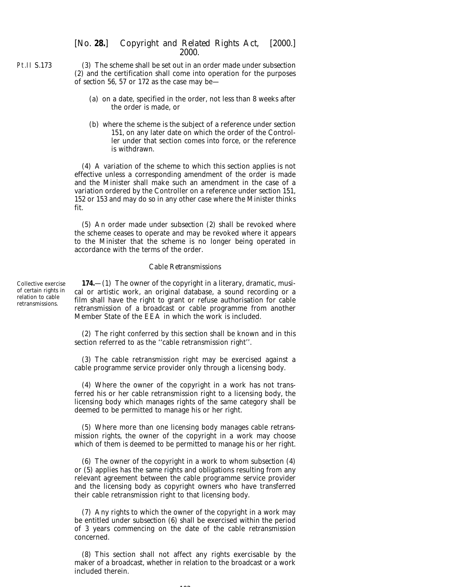(3) The scheme shall be set out in an order made under *subsection (2)* and the certification shall come into operation for the purposes of *section 56, 57* or *172* as the case may be—

- (*a*) on a date, specified in the order, not less than 8 weeks after the order is made, or
- (*b*) where the scheme is the subject of a reference under *section 151*, on any later date on which the order of the Controller under that section comes into force, or the reference is withdrawn.

(4) A variation of the scheme to which this section applies is not effective unless a corresponding amendment of the order is made and the Minister shall make such an amendment in the case of a variation ordered by the Controller on a reference under *section 151, 152* or *153* and may do so in any other case where the Minister thinks fit.

(5) An order made under *subsection (2)* shall be revoked where the scheme ceases to operate and may be revoked where it appears to the Minister that the scheme is no longer being operated in accordance with the terms of the order.

#### *Cable Retransmissions*

Collective exercise of certain rights in relation to cable retransmissions.

**174.**—(1) The owner of the copyright in a literary, dramatic, musical or artistic work, an original database, a sound recording or a film shall have the right to grant or refuse authorisation for cable retransmission of a broadcast or cable programme from another Member State of the EEA in which the work is included.

(2) The right conferred by this section shall be known and in this section referred to as the ''cable retransmission right''.

(3) The cable retransmission right may be exercised against a cable programme service provider only through a licensing body.

(4) Where the owner of the copyright in a work has not transferred his or her cable retransmission right to a licensing body, the licensing body which manages rights of the same category shall be deemed to be permitted to manage his or her right.

(5) Where more than one licensing body manages cable retransmission rights, the owner of the copyright in a work may choose which of them is deemed to be permitted to manage his or her right.

(6) The owner of the copyright in a work to whom *subsection (4)* or *(5)* applies has the same rights and obligations resulting from any relevant agreement between the cable programme service provider and the licensing body as copyright owners who have transferred their cable retransmission right to that licensing body.

(7) Any rights to which the owner of the copyright in a work may be entitled under *subsection (6)* shall be exercised within the period of 3 years commencing on the date of the cable retransmission concerned.

(8) This section shall not affect any rights exercisable by the maker of a broadcast, whether in relation to the broadcast or a work included therein.

Pt.II S.173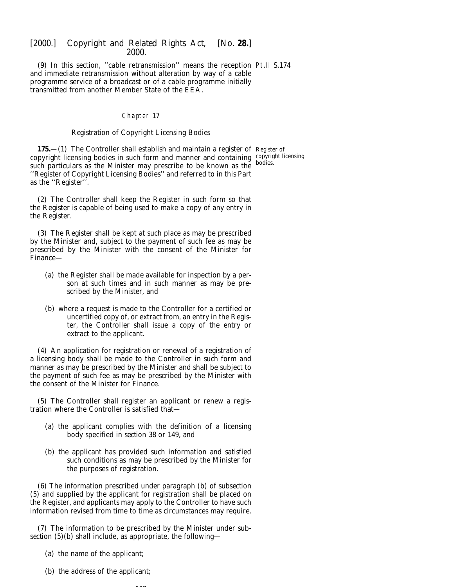(9) In this section, ''cable retransmission'' means the reception Pt.II S.174 and immediate retransmission without alteration by way of a cable programme service of a broadcast or of a cable programme initially transmitted from another Member State of the EEA.

### Chapter 17

#### *Registration of Copyright Licensing Bodies*

**175.—(1)** The Controller shall establish and maintain a register of Register of copyright licensing bodies in such form and manner and containing copyright licensing such particulars as the Minister may prescribe to be known as the bodies. ''Register of Copyright Licensing Bodies'' and referred to in this Part as the ''Register''.

(2) The Controller shall keep the Register in such form so that the Register is capable of being used to make a copy of any entry in the Register.

(3) The Register shall be kept at such place as may be prescribed by the Minister and, subject to the payment of such fee as may be prescribed by the Minister with the consent of the Minister for Finance—

- (*a*) the Register shall be made available for inspection by a person at such times and in such manner as may be prescribed by the Minister, and
- (*b*) where a request is made to the Controller for a certified or uncertified copy of, or extract from, an entry in the Register, the Controller shall issue a copy of the entry or extract to the applicant.

(4) An application for registration or renewal of a registration of a licensing body shall be made to the Controller in such form and manner as may be prescribed by the Minister and shall be subject to the payment of such fee as may be prescribed by the Minister with the consent of the Minister for Finance.

(5) The Controller shall register an applicant or renew a registration where the Controller is satisfied that—

- (*a*) the applicant complies with the definition of a licensing body specified in *section 38* or *149*, and
- (*b*) the applicant has provided such information and satisfied such conditions as may be prescribed by the Minister for the purposes of registration.

(6) The information prescribed under *paragraph (b)* of *subsection (5)* and supplied by the applicant for registration shall be placed on the Register, and applicants may apply to the Controller to have such information revised from time to time as circumstances may require.

(7) The information to be prescribed by the Minister under *subsection (5)(b)* shall include, as appropriate, the following—

- (*a*) the name of the applicant;
- (*b*) the address of the applicant;

 $103$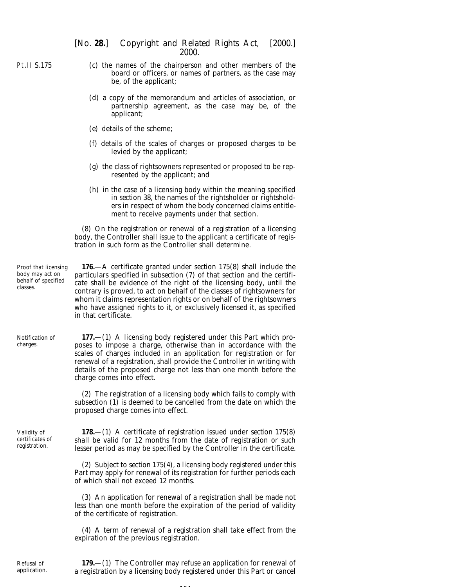Pt.II S.175

- (*c*) the names of the chairperson and other members of the board or officers, or names of partners, as the case may be, of the applicant;
- (*d*) a copy of the memorandum and articles of association, or partnership agreement, as the case may be, of the applicant;
- (*e*) details of the scheme;
- (*f*) details of the scales of charges or proposed charges to be levied by the applicant;
- (*g*) the class of rightsowners represented or proposed to be represented by the applicant; and
- (*h*) in the case of a licensing body within the meaning specified in *section 38*, the names of the rightsholder or rightsholders in respect of whom the body concerned claims entitlement to receive payments under that section.

(8) On the registration or renewal of a registration of a licensing body, the Controller shall issue to the applicant a certificate of registration in such form as the Controller shall determine.

Proof that licensing body may act on behalf of specified classes.

**176.**—A certificate granted under *section 175(8)* shall include the particulars specified in *subsection (7)* of that section and the certificate shall be evidence of the right of the licensing body, until the contrary is proved, to act on behalf of the classes of rightsowners for whom it claims representation rights or on behalf of the rightsowners who have assigned rights to it, or exclusively licensed it, as specified in that certificate.

Notification of charges.

**177.**—(1) A licensing body registered under this Part which proposes to impose a charge, otherwise than in accordance with the scales of charges included in an application for registration or for renewal of a registration, shall provide the Controller in writing with details of the proposed charge not less than one month before the charge comes into effect.

(2) The registration of a licensing body which fails to comply with *subsection (1*) is deemed to be cancelled from the date on which the proposed charge comes into effect.

Validity of certificates of registration.

**178.**—(1) A certificate of registration issued under *section 175(8)* shall be valid for 12 months from the date of registration or such lesser period as may be specified by the Controller in the certificate.

(2) Subject to *section 175(4)*, a licensing body registered under this Part may apply for renewal of its registration for further periods each of which shall not exceed 12 months.

(3) An application for renewal of a registration shall be made not less than one month before the expiration of the period of validity of the certificate of registration.

(4) A term of renewal of a registration shall take effect from the expiration of the previous registration.

Refusal of application.

**179.**—(1) The Controller may refuse an application for renewal of a registration by a licensing body registered under this Part or cancel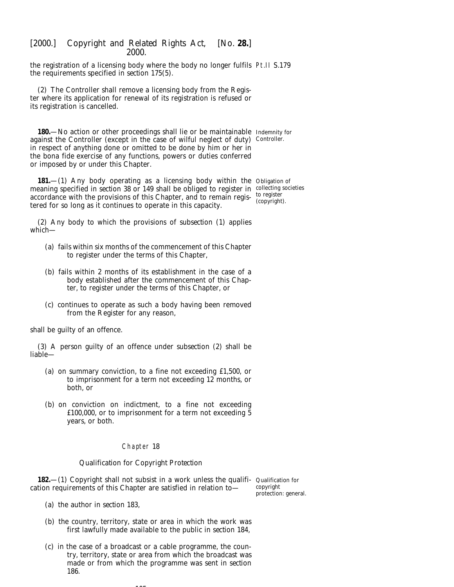the registration of a licensing body where the body no longer fulfils Pt.II S.179 the requirements specified in *section 175(5)*.

(2) The Controller shall remove a licensing body from the Register where its application for renewal of its registration is refused or its registration is cancelled.

**180.**—No action or other proceedings shall lie or be maintainable Indemnity for against the Controller (except in the case of wilful neglect of duty) Controller. in respect of anything done or omitted to be done by him or her in the *bona fide* exercise of any functions, powers or duties conferred or imposed by or under this Chapter.

**181.**—(1) Any body operating as a licensing body within the Obligation of meaning specified in *section 38* or *149* shall be obliged to register in collecting societies accordance with the provisions of this Chapter, and to remain regis- to register tered for so long as it continues to operate in this capacity.

(copyright).

(2) Any body to which the provisions of *subsection (1)* applies which—

- (*a*) fails within six months of the commencement of this Chapter to register under the terms of this Chapter,
- (*b*) fails within 2 months of its establishment in the case of a body established after the commencement of this Chapter, to register under the terms of this Chapter, or
- (*c*) continues to operate as such a body having been removed from the Register for any reason,

shall be guilty of an offence.

(3) A person guilty of an offence under *subsection (2)* shall be liable—

- (*a*) on summary conviction, to a fine not exceeding £1,500, or to imprisonment for a term not exceeding 12 months, or both, or
- (*b*) on conviction on indictment, to a fine not exceeding £100,000, or to imprisonment for a term not exceeding 5 years, or both.

#### Chapter 18

#### *Qualification for Copyright Protection*

**182.**—(1) Copyright shall not subsist in a work unless the qualifi- Qualification for cation requirements of this Chapter are satisfied in relation to—

copyright protection: general.

- (*a*) the author in *section 183*,
- (*b*) the country, territory, state or area in which the work was first lawfully made available to the public in *section 184*,
- (*c*) in the case of a broadcast or a cable programme, the country, territory, state or area from which the broadcast was made or from which the programme was sent in *section 186*.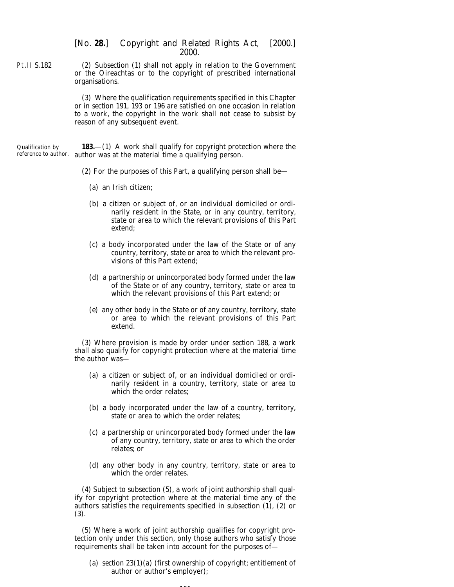(2) *Subsection (1)* shall not apply in relation to the Government or the Oireachtas or to the copyright of prescribed international organisations.

> (3) Where the qualification requirements specified in this Chapter or in *section 191*, *193* or *196* are satisfied on one occasion in relation to a work, the copyright in the work shall not cease to subsist by reason of any subsequent event.

Qualification by reference to author. author was at the material time a qualifying person. **183.**—(1) A work shall qualify for copyright protection where the

(2) For the purposes of this Part, a qualifying person shall be—

- (*a*) an Irish citizen;
- (*b*) a citizen or subject of, or an individual domiciled or ordinarily resident in the State, or in any country, territory, state or area to which the relevant provisions of this Part extend;
- (*c*) a body incorporated under the law of the State or of any country, territory, state or area to which the relevant provisions of this Part extend;
- (*d*) a partnership or unincorporated body formed under the law of the State or of any country, territory, state or area to which the relevant provisions of this Part extend; or
- (*e*) any other body in the State or of any country, territory, state or area to which the relevant provisions of this Part extend.

(3) Where provision is made by order under *section 188*, a work shall also qualify for copyright protection where at the material time the author was—

- (*a*) a citizen or subject of, or an individual domiciled or ordinarily resident in a country, territory, state or area to which the order relates;
- (*b*) a body incorporated under the law of a country, territory, state or area to which the order relates;
- (*c*) a partnership or unincorporated body formed under the law of any country, territory, state or area to which the order relates; or
- (*d*) any other body in any country, territory, state or area to which the order relates.

(4) Subject to *subsection (5)*, a work of joint authorship shall qualify for copyright protection where at the material time any of the authors satisfies the requirements specified in *subsection (1)*, *(2)* or *(3)*.

(5) Where a work of joint authorship qualifies for copyright protection only under this section, only those authors who satisfy those requirements shall be taken into account for the purposes of—

(*a*) *section 23(1)(a)* (first ownership of copyright; entitlement of author or author's employer);

Pt.II S.182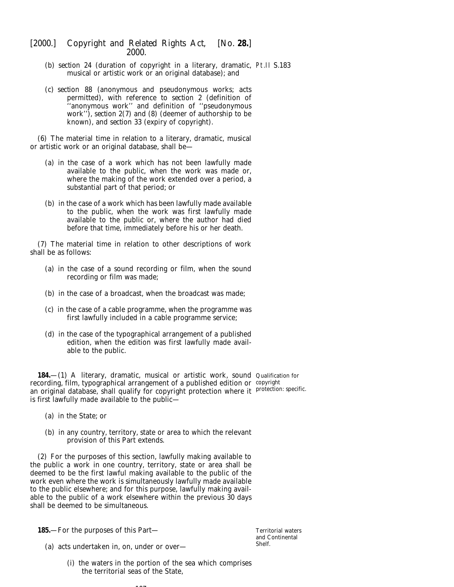- (*b*) *section 24* (duration of copyright in a literary, dramatic, Pt.II S.183 musical or artistic work or an original database); and
- (*c*) *section 88* (anonymous and pseudonymous works; acts permitted), with reference to *section 2* (definition of ''anonymous work'' and definition of ''pseudonymous work''), *section 2(7)* and *(8)* (deemer of authorship to be known), and *section 33* (expiry of copyright).

(6) The material time in relation to a literary, dramatic, musical or artistic work or an original database, shall be—

- (*a*) in the case of a work which has not been lawfully made available to the public, when the work was made or, where the making of the work extended over a period, a substantial part of that period; or
- (*b*) in the case of a work which has been lawfully made available to the public, when the work was first lawfully made available to the public or, where the author had died before that time, immediately before his or her death.

(7) The material time in relation to other descriptions of work shall be as follows:

- (*a*) in the case of a sound recording or film, when the sound recording or film was made;
- (*b*) in the case of a broadcast, when the broadcast was made;
- (*c*) in the case of a cable programme, when the programme was first lawfully included in a cable programme service;
- (*d*) in the case of the typographical arrangement of a published edition, when the edition was first lawfully made available to the public.

**184.**—(1) A literary, dramatic, musical or artistic work, sound Qualification for recording, film, typographical arrangement of a published edition or copyright an original database, shall qualify for copyright protection where it protection: specific. is first lawfully made available to the public—

- (*a*) in the State; or
- (*b*) in any country, territory, state or area to which the relevant provision of this Part extends.

(2) For the purposes of this section, lawfully making available to the public a work in one country, territory, state or area shall be deemed to be the first lawful making available to the public of the work even where the work is simultaneously lawfully made available to the public elsewhere; and for this purpose, lawfully making available to the public of a work elsewhere within the previous 30 days shall be deemed to be simultaneous.

**185.**—For the purposes of this Part—

- (*a*) acts undertaken in, on, under or over—
	- (i) the waters in the portion of the sea which comprises the territorial seas of the State,

Territorial waters and Continental Shelf.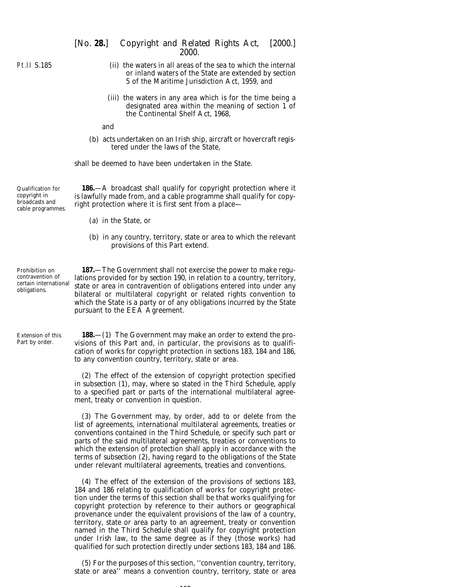## Pt.II S.185

(ii) the waters in all areas of the sea to which the internal or inland waters of the State are extended by section 5 of the Maritime Jurisdiction Act, 1959, and

2000.

(iii) the waters in any area which is for the time being a designated area within the meaning of section 1 of the Continental Shelf Act, 1968,

and

(*b*) acts undertaken on an Irish ship, aircraft or hovercraft registered under the laws of the State,

shall be deemed to have been undertaken in the State.

Qualification for copyright in broadcasts and cable programmes.

**186.**—A broadcast shall qualify for copyright protection where it is lawfully made from, and a cable programme shall qualify for copyright protection where it is first sent from a place—

- (*a*) in the State, or
- (*b*) in any country, territory, state or area to which the relevant provisions of this Part extend.

Prohibition on contravention of certain international obligations.

Extension of this Part by order.

**187.**—The Government shall not exercise the power to make regulations provided for by *section 190*, in relation to a country, territory, state or area in contravention of obligations entered into under any bilateral or multilateral copyright or related rights convention to which the State is a party or of any obligations incurred by the State pursuant to the EEA Agreement.

**188.**—(1) The Government may make an order to extend the provisions of this Part and, in particular, the provisions as to qualification of works for copyright protection in *sections 183, 184* and *186*, to any convention country, territory, state or area.

(2) The effect of the extension of copyright protection specified in *subsection (1)*, may, where so stated in the *Third Schedule*, apply to a specified part or parts of the international multilateral agreement, treaty or convention in question.

(3) The Government may, by order, add to or delete from the list of agreements, international multilateral agreements, treaties or conventions contained in the *Third Schedule*, or specify such part or parts of the said multilateral agreements, treaties or conventions to which the extension of protection shall apply in accordance with the terms of *subsection (2)*, having regard to the obligations of the State under relevant multilateral agreements, treaties and conventions.

(4) The effect of the extension of the provisions of *sections 183, 184* and *186* relating to qualification of works for copyright protection under the terms of this section shall be that works qualifying for copyright protection by reference to their authors or geographical provenance under the equivalent provisions of the law of a country, territory, state or area party to an agreement, treaty or convention named in the *Third Schedule* shall qualify for copyright protection under Irish law, to the same degree as if they (those works) had qualified for such protection directly under *sections 183, 184* and *186*.

(5) For the purposes of this section, ''convention country, territory, state or area'' means a convention country, territory, state or area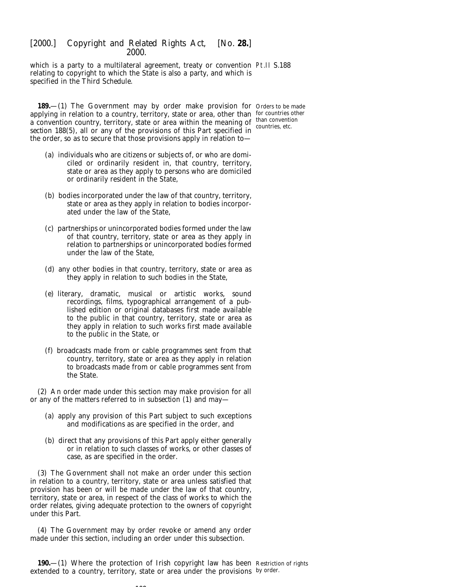which is a party to a multilateral agreement, treaty or convention Pt.II S.188 relating to copyright to which the State is also a party, and which is specified in the *Third Schedule*.

**189.**—(1) The Government may by order make provision for Orders to be made applying in relation to a country, territory, state or area, other than for countries other  $\alpha$  convention country, territory, state or area within the meaning of than convention *section 188(5)*, all or any of the provisions of this Part specified in the order, so as to secure that those provisions apply in relation to—

countries, etc.

- (*a*) individuals who are citizens or subjects of, or who are domiciled or ordinarily resident in, that country, territory, state or area as they apply to persons who are domiciled or ordinarily resident in the State,
- (*b*) bodies incorporated under the law of that country, territory, state or area as they apply in relation to bodies incorporated under the law of the State,
- (*c*) partnerships or unincorporated bodies formed under the law of that country, territory, state or area as they apply in relation to partnerships or unincorporated bodies formed under the law of the State,
- (*d*) any other bodies in that country, territory, state or area as they apply in relation to such bodies in the State,
- (*e*) literary, dramatic, musical or artistic works, sound recordings, films, typographical arrangement of a published edition or original databases first made available to the public in that country, territory, state or area as they apply in relation to such works first made available to the public in the State, or
- (*f*) broadcasts made from or cable programmes sent from that country, territory, state or area as they apply in relation to broadcasts made from or cable programmes sent from the State.

(2) An order made under this section may make provision for all or any of the matters referred to in *subsection (1)* and may—

- (*a*) apply any provision of this Part subject to such exceptions and modifications as are specified in the order, and
- (*b*) direct that any provisions of this Part apply either generally or in relation to such classes of works, or other classes of case, as are specified in the order.

(3) The Government shall not make an order under this section in relation to a country, territory, state or area unless satisfied that provision has been or will be made under the law of that country, territory, state or area, in respect of the class of works to which the order relates, giving adequate protection to the owners of copyright under this Part.

(4) The Government may by order revoke or amend any order made under this section, including an order under this subsection.

**190.**—(1) Where the protection of Irish copyright law has been Restriction of rights extended to a country, territory, state or area under the provisions by order.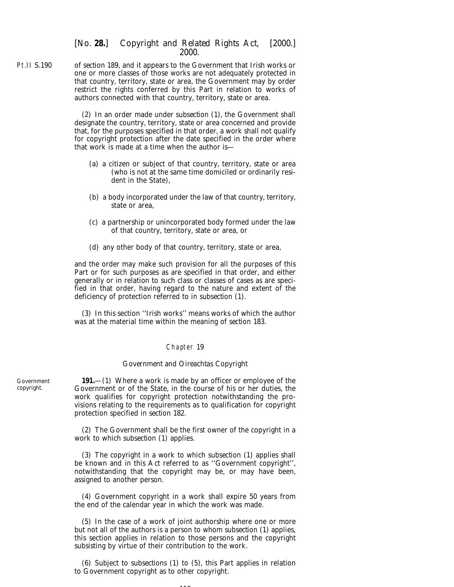Pt.II S.190 of *section 189*, and it appears to the Government that Irish works or one or more classes of those works are not adequately protected in that country, territory, state or area, the Government may by order restrict the rights conferred by this Part in relation to works of authors connected with that country, territory, state or area.

> (2) In an order made under *subsection (1)*, the Government shall designate the country, territory, state or area concerned and provide that, for the purposes specified in that order, a work shall not qualify for copyright protection after the date specified in the order where that work is made at a time when the author is—

- (*a*) a citizen or subject of that country, territory, state or area (who is not at the same time domiciled or ordinarily resident in the State),
- (*b*) a body incorporated under the law of that country, territory, state or area,
- (*c*) a partnership or unincorporated body formed under the law of that country, territory, state or area, or
- (*d*) any other body of that country, territory, state or area,

and the order may make such provision for all the purposes of this Part or for such purposes as are specified in that order, and either generally or in relation to such class or classes of cases as are specified in that order, having regard to the nature and extent of the deficiency of protection referred to in *subsection (1)*.

(3) In this section ''Irish works'' means works of which the author was at the material time within the meaning of *section 183*.

### Chapter 19

#### *Government and Oireachtas Copyright*

**191.**—(1) Where a work is made by an officer or employee of the Government or of the State, in the course of his or her duties, the work qualifies for copyright protection notwithstanding the provisions relating to the requirements as to qualification for copyright protection specified in *section 182*.

(2) The Government shall be the first owner of the copyright in a work to which *subsection (1)* applies.

(3) The copyright in a work to which *subsection (1)* applies shall be known and in this Act referred to as ''Government copyright'', notwithstanding that the copyright may be, or may have been, assigned to another person.

(4) Government copyright in a work shall expire 50 years from the end of the calendar year in which the work was made.

(5) In the case of a work of joint authorship where one or more but not all of the authors is a person to whom *subsection (1)* applies, this section applies in relation to those persons and the copyright subsisting by virtue of their contribution to the work.

(6) Subject to *subsections (1)* to *(5)*, this Part applies in relation to Government copyright as to other copyright.

**110** 

Government copyright.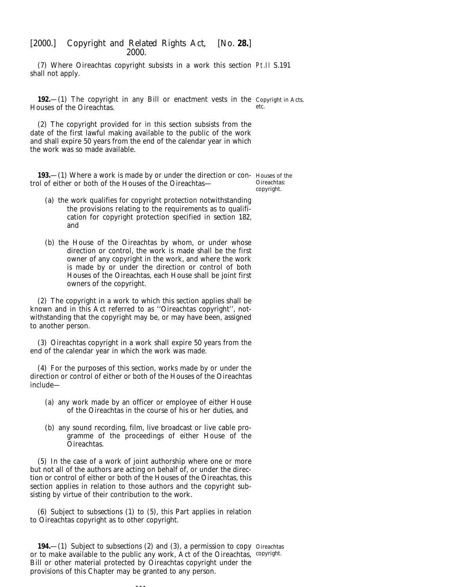(7) Where Oireachtas copyright subsists in a work this section Pt.II S.191 shall not apply.

**192.**—(1) The copyright in any Bill or enactment vests in the Copyright in Acts, Houses of the Oireachtas. etc.

(2) The copyright provided for in this section subsists from the date of the first lawful making available to the public of the work and shall expire 50 years from the end of the calendar year in which the work was so made available.

**193.**—(1) Where a work is made by or under the direction or con- Houses of the trol of either or both of the Houses of the Oireachtas—

Oireachtas: copyright.

- (*a*) the work qualifies for copyright protection notwithstanding the provisions relating to the requirements as to qualification for copyright protection specified in *section 182*, and
- (*b*) the House of the Oireachtas by whom, or under whose direction or control, the work is made shall be the first owner of any copyright in the work, and where the work is made by or under the direction or control of both Houses of the Oireachtas, each House shall be joint first owners of the copyright.

(2) The copyright in a work to which this section applies shall be known and in this Act referred to as ''Oireachtas copyright'', notwithstanding that the copyright may be, or may have been, assigned to another person.

(3) Oireachtas copyright in a work shall expire 50 years from the end of the calendar year in which the work was made.

(4) For the purposes of this section, works made by or under the direction or control of either or both of the Houses of the Oireachtas include—

- (*a*) any work made by an officer or employee of either House of the Oireachtas in the course of his or her duties, and
- (*b*) any sound recording, film, live broadcast or live cable programme of the proceedings of either House of the Oireachtas.

(5) In the case of a work of joint authorship where one or more but not all of the authors are acting on behalf of, or under the direction or control of either or both of the Houses of the Oireachtas, this section applies in relation to those authors and the copyright subsisting by virtue of their contribution to the work.

(6) Subject to *subsections (1)* to *(5)*, this Part applies in relation to Oireachtas copyright as to other copyright.

**194.**—(1) Subject to *subsections (2)* and *(3)*, a permission to copy Oireachtas or to make available to the public any work, Act of the Oireachtas, copyright.Bill or other material protected by Oireachtas copyright under the provisions of this Chapter may be granted to any person.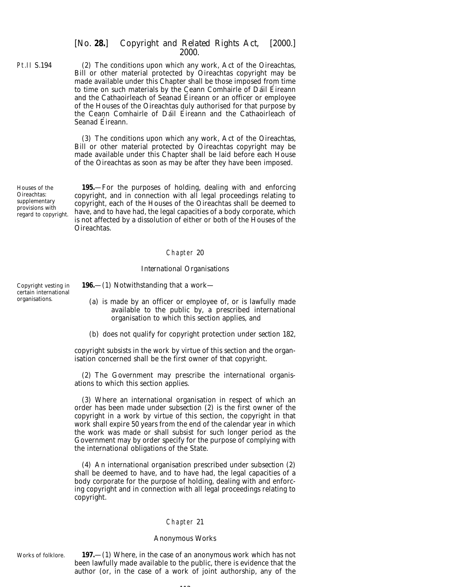Pt.II S.194 (2) The conditions upon which any work, Act of the Oireachtas, Bill or other material protected by Oireachtas copyright may be made available under this Chapter shall be those imposed from time to time on such materials by the Ceann Comhairle of Dáil Éireann and the Cathaoirleach of Seanad Éireann or an officer or employee of the Houses of the Oireachtas duly authorised for that purpose by the Ceann Comhairle of Dáil Éireann and the Cathaoirleach of Seanad Éireann.

> (3) The conditions upon which any work, Act of the Oireachtas, Bill or other material protected by Oireachtas copyright may be made available under this Chapter shall be laid before each House of the Oireachtas as soon as may be after they have been imposed.

Houses of the Oireachtas: supplementary provisions with regard to copyright.

**195.**—For the purposes of holding, dealing with and enforcing copyright, and in connection with all legal proceedings relating to copyright, each of the Houses of the Oireachtas shall be deemed to have, and to have had, the legal capacities of a body corporate, which is not affected by a dissolution of either or both of the Houses of the Oireachtas.

### Chapter 20

### *International Organisations*

Copyright vesting in certain international organisations.

**196.**—(1) Notwithstanding that a work—

(*a*) is made by an officer or employee of, or is lawfully made available to the public by, a prescribed international organisation to which this section applies, and

(*b*) does not qualify for copyright protection under *section 182*,

copyright subsists in the work by virtue of this section and the organisation concerned shall be the first owner of that copyright.

(2) The Government may prescribe the international organisations to which this section applies.

(3) Where an international organisation in respect of which an order has been made under *subsection (2)* is the first owner of the copyright in a work by virtue of this section, the copyright in that work shall expire 50 years from the end of the calendar year in which the work was made or shall subsist for such longer period as the Government may by order specify for the purpose of complying with the international obligations of the State.

(4) An international organisation prescribed under *subsection (2)* shall be deemed to have, and to have had, the legal capacities of a body corporate for the purpose of holding, dealing with and enforcing copyright and in connection with all legal proceedings relating to copyright.

## Chapter 21

### *Anonymous Works*

Works of folklore.

**197.**—(1) Where, in the case of an anonymous work which has not been lawfully made available to the public, there is evidence that the author (or, in the case of a work of joint authorship, any of the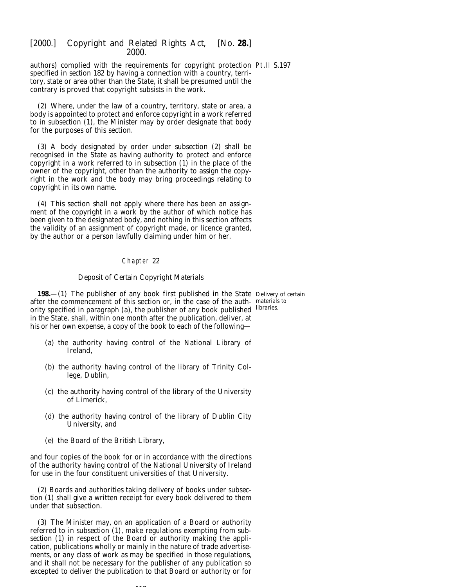authors) complied with the requirements for copyright protection Pt.II S.197 specified in *section 182* by having a connection with a country, territory, state or area other than the State, it shall be presumed until the contrary is proved that copyright subsists in the work.

(2) Where, under the law of a country, territory, state or area, a body is appointed to protect and enforce copyright in a work referred to in *subsection (1)*, the Minister may by order designate that body for the purposes of this section.

(3) A body designated by order under *subsection (2)* shall be recognised in the State as having authority to protect and enforce copyright in a work referred to in *subsection (1)* in the place of the owner of the copyright, other than the authority to assign the copyright in the work and the body may bring proceedings relating to copyright in its own name.

(4) This section shall not apply where there has been an assignment of the copyright in a work by the author of which notice has been given to the designated body, and nothing in this section affects the validity of an assignment of copyright made, or licence granted, by the author or a person lawfully claiming under him or her.

## Chapter 22

# *Deposit of Certain Copyright Materials*

**198.**—(1) The publisher of any book first published in the State Delivery of certain after the commencement of this section or, in the case of the auth-materials to ority specified in *paragraph (a)*, the publisher of any book published libraries. in the State, shall, within one month after the publication, deliver, at his or her own expense, a copy of the book to each of the following—

- (*a*) the authority having control of the National Library of Ireland,
- (*b*) the authority having control of the library of Trinity College, Dublin,
- (*c*) the authority having control of the library of the University of Limerick,
- (*d*) the authority having control of the library of Dublin City University, and
- (*e*) the Board of the British Library,

and four copies of the book for or in accordance with the directions of the authority having control of the National University of Ireland for use in the four constituent universities of that University.

(2) Boards and authorities taking delivery of books under *subsection (1)* shall give a written receipt for every book delivered to them under that subsection.

(3) The Minister may, on an application of a Board or authority referred to in *subsection (1)*, make regulations exempting from *subsection (1)* in respect of the Board or authority making the application, publications wholly or mainly in the nature of trade advertisements, or any class of work as may be specified in those regulations, and it shall not be necessary for the publisher of any publication so excepted to deliver the publication to that Board or authority or for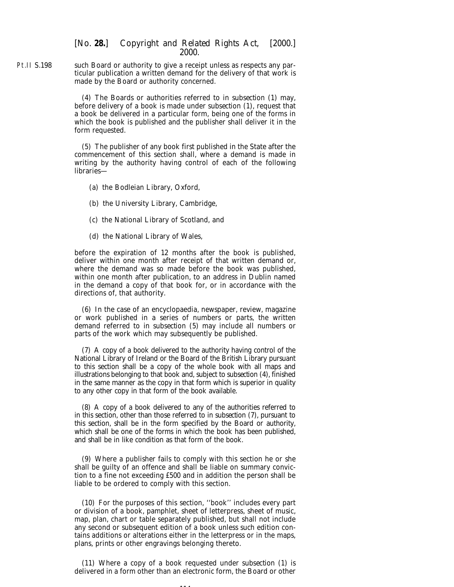Pt.II S.198 such Board or authority to give a receipt unless as respects any particular publication a written demand for the delivery of that work is made by the Board or authority concerned.

> (4) The Boards or authorities referred to in *subsection (1)* may, before delivery of a book is made under *subsection (1)*, request that a book be delivered in a particular form, being one of the forms in which the book is published and the publisher shall deliver it in the form requested.

> (5) The publisher of any book first published in the State after the commencement of this section shall, where a demand is made in writing by the authority having control of each of the following libraries—

- (*a*) the Bodleian Library, Oxford,
- (*b*) the University Library, Cambridge,
- (*c*) the National Library of Scotland, and
- (*d*) the National Library of Wales,

before the expiration of 12 months after the book is published, deliver within one month after receipt of that written demand or, where the demand was so made before the book was published, within one month after publication, to an address in Dublin named in the demand a copy of that book for, or in accordance with the directions of, that authority.

(6) In the case of an encyclopaedia, newspaper, review, magazine or work published in a series of numbers or parts, the written demand referred to in *subsection (5)* may include all numbers or parts of the work which may subsequently be published.

(7) A copy of a book delivered to the authority having control of the National Library of Ireland or the Board of the British Library pursuant to this section shall be a copy of the whole book with all maps and illustrations belonging to that book and, subject to *subsection (4)*, finished in the same manner as the copy in that form which is superior in quality to any other copy in that form of the book available.

(8) A copy of a book delivered to any of the authorities referred to in this section, other than those referred to in *subsection (7)*, pursuant to this section, shall be in the form specified by the Board or authority, which shall be one of the forms in which the book has been published, and shall be in like condition as that form of the book.

(9) Where a publisher fails to comply with this section he or she shall be guilty of an offence and shall be liable on summary conviction to a fine not exceeding £500 and in addition the person shall be liable to be ordered to comply with this section.

(10) For the purposes of this section, ''book'' includes every part or division of a book, pamphlet, sheet of letterpress, sheet of music, map, plan, chart or table separately published, but shall not include any second or subsequent edition of a book unless such edition contains additions or alterations either in the letterpress or in the maps, plans, prints or other engravings belonging thereto.

(11) Where a copy of a book requested under *subsection (1)* is delivered in a form other than an electronic form, the Board or other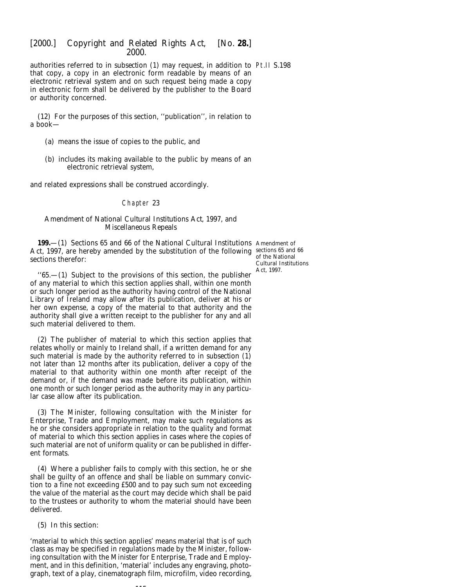authorities referred to in *subsection (1)* may request, in addition to Pt.II S.198 that copy, a copy in an electronic form readable by means of an electronic retrieval system and on such request being made a copy in electronic form shall be delivered by the publisher to the Board or authority concerned.

(12) For the purposes of this section, ''publication'', in relation to a book—

- (*a*) means the issue of copies to the public, and
- (*b*) includes its making available to the public by means of an electronic retrieval system,

and related expressions shall be construed accordingly.

### Chapter 23

## *Amendment of National Cultural Institutions Act, 1997, and Miscellaneous Repeals*

**199.**—(1) Sections 65 and 66 of the National Cultural Institutions Amendment of Act, 1997, are hereby amended by the substitution of the following sections 65 and 66 sections therefor:

of the National Cultural Institutions Act, 1997.

 $(65,-(1)$  Subject to the provisions of this section, the publisher of any material to which this section applies shall, within one month or such longer period as the authority having control of the National Library of Ireland may allow after its publication, deliver at his or her own expense, a copy of the material to that authority and the authority shall give a written receipt to the publisher for any and all such material delivered to them.

(2) The publisher of material to which this section applies that relates wholly or mainly to Ireland shall, if a written demand for any such material is made by the authority referred to in *subsection (1)* not later than 12 months after its publication, deliver a copy of the material to that authority within one month after receipt of the demand or, if the demand was made before its publication, within one month or such longer period as the authority may in any particular case allow after its publication.

(3) The Minister, following consultation with the Minister for Enterprise, Trade and Employment, may make such regulations as he or she considers appropriate in relation to the quality and format of material to which this section applies in cases where the copies of such material are not of uniform quality or can be published in different formats.

(4) Where a publisher fails to comply with this section, he or she shall be guilty of an offence and shall be liable on summary conviction to a fine not exceeding £500 and to pay such sum not exceeding the value of the material as the court may decide which shall be paid to the trustees or authority to whom the material should have been delivered.

(5) In this section:

'material to which this section applies' means material that is of such class as may be specified in regulations made by the Minister, following consultation with the Minister for Enterprise, Trade and Employment, and in this definition, 'material' includes any engraving, photograph, text of a play, cinematograph film, microfilm, video recording,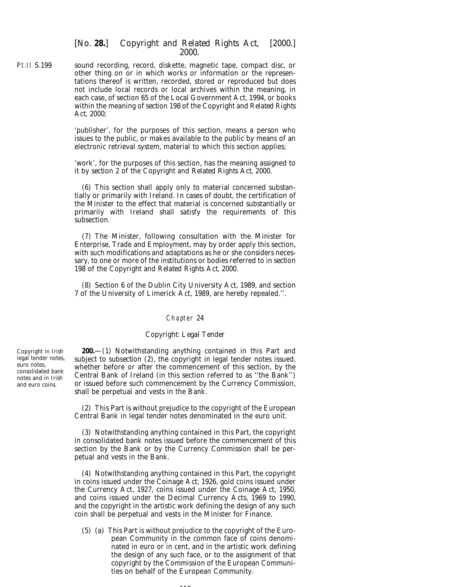Pt.II S.199 sound recording, record, diskette, magnetic tape, compact disc, or other thing on or in which works or information or the representations thereof is written, recorded, stored or reproduced but does not include local records or local archives within the meaning, in each case, of section 65 of the Local Government Act, 1994, or books within the meaning of *section 198* of the *Copyright and Related Rights Act, 2000*;

> 'publisher', for the purposes of this section, means a person who issues to the public, or makes available to the public by means of an electronic retrieval system, material to which this section applies;

> 'work', for the purposes of this section, has the meaning assigned to it by *section 2* of the *Copyright and Related Rights Act, 2000*.

> (6) This section shall apply only to material concerned substantially or primarily with Ireland. In cases of doubt, the certification of the Minister to the effect that material is concerned substantially or primarily with Ireland shall satisfy the requirements of this subsection.

> (7) The Minister, following consultation with the Minister for Enterprise, Trade and Employment, may by order apply this section, with such modifications and adaptations as he or she considers necessary, to one or more of the institutions or bodies referred to in *section 198* of the *Copyright and Related Rights Act, 2000*.

> (8) Section 6 of the Dublin City University Act, 1989, and section 7 of the University of Limerick Act, 1989, are hereby repealed.''.

### Chapter 24

# *Copyright: Legal Tender*

Copyright in Irish legal tender notes, euro notes, consolidated bank notes and in Irish and euro coins.

**200.**—(1) Notwithstanding anything contained in this Part and subject to *subsection (2)*, the copyright in legal tender notes issued, whether before or after the commencement of this section, by the Central Bank of Ireland (in this section referred to as ''the Bank'') or issued before such commencement by the Currency Commission, shall be perpetual and vests in the Bank.

(2) This Part is without prejudice to the copyright of the European Central Bank in legal tender notes denominated in the euro unit.

(3) Notwithstanding anything contained in this Part, the copyright in consolidated bank notes issued before the commencement of this section by the Bank or by the Currency Commission shall be perpetual and vests in the Bank.

(4) Notwithstanding anything contained in this Part, the copyright in coins issued under the Coinage Act, 1926, gold coins issued under the Currency Act, 1927, coins issued under the Coinage Act, 1950, and coins issued under the Decimal Currency Acts, 1969 to 1990, and the copyright in the artistic work defining the design of any such coin shall be perpetual and vests in the Minister for Finance.

(5) (*a*) This Part is without prejudice to the copyright of the European Community in the common face of coins denominated in euro or in cent, and in the artistic work defining the design of any such face, or to the assignment of that copyright by the Commission of the European Communities on behalf of the European Community.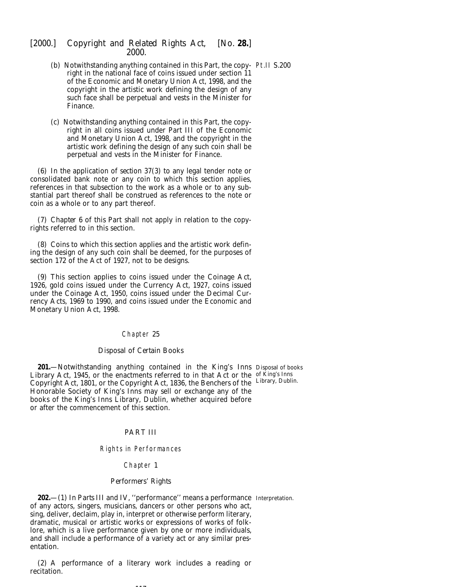- (*b*) Notwithstanding anything contained in this Part, the copy-Pt.II S.200 right in the national face of coins issued under section 11 of the Economic and Monetary Union Act, 1998, and the copyright in the artistic work defining the design of any such face shall be perpetual and vests in the Minister for Finance.
- (*c*) Notwithstanding anything contained in this Part, the copyright in all coins issued under Part III of the Economic and Monetary Union Act, 1998, and the copyright in the artistic work defining the design of any such coin shall be perpetual and vests in the Minister for Finance.

(6) In the application of *section 37(3)* to any legal tender note or consolidated bank note or any coin to which this section applies, references in that subsection to the work as a whole or to any substantial part thereof shall be construed as references to the note or coin as a whole or to any part thereof.

(7) *Chapter 6* of this Part shall not apply in relation to the copyrights referred to in this section.

(8) Coins to which this section applies and the artistic work defining the design of any such coin shall be deemed, for the purposes of section 172 of the Act of 1927, not to be designs.

(9) This section applies to coins issued under the Coinage Act, 1926, gold coins issued under the Currency Act, 1927, coins issued under the Coinage Act, 1950, coins issued under the Decimal Currency Acts, 1969 to 1990, and coins issued under the Economic and Monetary Union Act, 1998.

## Chapter 25

## *Disposal of Certain Books*

**201.**—Notwithstanding anything contained in the King's Inns Disposal of books Library Act, 1945, or the enactments referred to in that Act or the of King's Inns Copyright Act, 1801, or the Copyright Act, 1836, the Benchers of the Library, Dublin. Honorable Society of King's Inns may sell or exchange any of the books of the King's Inns Library, Dublin, whether acquired before or after the commencement of this section.

### PART III

### Rights in Performances

### Chapter 1

# *Performers' Rights*

**202.**—(1) In *Parts III* and *IV*, ''performance'' means a performance Interpretation.of any actors, singers, musicians, dancers or other persons who act, sing, deliver, declaim, play in, interpret or otherwise perform literary, dramatic, musical or artistic works or expressions of works of folklore, which is a live performance given by one or more individuals, and shall include a performance of a variety act or any similar presentation.

(2) A performance of a literary work includes a reading or recitation.

--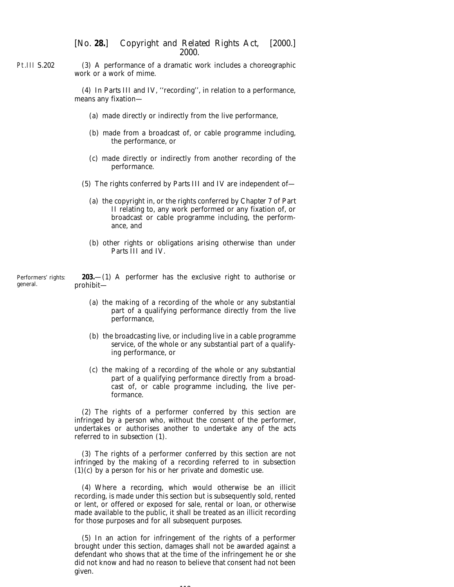Pt.III S.202 (3) A performance of a dramatic work includes a choreographic work or a work of mime.

> (4) In *Parts III* and *IV*, ''recording'', in relation to a performance, means any fixation—

- (*a*) made directly or indirectly from the live performance,
- (*b*) made from a broadcast of, or cable programme including, the performance, or
- (*c*) made directly or indirectly from another recording of the performance.
- (5) The rights conferred by *Parts III* and *IV* are independent of—
	- (*a*) the copyright in, or the rights conferred by *Chapter 7* of *Part II* relating to, any work performed or any fixation of, or broadcast or cable programme including, the performance, and
	- (*b*) other rights or obligations arising otherwise than under *Parts III* and *IV*.

Performers' rights: general. **203.**—(1) A performer has the exclusive right to authorise or prohibit—

- (*a*) the making of a recording of the whole or any substantial part of a qualifying performance directly from the live performance,
- (*b*) the broadcasting live, or including live in a cable programme service, of the whole or any substantial part of a qualifying performance, or
- (*c*) the making of a recording of the whole or any substantial part of a qualifying performance directly from a broadcast of, or cable programme including, the live performance.

(2) The rights of a performer conferred by this section are infringed by a person who, without the consent of the performer, undertakes or authorises another to undertake any of the acts referred to in *subsection (1)*.

(3) The rights of a performer conferred by this section are not infringed by the making of a recording referred to in *subsection (1)(c)* by a person for his or her private and domestic use.

(4) Where a recording, which would otherwise be an illicit recording, is made under this section but is subsequently sold, rented or lent, or offered or exposed for sale, rental or loan, or otherwise made available to the public, it shall be treated as an illicit recording for those purposes and for all subsequent purposes.

(5) In an action for infringement of the rights of a performer brought under this section, damages shall not be awarded against a defendant who shows that at the time of the infringement he or she did not know and had no reason to believe that consent had not been given.

118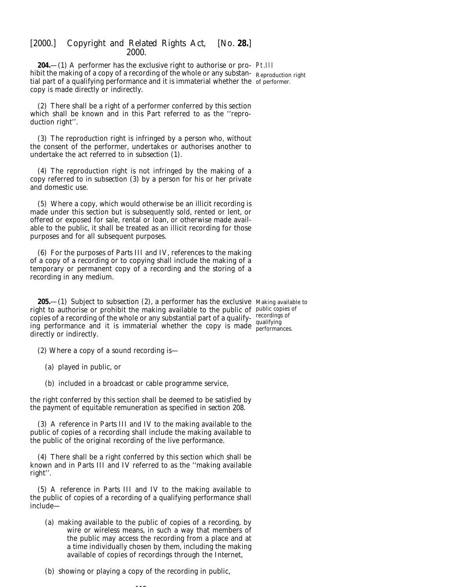**204.**—(1) A performer has the exclusive right to authorise or pro-Pt.III hibit the making of a copy of a recording of the whole or any substan-Reproduction right tial part of a qualifying performance and it is immaterial whether the of performer. copy is made directly or indirectly.

(2) There shall be a right of a performer conferred by this section which shall be known and in this Part referred to as the ''reproduction right''.

(3) The reproduction right is infringed by a person who, without the consent of the performer, undertakes or authorises another to undertake the act referred to in *subsection (1)*.

(4) The reproduction right is not infringed by the making of a copy referred to in *subsection (3)* by a person for his or her private and domestic use.

(5) Where a copy, which would otherwise be an illicit recording is made under this section but is subsequently sold, rented or lent, or offered or exposed for sale, rental or loan, or otherwise made available to the public, it shall be treated as an illicit recording for those purposes and for all subsequent purposes.

(6) For the purposes of *Parts III* and *IV*, references to the making of a copy of a recording or to copying shall include the making of a temporary or permanent copy of a recording and the storing of a recording in any medium.

**205.**—(1) Subject to *subsection (2)*, a performer has the exclusive Making available to right to authorise or prohibit the making available to the public of public copies of copies of a recording of the whole or any substantial part of a qualifying performance and it is immaterial whether the copy is made  $_{\text{performar}}^{\text{qualitying}}$ directly or indirectly. performances.

(2) Where a copy of a sound recording is—

(*a*) played in public, or

(*b*) included in a broadcast or cable programme service,

the right conferred by this section shall be deemed to be satisfied by the payment of equitable remuneration as specified in *section 208*.

(3) A reference in *Parts III* and *IV* to the making available to the public of copies of a recording shall include the making available to the public of the original recording of the live performance.

(4) There shall be a right conferred by this section which shall be known and in *Parts III* and *IV* referred to as the ''making available right''.

(5) A reference in *Parts III* and *IV* to the making available to the public of copies of a recording of a qualifying performance shall include—

(*a*) making available to the public of copies of a recording, by wire or wireless means, in such a way that members of the public may access the recording from a place and at a time individually chosen by them, including the making available of copies of recordings through the Internet,

(*b*) showing or playing a copy of the recording in public,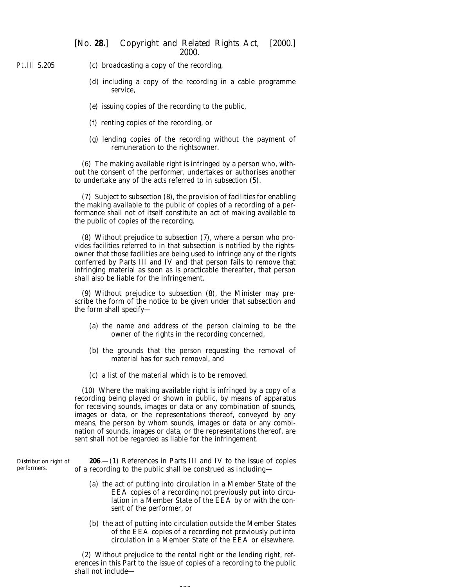- Pt.III S.205 (*c*) broadcasting a copy of the recording,
	- (*d*) including a copy of the recording in a cable programme service,
	- (*e*) issuing copies of the recording to the public,
	- (*f*) renting copies of the recording, or
	- (*g*) lending copies of the recording without the payment of remuneration to the rightsowner.

(6) The making available right is infringed by a person who, without the consent of the performer, undertakes or authorises another to undertake any of the acts referred to in *subsection (5)*.

(7) Subject to *subsection (8)*, the provision of facilities for enabling the making available to the public of copies of a recording of a performance shall not of itself constitute an act of making available to the public of copies of the recording.

(8) Without prejudice to *subsection (7)*, where a person who provides facilities referred to in that subsection is notified by the rightsowner that those facilities are being used to infringe any of the rights conferred by *Parts III* and *IV* and that person fails to remove that infringing material as soon as is practicable thereafter, that person shall also be liable for the infringement.

(9) Without prejudice to *subsection (8)*, the Minister may prescribe the form of the notice to be given under that subsection and the form shall specify—

- (*a*) the name and address of the person claiming to be the owner of the rights in the recording concerned,
- (*b*) the grounds that the person requesting the removal of material has for such removal, and
- (*c*) a list of the material which is to be removed.

(10) Where the making available right is infringed by a copy of a recording being played or shown in public, by means of apparatus for receiving sounds, images or data or any combination of sounds, images or data, or the representations thereof, conveyed by any means, the person by whom sounds, images or data or any combination of sounds, images or data, or the representations thereof, are sent shall not be regarded as liable for the infringement.

| Distribution right of | <b>206</b> —(1) References in <i>Parts III</i> and <i>IV</i> to the issue of copies                                                                                                                                  |
|-----------------------|----------------------------------------------------------------------------------------------------------------------------------------------------------------------------------------------------------------------|
| performers.           | of a recording to the public shall be construed as including—                                                                                                                                                        |
|                       | (a) the act of putting into circulation in a Member State of the<br>EEA copies of a recording not previously put into circu-<br>lation in a Member State of the EEA by or with the con-<br>sent of the performer, or |

(*b*) the act of putting into circulation outside the Member States of the EEA copies of a recording not previously put into circulation in a Member State of the EEA or elsewhere.

(2) Without prejudice to the rental right or the lending right, references in this Part to the issue of copies of a recording to the public shall not include—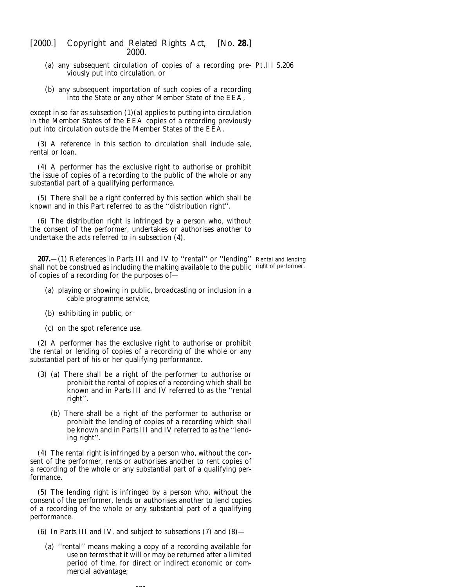- (*a*) any subsequent circulation of copies of a recording pre-Pt.III S.206 viously put into circulation, or
- (*b*) any subsequent importation of such copies of a recording into the State or any other Member State of the EEA,

except in so far as *subsection (1)(a)* applies to putting into circulation in the Member States of the EEA copies of a recording previously put into circulation outside the Member States of the EEA.

(3) A reference in this section to circulation shall include sale, rental or loan.

(4) A performer has the exclusive right to authorise or prohibit the issue of copies of a recording to the public of the whole or any substantial part of a qualifying performance.

(5) There shall be a right conferred by this section which shall be known and in this Part referred to as the ''distribution right''.

(6) The distribution right is infringed by a person who, without the consent of the performer, undertakes or authorises another to undertake the acts referred to in *subsection (4)*.

**207.**—(1) References in *Parts III* and *IV* to "rental" or "lending" Rental and lending shall not be construed as including the making available to the public right of performer.of copies of a recording for the purposes of—

- (*a*) playing or showing in public, broadcasting or inclusion in a cable programme service,
- (*b*) exhibiting in public, or
- (*c*) on the spot reference use.

(2) A performer has the exclusive right to authorise or prohibit the rental or lending of copies of a recording of the whole or any substantial part of his or her qualifying performance.

- (3) (*a*) There shall be a right of the performer to authorise or prohibit the rental of copies of a recording which shall be known and in *Parts III* and *IV* referred to as the ''rental right''.
	- (*b*) There shall be a right of the performer to authorise or prohibit the lending of copies of a recording which shall be known and in *Parts III* and *IV* referred to as the ''lending right''.

(4) The rental right is infringed by a person who, without the consent of the performer, rents or authorises another to rent copies of a recording of the whole or any substantial part of a qualifying performance.

(5) The lending right is infringed by a person who, without the consent of the performer, lends or authorises another to lend copies of a recording of the whole or any substantial part of a qualifying performance.

- (6) In *Parts III* and *IV*, and subject to *subsections (7)* and *(8)*
	- (*a*) ''rental'' means making a copy of a recording available for use on terms that it will or may be returned after a limited period of time, for direct or indirect economic or commercial advantage;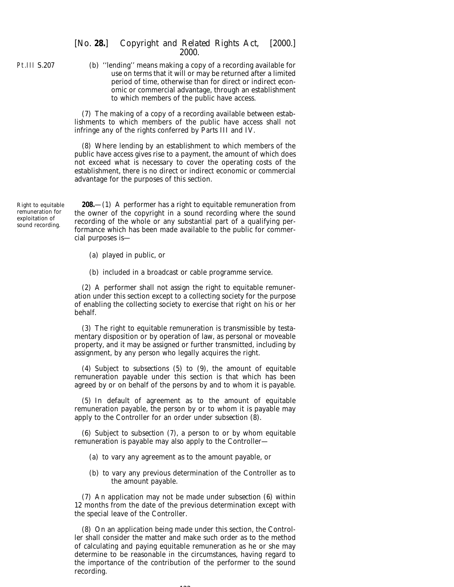Pt.III S.207

(*b*) ''lending'' means making a copy of a recording available for use on terms that it will or may be returned after a limited period of time, otherwise than for direct or indirect economic or commercial advantage, through an establishment to which members of the public have access.

(7) The making of a copy of a recording available between establishments to which members of the public have access shall not infringe any of the rights conferred by *Parts III* and *IV*.

(8) Where lending by an establishment to which members of the public have access gives rise to a payment, the amount of which does not exceed what is necessary to cover the operating costs of the establishment, there is no direct or indirect economic or commercial advantage for the purposes of this section.

Right to equitable remuneration for exploitation of sound recording.

**208.**—(1) A performer has a right to equitable remuneration from the owner of the copyright in a sound recording where the sound recording of the whole or any substantial part of a qualifying performance which has been made available to the public for commercial purposes is—

- (*a*) played in public, or
- (*b*) included in a broadcast or cable programme service.

(2) A performer shall not assign the right to equitable remuneration under this section except to a collecting society for the purpose of enabling the collecting society to exercise that right on his or her behalf.

(3) The right to equitable remuneration is transmissible by testamentary disposition or by operation of law, as personal or moveable property, and it may be assigned or further transmitted, including by assignment, by any person who legally acquires the right.

(4) Subject to *subsections (5)* to *(9)*, the amount of equitable remuneration payable under this section is that which has been agreed by or on behalf of the persons by and to whom it is payable.

(5) In default of agreement as to the amount of equitable remuneration payable, the person by or to whom it is payable may apply to the Controller for an order under *subsection (8)*.

(6) Subject to *subsection (7)*, a person to or by whom equitable remuneration is payable may also apply to the Controller—

- (*a*) to vary any agreement as to the amount payable, or
- (*b*) to vary any previous determination of the Controller as to the amount payable.

(7) An application may not be made under *subsection (6)* within 12 months from the date of the previous determination except with the special leave of the Controller.

(8) On an application being made under this section, the Controller shall consider the matter and make such order as to the method of calculating and paying equitable remuneration as he or she may determine to be reasonable in the circumstances, having regard to the importance of the contribution of the performer to the sound recording.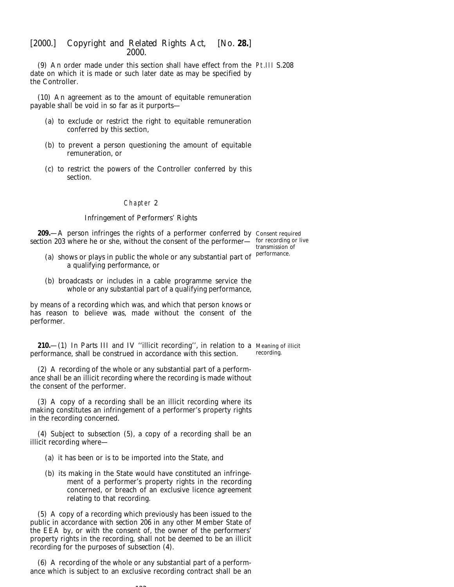(9) An order made under this section shall have effect from the Pt.III S.208 date on which it is made or such later date as may be specified by the Controller.

(10) An agreement as to the amount of equitable remuneration payable shall be void in so far as it purports—

- (*a*) to exclude or restrict the right to equitable remuneration conferred by this section,
- (*b*) to prevent a person questioning the amount of equitable remuneration, or
- (*c*) to restrict the powers of the Controller conferred by this section.

## Chapter 2

### *Infringement of Performers' Rights*

**209.**—A person infringes the rights of a performer conferred by Consent required section 203 where he or she, without the consent of the performer— for recording or live

- (*a*) shows or plays in public the whole or any substantial part of a qualifying performance, or
- (*b*) broadcasts or includes in a cable programme service the whole or any substantial part of a qualifying performance,

by means of a recording which was, and which that person knows or has reason to believe was, made without the consent of the performer.

**210.**—(1) In *Parts III* and *IV* ''illicit recording'', in relation to a Meaning of illicit performance, shall be construed in accordance with this section. recording.

(2) A recording of the whole or any substantial part of a performance shall be an illicit recording where the recording is made without the consent of the performer.

(3) A copy of a recording shall be an illicit recording where its making constitutes an infringement of a performer's property rights in the recording concerned.

(4) Subject to *subsection (5)*, a copy of a recording shall be an illicit recording where—

- (*a*) it has been or is to be imported into the State, and
- (*b*) its making in the State would have constituted an infringement of a performer's property rights in the recording concerned, or breach of an exclusive licence agreement relating to that recording.

(5) A copy of a recording which previously has been issued to the public in accordance with *section 206* in any other Member State of the EEA by, or with the consent of, the owner of the performers' property rights in the recording, shall not be deemed to be an illicit recording for the purposes of *subsection (4)*.

(6) A recording of the whole or any substantial part of a performance which is subject to an exclusive recording contract shall be an

transmission of performance.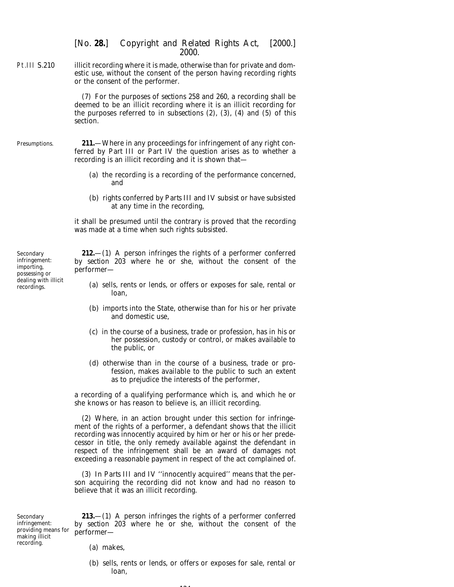Pt.III S.210 illicit recording where it is made, otherwise than for private and domestic use, without the consent of the person having recording rights or the consent of the performer.

> (7) For the purposes of *sections 258* and *260*, a recording shall be deemed to be an illicit recording where it is an illicit recording for the purposes referred to in *subsections (2)*, *(3)*, *(4)* and *(5)* of this section.

Presumptions. **211.**—Where in any proceedings for infringement of any right conferred by *Part III* or *Part IV* the question arises as to whether a recording is an illicit recording and it is shown that—

- (*a*) the recording is a recording of the performance concerned, and
- (*b*) rights conferred by *Parts III* and *IV* subsist or have subsisted at any time in the recording,

it shall be presumed until the contrary is proved that the recording was made at a time when such rights subsisted.

Secondary infringement: importing, possessing or dealing with illicit recordings.

**212.**—(1) A person infringes the rights of a performer conferred by *section 203* where he or she, without the consent of the performer—

- (*a*) sells, rents or lends, or offers or exposes for sale, rental or loan,
- (*b*) imports into the State, otherwise than for his or her private and domestic use,
- (*c*) in the course of a business, trade or profession, has in his or her possession, custody or control, or makes available to the public, or
- (*d*) otherwise than in the course of a business, trade or profession, makes available to the public to such an extent as to prejudice the interests of the performer,

a recording of a qualifying performance which is, and which he or she knows or has reason to believe is, an illicit recording.

(2) Where, in an action brought under this section for infringement of the rights of a performer, a defendant shows that the illicit recording was innocently acquired by him or her or his or her predecessor in title, the only remedy available against the defendant in respect of the infringement shall be an award of damages not exceeding a reasonable payment in respect of the act complained of.

(3) In *Parts III* and *IV* ''innocently acquired'' means that the person acquiring the recording did not know and had no reason to believe that it was an illicit recording.

Secondary infringement: providing means for making illicit recording.

**213.**—(1) A person infringes the rights of a performer conferred by *section 203* where he or she, without the consent of the performer—

- (*a*) makes,
- (*b*) sells, rents or lends, or offers or exposes for sale, rental or loan,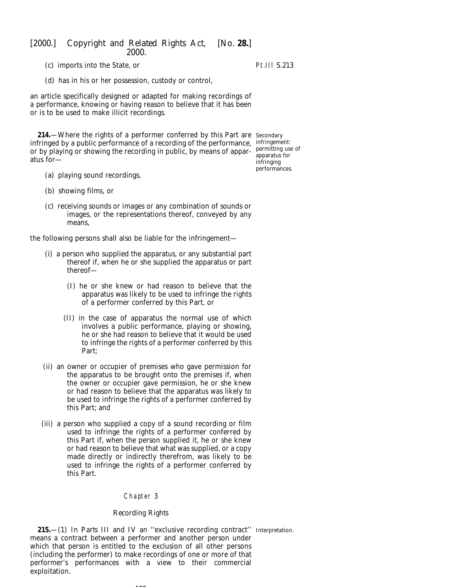(*c*) imports into the State, or

# Pt.III S.213

(*d*) has in his or her possession, custody or control,

an article specifically designed or adapted for making recordings of a performance, knowing or having reason to believe that it has been or is to be used to make illicit recordings.

**214.**—Where the rights of a performer conferred by this Part are Secondary infringed by a public performance of a recording of the performance, infringement: or by playing or showing the recording in public, by means of apparatus for—

apparatus for infringing performances.

- (*a*) playing sound recordings,
- (*b*) showing films, or
- (*c*) receiving sounds or images or any combination of sounds or images, or the representations thereof, conveyed by any means,

the following persons shall also be liable for the infringement—

- (i) a person who supplied the apparatus, or any substantial part thereof if, when he or she supplied the apparatus or part thereof—
	- (I) he or she knew or had reason to believe that the apparatus was likely to be used to infringe the rights of a performer conferred by this Part, or
	- (II) in the case of apparatus the normal use of which involves a public performance, playing or showing, he or she had reason to believe that it would be used to infringe the rights of a performer conferred by this Part;
- (ii) an owner or occupier of premises who gave permission for the apparatus to be brought onto the premises if, when the owner or occupier gave permission, he or she knew or had reason to believe that the apparatus was likely to be used to infringe the rights of a performer conferred by this Part; and
- (iii) a person who supplied a copy of a sound recording or film used to infringe the rights of a performer conferred by this Part if, when the person supplied it, he or she knew or had reason to believe that what was supplied, or a copy made directly or indirectly therefrom, was likely to be used to infringe the rights of a performer conferred by this Part.

### Chapter 3

### *Recording Rights*

**215.**—(1) In *Parts III* and *IV* an ''exclusive recording contract'' Interpretation.means a contract between a performer and another person under which that person is entitled to the exclusion of all other persons (including the performer) to make recordings of one or more of that performer's performances with a view to their commercial exploitation.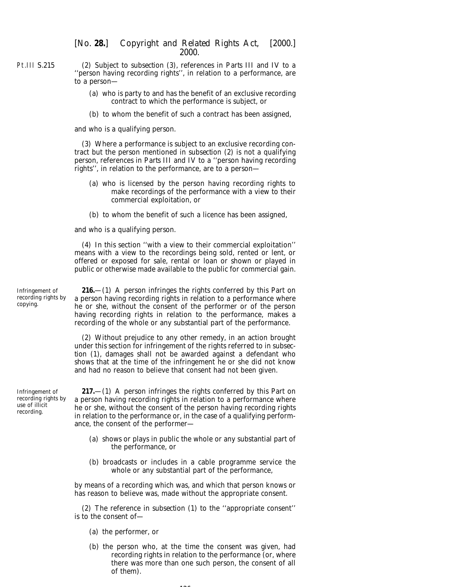(2) Subject to *subsection (3)*, references in *Parts III* and *IV* to a ''person having recording rights'', in relation to a performance, are to a person—

- (*a*) who is party to and has the benefit of an exclusive recording contract to which the performance is subject, or
- (*b*) to whom the benefit of such a contract has been assigned,

and who is a qualifying person.

(3) Where a performance is subject to an exclusive recording contract but the person mentioned in *subsection (2)* is not a qualifying person, references in *Parts III* and *IV* to a ''person having recording rights'', in relation to the performance, are to a person—

- (*a*) who is licensed by the person having recording rights to make recordings of the performance with a view to their commercial exploitation, or
- (*b*) to whom the benefit of such a licence has been assigned,

and who is a qualifying person.

(4) In this section ''with a view to their commercial exploitation'' means with a view to the recordings being sold, rented or lent, or offered or exposed for sale, rental or loan or shown or played in public or otherwise made available to the public for commercial gain.

**216.**—(1) A person infringes the rights conferred by this Part on a person having recording rights in relation to a performance where he or she, without the consent of the performer or of the person having recording rights in relation to the performance, makes a recording of the whole or any substantial part of the performance.

(2) Without prejudice to any other remedy, in an action brought under this section for infringement of the rights referred to in *subsection (1)*, damages shall not be awarded against a defendant who shows that at the time of the infringement he or she did not know and had no reason to believe that consent had not been given.

Infringement of recording rights by use of illicit recording.

Infringement of recording rights by

copying.

**217.**—(1) A person infringes the rights conferred by this Part on a person having recording rights in relation to a performance where he or she, without the consent of the person having recording rights in relation to the performance or, in the case of a qualifying performance, the consent of the performer—

- (*a*) shows or plays in public the whole or any substantial part of the performance, or
- (*b*) broadcasts or includes in a cable programme service the whole or any substantial part of the performance,

by means of a recording which was, and which that person knows or has reason to believe was, made without the appropriate consent.

(2) The reference in *subsection (1)* to the ''appropriate consent'' is to the consent of—

- (*a*) the performer, or
- (*b*) the person who, at the time the consent was given, had recording rights in relation to the performance (or, where there was more than one such person, the consent of all of them).

126

Pt.III S.215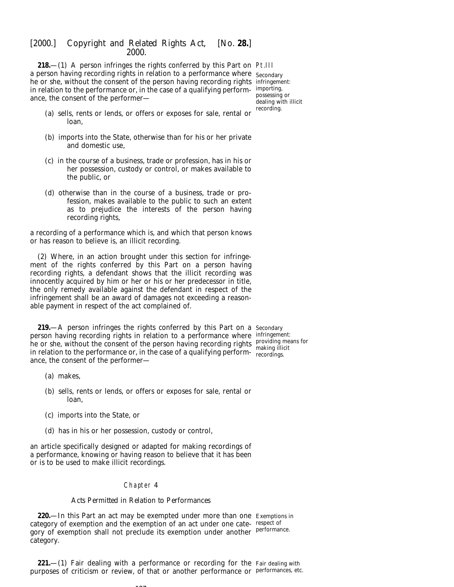**218**—(1) A person infringes the rights conferred by this Part on Pt.III a person having recording rights in relation to a performance where  $\,$   $_{\rm{secondary}}$ he or she, without the consent of the person having recording rights infringement: in relation to the performance or, in the case of a qualifying perform-importing, ance, the consent of the performer—

possessing or dealing with illicit recording.

- (*a*) sells, rents or lends, or offers or exposes for sale, rental or loan,
- (*b*) imports into the State, otherwise than for his or her private and domestic use,
- (*c*) in the course of a business, trade or profession, has in his or her possession, custody or control, or makes available to the public, or
- (*d*) otherwise than in the course of a business, trade or profession, makes available to the public to such an extent as to prejudice the interests of the person having recording rights,

a recording of a performance which is, and which that person knows or has reason to believe is, an illicit recording.

(2) Where, in an action brought under this section for infringement of the rights conferred by this Part on a person having recording rights, a defendant shows that the illicit recording was innocently acquired by him or her or his or her predecessor in title, the only remedy available against the defendant in respect of the infringement shall be an award of damages not exceeding a reasonable payment in respect of the act complained of.

**219.**—A person infringes the rights conferred by this Part on a Secondary person having recording rights in relation to a performance where infringement: he or she, without the consent of the person having recording rights in relation to the performance or, in the case of a qualifying performance, the consent of the performer—

providing means for making illicit recordings.

- (*a*) makes,
- (*b*) sells, rents or lends, or offers or exposes for sale, rental or loan,
- (*c*) imports into the State, or
- (*d*) has in his or her possession, custody or control,

an article specifically designed or adapted for making recordings of a performance, knowing or having reason to believe that it has been or is to be used to make illicit recordings.

## Chapter 4

### *Acts Permitted in Relation to Performances*

**127** 

**220.**—In this Part an act may be exempted under more than one Exemptions in category of exemption and the exemption of an act under one cate-respect of gory of exemption shall not preclude its exemption under another <sup>performance.</sup> category.

**221.**—(1) Fair dealing with a performance or recording for the Fair dealing with purposes of criticism or review, of that or another performance or performances, etc.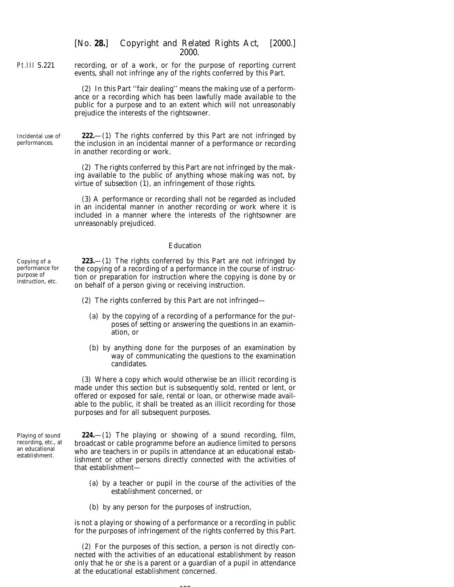Pt.III S.221 recording, or of a work, or for the purpose of reporting current events, shall not infringe any of the rights conferred by this Part.

> (2) In this Part ''fair dealing'' means the making use of a performance or a recording which has been lawfully made available to the public for a purpose and to an extent which will not unreasonably prejudice the interests of the rightsowner.

Incidental use of performances. **222.**—(1) The rights conferred by this Part are not infringed by the inclusion in an incidental manner of a performance or recording in another recording or work.

> (2) The rights conferred by this Part are not infringed by the making available to the public of anything whose making was not, by virtue of *subsection (1)*, an infringement of those rights.

> (3) A performance or recording shall not be regarded as included in an incidental manner in another recording or work where it is included in a manner where the interests of the rightsowner are unreasonably prejudiced.

### *Education*

**223.**—(1) The rights conferred by this Part are not infringed by the copying of a recording of a performance in the course of instruction or preparation for instruction where the copying is done by or on behalf of a person giving or receiving instruction.

- (2) The rights conferred by this Part are not infringed—
	- (*a*) by the copying of a recording of a performance for the purposes of setting or answering the questions in an examination, or
	- (*b*) by anything done for the purposes of an examination by way of communicating the questions to the examination candidates.

(3) Where a copy which would otherwise be an illicit recording is made under this section but is subsequently sold, rented or lent, or offered or exposed for sale, rental or loan, or otherwise made available to the public, it shall be treated as an illicit recording for those purposes and for all subsequent purposes.

Playing of sound recording, etc., at an educational establishment.

Copying of a performance for purpose of instruction, etc.

> **224.**—(1) The playing or showing of a sound recording, film, broadcast or cable programme before an audience limited to persons who are teachers in or pupils in attendance at an educational establishment or other persons directly connected with the activities of that establishment—

- (*a*) by a teacher or pupil in the course of the activities of the establishment concerned, or
- (*b*) by any person for the purposes of instruction,

is not a playing or showing of a performance or a recording in public for the purposes of infringement of the rights conferred by this Part.

(2) For the purposes of this section, a person is not directly connected with the activities of an educational establishment by reason only that he or she is a parent or a guardian of a pupil in attendance at the educational establishment concerned.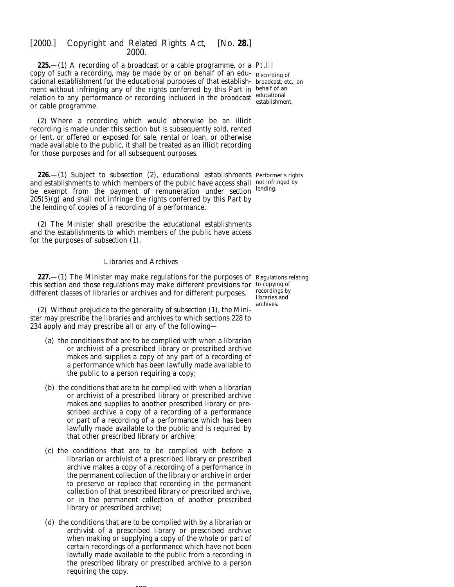**225.**—(1) A recording of a broadcast or a cable programme, or a Pt.III copy of such a recording, may be made by or on behalf of an edu-Recording of cational establishment for the educational purposes of that establish-broadcast, etc., on ment without infringing any of the rights conferred by this Part in behalf of an relation to any performance or recording included in the broadcast educational or cable programme.

(2) Where a recording which would otherwise be an illicit recording is made under this section but is subsequently sold, rented or lent, or offered or exposed for sale, rental or loan, or otherwise made available to the public, it shall be treated as an illicit recording for those purposes and for all subsequent purposes.

**226.**—(1) Subject to *subsection (2)*, educational establishments Performer's rights and establishments to which members of the public have access shall not infringed by be exempt from the payment of remuneration under *section* lending. *205(5)(g)* and shall not infringe the rights conferred by this Part by the lending of copies of a recording of a performance.

(2) The Minister shall prescribe the educational establishments and the establishments to which members of the public have access for the purposes of *subsection (1)*.

### *Libraries and Archives*

**227.**—(1) The Minister may make regulations for the purposes of Regulations relating this section and those regulations may make different provisions for to copying of different classes of libraries or archives and for different purposes.

(2) Without prejudice to the generality of *subsection (1)*, the Minister may prescribe the libraries and archives to which *sections 228* to *234* apply and may prescribe all or any of the following—

- (*a*) the conditions that are to be complied with when a librarian or archivist of a prescribed library or prescribed archive makes and supplies a copy of any part of a recording of a performance which has been lawfully made available to the public to a person requiring a copy;
- (*b*) the conditions that are to be complied with when a librarian or archivist of a prescribed library or prescribed archive makes and supplies to another prescribed library or prescribed archive a copy of a recording of a performance or part of a recording of a performance which has been lawfully made available to the public and is required by that other prescribed library or archive;
- (*c*) the conditions that are to be complied with before a librarian or archivist of a prescribed library or prescribed archive makes a copy of a recording of a performance in the permanent collection of the library or archive in order to preserve or replace that recording in the permanent collection of that prescribed library or prescribed archive, or in the permanent collection of another prescribed library or prescribed archive;
- (*d*) the conditions that are to be complied with by a librarian or archivist of a prescribed library or prescribed archive when making or supplying a copy of the whole or part of certain recordings of a performance which have not been lawfully made available to the public from a recording in the prescribed library or prescribed archive to a person requiring the copy.

establishment.

recordings by libraries and archives.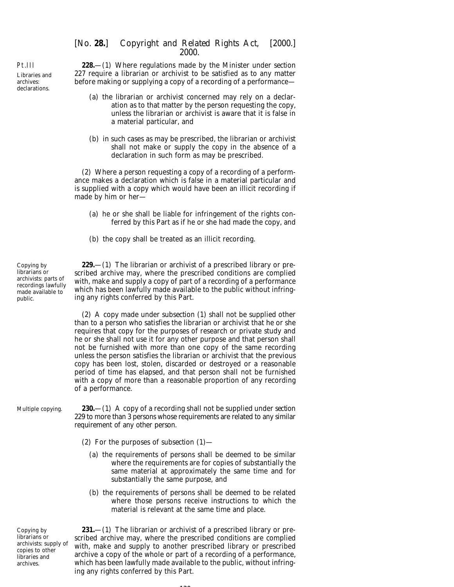Pt.III Libraries and archives: declarations.

**228.**—(1) Where regulations made by the Minister under *section 227* require a librarian or archivist to be satisfied as to any matter before making or supplying a copy of a recording of a performance—

- (*a*) the librarian or archivist concerned may rely on a declaration as to that matter by the person requesting the copy, unless the librarian or archivist is aware that it is false in a material particular, and
- (*b*) in such cases as may be prescribed, the librarian or archivist shall not make or supply the copy in the absence of a declaration in such form as may be prescribed.

(2) Where a person requesting a copy of a recording of a performance makes a declaration which is false in a material particular and is supplied with a copy which would have been an illicit recording if made by him or her—

- (*a*) he or she shall be liable for infringement of the rights conferred by this Part as if he or she had made the copy, and
- (*b*) the copy shall be treated as an illicit recording.

Copying by librarians or archivists: parts of recordings lawfully made available to public.

**229.**—(1) The librarian or archivist of a prescribed library or prescribed archive may, where the prescribed conditions are complied with, make and supply a copy of part of a recording of a performance which has been lawfully made available to the public without infringing any rights conferred by this Part.

(2) A copy made under *subsection (1)* shall not be supplied other than to a person who satisfies the librarian or archivist that he or she requires that copy for the purposes of research or private study and he or she shall not use it for any other purpose and that person shall not be furnished with more than one copy of the same recording unless the person satisfies the librarian or archivist that the previous copy has been lost, stolen, discarded or destroyed or a reasonable period of time has elapsed, and that person shall not be furnished with a copy of more than a reasonable proportion of any recording of a performance.

- Multiple copying. **230.**—(1) A copy of a recording shall not be supplied under *section 229* to more than 3 persons whose requirements are related to any similar requirement of any other person.
	- (2) For the purposes of *subsection (1)*
		- (*a*) the requirements of persons shall be deemed to be similar where the requirements are for copies of substantially the same material at approximately the same time and for substantially the same purpose, and
		- (*b*) the requirements of persons shall be deemed to be related where those persons receive instructions to which the material is relevant at the same time and place.

Copying by librarians or archivists: supply of copies to other libraries and archives.

**231.**—(1) The librarian or archivist of a prescribed library or prescribed archive may, where the prescribed conditions are complied with, make and supply to another prescribed library or prescribed archive a copy of the whole or part of a recording of a performance, which has been lawfully made available to the public, without infringing any rights conferred by this Part.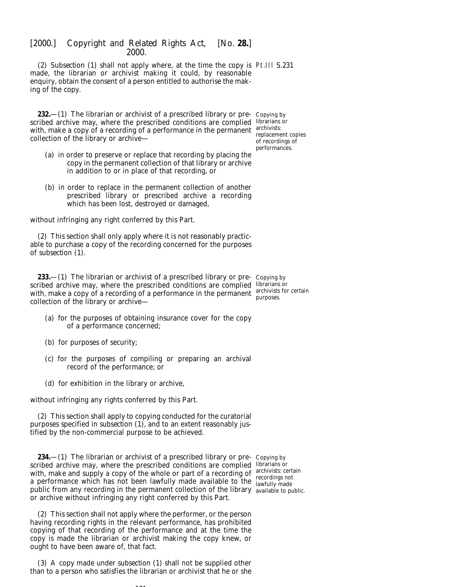(2) *Subsection (1)* shall not apply where, at the time the copy is Pt.III S.231 made, the librarian or archivist making it could, by reasonable enquiry, obtain the consent of a person entitled to authorise the making of the copy.

**232.**—(1) The librarian or archivist of a prescribed library or pre- Copying by scribed archive may, where the prescribed conditions are complied librarians or with, make a copy of a recording of a performance in the permanent  $\frac{\text{archivists:}}{\text{rephom}}$ collection of the library or archive—

replacement copies of recordings of performances.

- (*a*) in order to preserve or replace that recording by placing the copy in the permanent collection of that library or archive in addition to or in place of that recording, or
- (*b*) in order to replace in the permanent collection of another prescribed library or prescribed archive a recording which has been lost, destroyed or damaged,

without infringing any right conferred by this Part.

(2) This section shall only apply where it is not reasonably practicable to purchase a copy of the recording concerned for the purposes of *subsection (1)*.

**233.**—(1) The librarian or archivist of a prescribed library or pre- Copying by scribed archive may, where the prescribed conditions are complied librarians or with, make a copy of a recording of a performance in the permanent  $\frac{\text{archivists}}{\text{numerics}}$  for certain collection of the library or archive purposes.

- (*a*) for the purposes of obtaining insurance cover for the copy of a performance concerned;
- (*b*) for purposes of security;
- (*c*) for the purposes of compiling or preparing an archival record of the performance; or
- (*d*) for exhibition in the library or archive,

without infringing any rights conferred by this Part.

(2) This section shall apply to copying conducted for the curatorial purposes specified in *subsection (1)*, and to an extent reasonably justified by the non-commercial purpose to be achieved.

**234.**—(1) The librarian or archivist of a prescribed library or pre- Copying by scribed archive may, where the prescribed conditions are complied librarians or with, make and supply a copy of the whole or part of a recording of  $\frac{archivists: certain}{rscodiv}$ a performance which has not been lawfully made available to the lawfully made public from any recording in the permanent collection of the library available to public.or archive without infringing any right conferred by this Part. lawfully made

(2) This section shall not apply where the performer, or the person having recording rights in the relevant performance, has prohibited copying of that recording of the performance and at the time the copy is made the librarian or archivist making the copy knew, or ought to have been aware of, that fact.

(3) A copy made under *subsection (1)* shall not be supplied other than to a person who satisfies the librarian or archivist that he or she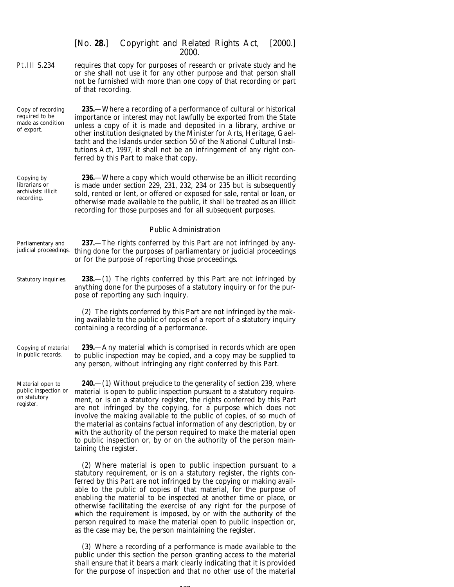Pt.III S.234 requires that copy for purposes of research or private study and he or she shall not use it for any other purpose and that person shall not be furnished with more than one copy of that recording or part of that recording.

Copy of recording required to be made as condition of export.

**235.**—Where a recording of a performance of cultural or historical importance or interest may not lawfully be exported from the State unless a copy of it is made and deposited in a library, archive or other institution designated by the Minister for Arts, Heritage, Gaeltacht and the Islands under section 50 of the National Cultural Institutions Act, 1997, it shall not be an infringement of any right conferred by this Part to make that copy.

Copying by librarians or archivists: illicit recording.

**236.**—Where a copy which would otherwise be an illicit recording is made under *section 229*, *231*, *232*, *234* or *235* but is subsequently sold, rented or lent, or offered or exposed for sale, rental or loan, or otherwise made available to the public, it shall be treated as an illicit recording for those purposes and for all subsequent purposes.

### *Public Administration*

- Parliamentary and judicial proceedings. thing done for the purposes of parliamentary or judicial proceedings **237.**—The rights conferred by this Part are not infringed by anyor for the purpose of reporting those proceedings.
- Statutory inquiries. **238.**—(1) The rights conferred by this Part are not infringed by anything done for the purposes of a statutory inquiry or for the purpose of reporting any such inquiry.

(2) The rights conferred by this Part are not infringed by the making available to the public of copies of a report of a statutory inquiry containing a recording of a performance.

Copying of material in public records. **239.**—Any material which is comprised in records which are open to public inspection may be copied, and a copy may be supplied to any person, without infringing any right conferred by this Part.

Material open to public inspection or on statutory register.

**240.**—(1) Without prejudice to the generality of *section 239*, where material is open to public inspection pursuant to a statutory requirement, or is on a statutory register, the rights conferred by this Part are not infringed by the copying, for a purpose which does not involve the making available to the public of copies, of so much of the material as contains factual information of any description, by or with the authority of the person required to make the material open to public inspection or, by or on the authority of the person maintaining the register.

(2) Where material is open to public inspection pursuant to a statutory requirement, or is on a statutory register, the rights conferred by this Part are not infringed by the copying or making available to the public of copies of that material, for the purpose of enabling the material to be inspected at another time or place, or otherwise facilitating the exercise of any right for the purpose of which the requirement is imposed, by or with the authority of the person required to make the material open to public inspection or, as the case may be, the person maintaining the register.

(3) Where a recording of a performance is made available to the public under this section the person granting access to the material shall ensure that it bears a mark clearly indicating that it is provided for the purpose of inspection and that no other use of the material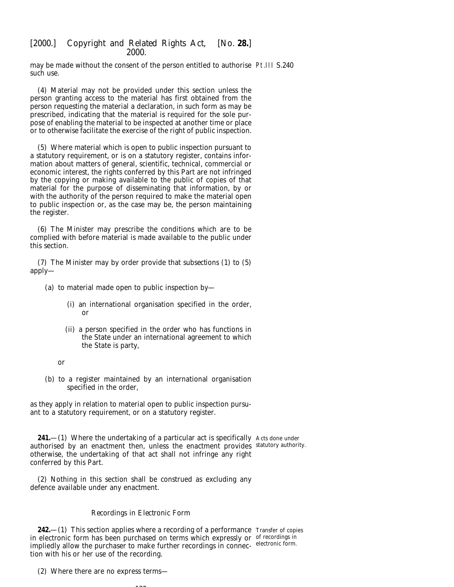may be made without the consent of the person entitled to authorise Pt.III S.240 such use.

(4) Material may not be provided under this section unless the person granting access to the material has first obtained from the person requesting the material a declaration, in such form as may be prescribed, indicating that the material is required for the sole purpose of enabling the material to be inspected at another time or place or to otherwise facilitate the exercise of the right of public inspection.

(5) Where material which is open to public inspection pursuant to a statutory requirement, or is on a statutory register, contains information about matters of general, scientific, technical, commercial or economic interest, the rights conferred by this Part are not infringed by the copying or making available to the public of copies of that material for the purpose of disseminating that information, by or with the authority of the person required to make the material open to public inspection or, as the case may be, the person maintaining the register.

(6) The Minister may prescribe the conditions which are to be complied with before material is made available to the public under this section.

(7) The Minister may by order provide that *subsections (1)* to *(5)* apply—

- (*a*) to material made open to public inspection by—
	- (i) an international organisation specified in the order, or
	- (ii) a person specified in the order who has functions in the State under an international agreement to which the State is party,

or

(*b*) to a register maintained by an international organisation specified in the order,

as they apply in relation to material open to public inspection pursuant to a statutory requirement, or on a statutory register.

**241.**—(1) Where the undertaking of a particular act is specifically Acts done under authorised by an enactment then, unless the enactment provides statutory authority. otherwise, the undertaking of that act shall not infringe any right conferred by this Part.

(2) Nothing in this section shall be construed as excluding any defence available under any enactment.

## *Recordings in Electronic Form*

**242.**—(1) This section applies where a recording of a performance Transfer of copies in electronic form has been purchased on terms which expressly or of recordings in impliedly allow the purchaser to make further recordings in connec- electronic form. tion with his or her use of the recording.

(2) Where there are no express terms—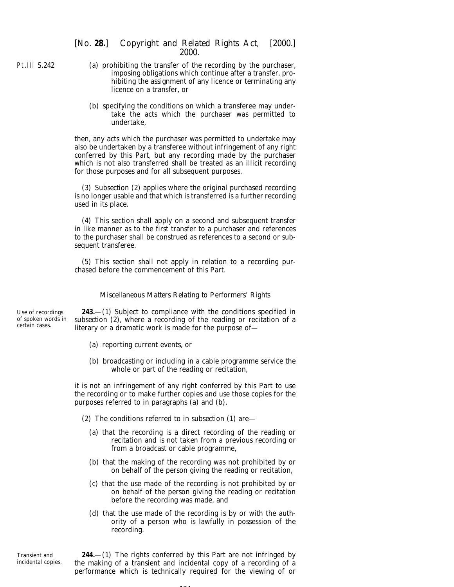Pt.III S.242

- (*a*) prohibiting the transfer of the recording by the purchaser, imposing obligations which continue after a transfer, prohibiting the assignment of any licence or terminating any licence on a transfer, or
- (*b*) specifying the conditions on which a transferee may undertake the acts which the purchaser was permitted to undertake,

then, any acts which the purchaser was permitted to undertake may also be undertaken by a transferee without infringement of any right conferred by this Part, but any recording made by the purchaser which is not also transferred shall be treated as an illicit recording for those purposes and for all subsequent purposes.

(3) *Subsection (2)* applies where the original purchased recording is no longer usable and that which is transferred is a further recording used in its place.

(4) This section shall apply on a second and subsequent transfer in like manner as to the first transfer to a purchaser and references to the purchaser shall be construed as references to a second or subsequent transferee.

(5) This section shall not apply in relation to a recording purchased before the commencement of this Part.

# *Miscellaneous Matters Relating to Performers' Rights*

Use of recordings of spoken words in certain cases.

**243.**—(1) Subject to compliance with the conditions specified in *subsection (2)*, where a recording of the reading or recitation of a literary or a dramatic work is made for the purpose of—

- (*a*) reporting current events, or
- (*b*) broadcasting or including in a cable programme service the whole or part of the reading or recitation,

it is not an infringement of any right conferred by this Part to use the recording or to make further copies and use those copies for the purposes referred to in *paragraphs (a)* and *(b)*.

- (2) The conditions referred to in *subsection (1)* are—
	- (*a*) that the recording is a direct recording of the reading or recitation and is not taken from a previous recording or from a broadcast or cable programme,
	- (*b*) that the making of the recording was not prohibited by or on behalf of the person giving the reading or recitation,
	- (*c*) that the use made of the recording is not prohibited by or on behalf of the person giving the reading or recitation before the recording was made, and
	- (*d*) that the use made of the recording is by or with the authority of a person who is lawfully in possession of the recording.

Transient and incidental copies.

**244.**—(1) The rights conferred by this Part are not infringed by the making of a transient and incidental copy of a recording of a performance which is technically required for the viewing of or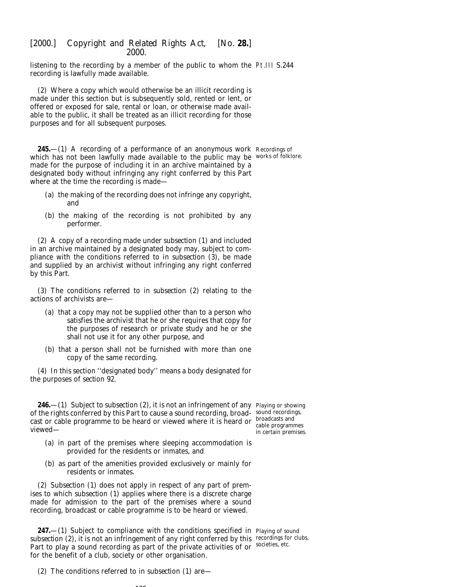listening to the recording by a member of the public to whom the Pt.III S.244 recording is lawfully made available.

(2) Where a copy which would otherwise be an illicit recording is made under this section but is subsequently sold, rented or lent, or offered or exposed for sale, rental or loan, or otherwise made available to the public, it shall be treated as an illicit recording for those purposes and for all subsequent purposes.

**245.**—(1) A recording of a performance of an anonymous work Recordings of which has not been lawfully made available to the public may be works of folklore. made for the purpose of including it in an archive maintained by a designated body without infringing any right conferred by this Part where at the time the recording is made—

- (*a*) the making of the recording does not infringe any copyright, and
- (*b*) the making of the recording is not prohibited by any performer.

(2) A copy of a recording made under *subsection (1)* and included in an archive maintained by a designated body may, subject to compliance with the conditions referred to in *subsection (3)*, be made and supplied by an archivist without infringing any right conferred by this Part.

(3) The conditions referred to in *subsection (2)* relating to the actions of archivists are—

- (*a*) that a copy may not be supplied other than to a person who satisfies the archivist that he or she requires that copy for the purposes of research or private study and he or she shall not use it for any other purpose, and
- (*b*) that a person shall not be furnished with more than one copy of the same recording.

(4) In this section ''designated body'' means a body designated for the purposes of *section 92*.

**246.**—(1) Subject to *subsection (2)*, it is not an infringement of any Playing or showing of the rights conferred by this Part to cause a sound recording, broad-sound recordings, cast or cable programme to be heard or viewed where it is heard or  $\frac{\text{broadcasts and}}{\text{cable program}}$ viewed—

cable programmes in certain premises.

- (*a*) in part of the premises where sleeping accommodation is provided for the residents or inmates, and
- (*b*) as part of the amenities provided exclusively or mainly for residents or inmates.

(2) *Subsection (1)* does not apply in respect of any part of premises to which *subsection (1)* applies where there is a discrete charge made for admission to the part of the premises where a sound recording, broadcast or cable programme is to be heard or viewed.

**247.**—(1) Subject to compliance with the conditions specified in Playing of sound subsection (2), it is not an infringement of any right conferred by this recordings for clubs, Part to play a sound recording as part of the private activities of or societies, etc. for the benefit of a club, society or other organisation.

(2) The conditions referred to in *subsection (1)* are—

135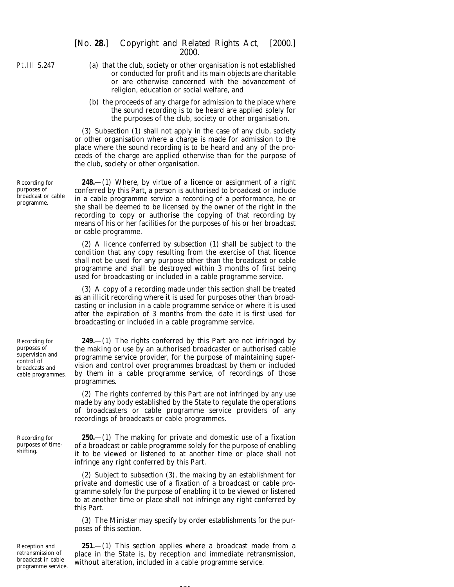Recording for purposes of broadcast or cable programme.

Recording for purposes of supervision and control of broadcasts and cable programmes.

Recording for purposes of timeshifting.

- (*a*) that the club, society or other organisation is not established or conducted for profit and its main objects are charitable or are otherwise concerned with the advancement of religion, education or social welfare, and
- (*b*) the proceeds of any charge for admission to the place where the sound recording is to be heard are applied solely for the purposes of the club, society or other organisation.

(3) *Subsection (1)* shall not apply in the case of any club, society or other organisation where a charge is made for admission to the place where the sound recording is to be heard and any of the proceeds of the charge are applied otherwise than for the purpose of the club, society or other organisation.

**248.**—(1) Where, by virtue of a licence or assignment of a right conferred by this Part, a person is authorised to broadcast or include in a cable programme service a recording of a performance, he or she shall be deemed to be licensed by the owner of the right in the recording to copy or authorise the copying of that recording by means of his or her facilities for the purposes of his or her broadcast or cable programme.

(2) A licence conferred by *subsection (1)* shall be subject to the condition that any copy resulting from the exercise of that licence shall not be used for any purpose other than the broadcast or cable programme and shall be destroyed within 3 months of first being used for broadcasting or included in a cable programme service.

(3) A copy of a recording made under this section shall be treated as an illicit recording where it is used for purposes other than broadcasting or inclusion in a cable programme service or where it is used after the expiration of 3 months from the date it is first used for broadcasting or included in a cable programme service.

**249.**—(1) The rights conferred by this Part are not infringed by the making or use by an authorised broadcaster or authorised cable programme service provider, for the purpose of maintaining supervision and control over programmes broadcast by them or included by them in a cable programme service, of recordings of those programmes.

(2) The rights conferred by this Part are not infringed by any use made by any body established by the State to regulate the operations of broadcasters or cable programme service providers of any recordings of broadcasts or cable programmes.

**250.**—(1) The making for private and domestic use of a fixation of a broadcast or cable programme solely for the purpose of enabling it to be viewed or listened to at another time or place shall not infringe any right conferred by this Part.

(2) Subject to *subsection (3)*, the making by an establishment for private and domestic use of a fixation of a broadcast or cable programme solely for the purpose of enabling it to be viewed or listened to at another time or place shall not infringe any right conferred by this Part.

(3) The Minister may specify by order establishments for the purposes of this section.

Reception and retransmission of broadcast in cable programme service.

**251.**—(1) This section applies where a broadcast made from a place in the State is, by reception and immediate retransmission, without alteration, included in a cable programme service.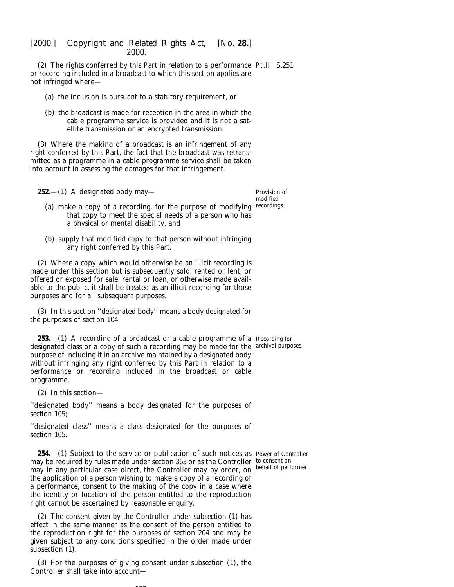(2) The rights conferred by this Part in relation to a performance Pt.III S.251 or recording included in a broadcast to which this section applies are not infringed where—

- (*a*) the inclusion is pursuant to a statutory requirement, or
- (*b*) the broadcast is made for reception in the area in which the cable programme service is provided and it is not a satellite transmission or an encrypted transmission.

(3) Where the making of a broadcast is an infringement of any right conferred by this Part, the fact that the broadcast was retransmitted as a programme in a cable programme service shall be taken into account in assessing the damages for that infringement.

**252.**—(1) A designated body may—

Provision of modified

- (a) make a copy of a recording, for the purpose of modifying recordings. that copy to meet the special needs of a person who has a physical or mental disability, and
- (*b*) supply that modified copy to that person without infringing any right conferred by this Part.

(2) Where a copy which would otherwise be an illicit recording is made under this section but is subsequently sold, rented or lent, or offered or exposed for sale, rental or loan, or otherwise made available to the public, it shall be treated as an illicit recording for those purposes and for all subsequent purposes.

(3) In this section ''designated body'' means a body designated for the purposes of *section 104*.

**253.**—(1) A recording of a broadcast or a cable programme of a Recording for designated class or a copy of such a recording may be made for the archival purposes. purpose of including it in an archive maintained by a designated body without infringing any right conferred by this Part in relation to a performance or recording included in the broadcast or cable programme.

(2) In this section—

''designated body'' means a body designated for the purposes of *section 105*;

''designated class'' means a class designated for the purposes of *section 105*.

**254.**—(1) Subject to the service or publication of such notices as Power of Controller may be required by rules made under *section 363* or as the Controller to consent on may in any particular case direct, the Controller may by order, on the application of a person wishing to make a copy of a recording of a performance, consent to the making of the copy in a case where the identity or location of the person entitled to the reproduction right cannot be ascertained by reasonable enquiry. behalf of performer.

(2) The consent given by the Controller under *subsection (1)* has effect in the same manner as the consent of the person entitled to the reproduction right for the purposes of *section 204* and may be given subject to any conditions specified in the order made under *subsection (1)*.

(3) For the purposes of giving consent under *subsection (1)*, the Controller shall take into account—

**137**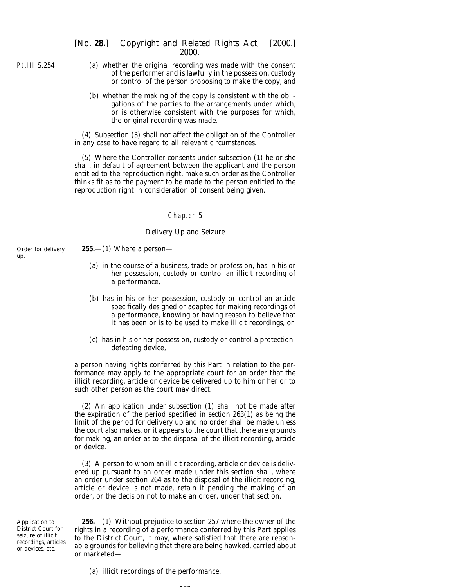Pt.III S.254

up.

- (*a*) whether the original recording was made with the consent of the performer and is lawfully in the possession, custody or control of the person proposing to make the copy, and
- (*b*) whether the making of the copy is consistent with the obligations of the parties to the arrangements under which, or is otherwise consistent with the purposes for which, the original recording was made.

(4) *Subsection (3)* shall not affect the obligation of the Controller in any case to have regard to all relevant circumstances.

(5) Where the Controller consents under *subsection (1)* he or she shall, in default of agreement between the applicant and the person entitled to the reproduction right, make such order as the Controller thinks fit as to the payment to be made to the person entitled to the reproduction right in consideration of consent being given.

### Chapter 5

### *Delivery Up and Seizure*

- Order for delivery **255.**—(1) Where a person—
	- (*a*) in the course of a business, trade or profession, has in his or her possession, custody or control an illicit recording of a performance,
	- (*b*) has in his or her possession, custody or control an article specifically designed or adapted for making recordings of a performance, knowing or having reason to believe that it has been or is to be used to make illicit recordings, or
	- (*c*) has in his or her possession, custody or control a protectiondefeating device,

a person having rights conferred by this Part in relation to the performance may apply to the appropriate court for an order that the illicit recording, article or device be delivered up to him or her or to such other person as the court may direct.

(2) An application under *subsection (1)* shall not be made after the expiration of the period specified in *section 263(1)* as being the limit of the period for delivery up and no order shall be made unless the court also makes, or it appears to the court that there are grounds for making, an order as to the disposal of the illicit recording, article or device.

(3) A person to whom an illicit recording, article or device is delivered up pursuant to an order made under this section shall, where an order under *section 264* as to the disposal of the illicit recording, article or device is not made, retain it pending the making of an order, or the decision not to make an order, under that section.

Application to District Court for seizure of illicit recordings, articles or devices, etc.

**256.**—(1) Without prejudice to *section 257* where the owner of the rights in a recording of a performance conferred by this Part applies to the District Court, it may, where satisfied that there are reasonable grounds for believing that there are being hawked, carried about or marketed—

(*a*) illicit recordings of the performance,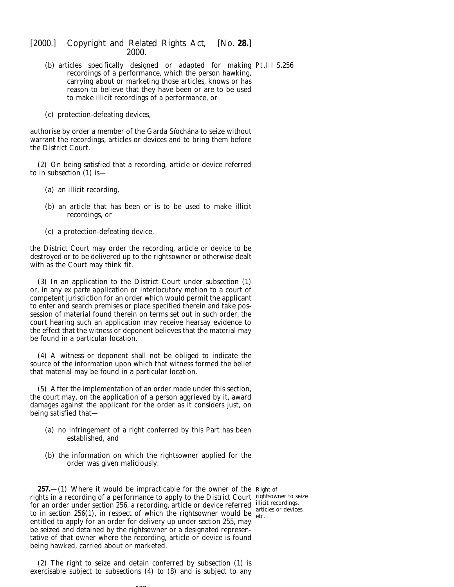- (*b*) articles specifically designed or adapted for making Pt.III S.256 recordings of a performance, which the person hawking, carrying about or marketing those articles, knows or has reason to believe that they have been or are to be used to make illicit recordings of a performance, or
- (*c*) protection-defeating devices,

authorise by order a member of the Garda Síochána to seize without warrant the recordings, articles or devices and to bring them before the District Court.

(2) On being satisfied that a recording, article or device referred to in *subsection (1)* is—

- (*a*) an illicit recording,
- (*b*) an article that has been or is to be used to make illicit recordings, or
- (*c*) a protection-defeating device,

the District Court may order the recording, article or device to be destroyed or to be delivered up to the rightsowner or otherwise dealt with as the Court may think fit.

(3) In an application to the District Court under *subsection (1)* or, in any *ex parte* application or interlocutory motion to a court of competent jurisdiction for an order which would permit the applicant to enter and search premises or place specified therein and take possession of material found therein on terms set out in such order, the court hearing such an application may receive hearsay evidence to the effect that the witness or deponent believes that the material may be found in a particular location.

(4) A witness or deponent shall not be obliged to indicate the source of the information upon which that witness formed the belief that material may be found in a particular location.

(5) After the implementation of an order made under this section, the court may, on the application of a person aggrieved by it, award damages against the applicant for the order as it considers just, on being satisfied that—

- (*a*) no infringement of a right conferred by this Part has been established, and
- (*b*) the information on which the rightsowner applied for the order was given maliciously.

**257.**—(1) Where it would be impracticable for the owner of the Right of rights in a recording of a performance to apply to the District Court rightsowner to seize for an order under *section 256*, a recording, article or device referred illicit recordings, to in *section 256(1)*, in respect of which the rightsowner would be  $_{\text{etc.}}^{200}$ entitled to apply for an order for delivery up under *section 255*, may be seized and detained by the rightsowner or a designated representative of that owner where the recording, article or device is found being hawked, carried about or marketed.

(2) The right to seize and detain conferred by *subsection (1)* is exercisable subject to *subsections (4)* to *(8)* and is subject to any

 $139$ 

articles or devices,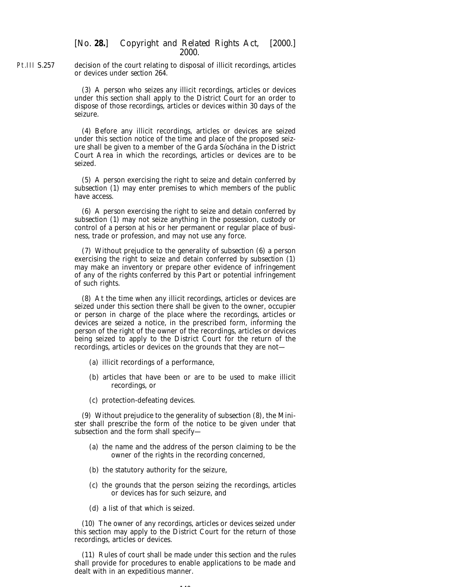Pt.III S.257 decision of the court relating to disposal of illicit recordings, articles or devices under *section 264*.

> (3) A person who seizes any illicit recordings, articles or devices under this section shall apply to the District Court for an order to dispose of those recordings, articles or devices within 30 days of the seizure.

> (4) Before any illicit recordings, articles or devices are seized under this section notice of the time and place of the proposed seizure shall be given to a member of the Garda Siochana in the District Court Area in which the recordings, articles or devices are to be seized.

> (5) A person exercising the right to seize and detain conferred by *subsection (1)* may enter premises to which members of the public have access.

> (6) A person exercising the right to seize and detain conferred by *subsection (1)* may not seize anything in the possession, custody or control of a person at his or her permanent or regular place of business, trade or profession, and may not use any force.

> (7) Without prejudice to the generality of *subsection (6)* a person exercising the right to seize and detain conferred by *subsection (1)* may make an inventory or prepare other evidence of infringement of any of the rights conferred by this Part or potential infringement of such rights.

> (8) At the time when any illicit recordings, articles or devices are seized under this section there shall be given to the owner, occupier or person in charge of the place where the recordings, articles or devices are seized a notice, in the prescribed form, informing the person of the right of the owner of the recordings, articles or devices being seized to apply to the District Court for the return of the recordings, articles or devices on the grounds that they are not—

- (*a*) illicit recordings of a performance,
- (*b*) articles that have been or are to be used to make illicit recordings, or
- (*c*) protection-defeating devices.

(9) Without prejudice to the generality of *subsection (8)*, the Minister shall prescribe the form of the notice to be given under that subsection and the form shall specify—

- (*a*) the name and the address of the person claiming to be the owner of the rights in the recording concerned,
- (*b*) the statutory authority for the seizure,
- (*c*) the grounds that the person seizing the recordings, articles or devices has for such seizure, and
- (*d*) a list of that which is seized.

(10) The owner of any recordings, articles or devices seized under this section may apply to the District Court for the return of those recordings, articles or devices.

(11) Rules of court shall be made under this section and the rules shall provide for procedures to enable applications to be made and dealt with in an expeditious manner.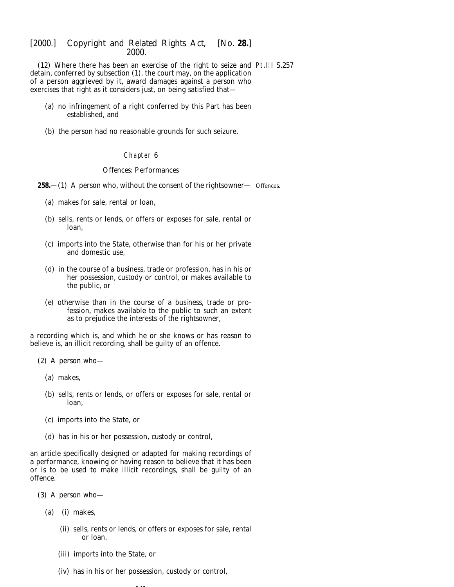(12) Where there has been an exercise of the right to seize and Pt.III S.257 detain, conferred by *subsection (1)*, the court may, on the application of a person aggrieved by it, award damages against a person who exercises that right as it considers just, on being satisfied that—

- (*a*) no infringement of a right conferred by this Part has been established, and
- (*b*) the person had no reasonable grounds for such seizure.

## Chapter 6

## *Offences: Performances*

**258.**—(1) A person who, without the consent of the rightsowner— Offences.

- (*a*) makes for sale, rental or loan,
- (*b*) sells, rents or lends, or offers or exposes for sale, rental or loan,
- (*c*) imports into the State, otherwise than for his or her private and domestic use,
- (*d*) in the course of a business, trade or profession, has in his or her possession, custody or control, or makes available to the public, or
- (*e*) otherwise than in the course of a business, trade or profession, makes available to the public to such an extent as to prejudice the interests of the rightsowner,

a recording which is, and which he or she knows or has reason to believe is, an illicit recording, shall be guilty of an offence.

- (2) A person who—
	- (*a*) makes,
	- (*b*) sells, rents or lends, or offers or exposes for sale, rental or loan,
	- (*c*) imports into the State, or
	- (*d*) has in his or her possession, custody or control,

an article specifically designed or adapted for making recordings of a performance, knowing or having reason to believe that it has been or is to be used to make illicit recordings, shall be guilty of an offence.

- (3) A person who—
	- (*a*) (i) makes,
		- (ii) sells, rents or lends, or offers or exposes for sale, rental or loan,
		- (iii) imports into the State, or
		- (iv) has in his or her possession, custody or control,

1414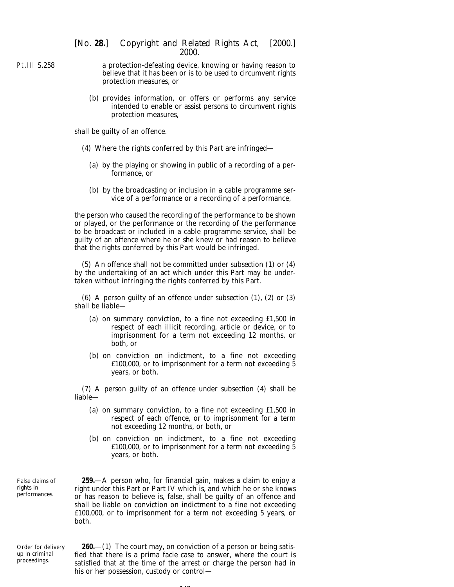Pt.III S.258 a protection-defeating device, knowing or having reason to believe that it has been or is to be used to circumvent rights protection measures, or

> (*b*) provides information, or offers or performs any service intended to enable or assist persons to circumvent rights protection measures,

shall be guilty of an offence.

- (4) Where the rights conferred by this Part are infringed—
	- (*a*) by the playing or showing in public of a recording of a performance, or
	- (*b*) by the broadcasting or inclusion in a cable programme service of a performance or a recording of a performance,

the person who caused the recording of the performance to be shown or played, or the performance or the recording of the performance to be broadcast or included in a cable programme service, shall be guilty of an offence where he or she knew or had reason to believe that the rights conferred by this Part would be infringed.

(5) An offence shall not be committed under *subsection (1)* or *(4)* by the undertaking of an act which under this Part may be undertaken without infringing the rights conferred by this Part.

(6) A person guilty of an offence under *subsection (1), (2)* or *(3)* shall be liable—

- (*a*) on summary conviction, to a fine not exceeding £1,500 in respect of each illicit recording, article or device, or to imprisonment for a term not exceeding 12 months, or both, or
- (*b*) on conviction on indictment, to a fine not exceeding £100,000, or to imprisonment for a term not exceeding 5 years, or both.

(7) A person guilty of an offence under *subsection (4)* shall be liable—

- (*a*) on summary conviction, to a fine not exceeding £1,500 in respect of each offence, or to imprisonment for a term not exceeding 12 months, or both, or
- (*b*) on conviction on indictment, to a fine not exceeding £100,000, or to imprisonment for a term not exceeding 5 years, or both.

False claims of rights in performances.

**259.**—A person who, for financial gain, makes a claim to enjoy a right under this Part or *Part IV* which is, and which he or she knows or has reason to believe is, false, shall be guilty of an offence and shall be liable on conviction on indictment to a fine not exceeding £100,000, or to imprisonment for a term not exceeding 5 years, or both.

Order for delivery up in criminal proceedings.

**260.**—(1) The court may, on conviction of a person or being satisfied that there is a *prima facie* case to answer, where the court is satisfied that at the time of the arrest or charge the person had in his or her possession, custody or control—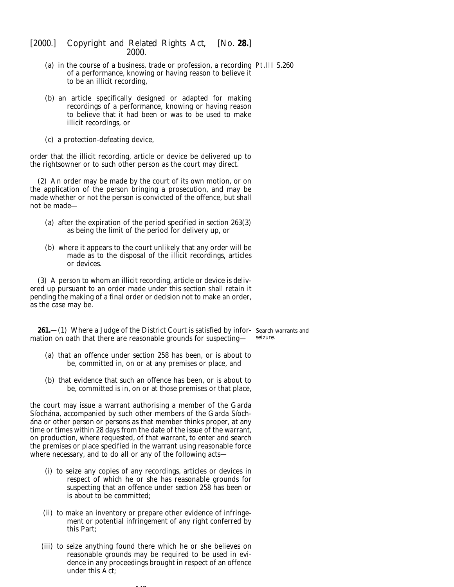- (*a*) in the course of a business, trade or profession, a recording Pt.III S.260 of a performance, knowing or having reason to believe it to be an illicit recording,
- (*b*) an article specifically designed or adapted for making recordings of a performance, knowing or having reason to believe that it had been or was to be used to make illicit recordings, or
- (*c*) a protection-defeating device,

order that the illicit recording, article or device be delivered up to the rightsowner or to such other person as the court may direct.

(2) An order may be made by the court of its own motion, or on the application of the person bringing a prosecution, and may be made whether or not the person is convicted of the offence, but shall not be made—

- (*a*) after the expiration of the period specified in *section 263(3)* as being the limit of the period for delivery up, or
- (*b*) where it appears to the court unlikely that any order will be made as to the disposal of the illicit recordings, articles or devices.

(3) A person to whom an illicit recording, article or device is delivered up pursuant to an order made under this section shall retain it pending the making of a final order or decision not to make an order, as the case may be.

**261.**—(1) Where a Judge of the District Court is satisfied by infor- Search warrants and mation on oath that there are reasonable grounds for suspecting seizure.

- (*a*) that an offence under *section 258* has been, or is about to be, committed in, on or at any premises or place, and
- (*b*) that evidence that such an offence has been, or is about to be, committed is in, on or at those premises or that place,

the court may issue a warrant authorising a member of the Garda Síochána, accompanied by such other members of the Garda Síocha´na or other person or persons as that member thinks proper, at any time or times within 28 days from the date of the issue of the warrant, on production, where requested, of that warrant, to enter and search the premises or place specified in the warrant using reasonable force where necessary, and to do all or any of the following acts—

- (i) to seize any copies of any recordings, articles or devices in respect of which he or she has reasonable grounds for suspecting that an offence under *section 258* has been or is about to be committed;
- (ii) to make an inventory or prepare other evidence of infringement or potential infringement of any right conferred by this Part;
- (iii) to seize anything found there which he or she believes on reasonable grounds may be required to be used in evidence in any proceedings brought in respect of an offence under this Act;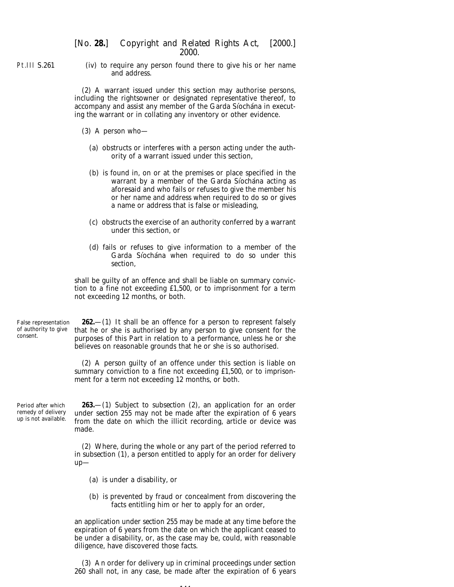Pt.III S.261

(iv) to require any person found there to give his or her name and address.

(2) A warrant issued under this section may authorise persons, including the rightsowner or designated representative thereof, to accompany and assist any member of the Garda Síochána in executing the warrant or in collating any inventory or other evidence.

- (3) A person who—
	- (*a*) obstructs or interferes with a person acting under the authority of a warrant issued under this section,
	- (*b*) is found in, on or at the premises or place specified in the warrant by a member of the Garda Siochana acting as aforesaid and who fails or refuses to give the member his or her name and address when required to do so or gives a name or address that is false or misleading,
	- (*c*) obstructs the exercise of an authority conferred by a warrant under this section, or
	- (*d*) fails or refuses to give information to a member of the Garda Síochána when required to do so under this section,

shall be guilty of an offence and shall be liable on summary conviction to a fine not exceeding £1,500, or to imprisonment for a term not exceeding 12 months, or both.

False representation of authority to give consent.

**262.**—(1) It shall be an offence for a person to represent falsely that he or she is authorised by any person to give consent for the purposes of this Part in relation to a performance, unless he or she believes on reasonable grounds that he or she is so authorised.

(2) A person guilty of an offence under this section is liable on summary conviction to a fine not exceeding £1,500, or to imprisonment for a term not exceeding 12 months, or both.

Period after which remedy of delivery up is not available.

**263.**—(1) Subject to *subsection (2)*, an application for an order under *section 255* may not be made after the expiration of 6 years from the date on which the illicit recording, article or device was made.

(2) Where, during the whole or any part of the period referred to in *subsection (1)*, a person entitled to apply for an order for delivery up—

- (*a*) is under a disability, or
- (*b*) is prevented by fraud or concealment from discovering the facts entitling him or her to apply for an order,

an application under *section 255* may be made at any time before the expiration of 6 years from the date on which the applicant ceased to be under a disability, or, as the case may be, could, with reasonable diligence, have discovered those facts.

(3) An order for delivery up in criminal proceedings under *section 260* shall not, in any case, be made after the expiration of 6 years

. . .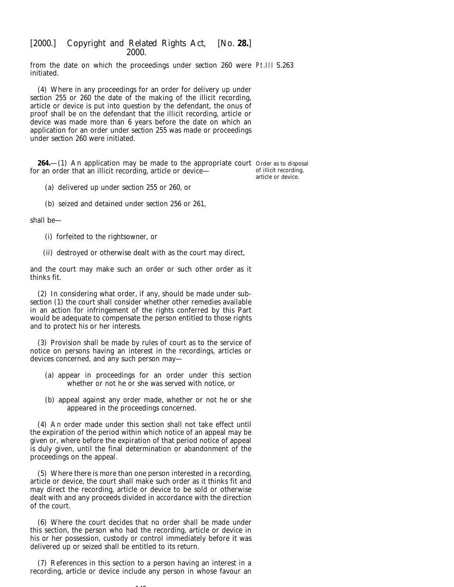from the date on which the proceedings under *section 260* were Pt.III S.263 initiated.

(4) Where in any proceedings for an order for delivery up under *section 255* or *260* the date of the making of the illicit recording, article or device is put into question by the defendant, the onus of proof shall be on the defendant that the illicit recording, article or device was made more than 6 years before the date on which an application for an order under *section 255* was made or proceedings under *section 260* were initiated.

**264.**—(1) An application may be made to the appropriate court Order as to disposal for an order that an illicit recording, article or device—

of illicit recording, article or device.

- (*a*) delivered up under *section 255* or *260*, or
- (*b*) seized and detained under *section 256* or *261*,

shall be—

- (i) forfeited to the rightsowner, or
- (ii) destroyed or otherwise dealt with as the court may direct,

and the court may make such an order or such other order as it thinks fit.

(2) In considering what order, if any, should be made under *subsection (1)* the court shall consider whether other remedies available in an action for infringement of the rights conferred by this Part would be adequate to compensate the person entitled to those rights and to protect his or her interests.

(3) Provision shall be made by rules of court as to the service of notice on persons having an interest in the recordings, articles or devices concerned, and any such person may—

- (*a*) appear in proceedings for an order under this section whether or not he or she was served with notice, or
- (*b*) appeal against any order made, whether or not he or she appeared in the proceedings concerned.

(4) An order made under this section shall not take effect until the expiration of the period within which notice of an appeal may be given or, where before the expiration of that period notice of appeal is duly given, until the final determination or abandonment of the proceedings on the appeal.

(5) Where there is more than one person interested in a recording, article or device, the court shall make such order as it thinks fit and may direct the recording, article or device to be sold or otherwise dealt with and any proceeds divided in accordance with the direction of the court.

(6) Where the court decides that no order shall be made under this section, the person who had the recording, article or device in his or her possession, custody or control immediately before it was delivered up or seized shall be entitled to its return.

(7) References in this section to a person having an interest in a recording, article or device include any person in whose favour an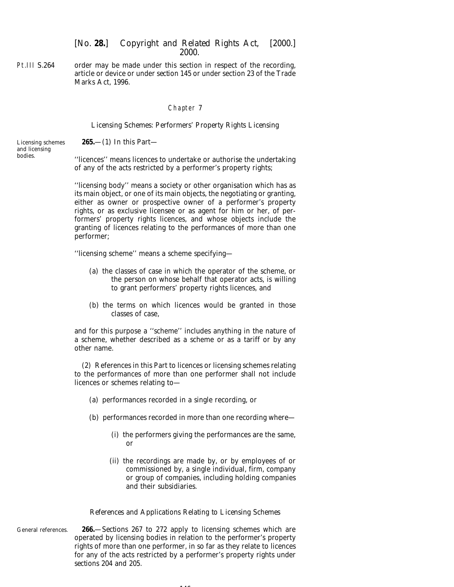Pt.III S.264 order may be made under this section in respect of the recording, article or device or under *section 145* or under section 23 of the Trade Marks Act, 1996.

### Chapter 7

#### *Licensing Schemes: Performers' Property Rights Licensing*

**265.**—(1) In this Part—

Licensing schemes and licensing bodies.

''licences'' means licences to undertake or authorise the undertaking of any of the acts restricted by a performer's property rights;

''licensing body'' means a society or other organisation which has as its main object, or one of its main objects, the negotiating or granting, either as owner or prospective owner of a performer's property rights, or as exclusive licensee or as agent for him or her, of performers' property rights licences, and whose objects include the granting of licences relating to the performances of more than one performer;

''licensing scheme'' means a scheme specifying—

- (*a*) the classes of case in which the operator of the scheme, or the person on whose behalf that operator acts, is willing to grant performers' property rights licences, and
- (*b*) the terms on which licences would be granted in those classes of case,

and for this purpose a ''scheme'' includes anything in the nature of a scheme, whether described as a scheme or as a tariff or by any other name.

(2) References in this Part to licences or licensing schemes relating to the performances of more than one performer shall not include licences or schemes relating to—

- (*a*) performances recorded in a single recording, or
- (*b*) performances recorded in more than one recording where—
	- (i) the performers giving the performances are the same, or
	- (ii) the recordings are made by, or by employees of or commissioned by, a single individual, firm, company or group of companies, including holding companies and their subsidiaries.

#### *References and Applications Relating to Licensing Schemes*

General references. **266.**—*Sections 267* to *272* apply to licensing schemes which are operated by licensing bodies in relation to the performer's property rights of more than one performer, in so far as they relate to licences for any of the acts restricted by a performer's property rights under *sections 204* and *205*.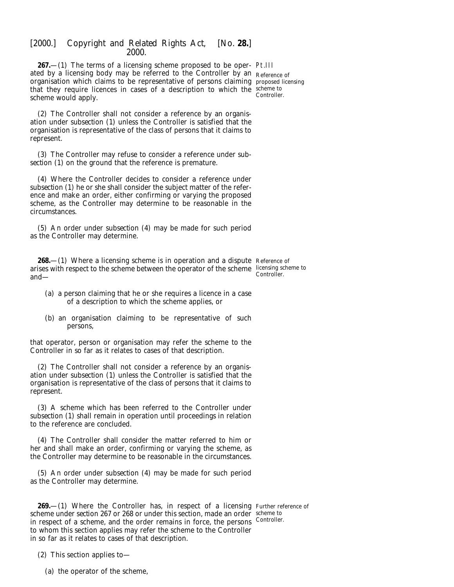**267.**—(1) The terms of a licensing scheme proposed to be oper-Pt.III ated by a licensing body may be referred to the Controller by an  $_{\rm Reference\ of}$ organisation which claims to be representative of persons claiming proposed licensing that they require licences in cases of a description to which the scheme to scheme would apply.

Controller.

(2) The Controller shall not consider a reference by an organisation under *subsection (1)* unless the Controller is satisfied that the organisation is representative of the class of persons that it claims to represent.

(3) The Controller may refuse to consider a reference under *subsection (1)* on the ground that the reference is premature.

(4) Where the Controller decides to consider a reference under *subsection (1)* he or she shall consider the subject matter of the reference and make an order, either confirming or varying the proposed scheme, as the Controller may determine to be reasonable in the circumstances.

(5) An order under *subsection (4)* may be made for such period as the Controller may determine.

**268.**—(1) Where a licensing scheme is in operation and a dispute Reference of arises with respect to the scheme between the operator of the scheme licensing scheme to and— Controller.

- (*a*) a person claiming that he or she requires a licence in a case of a description to which the scheme applies, or
- (*b*) an organisation claiming to be representative of such persons,

that operator, person or organisation may refer the scheme to the Controller in so far as it relates to cases of that description.

(2) The Controller shall not consider a reference by an organisation under *subsection (1)* unless the Controller is satisfied that the organisation is representative of the class of persons that it claims to represent.

(3) A scheme which has been referred to the Controller under *subsection (1)* shall remain in operation until proceedings in relation to the reference are concluded.

(4) The Controller shall consider the matter referred to him or her and shall make an order, confirming or varying the scheme, as the Controller may determine to be reasonable in the circumstances.

(5) An order under *subsection (4)* may be made for such period as the Controller may determine.

**269.**—(1) Where the Controller has, in respect of a licensing Further reference of scheme under *section 267* or *268* or under this section, made an order scheme to in respect of a scheme, and the order remains in force, the persons Controller. to whom this section applies may refer the scheme to the Controller in so far as it relates to cases of that description.

(2) This section applies to—

(*a*) the operator of the scheme,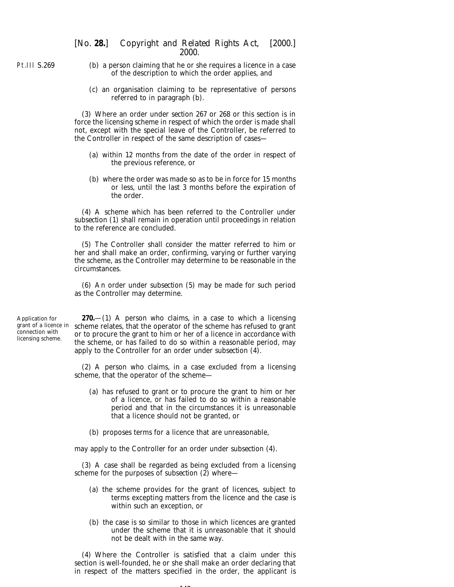Pt.III S.269

- (*b*) a person claiming that he or she requires a licence in a case of the description to which the order applies, and
- (*c*) an organisation claiming to be representative of persons referred to in *paragraph (b)*.

(3) Where an order under *section 267* or *268* or this section is in force the licensing scheme in respect of which the order is made shall not, except with the special leave of the Controller, be referred to the Controller in respect of the same description of cases—

- (*a*) within 12 months from the date of the order in respect of the previous reference, or
- (*b*) where the order was made so as to be in force for 15 months or less, until the last 3 months before the expiration of the order.

(4) A scheme which has been referred to the Controller under *subsection (1)* shall remain in operation until proceedings in relation to the reference are concluded.

(5) The Controller shall consider the matter referred to him or her and shall make an order, confirming, varying or further varying the scheme, as the Controller may determine to be reasonable in the circumstances.

(6) An order under *subsection (5)* may be made for such period as the Controller may determine.

Application for grant of a licence in connection with licensing scheme.

**270.**—(1) A person who claims, in a case to which a licensing scheme relates, that the operator of the scheme has refused to grant or to procure the grant to him or her of a licence in accordance with the scheme, or has failed to do so within a reasonable period, may apply to the Controller for an order under *subsection (4).*

(2) A person who claims, in a case excluded from a licensing scheme, that the operator of the scheme—

- (*a*) has refused to grant or to procure the grant to him or her of a licence, or has failed to do so within a reasonable period and that in the circumstances it is unreasonable that a licence should not be granted, or
- (*b*) proposes terms for a licence that are unreasonable,

may apply to the Controller for an order under *subsection (4)*.

(3) A case shall be regarded as being excluded from a licensing scheme for the purposes of *subsection (2)* where—

- (*a*) the scheme provides for the grant of licences, subject to terms excepting matters from the licence and the case is within such an exception, or
- (*b*) the case is so similar to those in which licences are granted under the scheme that it is unreasonable that it should not be dealt with in the same way.

(4) Where the Controller is satisfied that a claim under this section is well-founded, he or she shall make an order declaring that in respect of the matters specified in the order, the applicant is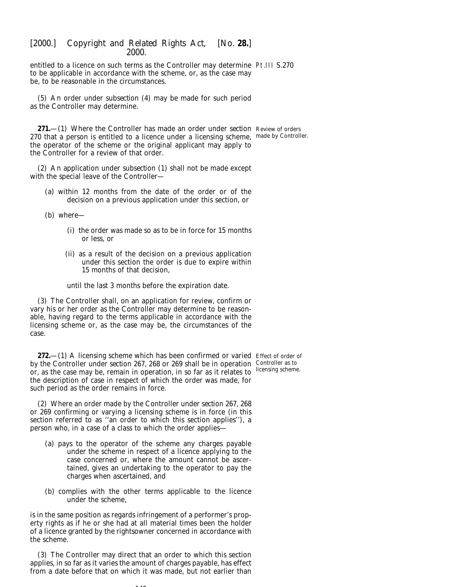entitled to a licence on such terms as the Controller may determine Pt.III S.270 to be applicable in accordance with the scheme, or, as the case may be, to be reasonable in the circumstances.

(5) An order under *subsection (4)* may be made for such period as the Controller may determine.

**271.**—(1) Where the Controller has made an order under *section* Review of orders 270 that a person is entitled to a licence under a licensing scheme, made by Controller. the operator of the scheme or the original applicant may apply to the Controller for a review of that order.

(2) An application under *subsection (1)* shall not be made except with the special leave of the Controller—

- (*a*) within 12 months from the date of the order or of the decision on a previous application under this section, or
- (*b*) where—
	- (i) the order was made so as to be in force for 15 months or less, or
	- (ii) as a result of the decision on a previous application under this section the order is due to expire within 15 months of that decision,

until the last 3 months before the expiration date.

(3) The Controller shall, on an application for review, confirm or vary his or her order as the Controller may determine to be reasonable, having regard to the terms applicable in accordance with the licensing scheme or, as the case may be, the circumstances of the case.

**272.**—(1) A licensing scheme which has been confirmed or varied Effect of order of by the Controller under *section 267, 268* or *269* shall be in operation Controller as to or, as the case may be, remain in operation, in so far as it relates to licensing scheme. the description of case in respect of which the order was made, for such period as the order remains in force.

(2) Where an order made by the Controller under *section 267, 268* or *269* confirming or varying a licensing scheme is in force (in this section referred to as ''an order to which this section applies''), a person who, in a case of a class to which the order applies—

- (*a*) pays to the operator of the scheme any charges payable under the scheme in respect of a licence applying to the case concerned or, where the amount cannot be ascertained, gives an undertaking to the operator to pay the charges when ascertained, and
- (*b*) complies with the other terms applicable to the licence under the scheme,

is in the same position as regards infringement of a performer's property rights as if he or she had at all material times been the holder of a licence granted by the rightsowner concerned in accordance with the scheme.

(3) The Controller may direct that an order to which this section applies, in so far as it varies the amount of charges payable, has effect from a date before that on which it was made, but not earlier than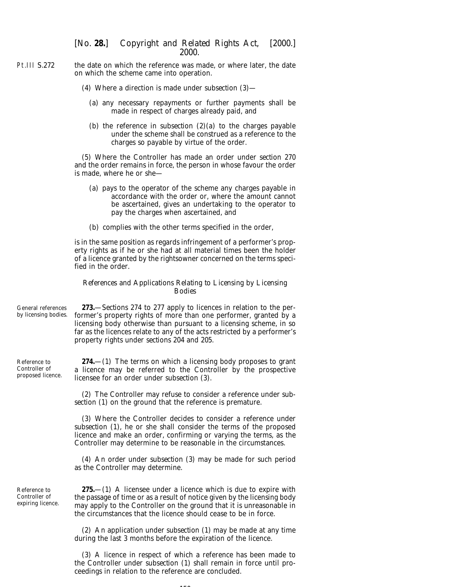- Pt.III S.272 the date on which the reference was made, or where later, the date on which the scheme came into operation.
	- (4) Where a direction is made under *subsection (3)*
		- (*a*) any necessary repayments or further payments shall be made in respect of charges already paid, and
		- (*b*) the reference in *subsection (2)(a)* to the charges payable under the scheme shall be construed as a reference to the charges so payable by virtue of the order.

(5) Where the Controller has made an order under *section 270* and the order remains in force, the person in whose favour the order is made, where he or she—

- (*a*) pays to the operator of the scheme any charges payable in accordance with the order or, where the amount cannot be ascertained, gives an undertaking to the operator to pay the charges when ascertained, and
- (*b*) complies with the other terms specified in the order,

is in the same position as regards infringement of a performer's property rights as if he or she had at all material times been the holder of a licence granted by the rightsowner concerned on the terms specified in the order.

#### *References and Applications Relating to Licensing by Licensing Bodies*

General references by licensing bodies. **273.**—*Sections 274* to *277* apply to licences in relation to the performer's property rights of more than one performer, granted by a licensing body otherwise than pursuant to a licensing scheme, in so far as the licences relate to any of the acts restricted by a performer's property rights under *sections 204* and *205*.

Reference to Controller of proposed licence. **274.**—(1) The terms on which a licensing body proposes to grant a licence may be referred to the Controller by the prospective licensee for an order under *subsection (3)*.

> (2) The Controller may refuse to consider a reference under *subsection (1)* on the ground that the reference is premature.

> (3) Where the Controller decides to consider a reference under *subsection (1)*, he or she shall consider the terms of the proposed licence and make an order, confirming or varying the terms, as the Controller may determine to be reasonable in the circumstances.

> (4) An order under *subsection (3)* may be made for such period as the Controller may determine.

Reference to Controller of expiring licence.

**275.**—(1) A licensee under a licence which is due to expire with the passage of time or as a result of notice given by the licensing body may apply to the Controller on the ground that it is unreasonable in the circumstances that the licence should cease to be in force.

(2) An application under *subsection (1)* may be made at any time during the last 3 months before the expiration of the licence.

(3) A licence in respect of which a reference has been made to the Controller under *subsection (1)* shall remain in force until proceedings in relation to the reference are concluded.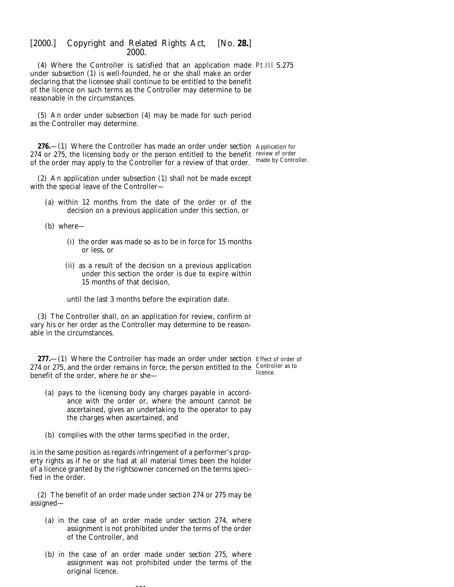(4) Where the Controller is satisfied that an application made Pt.III S.275 under *subsection (1)* is well-founded, he or she shall make an order declaring that the licensee shall continue to be entitled to the benefit of the licence on such terms as the Controller may determine to be reasonable in the circumstances.

(5) An order under *subsection (4)* may be made for such period as the Controller may determine.

**276.**—(1) Where the Controller has made an order under *section* Application for 274 or 275, the licensing body or the person entitled to the benefit review of order of the order may apply to the Controller for a review of that order. made by Controller.

(2) An application under *subsection (1)* shall not be made except with the special leave of the Controller—

(*a*) within 12 months from the date of the order or of the decision on a previous application under this section, or

(*b*) where—

- (i) the order was made so as to be in force for 15 months or less, or
- (ii) as a result of the decision on a previous application under this section the order is due to expire within 15 months of that decision,

until the last 3 months before the expiration date.

(3) The Controller shall, on an application for review, confirm or vary his or her order as the Controller may determine to be reasonable in the circumstances.

**277.**—(1) Where the Controller has made an order under *section* Effect of order of 274 or 275, and the order remains in force, the person entitled to the Controller as to benefit of the order, where he or she licence.

- (*a*) pays to the licensing body any charges payable in accordance with the order or, where the amount cannot be ascertained, gives an undertaking to the operator to pay the charges when ascertained, and
- (*b*) complies with the other terms specified in the order,

is in the same position as regards infringement of a performer's property rights as if he or she had at all material times been the holder of a licence granted by the rightsowner concerned on the terms specified in the order.

(2) The benefit of an order made under *section 274* or *275* may be assigned—

- (*a*) in the case of an order made under *section 274*, where assignment is not prohibited under the terms of the order of the Controller, and
- (*b*) in the case of an order made under *section 275*, where assignment was not prohibited under the terms of the original licence.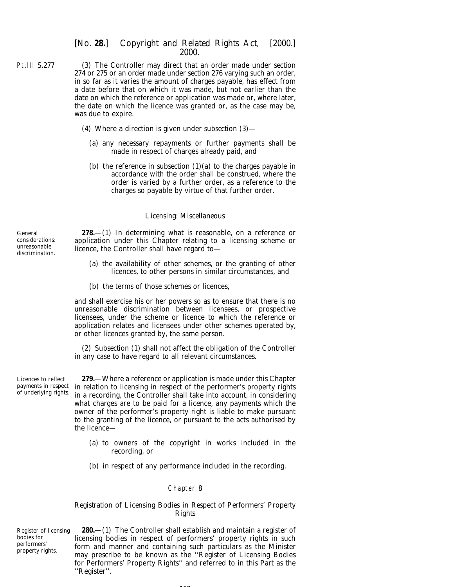- Pt.III S.277 (3) The Controller may direct that an order made under *section 274* or *275* or an order made under *section 276* varying such an order, in so far as it varies the amount of charges payable, has effect from a date before that on which it was made, but not earlier than the date on which the reference or application was made or, where later, the date on which the licence was granted or, as the case may be, was due to expire.
	- (4) Where a direction is given under *subsection (3)*
		- (*a*) any necessary repayments or further payments shall be made in respect of charges already paid, and
		- (*b*) the reference in *subsection (1)(a)* to the charges payable in accordance with the order shall be construed, where the order is varied by a further order, as a reference to the charges so payable by virtue of that further order.

### *Licensing: Miscellaneous*

**278.**—(1) In determining what is reasonable, on a reference or application under this Chapter relating to a licensing scheme or licence, the Controller shall have regard to—

- (*a*) the availability of other schemes, or the granting of other licences, to other persons in similar circumstances, and
- (*b*) the terms of those schemes or licences,

and shall exercise his or her powers so as to ensure that there is no unreasonable discrimination between licensees, or prospective licensees, under the scheme or licence to which the reference or application relates and licensees under other schemes operated by, or other licences granted by, the same person.

(2) *Subsection (1)* shall not affect the obligation of the Controller in any case to have regard to all relevant circumstances.

Licences to reflect payments in respect of underlying rights.

**279.**—Where a reference or application is made under this Chapter in relation to licensing in respect of the performer's property rights in a recording, the Controller shall take into account, in considering what charges are to be paid for a licence, any payments which the owner of the performer's property right is liable to make pursuant to the granting of the licence, or pursuant to the acts authorised by the licence—

- (*a*) to owners of the copyright in works included in the recording, or
- (*b*) in respect of any performance included in the recording.

### Chapter 8

### *Registration of Licensing Bodies in Respect of Performers' Property Rights*

Register of licensing bodies for performers' property rights.

**280.**—(1) The Controller shall establish and maintain a register of licensing bodies in respect of performers' property rights in such form and manner and containing such particulars as the Minister may prescribe to be known as the ''Register of Licensing Bodies for Performers' Property Rights'' and referred to in this Part as the ''Register''.

# $152$

General considerations: unreasonable

discrimination.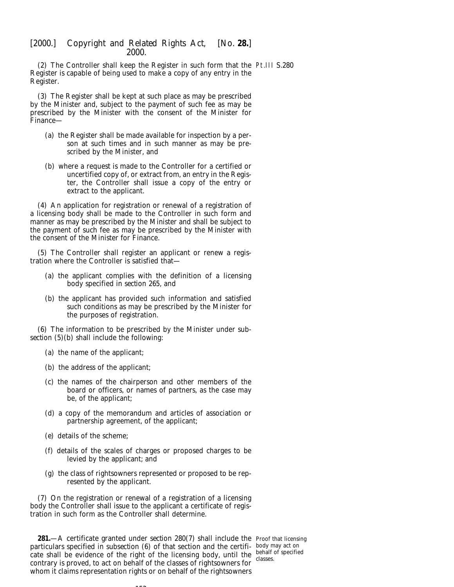(2) The Controller shall keep the Register in such form that the Pt.III S.280 Register is capable of being used to make a copy of any entry in the Register.

(3) The Register shall be kept at such place as may be prescribed by the Minister and, subject to the payment of such fee as may be prescribed by the Minister with the consent of the Minister for Finance—

- (*a*) the Register shall be made available for inspection by a person at such times and in such manner as may be prescribed by the Minister, and
- (*b*) where a request is made to the Controller for a certified or uncertified copy of, or extract from, an entry in the Register, the Controller shall issue a copy of the entry or extract to the applicant.

(4) An application for registration or renewal of a registration of a licensing body shall be made to the Controller in such form and manner as may be prescribed by the Minister and shall be subject to the payment of such fee as may be prescribed by the Minister with the consent of the Minister for Finance.

(5) The Controller shall register an applicant or renew a registration where the Controller is satisfied that—

- (*a*) the applicant complies with the definition of a licensing body specified in *section 265*, and
- (*b*) the applicant has provided such information and satisfied such conditions as may be prescribed by the Minister for the purposes of registration.

(6) The information to be prescribed by the Minister under *subsection (5)(b)* shall include the following:

- (*a*) the name of the applicant;
- (*b*) the address of the applicant;
- (*c*) the names of the chairperson and other members of the board or officers, or names of partners, as the case may be, of the applicant;
- (*d*) a copy of the memorandum and articles of association or partnership agreement, of the applicant;
- (*e*) details of the scheme;
- (*f*) details of the scales of charges or proposed charges to be levied by the applicant; and
- (*g*) the class of rightsowners represented or proposed to be represented by the applicant.

(7) On the registration or renewal of a registration of a licensing body the Controller shall issue to the applicant a certificate of registration in such form as the Controller shall determine.

**281.**—A certificate granted under *section 280(7)* shall include the Proof that licensing particulars specified in *subsection (6)* of that section and the certifi- body may act on cate shall be evidence of the right of the licensing body, until the contrary is proved, to act on behalf of the classes of rightsowners for whom it claims representation rights or on behalf of the rightsowners

behalf of specified classes.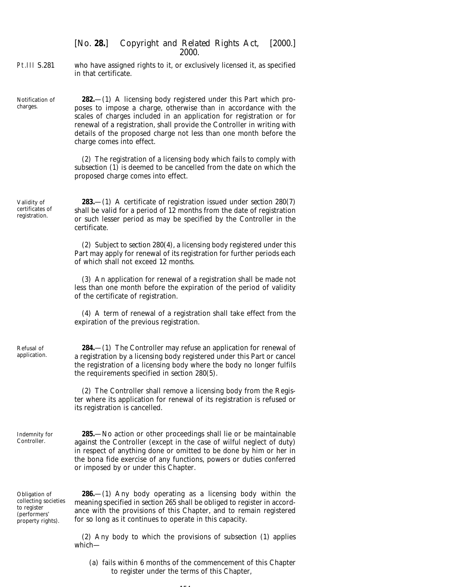Pt.III S.281 who have assigned rights to it, or exclusively licensed it, as specified in that certificate.

Notification of **282.**—(1) A licensing body registered under this Part which proposes to impose a charge, otherwise than in accordance with the scales of charges included in an application for registration or for renewal of a registration, shall provide the Controller in writing with details of the proposed charge not less than one month before the charge comes into effect.

> (2) The registration of a licensing body which fails to comply with *subsection (1)* is deemed to be cancelled from the date on which the proposed charge comes into effect.

Validity of certificates of registration.

Refusal of application.

Controller.

charges.

**283.**—(1) A certificate of registration issued under *section 280(7)* shall be valid for a period of 12 months from the date of registration or such lesser period as may be specified by the Controller in the certificate.

(2) Subject to *section 280(4)*, a licensing body registered under this Part may apply for renewal of its registration for further periods each of which shall not exceed 12 months.

(3) An application for renewal of a registration shall be made not less than one month before the expiration of the period of validity of the certificate of registration.

(4) A term of renewal of a registration shall take effect from the expiration of the previous registration.

**284.**—(1) The Controller may refuse an application for renewal of a registration by a licensing body registered under this Part or cancel the registration of a licensing body where the body no longer fulfils the requirements specified in *section 280(5)*.

(2) The Controller shall remove a licensing body from the Register where its application for renewal of its registration is refused or its registration is cancelled.

Indemnity for **285.**—No action or other proceedings shall lie or be maintainable against the Controller (except in the case of wilful neglect of duty) in respect of anything done or omitted to be done by him or her in the *bona fide* exercise of any functions, powers or duties conferred or imposed by or under this Chapter.

Obligation of collecting societies to register (performers' property rights).

**286.**—(1) Any body operating as a licensing body within the meaning specified in *section 265* shall be obliged to register in accordance with the provisions of this Chapter, and to remain registered for so long as it continues to operate in this capacity.

(2) Any body to which the provisions of *subsection (1)* applies which—

(*a*) fails within 6 months of the commencement of this Chapter to register under the terms of this Chapter,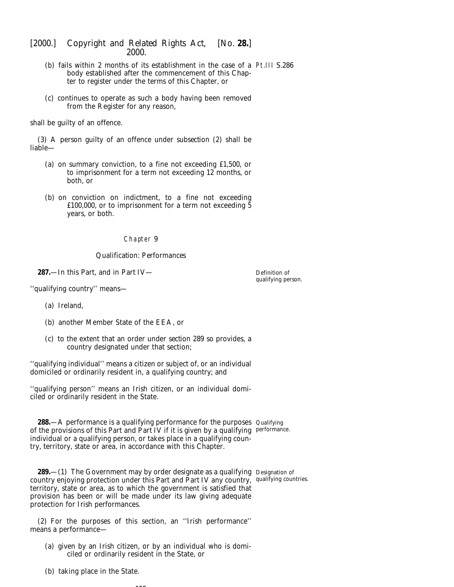- (*b*) fails within 2 months of its establishment in the case of a Pt.III S.286 body established after the commencement of this Chapter to register under the terms of this Chapter, or
- (*c*) continues to operate as such a body having been removed from the Register for any reason,

shall be guilty of an offence.

(3) A person guilty of an offence under *subsection (2)* shall be liable—

- (*a*) on summary conviction, to a fine not exceeding £1,500, or to imprisonment for a term not exceeding 12 months, or both, or
- (*b*) on conviction on indictment, to a fine not exceeding £100,000, or to imprisonment for a term not exceeding  $\bar{5}$ years, or both.

### Chapter 9

### *Qualification: Performances*

**287.**—In this Part, and in *Part IV*—

Definition of qualifying person.

''qualifying country'' means—

- (*a*) Ireland,
- (*b*) another Member State of the EEA, or
- (*c*) to the extent that an order under *section 289* so provides, a country designated under that section;

''qualifying individual'' means a citizen or subject of, or an individual domiciled or ordinarily resident in, a qualifying country; and

''qualifying person'' means an Irish citizen, or an individual domiciled or ordinarily resident in the State.

**288.**—A performance is a qualifying performance for the purposes Qualifying of the provisions of this Part and *Part IV* if it is given by a qualifying performance. individual or a qualifying person, or takes place in a qualifying country, territory, state or area, in accordance with this Chapter.

**289.**—(1) The Government may by order designate as a qualifying Designation of country enjoying protection under this Part and *Part IV* any country, qualifying countries.territory, state or area, as to which the government is satisfied that provision has been or will be made under its law giving adequate protection for Irish performances.

(2) For the purposes of this section, an ''Irish performance'' means a performance—

--

(*a*) given by an Irish citizen, or by an individual who is domiciled or ordinarily resident in the State, or

(*b*) taking place in the State.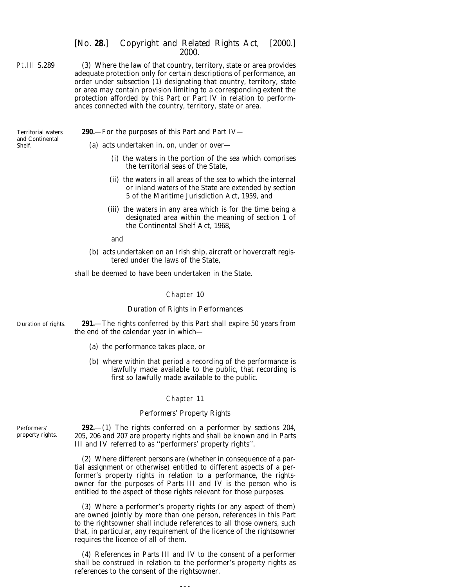Pt.III S.289 (3) Where the law of that country, territory, state or area provides adequate protection only for certain descriptions of performance, an order under *subsection (1)* designating that country, territory, state or area may contain provision limiting to a corresponding extent the protection afforded by this Part or *Part IV* in relation to performances connected with the country, territory, state or area.

Territorial waters and Continental Shelf.

### **290.**—For the purposes of this Part and *Part IV*—

(*a*) acts undertaken in, on, under or over—

- (i) the waters in the portion of the sea which comprises the territorial seas of the State,
- (ii) the waters in all areas of the sea to which the internal or inland waters of the State are extended by section 5 of the Maritime Jurisdiction Act, 1959, and
- (iii) the waters in any area which is for the time being a designated area within the meaning of section 1 of the Continental Shelf Act, 1968,

and

(*b*) acts undertaken on an Irish ship, aircraft or hovercraft registered under the laws of the State,

shall be deemed to have been undertaken in the State.

#### Chapter 10

### *Duration of Rights in Performances*

Duration of rights. **291.**—The rights conferred by this Part shall expire 50 years from the end of the calendar year in which—

- (*a*) the performance takes place, or
- (*b*) where within that period a recording of the performance is lawfully made available to the public, that recording is first so lawfully made available to the public.

#### Chapter 11

#### *Performers' Property Rights*

Performers' property rights.

**292.**—(1) The rights conferred on a performer by *sections 204, 205, 206* and *207* are property rights and shall be known and in *Parts III* and *IV* referred to as ''performers' property rights''.

(2) Where different persons are (whether in consequence of a partial assignment or otherwise) entitled to different aspects of a performer's property rights in relation to a performance, the rightsowner for the purposes of *Parts III* and *IV* is the person who is entitled to the aspect of those rights relevant for those purposes.

(3) Where a performer's property rights (or any aspect of them) are owned jointly by more than one person, references in this Part to the rightsowner shall include references to all those owners, such that, in particular, any requirement of the licence of the rightsowner requires the licence of all of them.

(4) References in *Parts III* and *IV* to the consent of a performer shall be construed in relation to the performer's property rights as references to the consent of the rightsowner.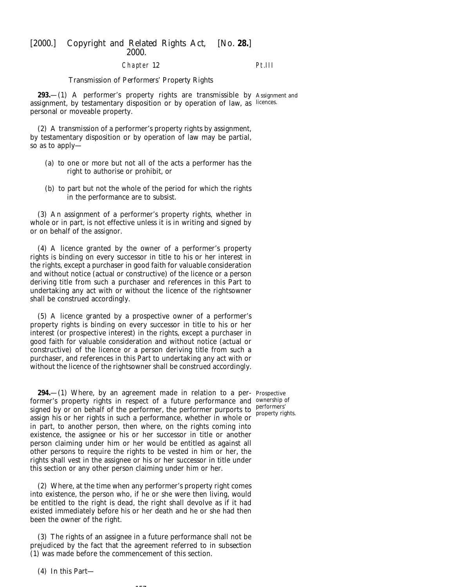#### Chapter 12

Pt.III

#### *Transmission of Performers' Property Rights*

**293.**—(1) A performer's property rights are transmissible by Assignment and assignment, by testamentary disposition or by operation of law, as licences. personal or moveable property.

(2) A transmission of a performer's property rights by assignment, by testamentary disposition or by operation of law may be partial, so as to apply—

- (*a*) to one or more but not all of the acts a performer has the right to authorise or prohibit, or
- (*b*) to part but not the whole of the period for which the rights in the performance are to subsist.

(3) An assignment of a performer's property rights, whether in whole or in part, is not effective unless it is in writing and signed by or on behalf of the assignor.

(4) A licence granted by the owner of a performer's property rights is binding on every successor in title to his or her interest in the rights, except a purchaser in good faith for valuable consideration and without notice (actual or constructive) of the licence or a person deriving title from such a purchaser and references in this Part to undertaking any act with or without the licence of the rightsowner shall be construed accordingly.

(5) A licence granted by a prospective owner of a performer's property rights is binding on every successor in title to his or her interest (or prospective interest) in the rights, except a purchaser in good faith for valuable consideration and without notice (actual or constructive) of the licence or a person deriving title from such a purchaser, and references in this Part to undertaking any act with or without the licence of the rightsowner shall be construed accordingly.

**294.**—(1) Where, by an agreement made in relation to a per-Prospective former's property rights in respect of a future performance and ownership of signed by or on behalf of the performer, the performer purports to  $\frac{\text{performs}}{\text{property of}}$ assign his or her rights in such a performance, whether in whole or in part, to another person, then where, on the rights coming into existence, the assignee or his or her successor in title or another person claiming under him or her would be entitled as against all other persons to require the rights to be vested in him or her, the rights shall vest in the assignee or his or her successor in title under this section or any other person claiming under him or her.

(2) Where, at the time when any performer's property right comes into existence, the person who, if he or she were then living, would be entitled to the right is dead, the right shall devolve as if it had existed immediately before his or her death and he or she had then been the owner of the right.

(3) The rights of an assignee in a future performance shall not be prejudiced by the fact that the agreement referred to in *subsection (1)* was made before the commencement of this section.

--

property rights.

(4) In this Part—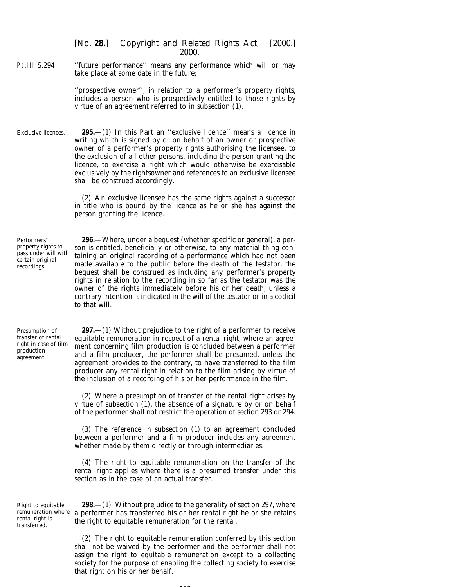Pt.III S.294 ''future performance'' means any performance which will or may take place at some date in the future;

> ''prospective owner'', in relation to a performer's property rights, includes a person who is prospectively entitled to those rights by virtue of an agreement referred to in *subsection (1)*.

Exclusive licences. **295.**—(1) In this Part an ''exclusive licence'' means a licence in writing which is signed by or on behalf of an owner or prospective owner of a performer's property rights authorising the licensee, to the exclusion of all other persons, including the person granting the licence, to exercise a right which would otherwise be exercisable exclusively by the rightsowner and references to an exclusive licensee shall be construed accordingly.

> (2) An exclusive licensee has the same rights against a successor in title who is bound by the licence as he or she has against the person granting the licence.

Performers' property rights to pass under will with certain original recordings.

**296.**—Where, under a bequest (whether specific or general), a person is entitled, beneficially or otherwise, to any material thing containing an original recording of a performance which had not been made available to the public before the death of the testator, the bequest shall be construed as including any performer's property rights in relation to the recording in so far as the testator was the owner of the rights immediately before his or her death, unless a contrary intention is indicated in the will of the testator or in a codicil to that will.

Presumption of transfer of rental right in case of film production agreement.

**297.**—(1) Without prejudice to the right of a performer to receive equitable remuneration in respect of a rental right, where an agreement concerning film production is concluded between a performer and a film producer, the performer shall be presumed, unless the agreement provides to the contrary, to have transferred to the film producer any rental right in relation to the film arising by virtue of the inclusion of a recording of his or her performance in the film.

(2) Where a presumption of transfer of the rental right arises by virtue of *subsection (1)*, the absence of a signature by or on behalf of the performer shall not restrict the operation of *section 293* or *294*.

(3) The reference in *subsection (1)* to an agreement concluded between a performer and a film producer includes any agreement whether made by them directly or through intermediaries.

(4) The right to equitable remuneration on the transfer of the rental right applies where there is a presumed transfer under this section as in the case of an actual transfer.

Right to equitable rental right is transferred.

remuneration where a performer has transferred his or her rental right he or she retains **298.**—(1) Without prejudice to the generality of *section 297*, where the right to equitable remuneration for the rental.

> (2) The right to equitable remuneration conferred by this section shall not be waived by the performer and the performer shall not assign the right to equitable remuneration except to a collecting society for the purpose of enabling the collecting society to exercise that right on his or her behalf.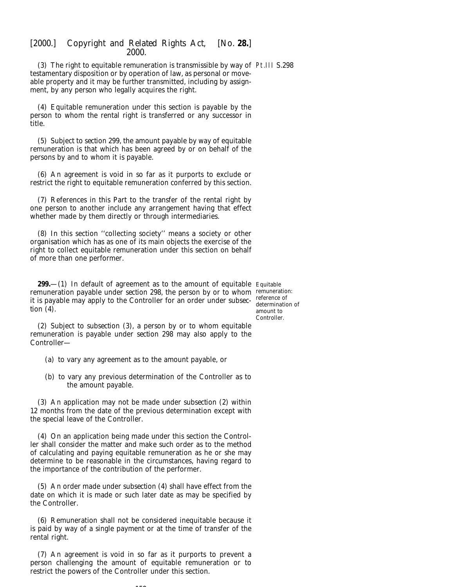(3) The right to equitable remuneration is transmissible by way of Pt.III S.298 testamentary disposition or by operation of law, as personal or moveable property and it may be further transmitted, including by assignment, by any person who legally acquires the right.

(4) Equitable remuneration under this section is payable by the person to whom the rental right is transferred or any successor in title.

(5) Subject to *section 299*, the amount payable by way of equitable remuneration is that which has been agreed by or on behalf of the persons by and to whom it is payable.

(6) An agreement is void in so far as it purports to exclude or restrict the right to equitable remuneration conferred by this section.

(7) References in this Part to the transfer of the rental right by one person to another include any arrangement having that effect whether made by them directly or through intermediaries.

(8) In this section ''collecting society'' means a society or other organisation which has as one of its main objects the exercise of the right to collect equitable remuneration under this section on behalf of more than one performer.

**299.**—(1) In default of agreement as to the amount of equitable Equitable remuneration payable under *section 298*, the person by or to whom remuneration: it is payable may apply to the Controller for an order under *subsec-*reference of *tion (4)*.

determination of amount to Controller.

(2) Subject to *subsection (3)*, a person by or to whom equitable remuneration is payable under *section 298* may also apply to the Controller—

- (*a*) to vary any agreement as to the amount payable, or
- (*b*) to vary any previous determination of the Controller as to the amount payable.

(3) An application may not be made under *subsection (2)* within 12 months from the date of the previous determination except with the special leave of the Controller.

(4) On an application being made under this section the Controller shall consider the matter and make such order as to the method of calculating and paying equitable remuneration as he or she may determine to be reasonable in the circumstances, having regard to the importance of the contribution of the performer.

(5) An order made under *subsection (4)* shall have effect from the date on which it is made or such later date as may be specified by the Controller.

(6) Remuneration shall not be considered inequitable because it is paid by way of a single payment or at the time of transfer of the rental right.

(7) An agreement is void in so far as it purports to prevent a person challenging the amount of equitable remuneration or to restrict the powers of the Controller under this section.

 $159$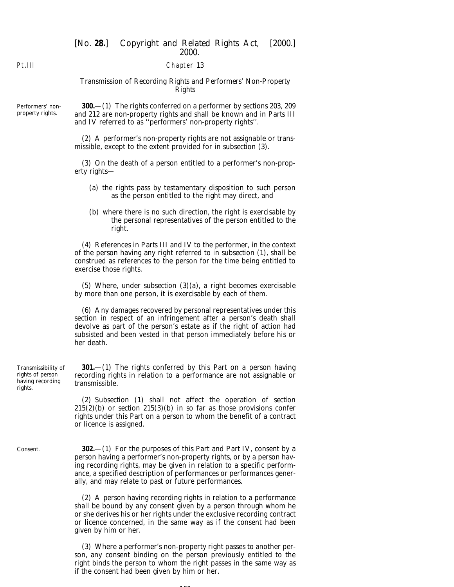### Chapter 13

### *Transmission of Recording Rights and Performers' Non-Property Rights*

Performers' nonproperty rights.

**300.**—(1) The rights conferred on a performer by *sections 203, 209* and *212* are non-property rights and shall be known and in *Parts III* and *IV* referred to as ''performers' non-property rights''.

(2) A performer's non-property rights are not assignable or transmissible, except to the extent provided for in *subsection (3)*.

(3) On the death of a person entitled to a performer's non-property rights—

- (*a*) the rights pass by testamentary disposition to such person as the person entitled to the right may direct, and
- (*b*) where there is no such direction, the right is exercisable by the personal representatives of the person entitled to the right.

(4) References in *Parts III* and *IV* to the performer, in the context of the person having any right referred to in *subsection (1)*, shall be construed as references to the person for the time being entitled to exercise those rights.

(5) Where, under *subsection (3)(a)*, a right becomes exercisable by more than one person, it is exercisable by each of them.

(6) Any damages recovered by personal representatives under this section in respect of an infringement after a person's death shall devolve as part of the person's estate as if the right of action had subsisted and been vested in that person immediately before his or her death.

**301.**—(1) The rights conferred by this Part on a person having recording rights in relation to a performance are not assignable or transmissible.

(2) *Subsection (1)* shall not affect the operation of *section 215(2)(b)* or *section 215(3)(b)* in so far as those provisions confer rights under this Part on a person to whom the benefit of a contract or licence is assigned.

**302.**—(1) For the purposes of this Part and *Part IV*, consent by a person having a performer's non-property rights, or by a person having recording rights, may be given in relation to a specific performance, a specified description of performances or performances generally, and may relate to past or future performances.

(2) A person having recording rights in relation to a performance shall be bound by any consent given by a person through whom he or she derives his or her rights under the exclusive recording contract or licence concerned, in the same way as if the consent had been given by him or her.

(3) Where a performer's non-property right passes to another person, any consent binding on the person previously entitled to the right binds the person to whom the right passes in the same way as if the consent had been given by him or her.

Transmissibility of rights of person having recording rights.

Consent.

100

Pt.III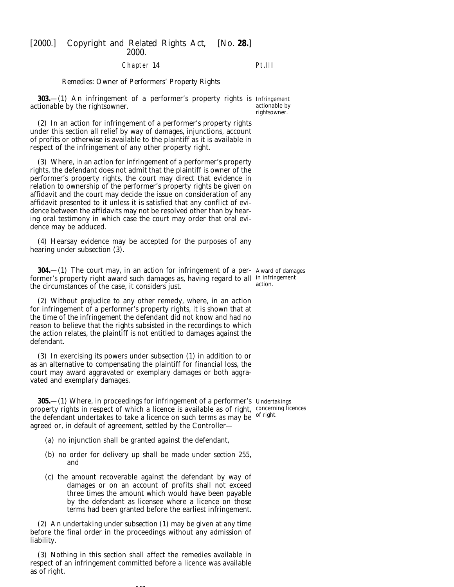### Chapter 14

# Pt.III

*Remedies: Owner of Performers' Property Rights*

**303.**—(1) An infringement of a performer's property rights is Infringement actionable by the rightsowner.

(2) In an action for infringement of a performer's property rights under this section all relief by way of damages, injunctions, account of profits or otherwise is available to the plaintiff as it is available in respect of the infringement of any other property right.

(3) Where, in an action for infringement of a performer's property rights, the defendant does not admit that the plaintiff is owner of the performer's property rights, the court may direct that evidence in relation to ownership of the performer's property rights be given on affidavit and the court may decide the issue on consideration of any affidavit presented to it unless it is satisfied that any conflict of evidence between the affidavits may not be resolved other than by hearing oral testimony in which case the court may order that oral evidence may be adduced.

(4) Hearsay evidence may be accepted for the purposes of any hearing under *subsection (3)*.

**304.** - (1) The court may, in an action for infringement of a per- Award of damages former's property right award such damages as, having regard to all in infringement the circumstances of the case, it considers just. action.

(2) Without prejudice to any other remedy, where, in an action for infringement of a performer's property rights, it is shown that at the time of the infringement the defendant did not know and had no reason to believe that the rights subsisted in the recordings to which the action relates, the plaintiff is not entitled to damages against the defendant.

(3) In exercising its powers under *subsection (1)* in addition to or as an alternative to compensating the plaintiff for financial loss, the court may award aggravated or exemplary damages or both aggravated and exemplary damages.

**305.**—(1) Where, in proceedings for infringement of a performer's Undertakings property rights in respect of which a licence is available as of right, concerning licences the defendant undertakes to take a licence on such terms as may be <sup>of right.</sup> agreed or, in default of agreement, settled by the Controller—

- (*a*) no injunction shall be granted against the defendant,
- (*b*) no order for delivery up shall be made under *section 255*, and
- (*c*) the amount recoverable against the defendant by way of damages or on an account of profits shall not exceed three times the amount which would have been payable by the defendant as licensee where a licence on those terms had been granted before the earliest infringement.

(2) An undertaking under *subsection (1)* may be given at any time before the final order in the proceedings without any admission of liability.

(3) Nothing in this section shall affect the remedies available in respect of an infringement committed before a licence was available as of right.

161

actionable by rightsowner.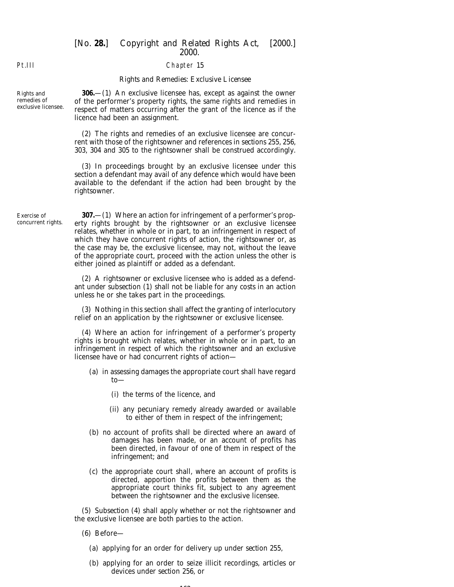#### Chapter 15

#### *Rights and Remedies: Exclusive Licensee*

**306.**—(1) An exclusive licensee has, except as against the owner of the performer's property rights, the same rights and remedies in respect of matters occurring after the grant of the licence as if the licence had been an assignment.

(2) The rights and remedies of an exclusive licensee are concurrent with those of the rightsowner and references in *sections 255, 256, 303, 304* and *305* to the rightsowner shall be construed accordingly.

(3) In proceedings brought by an exclusive licensee under this section a defendant may avail of any defence which would have been available to the defendant if the action had been brought by the rightsowner.

Exercise of concurrent rights.

**307.**—(1) Where an action for infringement of a performer's property rights brought by the rightsowner or an exclusive licensee relates, whether in whole or in part, to an infringement in respect of which they have concurrent rights of action, the rightsowner or, as the case may be, the exclusive licensee, may not, without the leave of the appropriate court, proceed with the action unless the other is either joined as plaintiff or added as a defendant.

(2) A rightsowner or exclusive licensee who is added as a defendant under *subsection (1)* shall not be liable for any costs in an action unless he or she takes part in the proceedings.

(3) Nothing in this section shall affect the granting of interlocutory relief on an application by the rightsowner or exclusive licensee.

(4) Where an action for infringement of a performer's property rights is brought which relates, whether in whole or in part, to an infringement in respect of which the rightsowner and an exclusive licensee have or had concurrent rights of action—

- (*a*) in assessing damages the appropriate court shall have regard to—
	- (i) the terms of the licence, and
	- (ii) any pecuniary remedy already awarded or available to either of them in respect of the infringement;
- (*b*) no account of profits shall be directed where an award of damages has been made, or an account of profits has been directed, in favour of one of them in respect of the infringement; and
- (*c*) the appropriate court shall, where an account of profits is directed, apportion the profits between them as the appropriate court thinks fit, subject to any agreement between the rightsowner and the exclusive licensee.

(5) *Subsection (4)* shall apply whether or not the rightsowner and the exclusive licensee are both parties to the action.

- (6) Before—
	- (*a*) applying for an order for delivery up under *section 255*,
	- (*b*) applying for an order to seize illicit recordings, articles or devices under *section 256*, or

 $102$ 

Pt.III

Rights and remedies of exclusive licensee.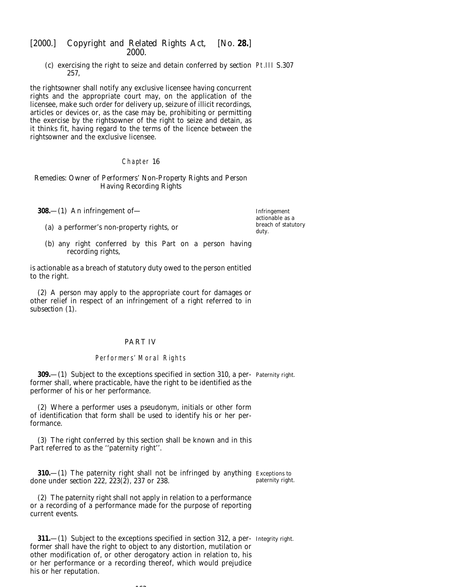(*c*) exercising the right to seize and detain conferred by *section* Pt.III S.307 *257*,

the rightsowner shall notify any exclusive licensee having concurrent rights and the appropriate court may, on the application of the licensee, make such order for delivery up, seizure of illicit recordings, articles or devices or, as the case may be, prohibiting or permitting the exercise by the rightsowner of the right to seize and detain, as it thinks fit, having regard to the terms of the licence between the rightsowner and the exclusive licensee.

### Chapter 16

### *Remedies: Owner of Performers' Non-Property Rights and Person Having Recording Rights*

**308.**—(1) An infringement of—

(*a*) a performer's non-property rights, or

Infringement actionable as a breach of statutory duty.

(*b*) any right conferred by this Part on a person having recording rights,

is actionable as a breach of statutory duty owed to the person entitled to the right.

(2) A person may apply to the appropriate court for damages or other relief in respect of an infringement of a right referred to in *subsection (1)*.

### PART IV

# Performers' Moral Rights

**309.**—(1) Subject to the exceptions specified in *section 310*, a per-Paternity right. former shall, where practicable, have the right to be identified as the performer of his or her performance.

(2) Where a performer uses a pseudonym, initials or other form of identification that form shall be used to identify his or her performance.

(3) The right conferred by this section shall be known and in this Part referred to as the ''paternity right''.

**310.**—(1) The paternity right shall not be infringed by anything Exceptions to done under *section 222, 223(2), 237* or *238*. paternity right.

(2) The paternity right shall not apply in relation to a performance or a recording of a performance made for the purpose of reporting current events.

**311.**—(1) Subject to the exceptions specified in *section 312*, a per-Integrity right.former shall have the right to object to any distortion, mutilation or other modification of, or other derogatory action in relation to, his or her performance or a recording thereof, which would prejudice his or her reputation.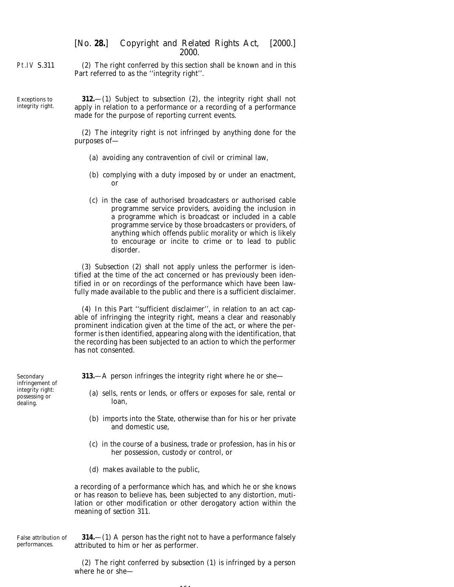Pt.IV S.311 (2) The right conferred by this section shall be known and in this Part referred to as the ''integrity right''.

Exceptions to integrity right.

**312.**—(1) Subject to *subsection (2)*, the integrity right shall not apply in relation to a performance or a recording of a performance made for the purpose of reporting current events.

(2) The integrity right is not infringed by anything done for the purposes of—

- (*a*) avoiding any contravention of civil or criminal law,
- (*b*) complying with a duty imposed by or under an enactment, or
- (*c*) in the case of authorised broadcasters or authorised cable programme service providers, avoiding the inclusion in a programme which is broadcast or included in a cable programme service by those broadcasters or providers, of anything which offends public morality or which is likely to encourage or incite to crime or to lead to public disorder.

(3) *Subsection (2)* shall not apply unless the performer is identified at the time of the act concerned or has previously been identified in or on recordings of the performance which have been lawfully made available to the public and there is a sufficient disclaimer.

(4) In this Part ''sufficient disclaimer'', in relation to an act capable of infringing the integrity right, means a clear and reasonably prominent indication given at the time of the act, or where the performer is then identified, appearing along with the identification, that the recording has been subjected to an action to which the performer has not consented.

**313.**—A person infringes the integrity right where he or she—

- (*a*) sells, rents or lends, or offers or exposes for sale, rental or loan,
- (*b*) imports into the State, otherwise than for his or her private and domestic use,
- (*c*) in the course of a business, trade or profession, has in his or her possession, custody or control, or
- (*d*) makes available to the public,

a recording of a performance which has, and which he or she knows or has reason to believe has, been subjected to any distortion, mutilation or other modification or other derogatory action within the meaning of *section 311*.

False attribution of performances.

**314.**—(1) A person has the right not to have a performance falsely attributed to him or her as performer.

(2) The right conferred by *subsection (1)* is infringed by a person where he or she—

164

Secondary infringement of integrity right: possessing or dealing.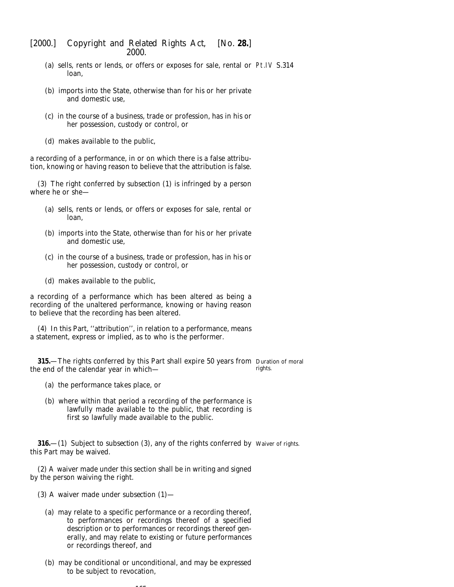- (*a*) sells, rents or lends, or offers or exposes for sale, rental or Pt.IV S.314 loan,
- (*b*) imports into the State, otherwise than for his or her private and domestic use,
- (*c*) in the course of a business, trade or profession, has in his or her possession, custody or control, or
- (*d*) makes available to the public,

a recording of a performance, in or on which there is a false attribution, knowing or having reason to believe that the attribution is false.

(3) The right conferred by *subsection (1)* is infringed by a person where he or she—

- (*a*) sells, rents or lends, or offers or exposes for sale, rental or loan,
- (*b*) imports into the State, otherwise than for his or her private and domestic use,
- (*c*) in the course of a business, trade or profession, has in his or her possession, custody or control, or
- (*d*) makes available to the public,

a recording of a performance which has been altered as being a recording of the unaltered performance, knowing or having reason to believe that the recording has been altered.

(4) In this Part, ''attribution'', in relation to a performance, means a statement, express or implied, as to who is the performer.

**315.**—The rights conferred by this Part shall expire 50 years from Duration of moral the end of the calendar year in which rights.

- (*a*) the performance takes place, or
- (*b*) where within that period a recording of the performance is lawfully made available to the public, that recording is first so lawfully made available to the public.

**316.**—(1) Subject to *subsection (3)*, any of the rights conferred by Waiver of rights. this Part may be waived.

(2) A waiver made under this section shall be in writing and signed by the person waiving the right.

- (3) A waiver made under *subsection (1)*
	- (*a*) may relate to a specific performance or a recording thereof, to performances or recordings thereof of a specified description or to performances or recordings thereof generally, and may relate to existing or future performances or recordings thereof, and
	- (*b*) may be conditional or unconditional, and may be expressed to be subject to revocation,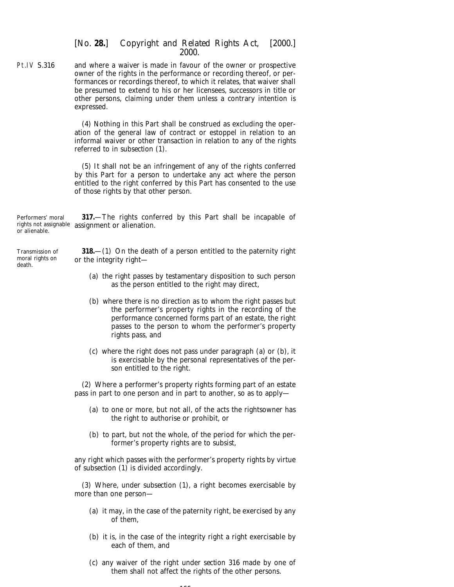Pt.IV S.316 and where a waiver is made in favour of the owner or prospective owner of the rights in the performance or recording thereof, or performances or recordings thereof, to which it relates, that waiver shall be presumed to extend to his or her licensees, successors in title or other persons, claiming under them unless a contrary intention is expressed.

> (4) Nothing in this Part shall be construed as excluding the operation of the general law of contract or estoppel in relation to an informal waiver or other transaction in relation to any of the rights referred to in *subsection (1)*.

> (5) It shall not be an infringement of any of the rights conferred by this Part for a person to undertake any act where the person entitled to the right conferred by this Part has consented to the use of those rights by that other person.

Performers' moral rights not assignable assignment or alienation. or alienable. **317.**—The rights conferred by this Part shall be incapable of

Transmission of moral rights on death.

**318.**—(1) On the death of a person entitled to the paternity right or the integrity right—

- (*a*) the right passes by testamentary disposition to such person as the person entitled to the right may direct,
- (*b*) where there is no direction as to whom the right passes but the performer's property rights in the recording of the performance concerned forms part of an estate, the right passes to the person to whom the performer's property rights pass, and
- (*c*) where the right does not pass under *paragraph (a)* or *(b)*, it is exercisable by the personal representatives of the person entitled to the right.

(2) Where a performer's property rights forming part of an estate pass in part to one person and in part to another, so as to apply—

- (*a*) to one or more, but not all, of the acts the rightsowner has the right to authorise or prohibit, or
- (*b*) to part, but not the whole, of the period for which the performer's property rights are to subsist,

any right which passes with the performer's property rights by virtue of *subsection (1)* is divided accordingly.

(3) Where, under *subsection (1)*, a right becomes exercisable by more than one person—

- (*a*) it may, in the case of the paternity right, be exercised by any of them,
- (*b*) it is, in the case of the integrity right a right exercisable by each of them, and
- (*c*) any waiver of the right under *section 316* made by one of them shall not affect the rights of the other persons.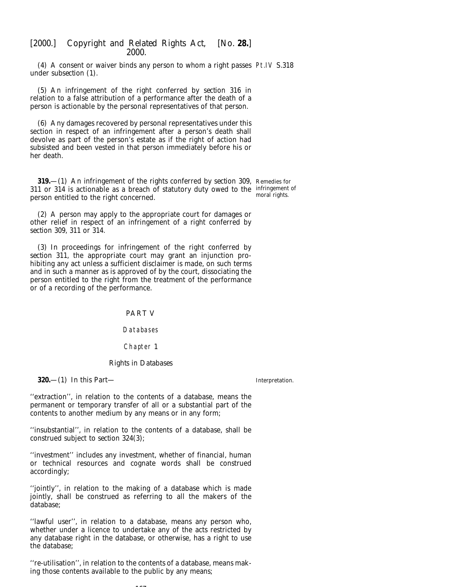(4) A consent or waiver binds any person to whom a right passes Pt.IV S.318 under *subsection (1)*.

(5) An infringement of the right conferred by *section 316* in relation to a false attribution of a performance after the death of a person is actionable by the personal representatives of that person.

(6) Any damages recovered by personal representatives under this section in respect of an infringement after a person's death shall devolve as part of the person's estate as if the right of action had subsisted and been vested in that person immediately before his or her death.

**319.**—(1) An infringement of the rights conferred by *section 309,* Remedies for *311* or *314* is actionable as a breach of statutory duty owed to the infringement of person entitled to the right concerned. moral rights.

(2) A person may apply to the appropriate court for damages or other relief in respect of an infringement of a right conferred by *section 309, 311* or *314*.

(3) In proceedings for infringement of the right conferred by *section 311*, the appropriate court may grant an injunction prohibiting any act unless a sufficient disclaimer is made, on such terms and in such a manner as is approved of by the court, dissociating the person entitled to the right from the treatment of the performance or of a recording of the performance.

PART V

Databases

Chapter 1

#### *Rights in Databases*

**320.**—(1) In this Part—

Interpretation.

''extraction'', in relation to the contents of a database, means the permanent or temporary transfer of all or a substantial part of the contents to another medium by any means or in any form;

''insubstantial'', in relation to the contents of a database, shall be construed subject to *section 324(3)*;

''investment'' includes any investment, whether of financial, human or technical resources and cognate words shall be construed accordingly;

''jointly'', in relation to the making of a database which is made jointly, shall be construed as referring to all the makers of the database;

''lawful user'', in relation to a database, means any person who, whether under a licence to undertake any of the acts restricted by any database right in the database, or otherwise, has a right to use the database;

''re-utilisation'', in relation to the contents of a database, means making those contents available to the public by any means;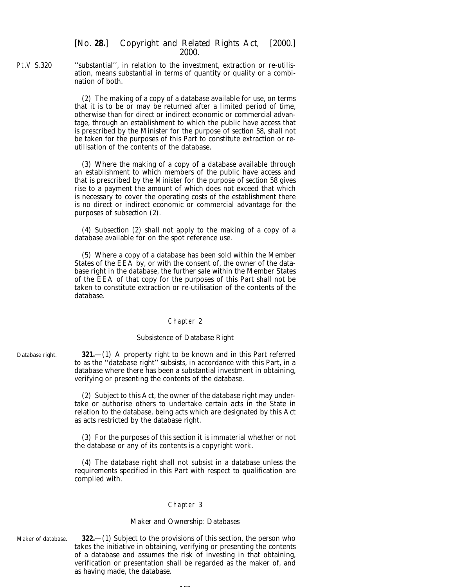Pt.V S.320 ''substantial'', in relation to the investment, extraction or re-utilisation, means substantial in terms of quantity or quality or a combination of both.

> (2) The making of a copy of a database available for use, on terms that it is to be or may be returned after a limited period of time, otherwise than for direct or indirect economic or commercial advantage, through an establishment to which the public have access that is prescribed by the Minister for the purpose of *section 58*, shall not be taken for the purposes of this Part to constitute extraction or reutilisation of the contents of the database.

> (3) Where the making of a copy of a database available through an establishment to which members of the public have access and that is prescribed by the Minister for the purpose of *section 58* gives rise to a payment the amount of which does not exceed that which is necessary to cover the operating costs of the establishment there is no direct or indirect economic or commercial advantage for the purposes of *subsection (2)*.

> (4) *Subsection (2)* shall not apply to the making of a copy of a database available for on the spot reference use.

> (5) Where a copy of a database has been sold within the Member States of the EEA by, or with the consent of, the owner of the database right in the database, the further sale within the Member States of the EEA of that copy for the purposes of this Part shall not be taken to constitute extraction or re-utilisation of the contents of the database.

#### Chapter 2

#### *Subsistence of Database Right*

Database right. **321.**—(1) A property right to be known and in this Part referred to as the ''database right'' subsists, in accordance with this Part, in a database where there has been a substantial investment in obtaining, verifying or presenting the contents of the database.

> (2) Subject to this Act, the owner of the database right may undertake or authorise others to undertake certain acts in the State in relation to the database, being acts which are designated by this Act as acts restricted by the database right.

> (3) For the purposes of this section it is immaterial whether or not the database or any of its contents is a copyright work.

> (4) The database right shall not subsist in a database unless the requirements specified in this Part with respect to qualification are complied with.

### Chapter 3

#### *Maker and Ownership: Databases*

Maker of database. **322.**—(1) Subject to the provisions of this section, the person who takes the initiative in obtaining, verifying or presenting the contents of a database and assumes the risk of investing in that obtaining, verification or presentation shall be regarded as the maker of, and as having made, the database.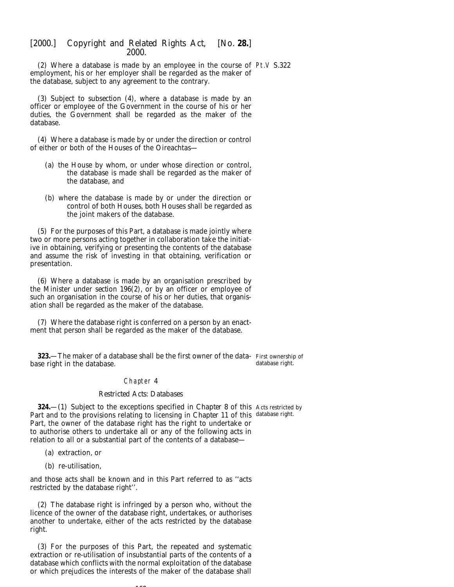(2) Where a database is made by an employee in the course of Pt.V S.322 employment, his or her employer shall be regarded as the maker of the database, subject to any agreement to the contrary.

(3) Subject to *subsection (4)*, where a database is made by an officer or employee of the Government in the course of his or her duties, the Government shall be regarded as the maker of the database.

(4) Where a database is made by or under the direction or control of either or both of the Houses of the Oireachtas—

- (*a*) the House by whom, or under whose direction or control, the database is made shall be regarded as the maker of the database, and
- (*b*) where the database is made by or under the direction or control of both Houses, both Houses shall be regarded as the joint makers of the database.

(5) For the purposes of this Part, a database is made jointly where two or more persons acting together in collaboration take the initiative in obtaining, verifying or presenting the contents of the database and assume the risk of investing in that obtaining, verification or presentation.

(6) Where a database is made by an organisation prescribed by the Minister under *section 196(2)*, or by an officer or employee of such an organisation in the course of his or her duties, that organisation shall be regarded as the maker of the database.

(7) Where the database right is conferred on a person by an enactment that person shall be regarded as the maker of the database.

**323.**—The maker of a database shall be the first owner of the data- First ownership of base right in the database. database right.

#### Chapter 4

#### *Restricted Acts: Databases*

**324.**—(1) Subject to the exceptions specified in *Chapter 8* of this Acts restricted by Part and to the provisions relating to licensing in *Chapter 11* of this database right.Part, the owner of the database right has the right to undertake or to authorise others to undertake all or any of the following acts in relation to all or a substantial part of the contents of a database—

- (*a*) extraction, or
- (*b*) re-utilisation,

and those acts shall be known and in this Part referred to as ''acts restricted by the database right''.

(2) The database right is infringed by a person who, without the licence of the owner of the database right, undertakes, or authorises another to undertake, either of the acts restricted by the database right.

(3) For the purposes of this Part, the repeated and systematic extraction or re-utilisation of insubstantial parts of the contents of a database which conflicts with the normal exploitation of the database or which prejudices the interests of the maker of the database shall

 $109$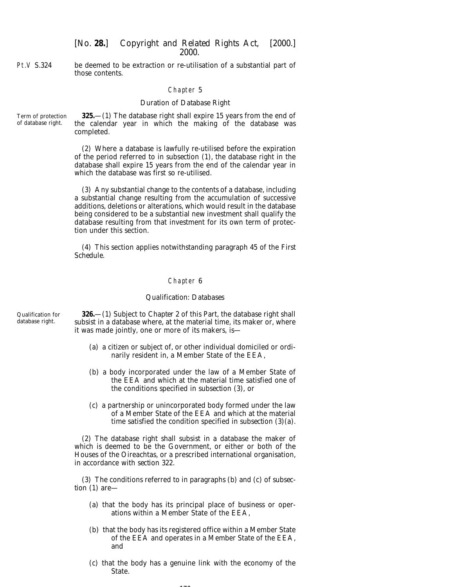Pt.V S.324 be deemed to be extraction or re-utilisation of a substantial part of those contents.

#### Chapter 5

#### *Duration of Database Right*

Term of protection of database right. **325.**—(1) The database right shall expire 15 years from the end of the calendar year in which the making of the database was completed.

> (2) Where a database is lawfully re-utilised before the expiration of the period referred to in *subsection (1)*, the database right in the database shall expire 15 years from the end of the calendar year in which the database was first so re-utilised.

> (3) Any substantial change to the contents of a database, including a substantial change resulting from the accumulation of successive additions, deletions or alterations, which would result in the database being considered to be a substantial new investment shall qualify the database resulting from that investment for its own term of protection under this section.

> (4) This section applies notwithstanding *paragraph 45* of the *First Schedule*.

#### Chapter 6

#### *Qualification: Databases*

Qualification for database right.

**326.**—(1) Subject to *Chapter 2* of this Part, the database right shall subsist in a database where, at the material time, its maker or, where it was made jointly, one or more of its makers, is—

- (*a*) a citizen or subject of, or other individual domiciled or ordinarily resident in, a Member State of the EEA,
- (*b*) a body incorporated under the law of a Member State of the EEA and which at the material time satisfied one of the conditions specified in *subsection (3)*, or
- (*c*) a partnership or unincorporated body formed under the law of a Member State of the EEA and which at the material time satisfied the condition specified in *subsection (3)(a)*.

(2) The database right shall subsist in a database the maker of which is deemed to be the Government, or either or both of the Houses of the Oireachtas, or a prescribed international organisation, in accordance with *section 322*.

(3) The conditions referred to in *paragraphs (b)* and *(c)* of *subsection (1)* are—

- (*a*) that the body has its principal place of business or operations within a Member State of the EEA,
- (*b*) that the body has its registered office within a Member State of the EEA and operates in a Member State of the EEA, and
- (*c*) that the body has a genuine link with the economy of the State.

 $170$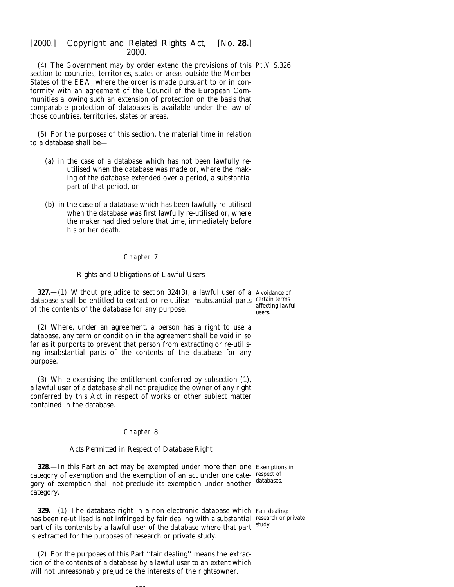(4) The Government may by order extend the provisions of this Pt.V S.326 section to countries, territories, states or areas outside the Member States of the EEA, where the order is made pursuant to or in conformity with an agreement of the Council of the European Communities allowing such an extension of protection on the basis that comparable protection of databases is available under the law of those countries, territories, states or areas.

(5) For the purposes of this section, the material time in relation to a database shall be—

- (*a*) in the case of a database which has not been lawfully reutilised when the database was made or, where the making of the database extended over a period, a substantial part of that period, or
- (*b*) in the case of a database which has been lawfully re-utilised when the database was first lawfully re-utilised or, where the maker had died before that time, immediately before his or her death.

# Chapter 7

### *Rights and Obligations of Lawful Users*

**327.**—(1) Without prejudice to *section 324(3)*, a lawful user of a Avoidance of database shall be entitled to extract or re-utilise insubstantial parts certain terms of the contents of the database for any purpose.

(2) Where, under an agreement, a person has a right to use a database, any term or condition in the agreement shall be void in so far as it purports to prevent that person from extracting or re-utilising insubstantial parts of the contents of the database for any purpose.

(3) While exercising the entitlement conferred by *subsection (1)*, a lawful user of a database shall not prejudice the owner of any right conferred by this Act in respect of works or other subject matter contained in the database.

### Chapter 8

### *Acts Permitted in Respect of Database Right*

**328.**—In this Part an act may be exempted under more than one Exemptions in category of exemption and the exemption of an act under one category of exemption shall not preclude its exemption under another databases. category.

**329.**—(1) The database right in a non-electronic database which Fair dealing: has been re-utilised is not infringed by fair dealing with a substantial research or private part of its contents by a lawful user of the database where that part study. is extracted for the purposes of research or private study.

(2) For the purposes of this Part ''fair dealing'' means the extraction of the contents of a database by a lawful user to an extent which will not unreasonably prejudice the interests of the rightsowner.

171

affecting lawful users.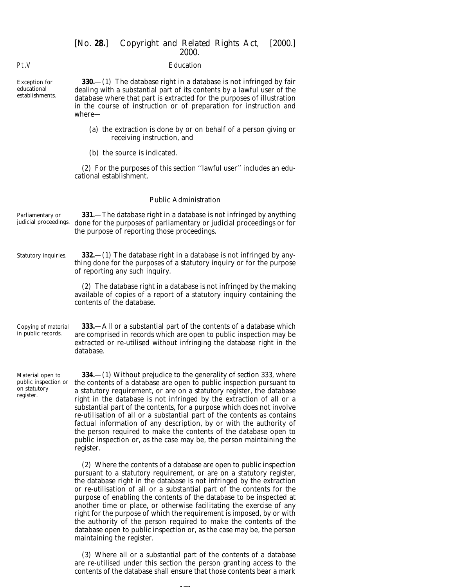### *Education*

Pt.V

Exception for educational establishments.

**330.**—(1) The database right in a database is not infringed by fair dealing with a substantial part of its contents by a lawful user of the database where that part is extracted for the purposes of illustration in the course of instruction or of preparation for instruction and where—

- (*a*) the extraction is done by or on behalf of a person giving or receiving instruction, and
- (*b*) the source is indicated.

(2) For the purposes of this section ''lawful user'' includes an educational establishment.

### *Public Administration*

| Parliamentary or<br>judicial proceedings.                             | <b>331.</b> —The database right in a database is not infringed by anything<br>done for the purposes of parliamentary or judicial proceedings or for<br>the purpose of reporting those proceedings.                                                                                                                                                           |
|-----------------------------------------------------------------------|--------------------------------------------------------------------------------------------------------------------------------------------------------------------------------------------------------------------------------------------------------------------------------------------------------------------------------------------------------------|
| Statutory inquiries.                                                  | <b>332.</b> —(1) The database right in a database is not infringed by any-<br>thing done for the purposes of a statutory inquiry or for the purpose<br>of reporting any such inquiry.                                                                                                                                                                        |
|                                                                       | (2) The database right in a database is not infringed by the making<br>available of copies of a report of a statutory inquiry containing the<br>contents of the database.                                                                                                                                                                                    |
| Copying of material<br>in public records.                             | 333.—All or a substantial part of the contents of a database which<br>are comprised in records which are open to public inspection may be<br>extracted or re-utilised without infringing the database right in the<br>database.                                                                                                                              |
| Material open to<br>public inspection or<br>on statutory<br>register. | <b>334.</b> - (1) Without prejudice to the generality of <i>section 333</i> , where<br>the contents of a database are open to public inspection pursuant to<br>a statutory requirement, or are on a statutory register, the database<br>المستقل المستقل والمستندين والمستقل والمستقل والمستقل والمستقل والمستقل والمستقل والمستقل والمستقل والمستقل والمستقل |

a statutory requirement, or are on a statutory register, the database right in the database is not infringed by the extraction of all or a substantial part of the contents, for a purpose which does not involve re-utilisation of all or a substantial part of the contents as contains factual information of any description, by or with the authority of the person required to make the contents of the database open to public inspection or, as the case may be, the person maintaining the register.

(2) Where the contents of a database are open to public inspection pursuant to a statutory requirement, or are on a statutory register, the database right in the database is not infringed by the extraction or re-utilisation of all or a substantial part of the contents for the purpose of enabling the contents of the database to be inspected at another time or place, or otherwise facilitating the exercise of any right for the purpose of which the requirement is imposed, by or with the authority of the person required to make the contents of the database open to public inspection or, as the case may be, the person maintaining the register.

(3) Where all or a substantial part of the contents of a database are re-utilised under this section the person granting access to the contents of the database shall ensure that those contents bear a mark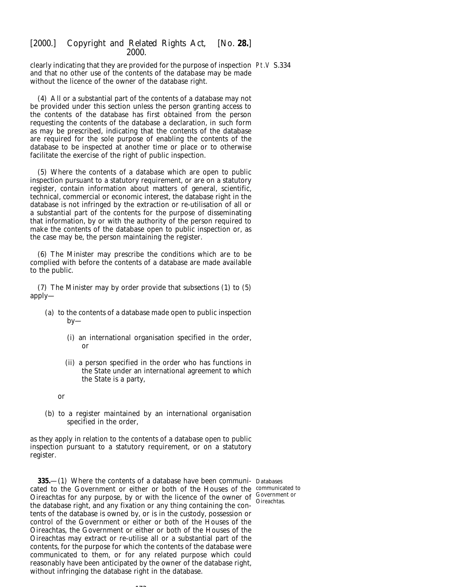clearly indicating that they are provided for the purpose of inspection Pt.V S.334 and that no other use of the contents of the database may be made without the licence of the owner of the database right.

(4) All or a substantial part of the contents of a database may not be provided under this section unless the person granting access to the contents of the database has first obtained from the person requesting the contents of the database a declaration, in such form as may be prescribed, indicating that the contents of the database are required for the sole purpose of enabling the contents of the database to be inspected at another time or place or to otherwise facilitate the exercise of the right of public inspection.

(5) Where the contents of a database which are open to public inspection pursuant to a statutory requirement, or are on a statutory register, contain information about matters of general, scientific, technical, commercial or economic interest, the database right in the database is not infringed by the extraction or re-utilisation of all or a substantial part of the contents for the purpose of disseminating that information, by or with the authority of the person required to make the contents of the database open to public inspection or, as the case may be, the person maintaining the register.

(6) The Minister may prescribe the conditions which are to be complied with before the contents of a database are made available to the public.

(7) The Minister may by order provide that *subsections (1)* to *(5)* apply—

- (*a*) to the contents of a database made open to public inspection  $by-$ 
	- (i) an international organisation specified in the order, or
	- (ii) a person specified in the order who has functions in the State under an international agreement to which the State is a party,
	- or
- (*b*) to a register maintained by an international organisation specified in the order,

as they apply in relation to the contents of a database open to public inspection pursuant to a statutory requirement, or on a statutory register.

**335.**—(1) Where the contents of a database have been communi-Databases cated to the Government or either or both of the Houses of the communicated to Oireachtas for any purpose, by or with the licence of the owner of Government of the distribution of the other of  $\frac{1}{2}$ the database right, and any fixation or any thing containing the contents of the database is owned by, or is in the custody, possession or control of the Government or either or both of the Houses of the Oireachtas, the Government or either or both of the Houses of the Oireachtas may extract or re-utilise all or a substantial part of the contents, for the purpose for which the contents of the database were communicated to them, or for any related purpose which could reasonably have been anticipated by the owner of the database right, without infringing the database right in the database.

Government or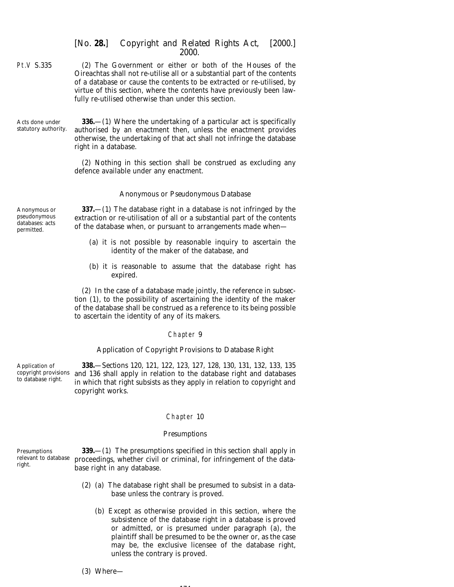- Pt.V S.335 (2) The Government or either or both of the Houses of the Oireachtas shall not re-utilise all or a substantial part of the contents of a database or cause the contents to be extracted or re-utilised, by virtue of this section, where the contents have previously been lawfully re-utilised otherwise than under this section.
- Acts done under statutory authority.

**336.**—(1) Where the undertaking of a particular act is specifically authorised by an enactment then, unless the enactment provides otherwise, the undertaking of that act shall not infringe the database right in a database.

(2) Nothing in this section shall be construed as excluding any defence available under any enactment.

#### *Anonymous or Pseudonymous Database*

Anonymous or pseudonymous databases: acts permitted.

**337.**—(1) The database right in a database is not infringed by the extraction or re-utilisation of all or a substantial part of the contents of the database when, or pursuant to arrangements made when—

- (*a*) it is not possible by reasonable inquiry to ascertain the identity of the maker of the database, and
- (*b*) it is reasonable to assume that the database right has expired.

(2) In the case of a database made jointly, the reference in *subsection (1)*, to the possibility of ascertaining the identity of the maker of the database shall be construed as a reference to its being possible to ascertain the identity of any of its makers.

#### Chapter 9

### *Application of Copyright Provisions to Database Right*

Application of copyright provisions to database right. **338.**—*Sections 120, 121, 122, 123, 127, 128, 130, 131, 132, 133, 135* and *136* shall apply in relation to the database right and databases in which that right subsists as they apply in relation to copyright and copyright works.

#### Chapter 10

#### *Presumptions*

Presumptions relevant to database right.

**339.**—(1) The presumptions specified in this section shall apply in proceedings, whether civil or criminal, for infringement of the database right in any database.

- (2) (*a*) The database right shall be presumed to subsist in a database unless the contrary is proved.
	- (*b*) Except as otherwise provided in this section, where the subsistence of the database right in a database is proved or admitted, or is presumed under *paragraph (a)*, the plaintiff shall be presumed to be the owner or, as the case may be, the exclusive licensee of the database right, unless the contrary is proved.

### (3) Where—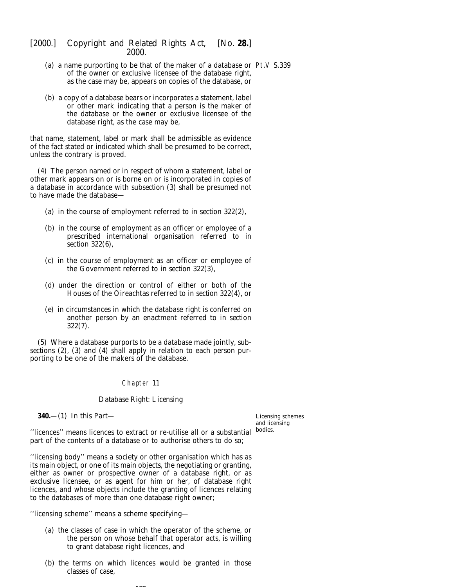- (*a*) a name purporting to be that of the maker of a database or Pt.V S.339 of the owner or exclusive licensee of the database right, as the case may be, appears on copies of the database, or
- (*b*) a copy of a database bears or incorporates a statement, label or other mark indicating that a person is the maker of the database or the owner or exclusive licensee of the database right, as the case may be,

that name, statement, label or mark shall be admissible as evidence of the fact stated or indicated which shall be presumed to be correct, unless the contrary is proved.

(4) The person named or in respect of whom a statement, label or other mark appears on or is borne on or is incorporated in copies of a database in accordance with *subsection (3)* shall be presumed not to have made the database—

- (*a*) in the course of employment referred to in *section 322(2)*,
- (*b*) in the course of employment as an officer or employee of a prescribed international organisation referred to in *section 322(6)*,
- (*c*) in the course of employment as an officer or employee of the Government referred to in *section 322(3)*,
- (*d*) under the direction or control of either or both of the Houses of the Oireachtas referred to in *section 322(4)*, or
- (*e*) in circumstances in which the database right is conferred on another person by an enactment referred to in *section 322(7)*.

(5) Where a database purports to be a database made jointly, *subsections (2)*, *(3)* and *(4)* shall apply in relation to each person purporting to be one of the makers of the database.

# Chapter 11

### *Database Right: Licensing*

**340.**—(1) In this Part—

Licensing schemes and licensing bodies.

''licences'' means licences to extract or re-utilise all or a substantial part of the contents of a database or to authorise others to do so;

''licensing body'' means a society or other organisation which has as its main object, or one of its main objects, the negotiating or granting, either as owner or prospective owner of a database right, or as exclusive licensee, or as agent for him or her, of database right licences, and whose objects include the granting of licences relating to the databases of more than one database right owner;

''licensing scheme'' means a scheme specifying—

- (*a*) the classes of case in which the operator of the scheme, or the person on whose behalf that operator acts, is willing to grant database right licences, and
- (*b*) the terms on which licences would be granted in those classes of case,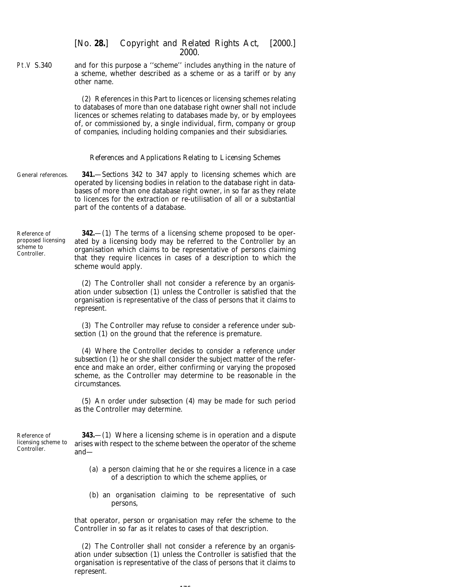Pt.V S.340 and for this purpose a ''scheme'' includes anything in the nature of a scheme, whether described as a scheme or as a tariff or by any other name.

> (2) References in this Part to licences or licensing schemes relating to databases of more than one database right owner shall not include licences or schemes relating to databases made by, or by employees of, or commissioned by, a single individual, firm, company or group of companies, including holding companies and their subsidiaries.

#### *References and Applications Relating to Licensing Schemes*

General references. **341.**—*Sections 342* to *347* apply to licensing schemes which are operated by licensing bodies in relation to the database right in databases of more than one database right owner, in so far as they relate to licences for the extraction or re-utilisation of all or a substantial part of the contents of a database.

Reference of proposed licensing scheme to Controller.

**342.**—(1) The terms of a licensing scheme proposed to be operated by a licensing body may be referred to the Controller by an organisation which claims to be representative of persons claiming that they require licences in cases of a description to which the scheme would apply.

(2) The Controller shall not consider a reference by an organisation under *subsection (1)* unless the Controller is satisfied that the organisation is representative of the class of persons that it claims to represent.

(3) The Controller may refuse to consider a reference under *subsection (1)* on the ground that the reference is premature.

(4) Where the Controller decides to consider a reference under *subsection (1)* he or she shall consider the subject matter of the reference and make an order, either confirming or varying the proposed scheme, as the Controller may determine to be reasonable in the circumstances.

(5) An order under *subsection (4)* may be made for such period as the Controller may determine.

Reference of licensing scheme to Controller.

**343.**—(1) Where a licensing scheme is in operation and a dispute arises with respect to the scheme between the operator of the scheme and—

- (*a*) a person claiming that he or she requires a licence in a case of a description to which the scheme applies, or
- (*b*) an organisation claiming to be representative of such persons,

that operator, person or organisation may refer the scheme to the Controller in so far as it relates to cases of that description.

(2) The Controller shall not consider a reference by an organisation under *subsection (1)* unless the Controller is satisfied that the organisation is representative of the class of persons that it claims to represent.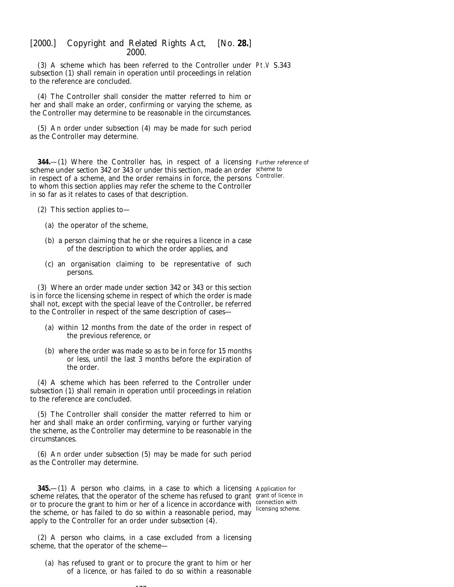(3) A scheme which has been referred to the Controller under Pt.V S.343 *subsection (1)* shall remain in operation until proceedings in relation to the reference are concluded.

(4) The Controller shall consider the matter referred to him or her and shall make an order, confirming or varying the scheme, as the Controller may determine to be reasonable in the circumstances.

(5) An order under *subsection (4)* may be made for such period as the Controller may determine.

**344.**—(1) Where the Controller has, in respect of a licensing Further reference of scheme under *section 342* or *343* or under this section, made an order scheme to in respect of a scheme, and the order remains in force, the persons Controller. to whom this section applies may refer the scheme to the Controller in so far as it relates to cases of that description.

- (2) This section applies to—
	- (*a*) the operator of the scheme,
	- (*b*) a person claiming that he or she requires a licence in a case of the description to which the order applies, and
	- (*c*) an organisation claiming to be representative of such persons.

(3) Where an order made under *section 342* or *343* or this section is in force the licensing scheme in respect of which the order is made shall not, except with the special leave of the Controller, be referred to the Controller in respect of the same description of cases—

- (*a*) within 12 months from the date of the order in respect of the previous reference, or
- (*b*) where the order was made so as to be in force for 15 months or less, until the last 3 months before the expiration of the order.

(4) A scheme which has been referred to the Controller under *subsection (1)* shall remain in operation until proceedings in relation to the reference are concluded.

(5) The Controller shall consider the matter referred to him or her and shall make an order confirming, varying or further varying the scheme, as the Controller may determine to be reasonable in the circumstances.

(6) An order under *subsection (5)* may be made for such period as the Controller may determine.

**345.**—(1) A person who claims, in a case to which a licensing Application for scheme relates, that the operator of the scheme has refused to grant grant of licence in or to procure the grant to him or her of a licence in accordance with  $\frac{\text{connection with}}{\text{liocorions cohom}}$ the scheme, or has failed to do so within a reasonable period, may apply to the Controller for an order under *subsection (4)*.

licensing scheme.

(2) A person who claims, in a case excluded from a licensing scheme, that the operator of the scheme—

--

(*a*) has refused to grant or to procure the grant to him or her of a licence, or has failed to do so within a reasonable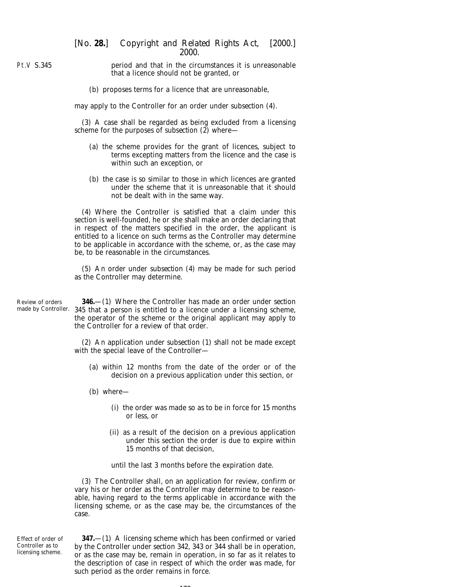Pt.V S.345

period and that in the circumstances it is unreasonable that a licence should not be granted, or

(*b*) proposes terms for a licence that are unreasonable,

may apply to the Controller for an order under *subsection (4)*.

(3) A case shall be regarded as being excluded from a licensing scheme for the purposes of *subsection (2)* where—

- (*a*) the scheme provides for the grant of licences, subject to terms excepting matters from the licence and the case is within such an exception, or
- (*b*) the case is so similar to those in which licences are granted under the scheme that it is unreasonable that it should not be dealt with in the same way.

(4) Where the Controller is satisfied that a claim under this section is well-founded, he or she shall make an order declaring that in respect of the matters specified in the order, the applicant is entitled to a licence on such terms as the Controller may determine to be applicable in accordance with the scheme, or, as the case may be, to be reasonable in the circumstances.

(5) An order under *subsection (4)* may be made for such period as the Controller may determine.

Review of orders made by Controller.

**346.**—(1) Where the Controller has made an order under *section 345* that a person is entitled to a licence under a licensing scheme, the operator of the scheme or the original applicant may apply to the Controller for a review of that order.

(2) An application under *subsection (1)* shall not be made except with the special leave of the Controller—

- (*a*) within 12 months from the date of the order or of the decision on a previous application under this section, or
- (*b*) where—
	- (i) the order was made so as to be in force for 15 months or less, or
	- (ii) as a result of the decision on a previous application under this section the order is due to expire within 15 months of that decision,

until the last 3 months before the expiration date.

(3) The Controller shall, on an application for review, confirm or vary his or her order as the Controller may determine to be reasonable, having regard to the terms applicable in accordance with the licensing scheme, or as the case may be, the circumstances of the case.

Effect of order of Controller as to licensing scheme.

**347.**—(1) A licensing scheme which has been confirmed or varied by the Controller under *section 342, 343* or *344* shall be in operation, or as the case may be, remain in operation, in so far as it relates to the description of case in respect of which the order was made, for such period as the order remains in force.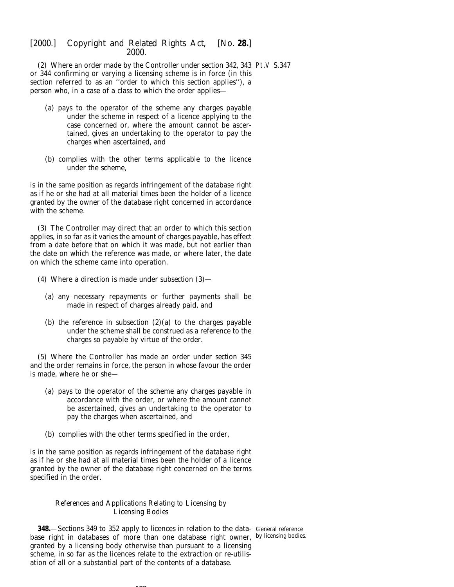(2) Where an order made by the Controller under *section 342, 343* Pt.V S.347 or *344* confirming or varying a licensing scheme is in force (in this section referred to as an ''order to which this section applies''), a person who, in a case of a class to which the order applies—

- (*a*) pays to the operator of the scheme any charges payable under the scheme in respect of a licence applying to the case concerned or, where the amount cannot be ascertained, gives an undertaking to the operator to pay the charges when ascertained, and
- (*b*) complies with the other terms applicable to the licence under the scheme,

is in the same position as regards infringement of the database right as if he or she had at all material times been the holder of a licence granted by the owner of the database right concerned in accordance with the scheme.

(3) The Controller may direct that an order to which this section applies, in so far as it varies the amount of charges payable, has effect from a date before that on which it was made, but not earlier than the date on which the reference was made, or where later, the date on which the scheme came into operation.

- (4) Where a direction is made under *subsection (3)*
	- (*a*) any necessary repayments or further payments shall be made in respect of charges already paid, and
	- (*b*) the reference in *subsection (2)(a)* to the charges payable under the scheme shall be construed as a reference to the charges so payable by virtue of the order.

(5) Where the Controller has made an order under *section 345* and the order remains in force, the person in whose favour the order is made, where he or she—

- (*a*) pays to the operator of the scheme any charges payable in accordance with the order, or where the amount cannot be ascertained, gives an undertaking to the operator to pay the charges when ascertained, and
- (*b*) complies with the other terms specified in the order,

is in the same position as regards infringement of the database right as if he or she had at all material times been the holder of a licence granted by the owner of the database right concerned on the terms specified in the order.

# *References and Applications Relating to Licensing by Licensing Bodies*

**348.**—*Sections 349* to *352* apply to licences in relation to the data-General reference base right in databases of more than one database right owner, by licensing bodies.granted by a licensing body otherwise than pursuant to a licensing scheme, in so far as the licences relate to the extraction or re-utilisation of all or a substantial part of the contents of a database.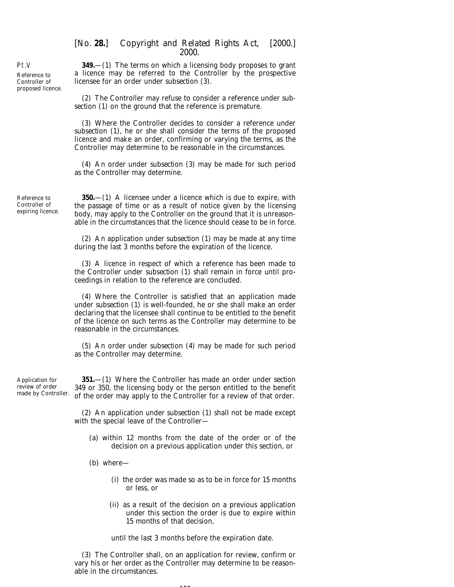Pt.V Reference to Controller of proposed licence.

**349.**—(1) The terms on which a licensing body proposes to grant a licence may be referred to the Controller by the prospective licensee for an order under *subsection (3)*.

(2) The Controller may refuse to consider a reference under *subsection (1)* on the ground that the reference is premature.

(3) Where the Controller decides to consider a reference under *subsection (1)*, he or she shall consider the terms of the proposed licence and make an order, confirming or varying the terms, as the Controller may determine to be reasonable in the circumstances.

(4) An order under *subsection (3)* may be made for such period as the Controller may determine.

Reference to Controller of expiring licence.

**350.**—(1) A licensee under a licence which is due to expire, with the passage of time or as a result of notice given by the licensing body, may apply to the Controller on the ground that it is unreasonable in the circumstances that the licence should cease to be in force.

(2) An application under *subsection (1)* may be made at any time during the last 3 months before the expiration of the licence.

(3) A licence in respect of which a reference has been made to the Controller under *subsection (1)* shall remain in force until proceedings in relation to the reference are concluded.

(4) Where the Controller is satisfied that an application made under *subsection (1)* is well-founded, he or she shall make an order declaring that the licensee shall continue to be entitled to the benefit of the licence on such terms as the Controller may determine to be reasonable in the circumstances.

(5) An order under *subsection (4)* may be made for such period as the Controller may determine.

Application for review of order made by Controller.

**351.**—(1) Where the Controller has made an order under *section 349* or *350*, the licensing body or the person entitled to the benefit of the order may apply to the Controller for a review of that order.

(2) An application under *subsection (1)* shall not be made except with the special leave of the Controller—

- (*a*) within 12 months from the date of the order or of the decision on a previous application under this section, or
- (*b*) where—
	- (i) the order was made so as to be in force for 15 months or less, or
	- (ii) as a result of the decision on a previous application under this section the order is due to expire within 15 months of that decision,

until the last 3 months before the expiration date.

(3) The Controller shall, on an application for review, confirm or vary his or her order as the Controller may determine to be reasonable in the circumstances.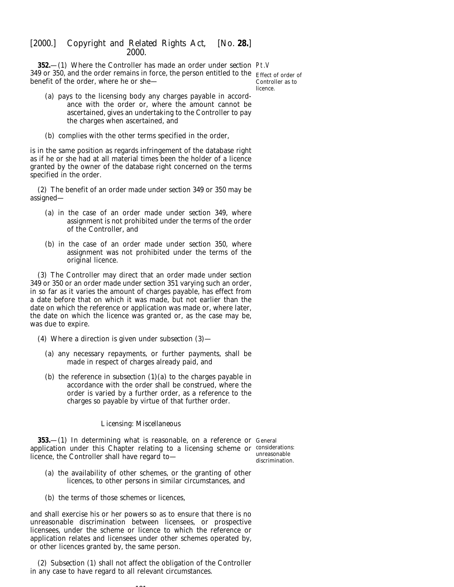**352.**—(1) Where the Controller has made an order under *section* Pt.V *349* or *350*, and the order remains in force, the person entitled to the Effect of order of benefit of the order, where he or she—

Controller as to licence.

- (*a*) pays to the licensing body any charges payable in accordance with the order or, where the amount cannot be ascertained, gives an undertaking to the Controller to pay the charges when ascertained, and
- (*b*) complies with the other terms specified in the order,

is in the same position as regards infringement of the database right as if he or she had at all material times been the holder of a licence granted by the owner of the database right concerned on the terms specified in the order.

(2) The benefit of an order made under *section 349* or *350* may be assigned—

- (*a*) in the case of an order made under *section 349*, where assignment is not prohibited under the terms of the order of the Controller, and
- (*b*) in the case of an order made under *section 350*, where assignment was not prohibited under the terms of the original licence.

(3) The Controller may direct that an order made under *section 349* or *350* or an order made under *section 351* varying such an order, in so far as it varies the amount of charges payable, has effect from a date before that on which it was made, but not earlier than the date on which the reference or application was made or, where later, the date on which the licence was granted or, as the case may be, was due to expire.

- (4) Where a direction is given under *subsection (3)*
	- (*a*) any necessary repayments, or further payments, shall be made in respect of charges already paid, and
	- (*b*) the reference in *subsection (1)(a)* to the charges payable in accordance with the order shall be construed, where the order is varied by a further order, as a reference to the charges so payable by virtue of that further order.

## *Licensing: Miscellaneous*

**353.**—(1) In determining what is reasonable, on a reference or General application under this Chapter relating to a licensing scheme or considerations: licence, the Controller shall have regard to—

unreasonable discrimination.

- (*a*) the availability of other schemes, or the granting of other licences, to other persons in similar circumstances, and
- (*b*) the terms of those schemes or licences,

and shall exercise his or her powers so as to ensure that there is no unreasonable discrimination between licensees, or prospective licensees, under the scheme or licence to which the reference or application relates and licensees under other schemes operated by, or other licences granted by, the same person.

(2) *Subsection (1)* shall not affect the obligation of the Controller in any case to have regard to all relevant circumstances.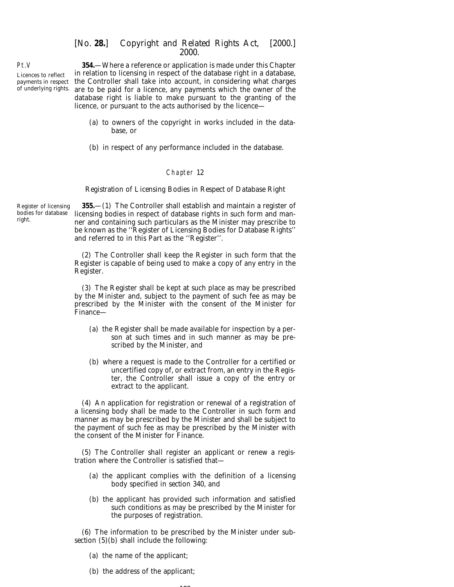Licences to reflect payments in respect of underlying rights.

Pt.V

**354.**—Where a reference or application is made under this Chapter in relation to licensing in respect of the database right in a database, the Controller shall take into account, in considering what charges are to be paid for a licence, any payments which the owner of the database right is liable to make pursuant to the granting of the licence, or pursuant to the acts authorised by the licence—

- (*a*) to owners of the copyright in works included in the database, or
- (*b*) in respect of any performance included in the database.

#### Chapter 12

#### *Registration of Licensing Bodies in Respect of Database Right*

Register of licensing bodies for database right.

**355.**—(1) The Controller shall establish and maintain a register of licensing bodies in respect of database rights in such form and manner and containing such particulars as the Minister may prescribe to be known as the ''Register of Licensing Bodies for Database Rights'' and referred to in this Part as the ''Register''.

(2) The Controller shall keep the Register in such form that the Register is capable of being used to make a copy of any entry in the Register.

(3) The Register shall be kept at such place as may be prescribed by the Minister and, subject to the payment of such fee as may be prescribed by the Minister with the consent of the Minister for Finance—

- (*a*) the Register shall be made available for inspection by a person at such times and in such manner as may be prescribed by the Minister, and
- (*b*) where a request is made to the Controller for a certified or uncertified copy of, or extract from, an entry in the Register, the Controller shall issue a copy of the entry or extract to the applicant.

(4) An application for registration or renewal of a registration of a licensing body shall be made to the Controller in such form and manner as may be prescribed by the Minister and shall be subject to the payment of such fee as may be prescribed by the Minister with the consent of the Minister for Finance.

(5) The Controller shall register an applicant or renew a registration where the Controller is satisfied that—

- (*a*) the applicant complies with the definition of a licensing body specified in *section 340*, and
- (*b*) the applicant has provided such information and satisfied such conditions as may be prescribed by the Minister for the purposes of registration.

(6) The information to be prescribed by the Minister under *subsection (5)(b)* shall include the following:

- (*a*) the name of the applicant;
- (*b*) the address of the applicant;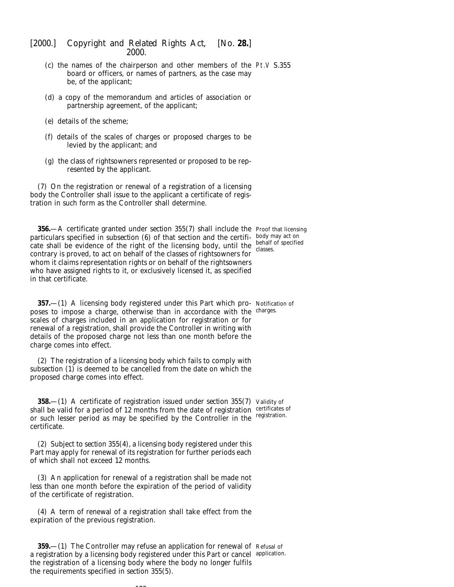- (*c*) the names of the chairperson and other members of the Pt.V S.355 board or officers, or names of partners, as the case may be, of the applicant;
- (*d*) a copy of the memorandum and articles of association or partnership agreement, of the applicant;
- (*e*) details of the scheme;
- (*f*) details of the scales of charges or proposed charges to be levied by the applicant; and
- (*g*) the class of rightsowners represented or proposed to be represented by the applicant.

(7) On the registration or renewal of a registration of a licensing body the Controller shall issue to the applicant a certificate of registration in such form as the Controller shall determine.

**356.**—A certificate granted under *section 355(7)* shall include the Proof that licensing particulars specified in *subsection* (6) of that section and the certifi- body may act on cate shall be evidence of the right of the licensing body, until the  $\frac{\text{behalf}}{\text{classes}}$ contrary is proved, to act on behalf of the classes of rightsowners for whom it claims representation rights or on behalf of the rightsowners who have assigned rights to it, or exclusively licensed it, as specified in that certificate. classes.

**357.**—(1) A licensing body registered under this Part which pro- Notification of poses to impose a charge, otherwise than in accordance with the charges. scales of charges included in an application for registration or for renewal of a registration, shall provide the Controller in writing with details of the proposed charge not less than one month before the charge comes into effect.

(2) The registration of a licensing body which fails to comply with *subsection (1)* is deemed to be cancelled from the date on which the proposed charge comes into effect.

**358.**—(1) A certificate of registration issued under *section 355(7)* Validity of shall be valid for a period of 12 months from the date of registration certificates of or such lesser period as may be specified by the Controller in the registration. certificate.

(2) Subject to *section 355(4)*, a licensing body registered under this Part may apply for renewal of its registration for further periods each of which shall not exceed 12 months.

(3) An application for renewal of a registration shall be made not less than one month before the expiration of the period of validity of the certificate of registration.

(4) A term of renewal of a registration shall take effect from the expiration of the previous registration.

 $183$ 

**359.**—(1) The Controller may refuse an application for renewal of Refusal of a registration by a licensing body registered under this Part or cancel application.the registration of a licensing body where the body no longer fulfils the requirements specified in *section 355(5)*.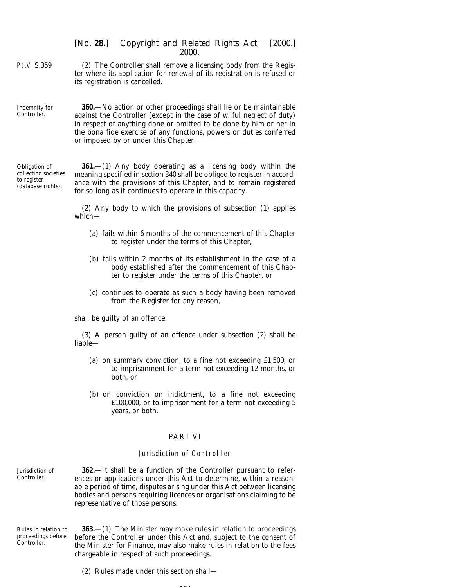Pt.V S.359

(2) The Controller shall remove a licensing body from the Register where its application for renewal of its registration is refused or its registration is cancelled.

Indemnity for Controller.

**360.**—No action or other proceedings shall lie or be maintainable against the Controller (except in the case of wilful neglect of duty) in respect of anything done or omitted to be done by him or her in the *bona fide* exercise of any functions, powers or duties conferred or imposed by or under this Chapter.

Obligation of collecting societies to register (database rights).

**361.**—(1) Any body operating as a licensing body within the meaning specified in *section 340* shall be obliged to register in accordance with the provisions of this Chapter, and to remain registered for so long as it continues to operate in this capacity.

(2) Any body to which the provisions of *subsection (1)* applies which—

- (*a*) fails within 6 months of the commencement of this Chapter to register under the terms of this Chapter,
- (*b*) fails within 2 months of its establishment in the case of a body established after the commencement of this Chapter to register under the terms of this Chapter, or
- (*c*) continues to operate as such a body having been removed from the Register for any reason,

shall be guilty of an offence.

(3) A person guilty of an offence under *subsection (2)* shall be liable—

- (*a*) on summary conviction, to a fine not exceeding £1,500, or to imprisonment for a term not exceeding 12 months, or both, or
- (*b*) on conviction on indictment, to a fine not exceeding £100,000, or to imprisonment for a term not exceeding 5 years, or both.

## PART VI

#### Jurisdiction of Controller

Jurisdiction of Controller.

**362.**—It shall be a function of the Controller pursuant to references or applications under this Act to determine, within a reasonable period of time, disputes arising under this Act between licensing bodies and persons requiring licences or organisations claiming to be representative of those persons.

Rules in relation to proceedings before Controller

**363.**—(1) The Minister may make rules in relation to proceedings before the Controller under this Act and, subject to the consent of the Minister for Finance, may also make rules in relation to the fees chargeable in respect of such proceedings.

(2) Rules made under this section shall—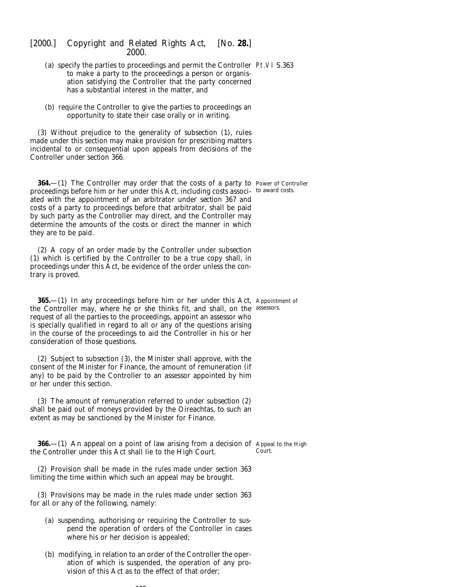| LUUU.                                                                                                                                                                                                                                                                                                                                                                                                                                                                                      |            |
|--------------------------------------------------------------------------------------------------------------------------------------------------------------------------------------------------------------------------------------------------------------------------------------------------------------------------------------------------------------------------------------------------------------------------------------------------------------------------------------------|------------|
| (a) specify the parties to proceedings and permit the Controller Pt.VI S.363<br>to make a party to the proceedings a person or organis-<br>ation satisfying the Controller that the party concerned<br>has a substantial interest in the matter, and                                                                                                                                                                                                                                       |            |
| (b) require the Controller to give the parties to proceedings an<br>opportunity to state their case orally or in writing.                                                                                                                                                                                                                                                                                                                                                                  |            |
| (3) Without prejudice to the generality of subsection (1), rules<br>made under this section may make provision for prescribing matters<br>incidental to or consequential upon appeals from decisions of the<br>Controller under section 366.                                                                                                                                                                                                                                               |            |
| 364.-(1) The Controller may order that the costs of a party to Power of Controller<br>proceedings before him or her under this Act, including costs associ- to award costs.<br>ated with the appointment of an arbitrator under section 367 and<br>costs of a party to proceedings before that arbitrator, shall be paid<br>by such party as the Controller may direct, and the Controller may<br>determine the amounts of the costs or direct the manner in which<br>they are to be paid. |            |
| (2) A copy of an order made by the Controller under <i>subsection</i><br>$(1)$ which is certified by the Controller to be a true copy shall, in<br>proceedings under this Act, be evidence of the order unless the con-<br>trary is proved.                                                                                                                                                                                                                                                |            |
| <b>365.</b> (1) In any proceedings before him or her under this Act, Appointment of<br>the Controller may, where he or she thinks fit, and shall, on the<br>request of all the parties to the proceedings, appoint an assessor who<br>is specially qualified in regard to all or any of the questions arising<br>in the course of the proceedings to aid the Controller in his or her<br>consideration of those questions.                                                                 | assessors. |
| (2) Subject to <i>subsection</i> $(3)$ , the Minister shall approve, with the<br>consent of the Minister for Finance, the amount of remuneration (if<br>any) to be paid by the Controller to an assessor appointed by him<br>or her under this section.                                                                                                                                                                                                                                    |            |

(3) The amount of remuneration referred to under *subsection (2)* shall be paid out of moneys provided by the Oireachtas, to such an extent as may be sanctioned by the Minister for Finance.

**366.**—(1) An appeal on a point of law arising from a decision of Appeal to the High the Controller under this Act shall lie to the High Court. Court.

(2) Provision shall be made in the rules made under *section 363* limiting the time within which such an appeal may be brought.

(3) Provisions may be made in the rules made under *section 363* for all or any of the following, namely:

- (*a*) suspending, authorising or requiring the Controller to suspend the operation of orders of the Controller in cases where his or her decision is appealed;
- (*b*) modifying, in relation to an order of the Controller the operation of which is suspended, the operation of any provision of this Act as to the effect of that order;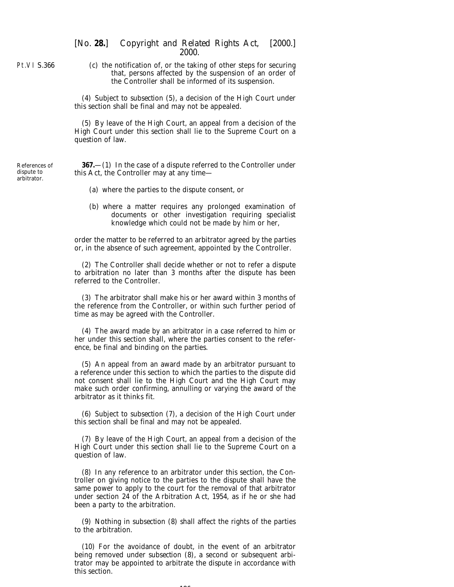Pt.VI S.366

References of dispute to arbitrator.

(*c*) the notification of, or the taking of other steps for securing that, persons affected by the suspension of an order of the Controller shall be informed of its suspension.

(4) Subject to *subsection (5)*, a decision of the High Court under this section shall be final and may not be appealed.

(5) By leave of the High Court, an appeal from a decision of the High Court under this section shall lie to the Supreme Court on a question of law.

**367.**—(1) In the case of a dispute referred to the Controller under this Act, the Controller may at any time—

- (*a*) where the parties to the dispute consent, or
- (*b*) where a matter requires any prolonged examination of documents or other investigation requiring specialist knowledge which could not be made by him or her,

order the matter to be referred to an arbitrator agreed by the parties or, in the absence of such agreement, appointed by the Controller.

(2) The Controller shall decide whether or not to refer a dispute to arbitration no later than 3 months after the dispute has been referred to the Controller.

(3) The arbitrator shall make his or her award within 3 months of the reference from the Controller, or within such further period of time as may be agreed with the Controller.

(4) The award made by an arbitrator in a case referred to him or her under this section shall, where the parties consent to the reference, be final and binding on the parties.

(5) An appeal from an award made by an arbitrator pursuant to a reference under this section to which the parties to the dispute did not consent shall lie to the High Court and the High Court may make such order confirming, annulling or varying the award of the arbitrator as it thinks fit.

(6) Subject to *subsection (7)*, a decision of the High Court under this section shall be final and may not be appealed.

(7) By leave of the High Court, an appeal from a decision of the High Court under this section shall lie to the Supreme Court on a question of law.

(8) In any reference to an arbitrator under this section, the Controller on giving notice to the parties to the dispute shall have the same power to apply to the court for the removal of that arbitrator under section 24 of the Arbitration Act, 1954, as if he or she had been a party to the arbitration.

(9) Nothing in *subsection (8)* shall affect the rights of the parties to the arbitration.

(10) For the avoidance of doubt, in the event of an arbitrator being removed under *subsection (8)*, a second or subsequent arbitrator may be appointed to arbitrate the dispute in accordance with this section.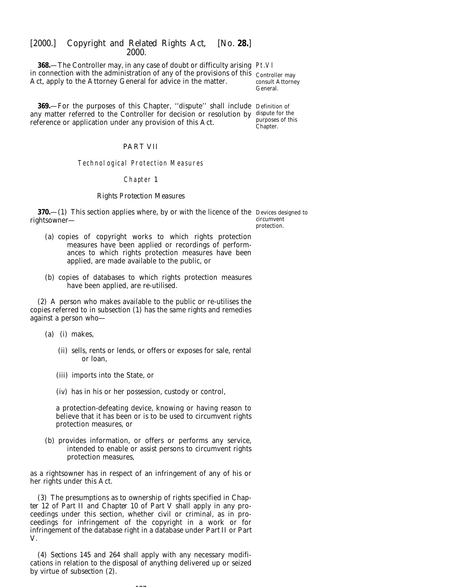**368.**—The Controller may, in any case of doubt or difficulty arising Pt.VI in connection with the administration of any of the provisions of this Controller may Act, apply to the Attorney General for advice in the matter.

consult Attorney General.

**369.**—For the purposes of this Chapter, ''dispute'' shall include Definition of any matter referred to the Controller for decision or resolution by dispute for the reference or application under any provision of this Act. purposes of this Chapter.

#### PART VII

# Technological Protection Measures

#### Chapter 1

### *Rights Protection Measures*

**370.**—(1) This section applies where, by or with the licence of the Devices designed to rightsowner—

circumvent protection.

- (*a*) copies of copyright works to which rights protection measures have been applied or recordings of performances to which rights protection measures have been applied, are made available to the public, or
- (*b*) copies of databases to which rights protection measures have been applied, are re-utilised.

(2) A person who makes available to the public or re-utilises the copies referred to in *subsection (1)* has the same rights and remedies against a person who—

- (*a*) (i) makes,
	- (ii) sells, rents or lends, or offers or exposes for sale, rental or loan,
	- (iii) imports into the State, or
	- (iv) has in his or her possession, custody or control,

a protection-defeating device, knowing or having reason to believe that it has been or is to be used to circumvent rights protection measures, or

(*b*) provides information, or offers or performs any service, intended to enable or assist persons to circumvent rights protection measures,

as a rightsowner has in respect of an infringement of any of his or her rights under this Act.

(3) The presumptions as to ownership of rights specified in *Chapter 12* of *Part II* and *Chapter 10* of *Part V* shall apply in any proceedings under this section, whether civil or criminal, as in proceedings for infringement of the copyright in a work or for infringement of the database right in a database under *Part II* or *Part V*.

(4) *Sections 145* and *264* shall apply with any necessary modifications in relation to the disposal of anything delivered up or seized by virtue of *subsection (2)*.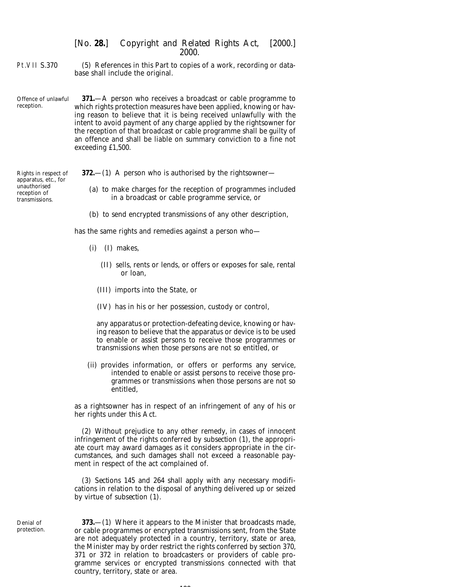Pt.VII S.370 (5) References in this Part to copies of a work, recording or database shall include the original.

Offence of unlawful reception. **371.**—A person who receives a broadcast or cable programme to which rights protection measures have been applied, knowing or having reason to believe that it is being received unlawfully with the intent to avoid payment of any charge applied by the rightsowner for the reception of that broadcast or cable programme shall be guilty of an offence and shall be liable on summary conviction to a fine not exceeding £1,500.

Rights in respect of apparatus, etc., for unauthorised reception of transmissions.

**372.**—(1) A person who is authorised by the rightsowner—

- (*a*) to make charges for the reception of programmes included in a broadcast or cable programme service, or
- (*b*) to send encrypted transmissions of any other description,

has the same rights and remedies against a person who—

- (i) (I) makes,
	- (II) sells, rents or lends, or offers or exposes for sale, rental or loan,
	- (III) imports into the State, or
	- (IV) has in his or her possession, custody or control,

any apparatus or protection-defeating device, knowing or having reason to believe that the apparatus or device is to be used to enable or assist persons to receive those programmes or transmissions when those persons are not so entitled, or

(ii) provides information, or offers or performs any service, intended to enable or assist persons to receive those programmes or transmissions when those persons are not so entitled,

as a rightsowner has in respect of an infringement of any of his or her rights under this Act.

(2) Without prejudice to any other remedy, in cases of innocent infringement of the rights conferred by *subsection (1)*, the appropriate court may award damages as it considers appropriate in the circumstances, and such damages shall not exceed a reasonable payment in respect of the act complained of.

(3) *Sections 145* and *264* shall apply with any necessary modifications in relation to the disposal of anything delivered up or seized by virtue of *subsection (1)*.

Denial of protection.

**373.**—(1) Where it appears to the Minister that broadcasts made, or cable programmes or encrypted transmissions sent, from the State are not adequately protected in a country, territory, state or area, the Minister may by order restrict the rights conferred by *section 370, 371* or *372* in relation to broadcasters or providers of cable programme services or encrypted transmissions connected with that country, territory, state or area.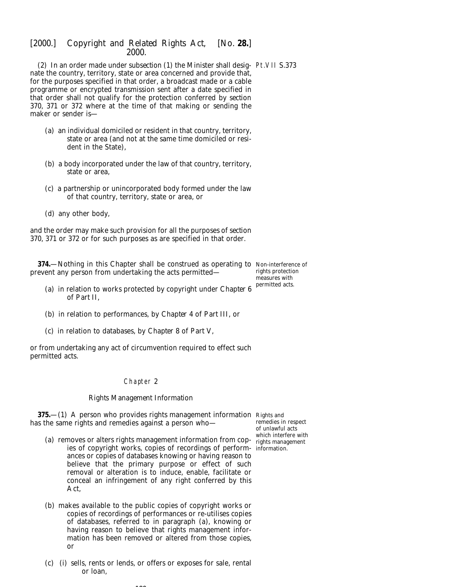(2) In an order made under *subsection (1)* the Minister shall desig-Pt.VII S.373 nate the country, territory, state or area concerned and provide that, for the purposes specified in that order, a broadcast made or a cable programme or encrypted transmission sent after a date specified in that order shall not qualify for the protection conferred by *section 370, 371* or *372* where at the time of that making or sending the maker or sender is—

- (*a*) an individual domiciled or resident in that country, territory, state or area (and not at the same time domiciled or resident in the State),
- (*b*) a body incorporated under the law of that country, territory, state or area,
- (*c*) a partnership or unincorporated body formed under the law of that country, territory, state or area, or
- (*d*) any other body,

and the order may make such provision for all the purposes of *section 370, 371* or *372* or for such purposes as are specified in that order.

**374.**—Nothing in this Chapter shall be construed as operating to Non-interference of prevent any person from undertaking the acts permitted rights protection

measures with permitted acts.

- (*a*) in relation to works protected by copyright under *Chapter 6* of *Part II*,
- (*b*) in relation to performances, by *Chapter 4* of *Part III*, or
- (*c*) in relation to databases, by *Chapter 8* of *Part V*,

or from undertaking any act of circumvention required to effect such permitted acts.

#### Chapter 2

#### *Rights Management Information*

**375.**—(1) A person who provides rights management information Rights and has the same rights and remedies against a person who—

remedies in respect of unlawful acts which interfere with

- (*a*) removes or alters rights management information from copies of copyright works, copies of recordings of perform-information.ances or copies of databases knowing or having reason to believe that the primary purpose or effect of such removal or alteration is to induce, enable, facilitate or conceal an infringement of any right conferred by this Act,
- (*b*) makes available to the public copies of copyright works or copies of recordings of performances or re-utilises copies of databases, referred to in *paragraph (a)*, knowing or having reason to believe that rights management information has been removed or altered from those copies, or
- (*c*) (i) sells, rents or lends, or offers or exposes for sale, rental or loan,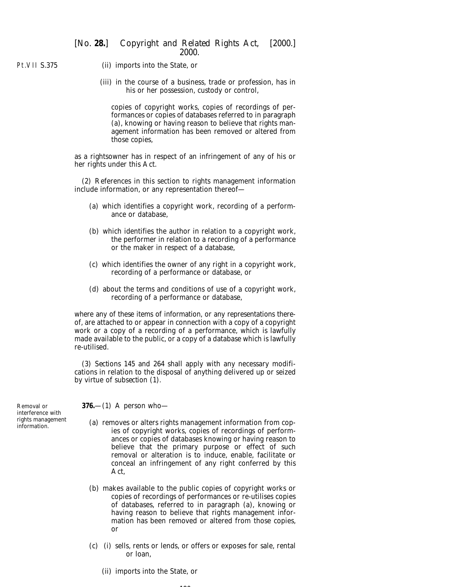Pt.VII S.375

- (ii) imports into the State, or
	- (iii) in the course of a business, trade or profession, has in his or her possession, custody or control,

copies of copyright works, copies of recordings of performances or copies of databases referred to in *paragraph (a)*, knowing or having reason to believe that rights management information has been removed or altered from those copies,

as a rightsowner has in respect of an infringement of any of his or her rights under this Act.

(2) References in this section to rights management information include information, or any representation thereof—

- (*a*) which identifies a copyright work, recording of a performance or database,
- (*b*) which identifies the author in relation to a copyright work, the performer in relation to a recording of a performance or the maker in respect of a database,
- (*c*) which identifies the owner of any right in a copyright work, recording of a performance or database, or
- (*d*) about the terms and conditions of use of a copyright work, recording of a performance or database,

where any of these items of information, or any representations thereof, are attached to or appear in connection with a copy of a copyright work or a copy of a recording of a performance, which is lawfully made available to the public, or a copy of a database which is lawfully re-utilised.

(3) *Sections 145* and *264* shall apply with any necessary modifications in relation to the disposal of anything delivered up or seized by virtue of *subsection (1)*.

Removal or interference with rights management information.

**376.**—(1) A person who—

- (*a*) removes or alters rights management information from copies of copyright works, copies of recordings of performances or copies of databases knowing or having reason to believe that the primary purpose or effect of such removal or alteration is to induce, enable, facilitate or conceal an infringement of any right conferred by this Act,
- (*b*) makes available to the public copies of copyright works or copies of recordings of performances or re-utilises copies of databases, referred to in *paragraph (a)*, knowing or having reason to believe that rights management information has been removed or altered from those copies, or
- (*c*) (i) sells, rents or lends, or offers or exposes for sale, rental or loan,
	- (ii) imports into the State, or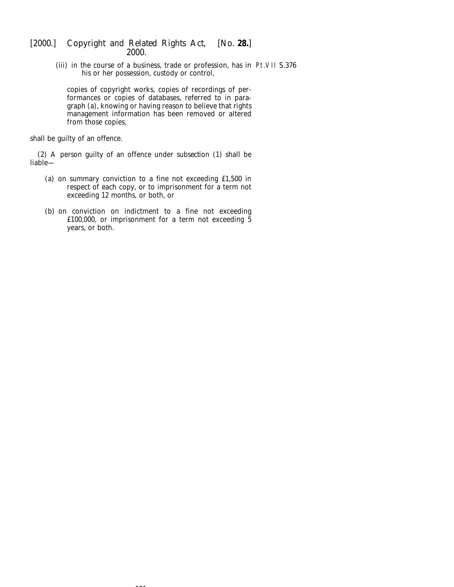(iii) in the course of a business, trade or profession, has in Pt.VII S.376his or her possession, custody or control,

copies of copyright works, copies of recordings of performances or copies of databases, referred to in *paragraph (a)*, knowing or having reason to believe that rights management information has been removed or altered from those copies,

shall be guilty of an offence.

(2) A person guilty of an offence under *subsection (1)* shall be liable—

- (*a*) on summary conviction to a fine not exceeding £1,500 in respect of each copy, or to imprisonment for a term not exceeding 12 months, or both, or
- (*b*) on conviction on indictment to a fine not exceeding £100,000, or imprisonment for a term not exceeding  $\frac{3}{5}$ years, or both.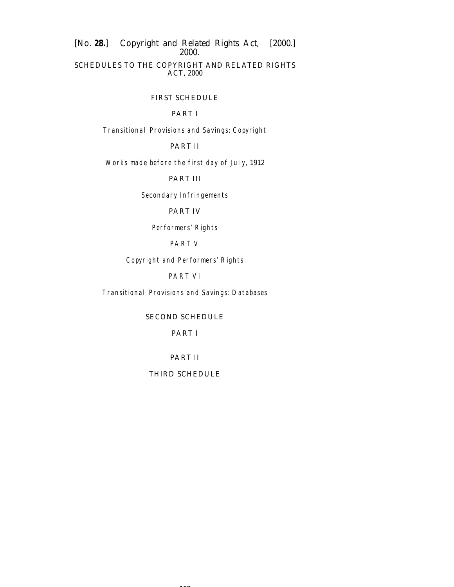[*No.* **28.**] *Copyright and Related Rights Act,* [2000.] 2000. SCHEDULES TO THE *COPYRIGHT AND RELATED RIGHTS ACT, 2000*

FIRST SCHEDULE

## PART I

Transitional Provisions and Savings: Copyright

## PART II

Works made before the first day of July, 1912

PART III

Secondary Infringements

# PART IV

Performers' Rights

## PART V

Copyright and Performers' Rights

# PART VI

Transitional Provisions and Savings: Databases

SECOND SCHEDULE

## PART I

## PART II

## THIRD SCHEDULE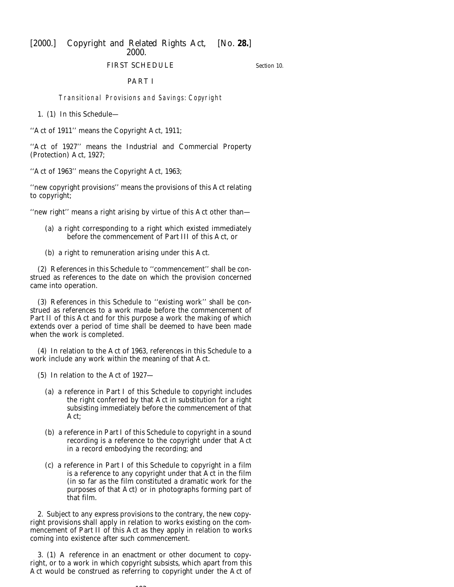FIRST SCHEDULE

*Section 10.*

#### PART I

Transitional Provisions and Savings: Copyright

1. (1) In this Schedule—

''Act of 1911'' means the Copyright Act, 1911;

''Act of 1927'' means the Industrial and Commercial Property (Protection) Act, 1927;

''Act of 1963'' means the Copyright Act, 1963;

''new copyright provisions'' means the provisions of this Act relating to copyright;

''new right'' means a right arising by virtue of this Act other than—

- (*a*) a right corresponding to a right which existed immediately before the commencement of *Part III* of this Act, or
- (*b*) a right to remuneration arising under this Act.

(2) References in this Schedule to ''commencement'' shall be construed as references to the date on which the provision concerned came into operation.

(3) References in this Schedule to ''existing work'' shall be construed as references to a work made before the commencement of *Part II* of this Act and for this purpose a work the making of which extends over a period of time shall be deemed to have been made when the work is completed.

(4) In relation to the Act of 1963, references in this Schedule to a work include any work within the meaning of that Act.

(5) In relation to the Act of 1927—

- (*a*) a reference in *Part I* of this Schedule to copyright includes the right conferred by that Act in substitution for a right subsisting immediately before the commencement of that Act;
- (*b*) a reference in *Part I* of this Schedule to copyright in a sound recording is a reference to the copyright under that Act in a record embodying the recording; and
- (*c*) a reference in *Part I* of this Schedule to copyright in a film is a reference to any copyright under that Act in the film (in so far as the film constituted a dramatic work for the purposes of that Act) or in photographs forming part of that film.

2. Subject to any express provisions to the contrary, the new copyright provisions shall apply in relation to works existing on the commencement of *Part II* of this Act as they apply in relation to works coming into existence after such commencement.

3. (1) A reference in an enactment or other document to copyright, or to a work in which copyright subsists, which apart from this Act would be construed as referring to copyright under the Act of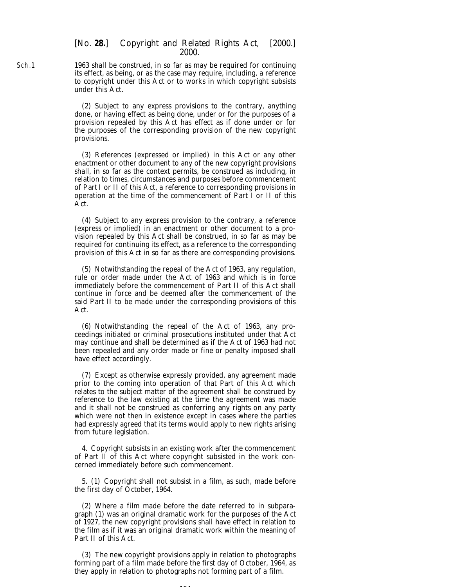1963 shall be construed, in so far as may be required for continuing its effect, as being, or as the case may require, including, a reference to copyright under this Act or to works in which copyright subsists under this Act.

(2) Subject to any express provisions to the contrary, anything done, or having effect as being done, under or for the purposes of a provision repealed by this Act has effect as if done under or for the purposes of the corresponding provision of the new copyright provisions.

(3) References (expressed or implied) in this Act or any other enactment or other document to any of the new copyright provisions shall, in so far as the context permits, be construed as including, in relation to times, circumstances and purposes before commencement of *Part I* or *II* of this Act, a reference to corresponding provisions in operation at the time of the commencement of *Part I* or *II* of this Act.

(4) Subject to any express provision to the contrary, a reference (express or implied) in an enactment or other document to a provision repealed by this Act shall be construed, in so far as may be required for continuing its effect, as a reference to the corresponding provision of this Act in so far as there are corresponding provisions.

(5) Notwithstanding the repeal of the Act of 1963, any regulation, rule or order made under the Act of 1963 and which is in force immediately before the commencement of *Part II* of this Act shall continue in force and be deemed after the commencement of the said *Part II* to be made under the corresponding provisions of this Act.

(6) Notwithstanding the repeal of the Act of 1963, any proceedings initiated or criminal prosecutions instituted under that Act may continue and shall be determined as if the Act of 1963 had not been repealed and any order made or fine or penalty imposed shall have effect accordingly.

(7) Except as otherwise expressly provided, any agreement made prior to the coming into operation of that Part of this Act which relates to the subject matter of the agreement shall be construed by reference to the law existing at the time the agreement was made and it shall not be construed as conferring any rights on any party which were not then in existence except in cases where the parties had expressly agreed that its terms would apply to new rights arising from future legislation.

4. Copyright subsists in an existing work after the commencement of *Part II* of this Act where copyright subsisted in the work concerned immediately before such commencement.

5. (1) Copyright shall not subsist in a film, as such, made before the first day of October, 1964.

(2) Where a film made before the date referred to in *subparagraph (1)* was an original dramatic work for the purposes of the Act of 1927, the new copyright provisions shall have effect in relation to the film as if it was an original dramatic work within the meaning of *Part II* of this Act.

(3) The new copyright provisions apply in relation to photographs forming part of a film made before the first day of October, 1964, as they apply in relation to photographs not forming part of a film.

Sch.1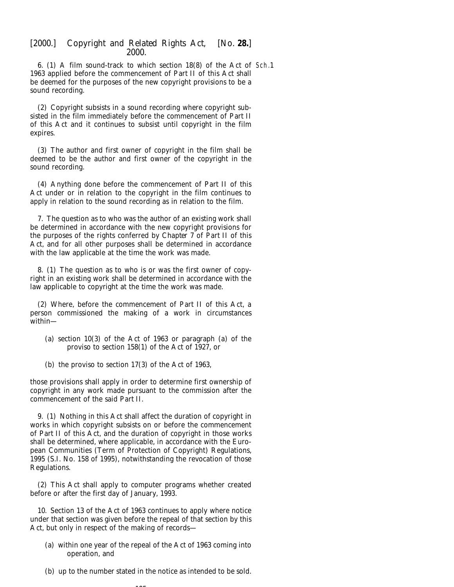6. (1) A film sound-track to which section 18(8) of the Act of Sch.11963 applied before the commencement of *Part II* of this Act shall be deemed for the purposes of the new copyright provisions to be a sound recording.

(2) Copyright subsists in a sound recording where copyright subsisted in the film immediately before the commencement of *Part II* of this Act and it continues to subsist until copyright in the film expires.

(3) The author and first owner of copyright in the film shall be deemed to be the author and first owner of the copyright in the sound recording.

(4) Anything done before the commencement of *Part II* of this Act under or in relation to the copyright in the film continues to apply in relation to the sound recording as in relation to the film.

7. The question as to who was the author of an existing work shall be determined in accordance with the new copyright provisions for the purposes of the rights conferred by *Chapter 7* of *Part II* of this Act, and for all other purposes shall be determined in accordance with the law applicable at the time the work was made.

8. (1) The question as to who is or was the first owner of copyright in an existing work shall be determined in accordance with the law applicable to copyright at the time the work was made.

(2) Where, before the commencement of *Part II* of this Act, a person commissioned the making of a work in circumstances within—

- (*a*) section 10(3) of the Act of 1963 or paragraph (*a*) of the proviso to section 158(1) of the Act of 1927, or
- (*b*) the proviso to section 17(3) of the Act of 1963,

those provisions shall apply in order to determine first ownership of copyright in any work made pursuant to the commission after the commencement of the said *Part II*.

9. (1) Nothing in this Act shall affect the duration of copyright in works in which copyright subsists on or before the commencement of *Part II* of this Act, and the duration of copyright in those works shall be determined, where applicable, in accordance with the European Communities (Term of Protection of Copyright) Regulations, 1995 (S.I. No. 158 of 1995), notwithstanding the revocation of those Regulations.

(2) This Act shall apply to computer programs whether created before or after the first day of January, 1993.

10. Section 13 of the Act of 1963 continues to apply where notice under that section was given before the repeal of that section by this Act, but only in respect of the making of records—

- (*a*) within one year of the repeal of the Act of 1963 coming into operation, and
- (*b*) up to the number stated in the notice as intended to be sold.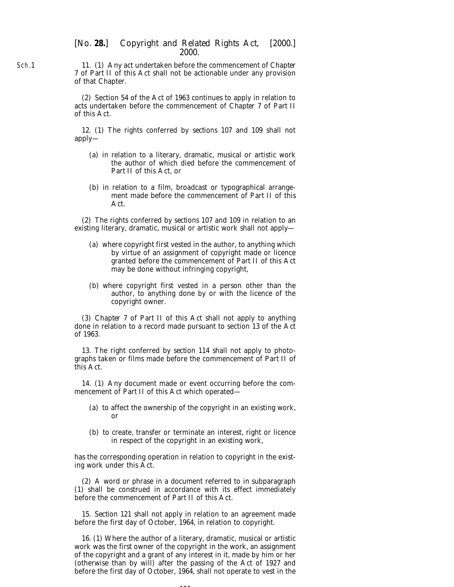11. (1) Any act undertaken before the commencement of *Chapter 7* of *Part II* of this Act shall not be actionable under any provision of that Chapter.

(2) Section 54 of the Act of 1963 continues to apply in relation to acts undertaken before the commencement of *Chapter 7* of *Part II* of this Act.

12. (1) The rights conferred by *sections 107* and *109* shall not apply—

- (*a*) in relation to a literary, dramatic, musical or artistic work the author of which died before the commencement of *Part II* of this Act, or
- (*b*) in relation to a film, broadcast or typographical arrangement made before the commencement of *Part II* of this Act.

(2) The rights conferred by *sections 107* and *109* in relation to an existing literary, dramatic, musical or artistic work shall not apply—

- (*a*) where copyright first vested in the author, to anything which by virtue of an assignment of copyright made or licence granted before the commencement of *Part II* of this Act may be done without infringing copyright,
- (*b*) where copyright first vested in a person other than the author, to anything done by or with the licence of the copyright owner.

(3) *Chapter 7* of *Part II* of this Act shall not apply to anything done in relation to a record made pursuant to section 13 of the Act of 1963.

13. The right conferred by *section 114* shall not apply to photographs taken or films made before the commencement of *Part II* of this Act.

14. (1) Any document made or event occurring before the commencement of *Part II* of this Act which operated—

- (*a*) to affect the ownership of the copyright in an existing work, or
- (*b*) to create, transfer or terminate an interest, right or licence in respect of the copyright in an existing work,

has the corresponding operation in relation to copyright in the existing work under this Act.

(2) A word or phrase in a document referred to in *subparagraph (1)* shall be construed in accordance with its effect immediately before the commencement of *Part II* of this Act.

15. *Section 121* shall not apply in relation to an agreement made before the first day of October, 1964, in relation to copyright.

16. (1) Where the author of a literary, dramatic, musical or artistic work was the first owner of the copyright in the work, an assignment of the copyright and a grant of any interest in it, made by him or her (otherwise than by will) after the passing of the Act of 1927 and before the first day of October, 1964, shall not operate to vest in the

196

Sch.1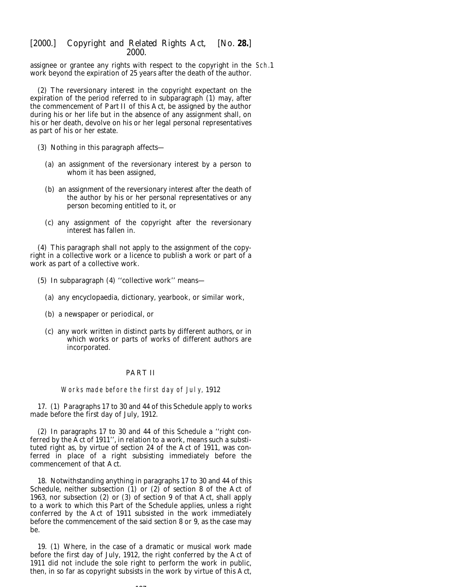assignee or grantee any rights with respect to the copyright in the Sch.1work beyond the expiration of 25 years after the death of the author.

(2) The reversionary interest in the copyright expectant on the expiration of the period referred to in *subparagraph (1)* may, after the commencement of *Part II* of this Act, be assigned by the author during his or her life but in the absence of any assignment shall, on his or her death, devolve on his or her legal personal representatives as part of his or her estate.

(3) Nothing in this paragraph affects—

- (*a*) an assignment of the reversionary interest by a person to whom it has been assigned,
- (*b*) an assignment of the reversionary interest after the death of the author by his or her personal representatives or any person becoming entitled to it, or
- (*c*) any assignment of the copyright after the reversionary interest has fallen in.

(4) This paragraph shall not apply to the assignment of the copyright in a collective work or a licence to publish a work or part of a work as part of a collective work.

- (5) In *subparagraph (4*) ''collective work'' means—
	- (*a*) any encyclopaedia, dictionary, yearbook, or similar work,
	- (*b*) a newspaper or periodical, or
	- (*c*) any work written in distinct parts by different authors, or in which works or parts of works of different authors are incorporated.

#### PART II

Works made before the first day of July, 1912

17. (1) *Paragraphs 17* to *30* and *44* of this Schedule apply to works made before the first day of July, 1912.

(2) In *paragraphs 17* to *30* and *44* of this Schedule a ''right conferred by the Act of 1911'', in relation to a work, means such a substituted right as, by virtue of section 24 of the Act of 1911, was conferred in place of a right subsisting immediately before the commencement of that Act.

18. Notwithstanding anything in *paragraphs 17* to *30* and *44* of this Schedule, neither subsection  $(1)$  or  $(2)$  of section 8 of the Act of 1963, nor subsection (2) or (3) of section 9 of that Act, shall apply to a work to which this Part of the Schedule applies, unless a right conferred by the Act of 1911 subsisted in the work immediately before the commencement of the said section 8 or 9, as the case may be.

19. (1) Where, in the case of a dramatic or musical work made before the first day of July, 1912, the right conferred by the Act of 1911 did not include the sole right to perform the work in public, then, in so far as copyright subsists in the work by virtue of this Act,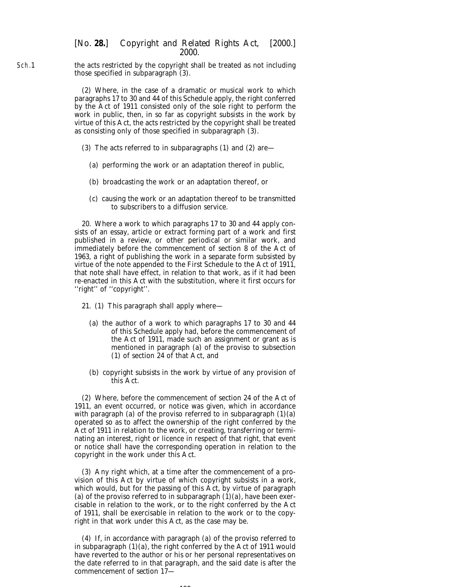the acts restricted by the copyright shall be treated as not including those specified in *subparagraph (3)*.

> (2) Where, in the case of a dramatic or musical work to which *paragraphs 17* to *30* and *44* of this Schedule apply, the right conferred by the Act of 1911 consisted only of the sole right to perform the work in public, then, in so far as copyright subsists in the work by virtue of this Act, the acts restricted by the copyright shall be treated as consisting only of those specified in *subparagraph (3)*.

- (3) The acts referred to in *subparagraphs (1)* and *(2)* are—
	- (*a*) performing the work or an adaptation thereof in public,
	- (*b*) broadcasting the work or an adaptation thereof, or
	- (*c*) causing the work or an adaptation thereof to be transmitted to subscribers to a diffusion service.

20. Where a work to which *paragraphs 17* to *30* and *44* apply consists of an essay, article or extract forming part of a work and first published in a review, or other periodical or similar work, and immediately before the commencement of section 8 of the Act of 1963, a right of publishing the work in a separate form subsisted by virtue of the note appended to the First Schedule to the Act of 1911, that note shall have effect, in relation to that work, as if it had been re-enacted in this Act with the substitution, where it first occurs for ''right'' of ''copyright''.

- 21. (1) This paragraph shall apply where—
	- (*a*) the author of a work to which *paragraphs 17* to *30* and *44* of this Schedule apply had, before the commencement of the Act of 1911, made such an assignment or grant as is mentioned in paragraph (*a*) of the proviso to subsection (1) of section 24 of that Act, and
	- (*b*) copyright subsists in the work by virtue of any provision of this Act.

(2) Where, before the commencement of section 24 of the Act of 1911, an event occurred, or notice was given, which in accordance with paragraph (*a*) of the proviso referred to in *subparagraph (1)(a)* operated so as to affect the ownership of the right conferred by the Act of 1911 in relation to the work, or creating, transferring or terminating an interest, right or licence in respect of that right, that event or notice shall have the corresponding operation in relation to the copyright in the work under this Act.

(3) Any right which, at a time after the commencement of a provision of this Act by virtue of which copyright subsists in a work, which would, but for the passing of this Act, by virtue of paragraph (*a*) of the proviso referred to in *subparagraph (1)(a)*, have been exercisable in relation to the work, or to the right conferred by the Act of 1911, shall be exercisable in relation to the work or to the copyright in that work under this Act, as the case may be.

(4) If, in accordance with paragraph (*a*) of the proviso referred to in *subparagraph (1)(a)*, the right conferred by the Act of 1911 would have reverted to the author or his or her personal representatives on the date referred to in that paragraph, and the said date is after the commencement of *section 17*—

 $198$ 

Sch.1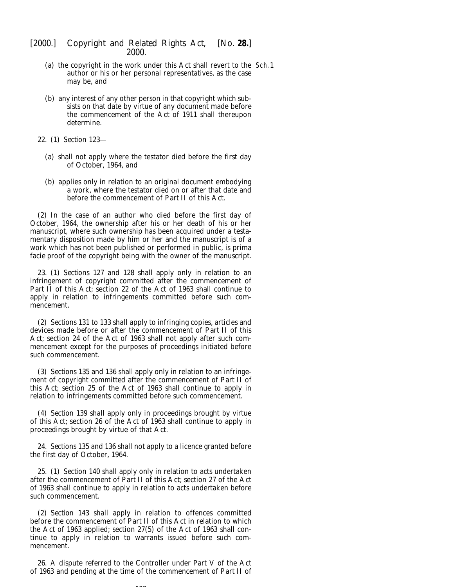- (*a*) the copyright in the work under this Act shall revert to the Sch.1author or his or her personal representatives, as the case may be, and
- (*b*) any interest of any other person in that copyright which subsists on that date by virtue of any document made before the commencement of the Act of 1911 shall thereupon determine.
- 22. (1) *Section 123*
	- (*a*) shall not apply where the testator died before the first day of October, 1964, and
	- (*b*) applies only in relation to an original document embodying a work, where the testator died on or after that date and before the commencement of *Part II* of this Act.

(2) In the case of an author who died before the first day of October, 1964, the ownership after his or her death of his or her manuscript, where such ownership has been acquired under a testamentary disposition made by him or her and the manuscript is of a work which has not been published or performed in public, is *prima facie* proof of the copyright being with the owner of the manuscript.

23. (1) *Sections 127* and *128* shall apply only in relation to an infringement of copyright committed after the commencement of *Part II* of this Act; section 22 of the Act of 1963 shall continue to apply in relation to infringements committed before such commencement.

(2) *Sections 131* to *133* shall apply to infringing copies, articles and devices made before or after the commencement of *Part II* of this Act; section 24 of the Act of 1963 shall not apply after such commencement except for the purposes of proceedings initiated before such commencement.

(3) *Sections 135* and *136* shall apply only in relation to an infringement of copyright committed after the commencement of *Part II* of this Act; section 25 of the Act of 1963 shall continue to apply in relation to infringements committed before such commencement.

(4) *Section 139* shall apply only in proceedings brought by virtue of this Act; section 26 of the Act of 1963 shall continue to apply in proceedings brought by virtue of that Act.

24. *Sections 135* and *136* shall not apply to a licence granted before the first day of October, 1964.

25. (1) *Section 140* shall apply only in relation to acts undertaken after the commencement of *Part II* of this Act; section 27 of the Act of 1963 shall continue to apply in relation to acts undertaken before such commencement.

(2) *Section 143* shall apply in relation to offences committed before the commencement of *Part II* of this Act in relation to which the Act of 1963 applied; section 27(5) of the Act of 1963 shall continue to apply in relation to warrants issued before such commencement.

26. A dispute referred to the Controller under Part V of the Act of 1963 and pending at the time of the commencement of *Part II* of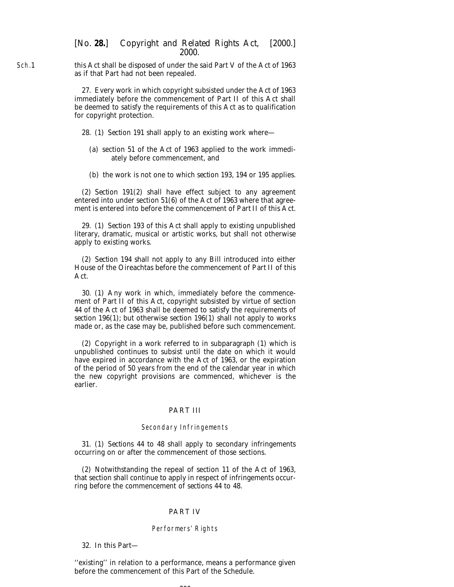Sch.1 this Act shall be disposed of under the said Part V of the Act of 1963 as if that Part had not been repealed.

> 27. Every work in which copyright subsisted under the Act of 1963 immediately before the commencement of *Part II* of this Act shall be deemed to satisfy the requirements of this Act as to qualification for copyright protection.

- 28. (1) *Section 191* shall apply to an existing work where—
	- (*a*) section 51 of the Act of 1963 applied to the work immediately before commencement, and
	- (*b*) the work is not one to which *section 193*, *194* or *195* applies.

(2) *Section 191(2)* shall have effect subject to any agreement entered into under section 51(6) of the Act of 1963 where that agreement is entered into before the commencement of *Part II* of this Act.

29. (1) *Section 193* of this Act shall apply to existing unpublished literary, dramatic, musical or artistic works, but shall not otherwise apply to existing works.

(2) *Section 194* shall not apply to any Bill introduced into either House of the Oireachtas before the commencement of *Part II* of this Act.

30. (1) Any work in which, immediately before the commencement of *Part II* of this Act, copyright subsisted by virtue of section 44 of the Act of 1963 shall be deemed to satisfy the requirements of *section 196(1)*; but otherwise *section 196(1)* shall not apply to works made or, as the case may be, published before such commencement.

(2) Copyright in a work referred to in *subparagraph (1)* which is unpublished continues to subsist until the date on which it would have expired in accordance with the Act of 1963, or the expiration of the period of 50 years from the end of the calendar year in which the new copyright provisions are commenced, whichever is the earlier.

#### PART III

#### Secondary Infringements

31. (1) *Sections 44* to *48* shall apply to secondary infringements occurring on or after the commencement of those sections.

(2) Notwithstanding the repeal of section 11 of the Act of 1963, that section shall continue to apply in respect of infringements occurring before the commencement of *sections 44* to *48*.

#### PART IV

#### Performers' Rights

32. In this Part—

''existing'' in relation to a performance, means a performance given before the commencement of this Part of the Schedule.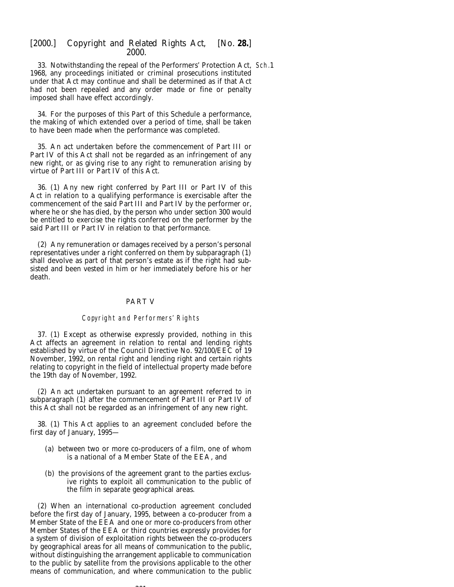33. Notwithstanding the repeal of the Performers' Protection Act, Sch.11968, any proceedings initiated or criminal prosecutions instituted under that Act may continue and shall be determined as if that Act had not been repealed and any order made or fine or penalty imposed shall have effect accordingly.

34. For the purposes of this Part of this Schedule a performance, the making of which extended over a period of time, shall be taken to have been made when the performance was completed.

35. An act undertaken before the commencement of *Part III* or *Part IV* of this Act shall not be regarded as an infringement of any new right, or as giving rise to any right to remuneration arising by virtue of *Part III* or *Part IV* of this Act.

36. (1) Any new right conferred by *Part III* or *Part IV* of this Act in relation to a qualifying performance is exercisable after the commencement of the said *Part III* and *Part IV* by the performer or, where he or she has died, by the person who under *section 300* would be entitled to exercise the rights conferred on the performer by the said *Part III* or *Part IV* in relation to that performance.

(2) Any remuneration or damages received by a person's personal representatives under a right conferred on them by *subparagraph (1)* shall devolve as part of that person's estate as if the right had subsisted and been vested in him or her immediately before his or her death.

#### PART V

#### Copyright and Performers' Rights

37. (1) Except as otherwise expressly provided, nothing in this Act affects an agreement in relation to rental and lending rights established by virtue of the Council Directive No. 92/100/EEC of 19 November, 1992, on rental right and lending right and certain rights relating to copyright in the field of intellectual property made before the 19th day of November, 1992.

(2) An act undertaken pursuant to an agreement referred to in *subparagraph (1*) after the commencement of *Part III* or *Part IV* of this Act shall not be regarded as an infringement of any new right.

38. (1) This Act applies to an agreement concluded before the first day of January, 1995—

- (*a*) between two or more co-producers of a film, one of whom is a national of a Member State of the EEA, and
- (*b*) the provisions of the agreement grant to the parties exclusive rights to exploit all communication to the public of the film in separate geographical areas.

(2) When an international co-production agreement concluded before the first day of January, 1995, between a co-producer from a Member State of the EEA and one or more co-producers from other Member States of the EEA or third countries expressly provides for a system of division of exploitation rights between the co-producers by geographical areas for all means of communication to the public, without distinguishing the arrangement applicable to communication to the public by satellite from the provisions applicable to the other means of communication, and where communication to the public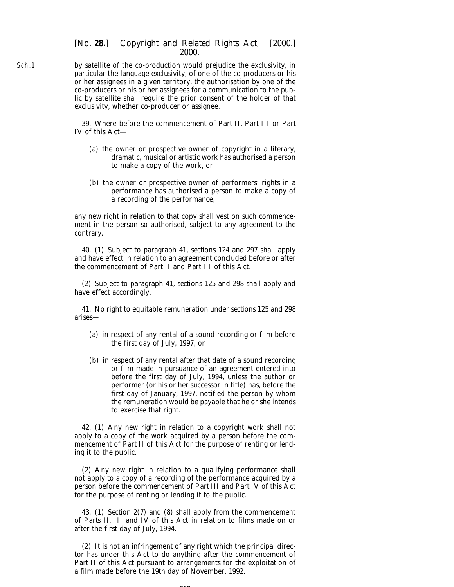by satellite of the co-production would prejudice the exclusivity, in particular the language exclusivity, of one of the co-producers or his or her assignees in a given territory, the authorisation by one of the co-producers or his or her assignees for a communication to the public by satellite shall require the prior consent of the holder of that exclusivity, whether co-producer or assignee.

> 39. Where before the commencement of *Part II*, *Part III* or *Part IV* of this Act—

- (*a*) the owner or prospective owner of copyright in a literary, dramatic, musical or artistic work has authorised a person to make a copy of the work, or
- (*b*) the owner or prospective owner of performers' rights in a performance has authorised a person to make a copy of a recording of the performance,

any new right in relation to that copy shall vest on such commencement in the person so authorised, subject to any agreement to the contrary.

40. (1) Subject to *paragraph 41*, *sections 124* and *297* shall apply and have effect in relation to an agreement concluded before or after the commencement of *Part II* and *Part III* of this Act.

(2) Subject to *paragraph 41*, *sections 125* and *298* shall apply and have effect accordingly.

41. No right to equitable remuneration under *sections 125* and *298* arises—

- (*a*) in respect of any rental of a sound recording or film before the first day of July, 1997, or
- (*b*) in respect of any rental after that date of a sound recording or film made in pursuance of an agreement entered into before the first day of July, 1994, unless the author or performer (or his or her successor in title) has, before the first day of January, 1997, notified the person by whom the remuneration would be payable that he or she intends to exercise that right.

42. (1) Any new right in relation to a copyright work shall not apply to a copy of the work acquired by a person before the commencement of *Part II* of this Act for the purpose of renting or lending it to the public.

(2) Any new right in relation to a qualifying performance shall not apply to a copy of a recording of the performance acquired by a person before the commencement of *Part III* and *Part IV* of this Act for the purpose of renting or lending it to the public.

43. (1) *Section 2(7)* and *(8)* shall apply from the commencement of *Parts II*, *III* and *IV* of this Act in relation to films made on or after the first day of July, 1994.

(2) It is not an infringement of any right which the principal director has under this Act to do anything after the commencement of *Part II* of this Act pursuant to arrangements for the exploitation of a film made before the 19th day of November, 1992.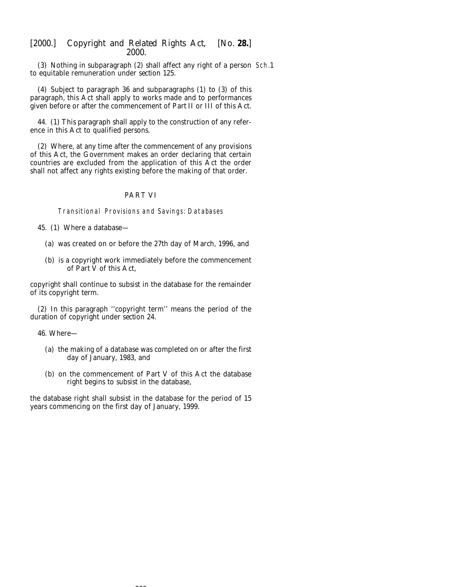(3) Nothing in *subparagraph (2)* shall affect any right of a person Sch.1to equitable remuneration under *section 125*.

(4) Subject to *paragraph 36* and *subparagraphs (1)* to *(3)* of this paragraph, this Act shall apply to works made and to performances given before or after the commencement of *Part II* or *III* of this Act.

44. (1) This paragraph shall apply to the construction of any reference in this Act to qualified persons.

(2) Where, at any time after the commencement of any provisions of this Act, the Government makes an order declaring that certain countries are excluded from the application of this Act the order shall not affect any rights existing before the making of that order.

### PART VI

Transitional Provisions and Savings: Databases

45. (1) Where a database—

- (*a*) was created on or before the 27th day of March, 1996, and
- (*b*) is a copyright work immediately before the commencement of *Part V* of this Act,

copyright shall continue to subsist in the database for the remainder of its copyright term.

(2) In this paragraph ''copyright term'' means the period of the duration of copyright under *section 24*.

46. Where—

- (*a*) the making of a database was completed on or after the first day of January, 1983, and
- (*b*) on the commencement of *Part V* of this Act the database right begins to subsist in the database,

the database right shall subsist in the database for the period of 15 years commencing on the first day of January, 1999.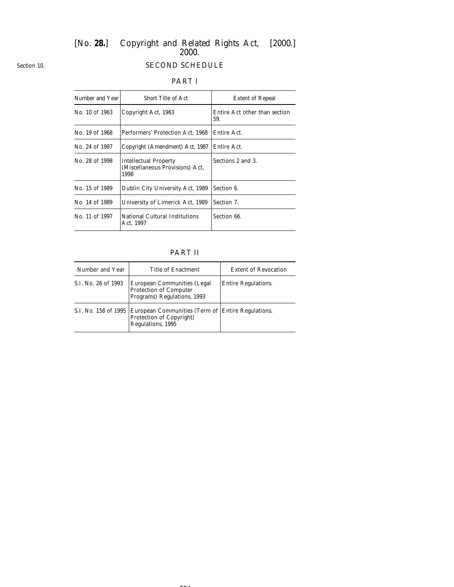# *Section 10.*

# SECOND SCHEDULE

# PART I

| Number and Year | <b>Short Title of Act</b>                                               | <b>Extent of Repeal</b>              |
|-----------------|-------------------------------------------------------------------------|--------------------------------------|
| No. 10 of 1963  | Copyright Act, 1963                                                     | Entire Act other than section<br>59. |
| No. 19 of 1968  | Performers' Protection Act, 1968                                        | Entire Act.                          |
| No. 24 of 1987  | Copyright (Amendment) Act, 1987                                         | Entire Act.                          |
| No. 28 of 1998  | <b>Intellectual Property</b><br>(Miscellaneous Provisions) Act,<br>1998 | Sections 2 and 3.                    |
| No. 15 of 1989  | Dublin City University Act, 1989                                        | Section 6.                           |
| No. 14 of 1989  | University of Limerick Act, 1989                                        | Section 7.                           |
| No. 11 of 1997  | National Cultural Institutions<br>Act, 1997                             | Section 66.                          |

# PART II

| Number and Year      | Title of Enactment                                                                                 | <b>Extent of Revocation</b> |
|----------------------|----------------------------------------------------------------------------------------------------|-----------------------------|
| S.I. No. 26 of 1993  | European Communities (Legal<br><b>Protection of Computer</b><br>Programs) Regulations, 1993        | <b>Entire Regulations.</b>  |
| S.I. No. 158 of 1995 | European Communities (Term of Entire Regulations.<br>Protection of Copyright)<br>Regulations, 1995 |                             |